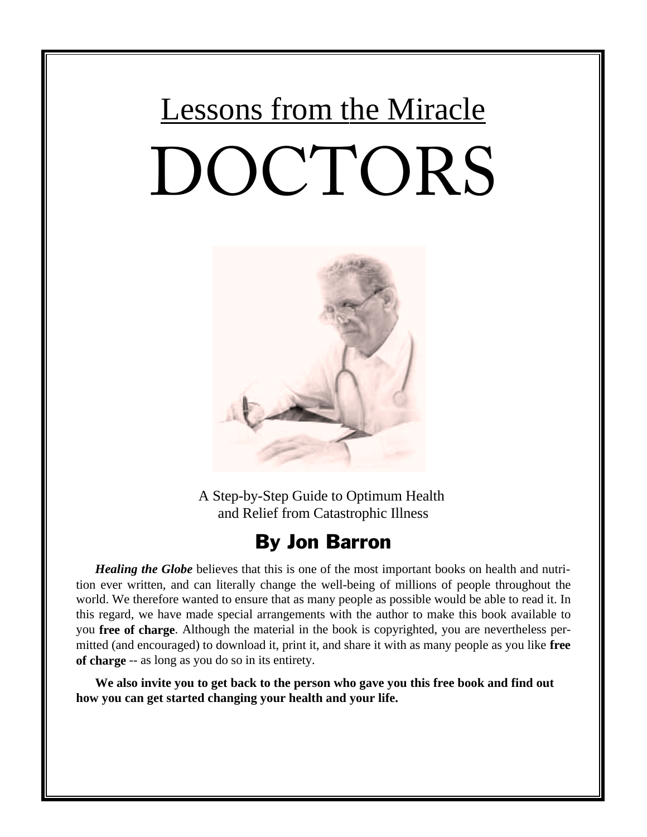# Lessons from the Miracle DOCTORS



A Step-by-Step Guide to Optimum Health and Relief from Catastrophic Illness

## By Jon Barron

*Healing the Globe* believes that this is one of the most important books on health and nutrition ever written, and can literally change the well-being of millions of people throughout the world. We therefore wanted to ensure that as many people as possible would be able to read it. In this regard, we have made special arrangements with the author to make this book available to you **free of charge**. Although the material in the book is copyrighted, you are nevertheless permitted (and encouraged) to download it, print it, and share it with as many people as you like **free of charge** -- as long as you do so in its entirety.

**We also invite you to get back to the person who gave you this free book and find out how you can get started changing your health and your life.**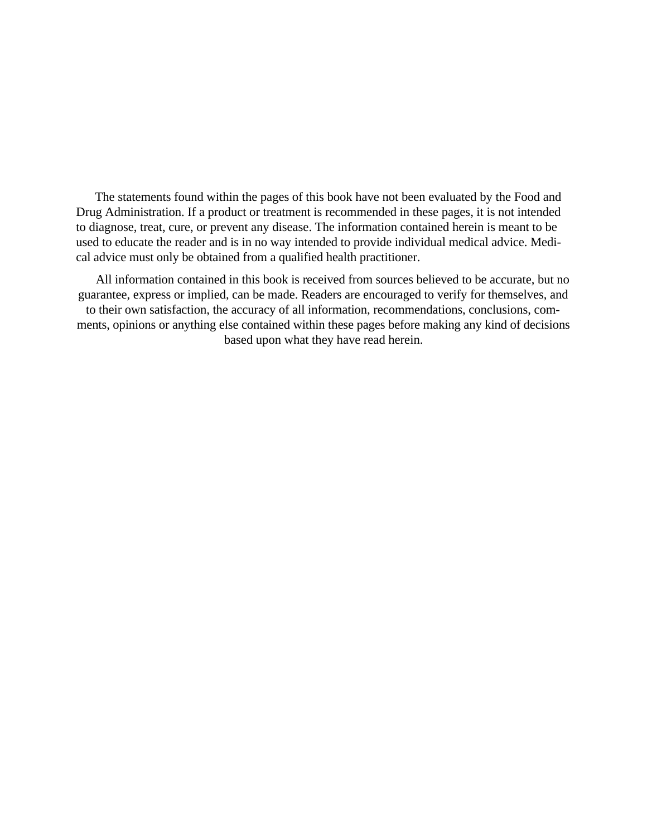The statements found within the pages of this book have not been evaluated by the Food and Drug Administration. If a product or treatment is recommended in these pages, it is not intended to diagnose, treat, cure, or prevent any disease. The information contained herein is meant to be used to educate the reader and is in no way intended to provide individual medical advice. Medical advice must only be obtained from a qualified health practitioner.

All information contained in this book is received from sources believed to be accurate, but no guarantee, express or implied, can be made. Readers are encouraged to verify for themselves, and to their own satisfaction, the accuracy of all information, recommendations, conclusions, comments, opinions or anything else contained within these pages before making any kind of decisions based upon what they have read herein.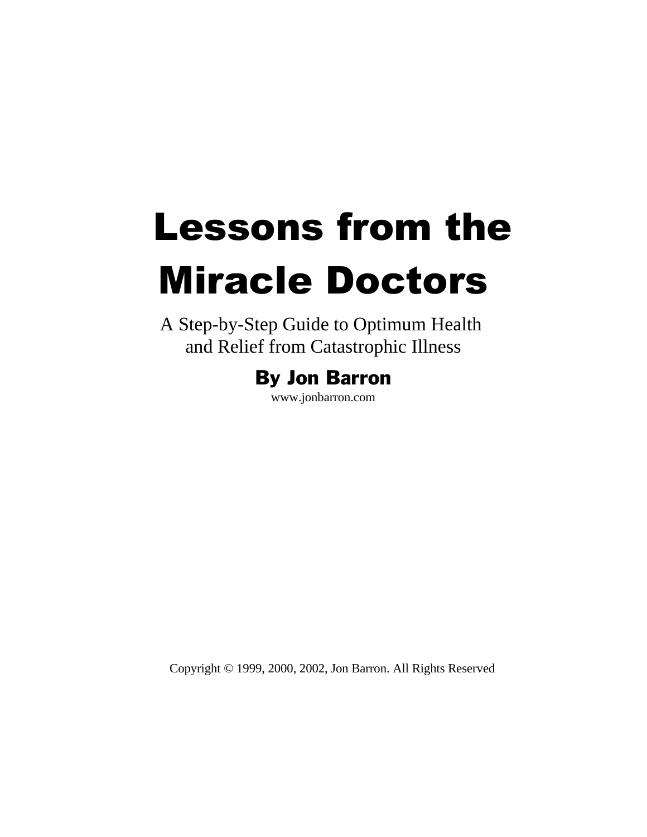# **Lessons from the Miracle Doctors**

A Step-by-Step Guide to Optimum Health and Relief from Catastrophic Illness



www.jonbarron.com

Copyright © 1999, 2000, 2002, Jon Barron. All Rights Reserved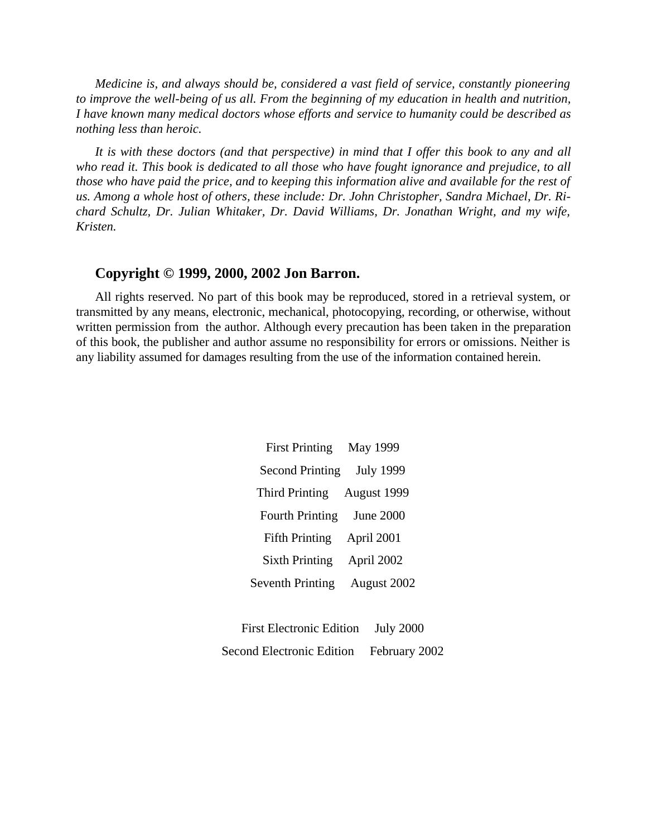*Medicine is, and always should be, considered a vast field of service, constantly pioneering to improve the well-being of us all. From the beginning of my education in health and nutrition, I have known many medical doctors whose efforts and service to humanity could be described as nothing less than heroic.* 

*It is with these doctors (and that perspective) in mind that I offer this book to any and all who read it. This book is dedicated to all those who have fought ignorance and prejudice, to all those who have paid the price, and to keeping this information alive and available for the rest of us. Among a whole host of others, these include: Dr. John Christopher, Sandra Michael, Dr. Richard Schultz, Dr. Julian Whitaker, Dr. David Williams, Dr. Jonathan Wright, and my wife, Kristen.*

#### **Copyright © 1999, 2000, 2002 Jon Barron.**

All rights reserved. No part of this book may be reproduced, stored in a retrieval system, or transmitted by any means, electronic, mechanical, photocopying, recording, or otherwise, without written permission from the author. Although every precaution has been taken in the preparation of this book, the publisher and author assume no responsibility for errors or omissions. Neither is any liability assumed for damages resulting from the use of the information contained herein.

| <b>First Printing</b>   | <b>May 1999</b>  |
|-------------------------|------------------|
| <b>Second Printing</b>  | <b>July 1999</b> |
| Third Printing          | August 1999      |
| <b>Fourth Printing</b>  | <b>June 2000</b> |
| <b>Fifth Printing</b>   | April 2001       |
| <b>Sixth Printing</b>   | April 2002       |
| <b>Seventh Printing</b> | August 2002      |

First Electronic Edition July 2000 Second Electronic Edition February 2002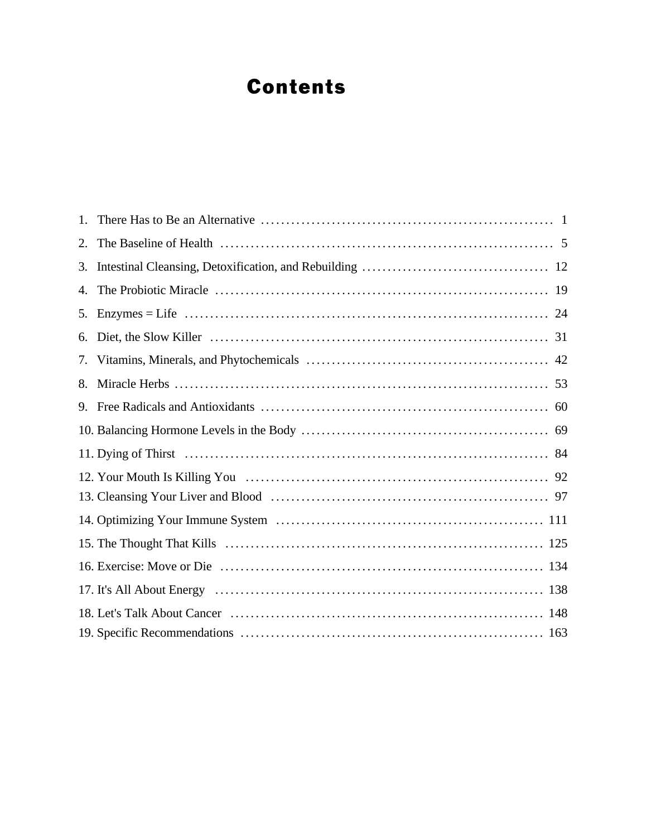# **Contents**

| 2. |  |
|----|--|
| 3. |  |
| 4. |  |
| 5. |  |
|    |  |
|    |  |
|    |  |
|    |  |
|    |  |
|    |  |
|    |  |
|    |  |
|    |  |
|    |  |
|    |  |
|    |  |
|    |  |
|    |  |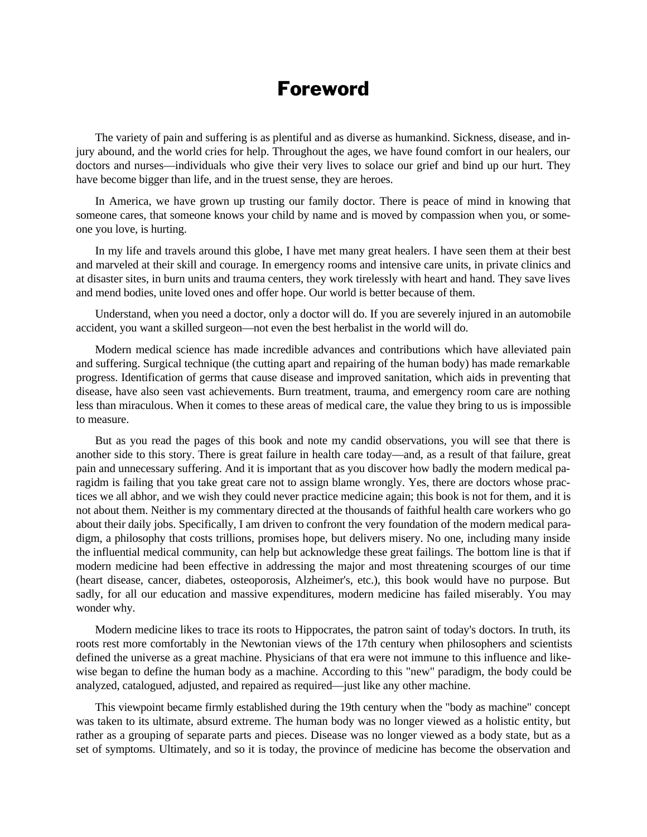## Foreword

The variety of pain and suffering is as plentiful and as diverse as humankind. Sickness, disease, and injury abound, and the world cries for help. Throughout the ages, we have found comfort in our healers, our doctors and nurses—individuals who give their very lives to solace our grief and bind up our hurt. They have become bigger than life, and in the truest sense, they are heroes.

In America, we have grown up trusting our family doctor. There is peace of mind in knowing that someone cares, that someone knows your child by name and is moved by compassion when you, or someone you love, is hurting.

In my life and travels around this globe, I have met many great healers. I have seen them at their best and marveled at their skill and courage. In emergency rooms and intensive care units, in private clinics and at disaster sites, in burn units and trauma centers, they work tirelessly with heart and hand. They save lives and mend bodies, unite loved ones and offer hope. Our world is better because of them.

Understand, when you need a doctor, only a doctor will do. If you are severely injured in an automobile accident, you want a skilled surgeon—not even the best herbalist in the world will do.

Modern medical science has made incredible advances and contributions which have alleviated pain and suffering. Surgical technique (the cutting apart and repairing of the human body) has made remarkable progress. Identification of germs that cause disease and improved sanitation, which aids in preventing that disease, have also seen vast achievements. Burn treatment, trauma, and emergency room care are nothing less than miraculous. When it comes to these areas of medical care, the value they bring to us is impossible to measure.

But as you read the pages of this book and note my candid observations, you will see that there is another side to this story. There is great failure in health care today—and, as a result of that failure, great pain and unnecessary suffering. And it is important that as you discover how badly the modern medical paragidm is failing that you take great care not to assign blame wrongly. Yes, there are doctors whose practices we all abhor, and we wish they could never practice medicine again; this book is not for them, and it is not about them. Neither is my commentary directed at the thousands of faithful health care workers who go about their daily jobs. Specifically, I am driven to confront the very foundation of the modern medical paradigm, a philosophy that costs trillions, promises hope, but delivers misery. No one, including many inside the influential medical community, can help but acknowledge these great failings. The bottom line is that if modern medicine had been effective in addressing the major and most threatening scourges of our time (heart disease, cancer, diabetes, osteoporosis, Alzheimer's, etc.), this book would have no purpose. But sadly, for all our education and massive expenditures, modern medicine has failed miserably. You may wonder why.

Modern medicine likes to trace its roots to Hippocrates, the patron saint of today's doctors. In truth, its roots rest more comfortably in the Newtonian views of the 17th century when philosophers and scientists defined the universe as a great machine. Physicians of that era were not immune to this influence and likewise began to define the human body as a machine. According to this "new" paradigm, the body could be analyzed, catalogued, adjusted, and repaired as required—just like any other machine.

This viewpoint became firmly established during the 19th century when the "body as machine" concept was taken to its ultimate, absurd extreme. The human body was no longer viewed as a holistic entity, but rather as a grouping of separate parts and pieces. Disease was no longer viewed as a body state, but as a set of symptoms. Ultimately, and so it is today, the province of medicine has become the observation and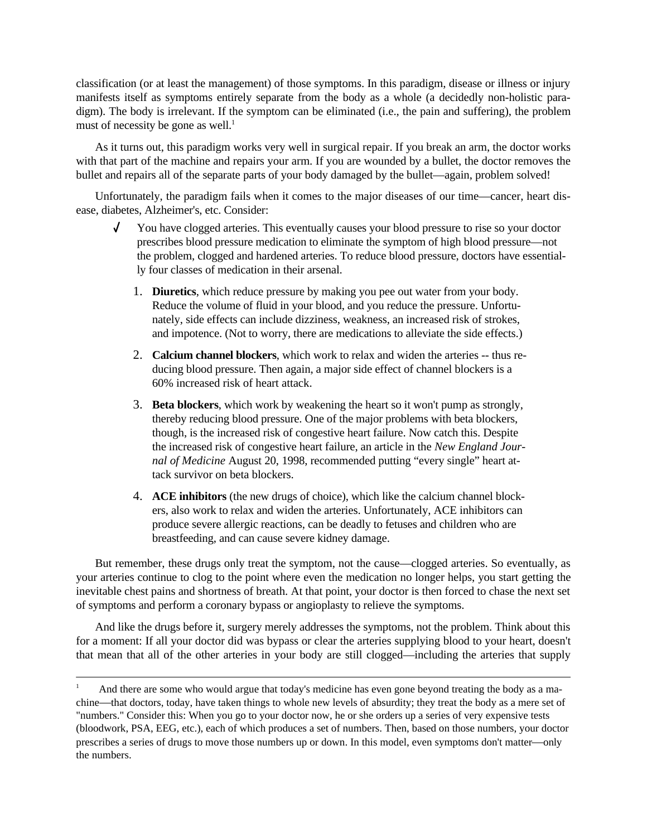classification (or at least the management) of those symptoms. In this paradigm, disease or illness or injury manifests itself as symptoms entirely separate from the body as a whole (a decidedly non-holistic paradigm). The body is irrelevant. If the symptom can be eliminated (i.e., the pain and suffering), the problem must of necessity be gone as well. $<sup>1</sup>$ </sup>

As it turns out, this paradigm works very well in surgical repair. If you break an arm, the doctor works with that part of the machine and repairs your arm. If you are wounded by a bullet, the doctor removes the bullet and repairs all of the separate parts of your body damaged by the bullet—again, problem solved!

Unfortunately, the paradigm fails when it comes to the major diseases of our time—cancer, heart disease, diabetes, Alzheimer's, etc. Consider:

- $\sqrt{2}$ You have clogged arteries. This eventually causes your blood pressure to rise so your doctor prescribes blood pressure medication to eliminate the symptom of high blood pressure—not the problem, clogged and hardened arteries. To reduce blood pressure, doctors have essentially four classes of medication in their arsenal.
	- 1. **Diuretics**, which reduce pressure by making you pee out water from your body. Reduce the volume of fluid in your blood, and you reduce the pressure. Unfortunately, side effects can include dizziness, weakness, an increased risk of strokes, and impotence. (Not to worry, there are medications to alleviate the side effects.)
	- 2. **Calcium channel blockers**, which work to relax and widen the arteries -- thus reducing blood pressure. Then again, a major side effect of channel blockers is a 60% increased risk of heart attack.
	- 3. **Beta blockers**, which work by weakening the heart so it won't pump as strongly, thereby reducing blood pressure. One of the major problems with beta blockers, though, is the increased risk of congestive heart failure. Now catch this. Despite the increased risk of congestive heart failure, an article in the *New England Journal of Medicine* August 20, 1998, recommended putting "every single" heart attack survivor on beta blockers.
	- 4. **ACE inhibitors** (the new drugs of choice), which like the calcium channel blockers, also work to relax and widen the arteries. Unfortunately, ACE inhibitors can produce severe allergic reactions, can be deadly to fetuses and children who are breastfeeding, and can cause severe kidney damage.

But remember, these drugs only treat the symptom, not the cause—clogged arteries. So eventually, as your arteries continue to clog to the point where even the medication no longer helps, you start getting the inevitable chest pains and shortness of breath. At that point, your doctor is then forced to chase the next set of symptoms and perform a coronary bypass or angioplasty to relieve the symptoms.

And like the drugs before it, surgery merely addresses the symptoms, not the problem. Think about this for a moment: If all your doctor did was bypass or clear the arteries supplying blood to your heart, doesn't that mean that all of the other arteries in your body are still clogged—including the arteries that supply

And there are some who would argue that today's medicine has even gone beyond treating the body as a machine—that doctors, today, have taken things to whole new levels of absurdity; they treat the body as a mere set of "numbers." Consider this: When you go to your doctor now, he or she orders up a series of very expensive tests (bloodwork, PSA, EEG, etc.), each of which produces a set of numbers. Then, based on those numbers, your doctor prescribes a series of drugs to move those numbers up or down. In this model, even symptoms don't matter—only the numbers.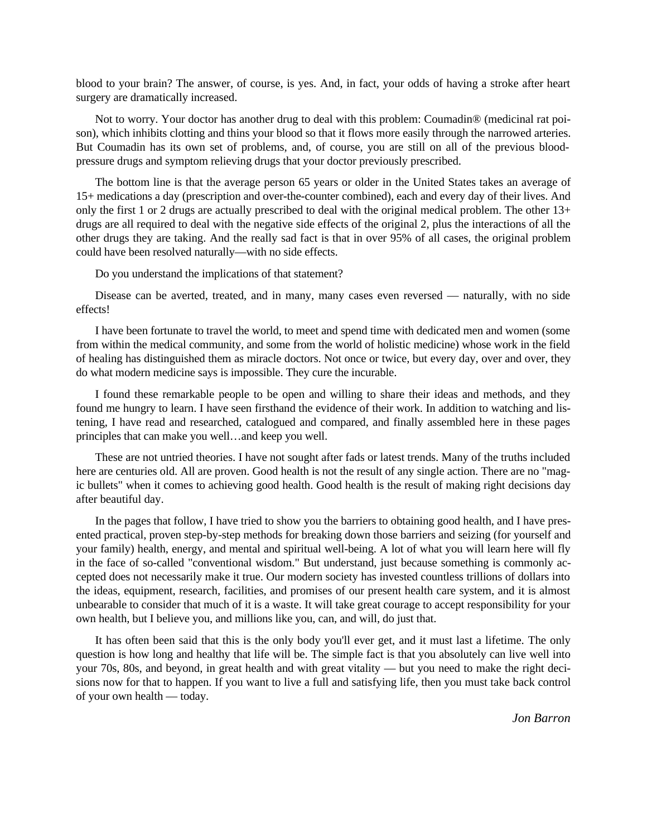blood to your brain? The answer, of course, is yes. And, in fact, your odds of having a stroke after heart surgery are dramatically increased.

Not to worry. Your doctor has another drug to deal with this problem: Coumadin® (medicinal rat poison), which inhibits clotting and thins your blood so that it flows more easily through the narrowed arteries. But Coumadin has its own set of problems, and, of course, you are still on all of the previous bloodpressure drugs and symptom relieving drugs that your doctor previously prescribed.

The bottom line is that the average person 65 years or older in the United States takes an average of 15+ medications a day (prescription and over-the-counter combined), each and every day of their lives. And only the first 1 or 2 drugs are actually prescribed to deal with the original medical problem. The other 13+ drugs are all required to deal with the negative side effects of the original 2, plus the interactions of all the other drugs they are taking. And the really sad fact is that in over 95% of all cases, the original problem could have been resolved naturally—with no side effects.

Do you understand the implications of that statement?

Disease can be averted, treated, and in many, many cases even reversed — naturally, with no side effects!

I have been fortunate to travel the world, to meet and spend time with dedicated men and women (some from within the medical community, and some from the world of holistic medicine) whose work in the field of healing has distinguished them as miracle doctors. Not once or twice, but every day, over and over, they do what modern medicine says is impossible. They cure the incurable.

I found these remarkable people to be open and willing to share their ideas and methods, and they found me hungry to learn. I have seen firsthand the evidence of their work. In addition to watching and listening, I have read and researched, catalogued and compared, and finally assembled here in these pages principles that can make you well…and keep you well.

These are not untried theories. I have not sought after fads or latest trends. Many of the truths included here are centuries old. All are proven. Good health is not the result of any single action. There are no "magic bullets" when it comes to achieving good health. Good health is the result of making right decisions day after beautiful day.

In the pages that follow, I have tried to show you the barriers to obtaining good health, and I have presented practical, proven step-by-step methods for breaking down those barriers and seizing (for yourself and your family) health, energy, and mental and spiritual well-being. A lot of what you will learn here will fly in the face of so-called "conventional wisdom." But understand, just because something is commonly accepted does not necessarily make it true. Our modern society has invested countless trillions of dollars into the ideas, equipment, research, facilities, and promises of our present health care system, and it is almost unbearable to consider that much of it is a waste. It will take great courage to accept responsibility for your own health, but I believe you, and millions like you, can, and will, do just that.

It has often been said that this is the only body you'll ever get, and it must last a lifetime. The only question is how long and healthy that life will be. The simple fact is that you absolutely can live well into your 70s, 80s, and beyond, in great health and with great vitality — but you need to make the right decisions now for that to happen. If you want to live a full and satisfying life, then you must take back control of your own health — today.

*Jon Barron*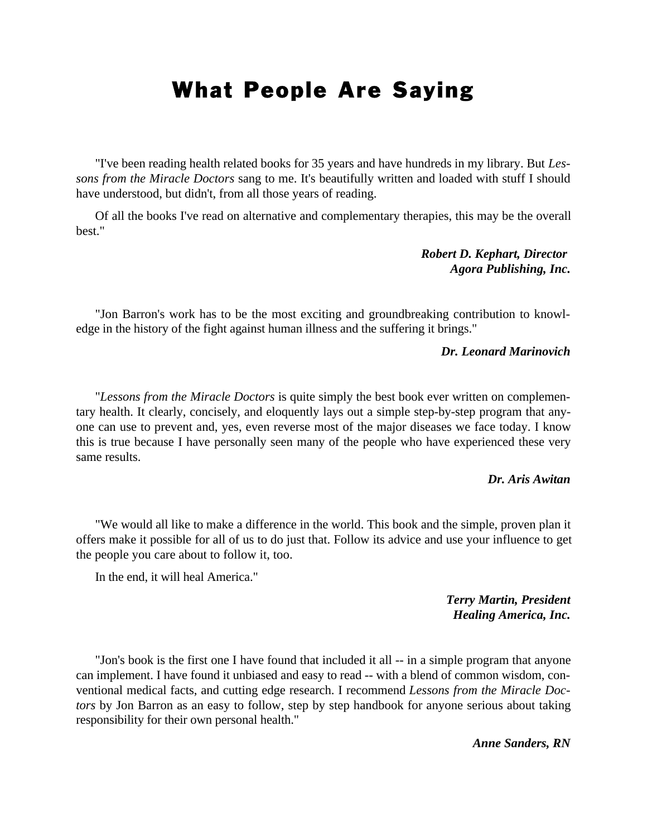# What People Are Saying

"I've been reading health related books for 35 years and have hundreds in my library. But *Lessons from the Miracle Doctors* sang to me. It's beautifully written and loaded with stuff I should have understood, but didn't, from all those years of reading.

Of all the books I've read on alternative and complementary therapies, this may be the overall best."

> *Robert D. Kephart, Director Agora Publishing, Inc.*

"Jon Barron's work has to be the most exciting and groundbreaking contribution to knowledge in the history of the fight against human illness and the suffering it brings."

#### *Dr. Leonard Marinovich*

"*Lessons from the Miracle Doctors* is quite simply the best book ever written on complementary health. It clearly, concisely, and eloquently lays out a simple step-by-step program that anyone can use to prevent and, yes, even reverse most of the major diseases we face today. I know this is true because I have personally seen many of the people who have experienced these very same results.

#### *Dr. Aris Awitan*

"We would all like to make a difference in the world. This book and the simple, proven plan it offers make it possible for all of us to do just that. Follow its advice and use your influence to get the people you care about to follow it, too.

In the end, it will heal America."

#### *Terry Martin, President Healing America, Inc.*

"Jon's book is the first one I have found that included it all -- in a simple program that anyone can implement. I have found it unbiased and easy to read -- with a blend of common wisdom, conventional medical facts, and cutting edge research. I recommend *Lessons from the Miracle Doctors* by Jon Barron as an easy to follow, step by step handbook for anyone serious about taking responsibility for their own personal health."

*Anne Sanders, RN*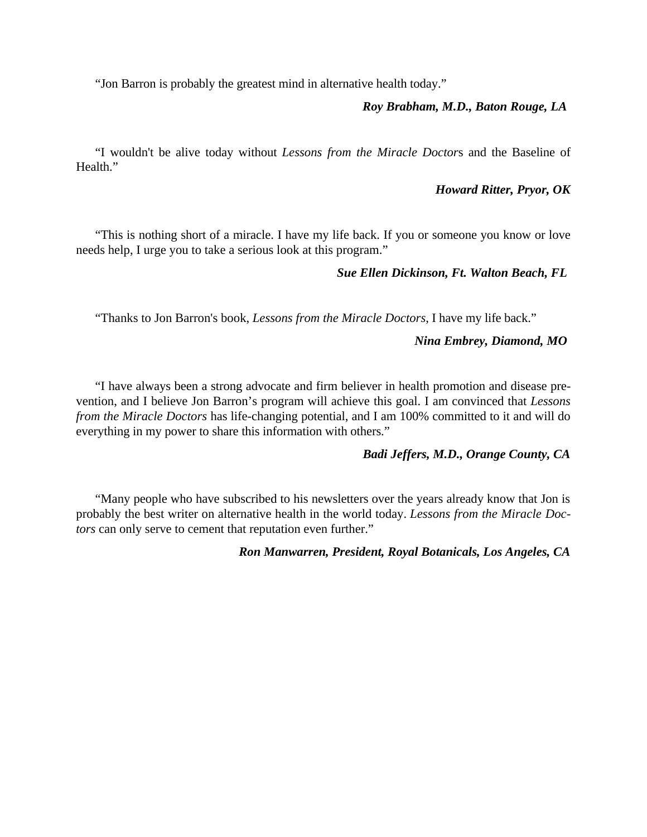"Jon Barron is probably the greatest mind in alternative health today."

#### *Roy Brabham, M.D., Baton Rouge, LA*

"I wouldn't be alive today without *Lessons from the Miracle Doctor*s and the Baseline of Health."

#### *Howard Ritter, Pryor, OK*

"This is nothing short of a miracle. I have my life back. If you or someone you know or love needs help, I urge you to take a serious look at this program."

#### *Sue Ellen Dickinson, Ft. Walton Beach, FL*

"Thanks to Jon Barron's book, *Lessons from the Miracle Doctors*, I have my life back."

#### *Nina Embrey, Diamond, MO*

"I have always been a strong advocate and firm believer in health promotion and disease prevention, and I believe Jon Barron's program will achieve this goal. I am convinced that *Lessons from the Miracle Doctors* has life-changing potential, and I am 100% committed to it and will do everything in my power to share this information with others."

#### *Badi Jeffers, M.D., Orange County, CA*

"Many people who have subscribed to his newsletters over the years already know that Jon is probably the best writer on alternative health in the world today. *Lessons from the Miracle Doctors* can only serve to cement that reputation even further."

*Ron Manwarren, President, Royal Botanicals, Los Angeles, CA*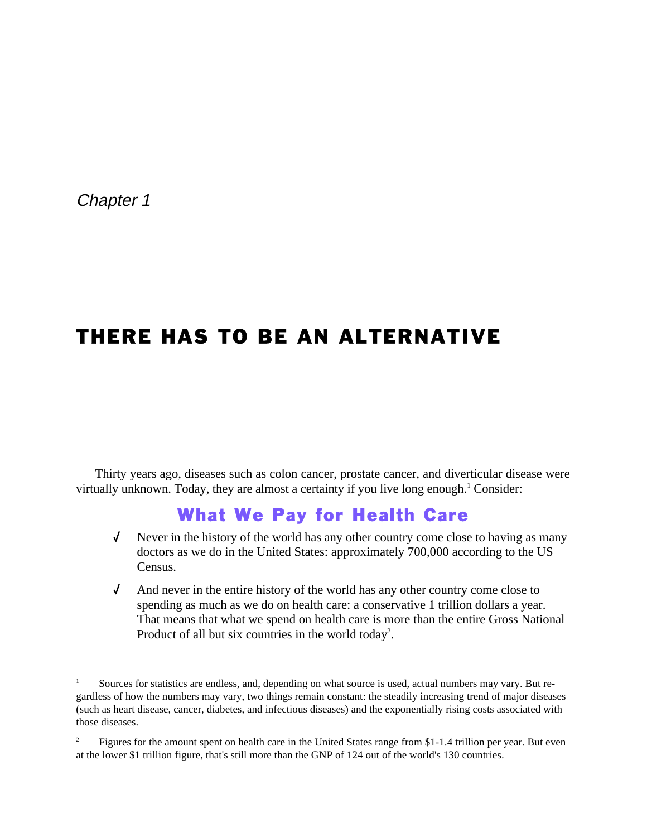Chapter 1

# THERE HAS TO BE AN ALTERNATIVE

Thirty years ago, diseases such as colon cancer, prostate cancer, and diverticular disease were virtually unknown. Today, they are almost a certainty if you live long enough.<sup>1</sup> Consider:

## What We Pay for Health Care

- Never in the history of the world has any other country come close to having as many  $\sqrt{ }$ doctors as we do in the United States: approximately 700,000 according to the US Census.
- $\sqrt{ }$ And never in the entire history of the world has any other country come close to spending as much as we do on health care: a conservative 1 trillion dollars a year. That means that what we spend on health care is more than the entire Gross National Product of all but six countries in the world today<sup>2</sup>.

<sup>1</sup> Sources for statistics are endless, and, depending on what source is used, actual numbers may vary. But regardless of how the numbers may vary, two things remain constant: the steadily increasing trend of major diseases (such as heart disease, cancer, diabetes, and infectious diseases) and the exponentially rising costs associated with those diseases.

<sup>2</sup> Figures for the amount spent on health care in the United States range from \$1-1.4 trillion per year. But even at the lower \$1 trillion figure, that's still more than the GNP of 124 out of the world's 130 countries.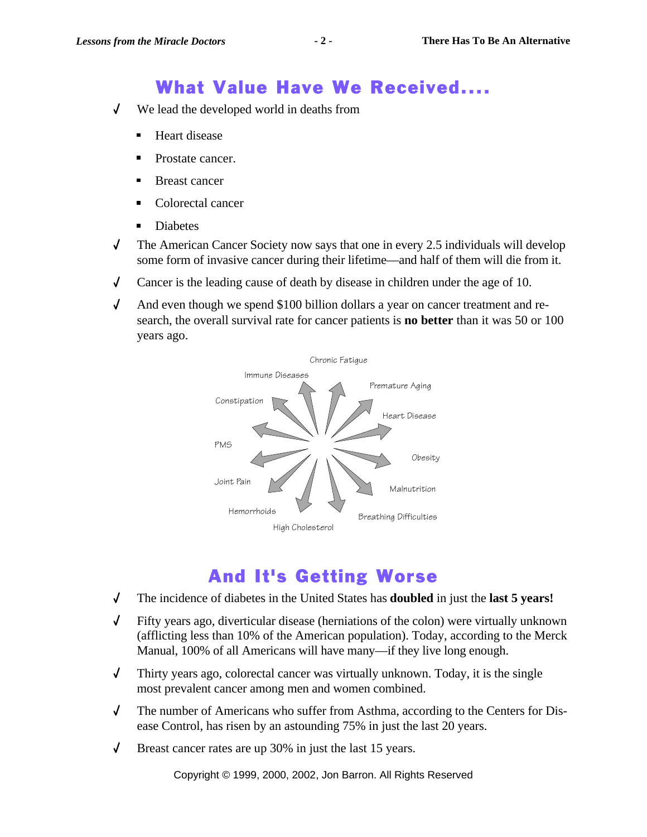# What Value Have We Received....

- $\overline{J}$ We lead the developed world in deaths from
	- Heart disease
	- Prostate cancer.
	- $\blacksquare$ Breast cancer
	- Colorectal cancer  $\blacksquare$
	- $\blacksquare$ Diabetes
- $\sqrt{2}$ The American Cancer Society now says that one in every 2.5 individuals will develop some form of invasive cancer during their lifetime—and half of them will die from it.
- $\sqrt{ }$ Cancer is the leading cause of death by disease in children under the age of 10.
- $\sqrt{ }$ And even though we spend \$100 billion dollars a year on cancer treatment and research, the overall survival rate for cancer patients is **no better** than it was 50 or 100 years ago.



# And It's Getting Worse

- $\sqrt{2}$ The incidence of diabetes in the United States has **doubled** in just the **last 5 years!**
- $\sqrt{ }$ Fifty years ago, diverticular disease (herniations of the colon) were virtually unknown (afflicting less than 10% of the American population). Today, according to the Merck Manual, 100% of all Americans will have many—if they live long enough.
- $\sqrt{ }$ Thirty years ago, colorectal cancer was virtually unknown. Today, it is the single most prevalent cancer among men and women combined.
- The number of Americans who suffer from Asthma, according to the Centers for Dis- $\sqrt{ }$ ease Control, has risen by an astounding 75% in just the last 20 years.
- $\sqrt{ }$ Breast cancer rates are up 30% in just the last 15 years.

Copyright © 1999, 2000, 2002, Jon Barron. All Rights Reserved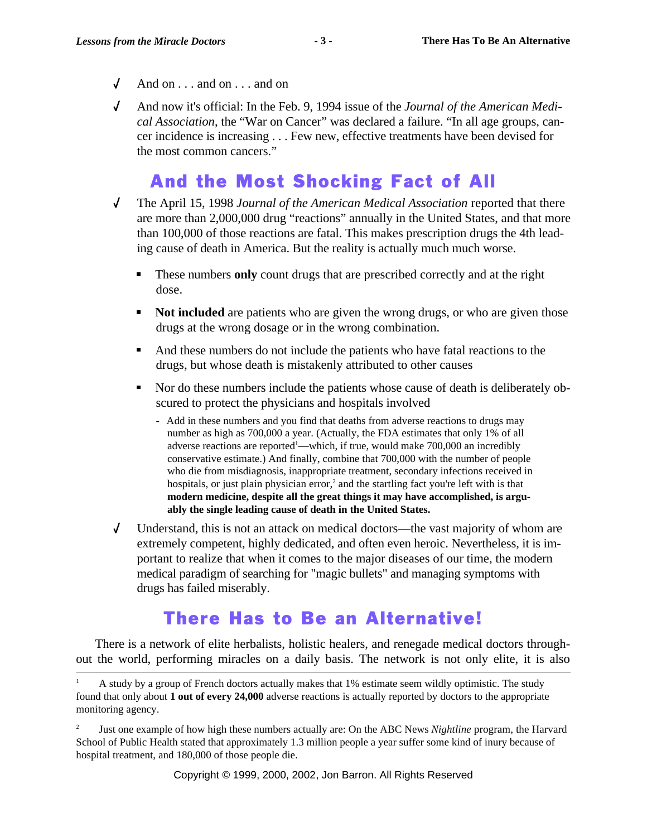- $\sqrt{ }$ And on . . . and on . . . and on
- $\sqrt{ }$ And now it's official: In the Feb. 9, 1994 issue of the *Journal of the American Medical Association*, the "War on Cancer" was declared a failure. "In all age groups, cancer incidence is increasing . . . Few new, effective treatments have been devised for the most common cancers."

# And the Most Shocking Fact of All

- $\sqrt{ }$ The April 15, 1998 *Journal of the American Medical Association* reported that there are more than 2,000,000 drug "reactions" annually in the United States, and that more than 100,000 of those reactions are fatal. This makes prescription drugs the 4th leading cause of death in America. But the reality is actually much much worse.
	- $\blacksquare$ These numbers **only** count drugs that are prescribed correctly and at the right dose.
	- $\mathbf{u}$  . **Not included** are patients who are given the wrong drugs, or who are given those drugs at the wrong dosage or in the wrong combination.
	- $\mathbf{m}$ And these numbers do not include the patients who have fatal reactions to the drugs, but whose death is mistakenly attributed to other causes
	- $\blacksquare$ Nor do these numbers include the patients whose cause of death is deliberately obscured to protect the physicians and hospitals involved
		- Add in these numbers and you find that deaths from adverse reactions to drugs may number as high as 700,000 a year. (Actually, the FDA estimates that only 1% of all adverse reactions are reported<sup>1</sup>—which, if true, would make 700,000 an incredibly conservative estimate.) And finally, combine that 700,000 with the number of people who die from misdiagnosis, inappropriate treatment, secondary infections received in hospitals, or just plain physician error,<sup>2</sup> and the startling fact you're left with is that **modern medicine, despite all the great things it may have accomplished, is arguably the single leading cause of death in the United States.**
- $\sqrt{ }$ Understand, this is not an attack on medical doctors—the vast majority of whom are extremely competent, highly dedicated, and often even heroic. Nevertheless, it is important to realize that when it comes to the major diseases of our time, the modern medical paradigm of searching for "magic bullets" and managing symptoms with drugs has failed miserably.

## There Has to Be an Alternative!

There is a network of elite herbalists, holistic healers, and renegade medical doctors throughout the world, performing miracles on a daily basis. The network is not only elite, it is also

<sup>1</sup> A study by a group of French doctors actually makes that 1% estimate seem wildly optimistic. The study found that only about **1 out of every 24,000** adverse reactions is actually reported by doctors to the appropriate monitoring agency.

<sup>2</sup> Just one example of how high these numbers actually are: On the ABC News *Nightline* program, the Harvard School of Public Health stated that approximately 1.3 million people a year suffer some kind of inury because of hospital treatment, and 180,000 of those people die.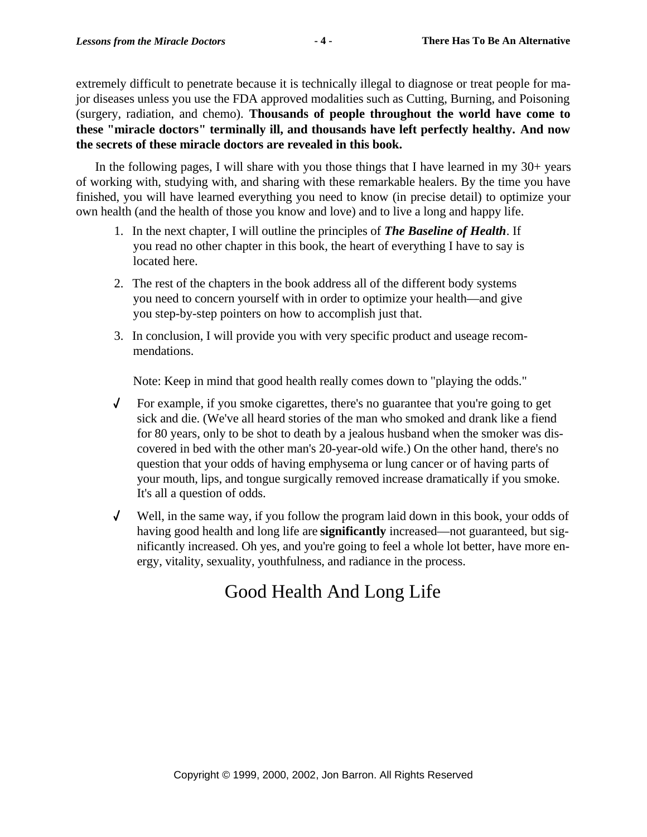extremely difficult to penetrate because it is technically illegal to diagnose or treat people for major diseases unless you use the FDA approved modalities such as Cutting, Burning, and Poisoning (surgery, radiation, and chemo). **Thousands of people throughout the world have come to these "miracle doctors" terminally ill, and thousands have left perfectly healthy. And now the secrets of these miracle doctors are revealed in this book.**

In the following pages, I will share with you those things that I have learned in my 30+ years of working with, studying with, and sharing with these remarkable healers. By the time you have finished, you will have learned everything you need to know (in precise detail) to optimize your own health (and the health of those you know and love) and to live a long and happy life.

- 1. In the next chapter, I will outline the principles of *The Baseline of Health*. If you read no other chapter in this book, the heart of everything I have to say is located here.
- 2. The rest of the chapters in the book address all of the different body systems you need to concern yourself with in order to optimize your health—and give you step-by-step pointers on how to accomplish just that.
- 3. In conclusion, I will provide you with very specific product and useage recommendations.

Note: Keep in mind that good health really comes down to "playing the odds."

- $\sqrt{\phantom{a}}$  For example, if you smoke cigarettes, there's no guarantee that you're going to get sick and die. (We've all heard stories of the man who smoked and drank like a fiend for 80 years, only to be shot to death by a jealous husband when the smoker was discovered in bed with the other man's 20-year-old wife.) On the other hand, there's no question that your odds of having emphysema or lung cancer or of having parts of your mouth, lips, and tongue surgically removed increase dramatically if you smoke. It's all a question of odds.
- $\sqrt{\phantom{a}}$  Well, in the same way, if you follow the program laid down in this book, your odds of having good health and long life are **significantly** increased—not guaranteed, but significantly increased. Oh yes, and you're going to feel a whole lot better, have more energy, vitality, sexuality, youthfulness, and radiance in the process.

# Good Health And Long Life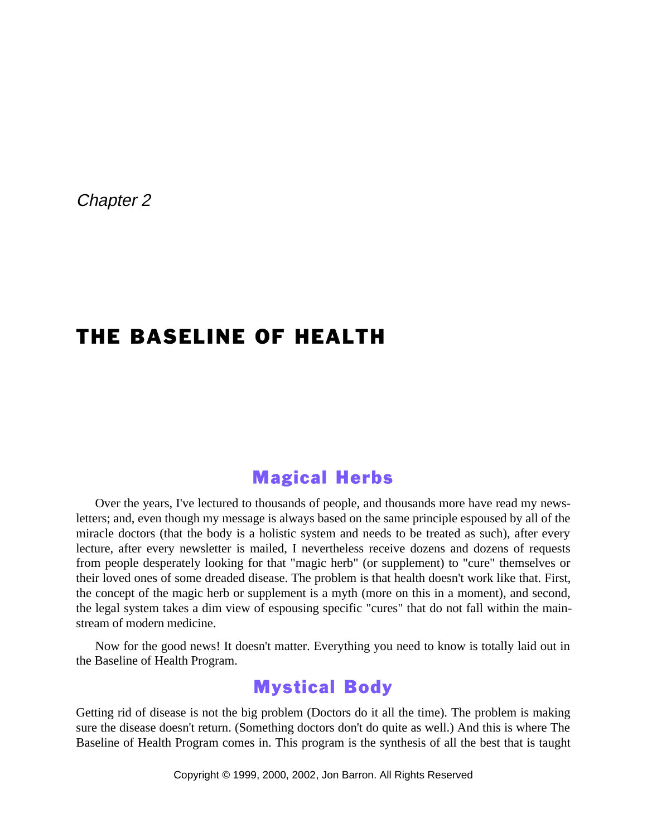Chapter 2

# THE BASELINE OF HEALTH

## Magical Herbs

Over the years, I've lectured to thousands of people, and thousands more have read my newsletters; and, even though my message is always based on the same principle espoused by all of the miracle doctors (that the body is a holistic system and needs to be treated as such), after every lecture, after every newsletter is mailed, I nevertheless receive dozens and dozens of requests from people desperately looking for that "magic herb" (or supplement) to "cure" themselves or their loved ones of some dreaded disease. The problem is that health doesn't work like that. First, the concept of the magic herb or supplement is a myth (more on this in a moment), and second, the legal system takes a dim view of espousing specific "cures" that do not fall within the mainstream of modern medicine.

Now for the good news! It doesn't matter. Everything you need to know is totally laid out in the Baseline of Health Program.

#### Mystical Body

Getting rid of disease is not the big problem (Doctors do it all the time). The problem is making sure the disease doesn't return. (Something doctors don't do quite as well.) And this is where The Baseline of Health Program comes in. This program is the synthesis of all the best that is taught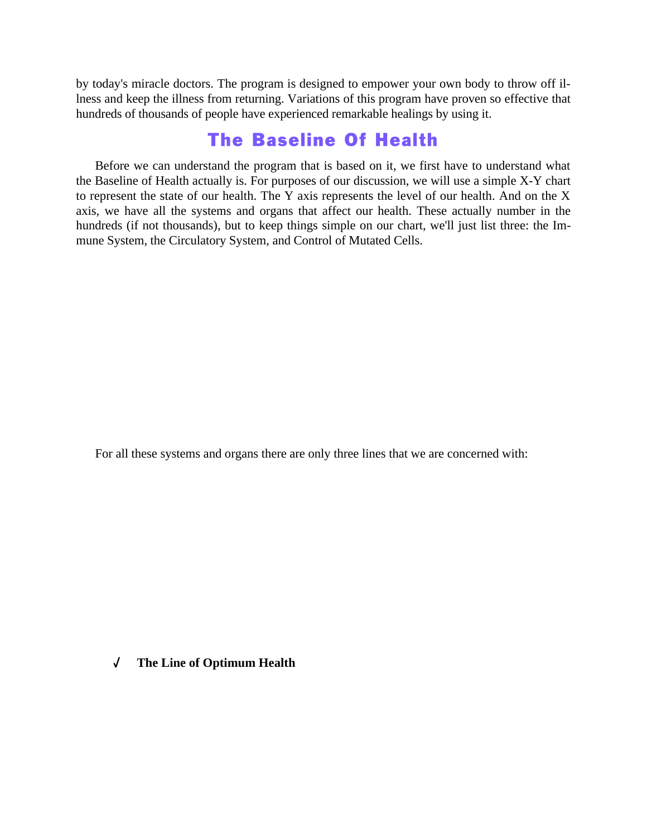by today's miracle doctors. The program is designed to empower your own body to throw off illness and keep the illness from returning. Variations of this program have proven so effective that hundreds of thousands of people have experienced remarkable healings by using it.

## The Baseline Of Health

Before we can understand the program that is based on it, we first have to understand what the Baseline of Health actually is. For purposes of our discussion, we will use a simple X-Y chart to represent the state of our health. The Y axis represents the level of our health. And on the X axis, we have all the systems and organs that affect our health. These actually number in the hundreds (if not thousands), but to keep things simple on our chart, we'll just list three: the Immune System, the Circulatory System, and Control of Mutated Cells.

For all these systems and organs there are only three lines that we are concerned with:

 $\sqrt{ }$ **The Line of Optimum Health**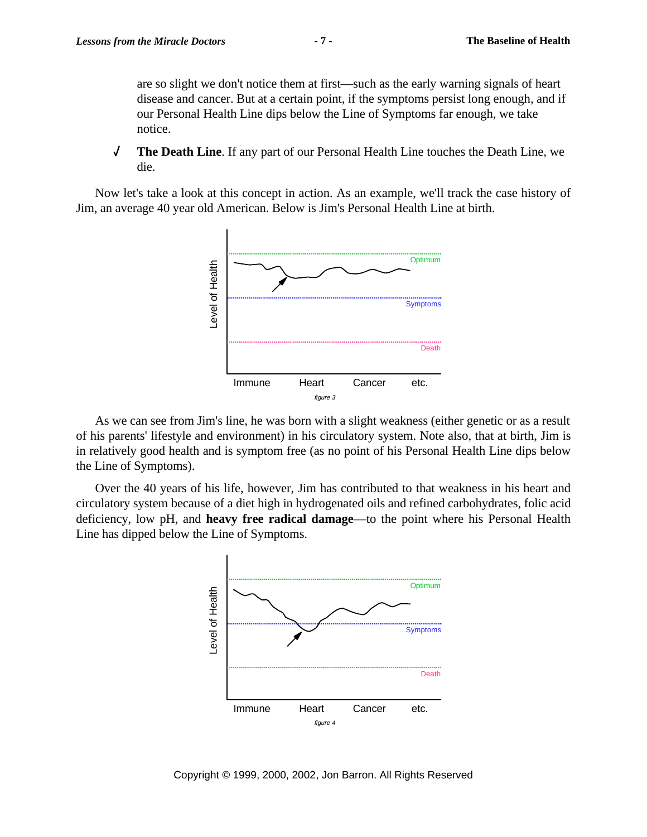are so slight we don't notice them at first—such as the early warning signals of heart disease and cancer. But at a certain point, if the symptoms persist long enough, and if our Personal Health Line dips below the Line of Symptoms far enough, we take notice.

 $\sqrt{2}$ **The Death Line**. If any part of our Personal Health Line touches the Death Line, we die.

Now let's take a look at this concept in action. As an example, we'll track the case history of Jim, an average 40 year old American. Below is Jim's Personal Health Line at birth.



As we can see from Jim's line, he was born with a slight weakness (either genetic or as a result of his parents' lifestyle and environment) in his circulatory system. Note also, that at birth, Jim is in relatively good health and is symptom free (as no point of his Personal Health Line dips below the Line of Symptoms).

Over the 40 years of his life, however, Jim has contributed to that weakness in his heart and circulatory system because of a diet high in hydrogenated oils and refined carbohydrates, folic acid deficiency, low pH, and **heavy free radical damage**—to the point where his Personal Health



Copyright © 1999, 2000, 2002, Jon Barron. All Rights Reserved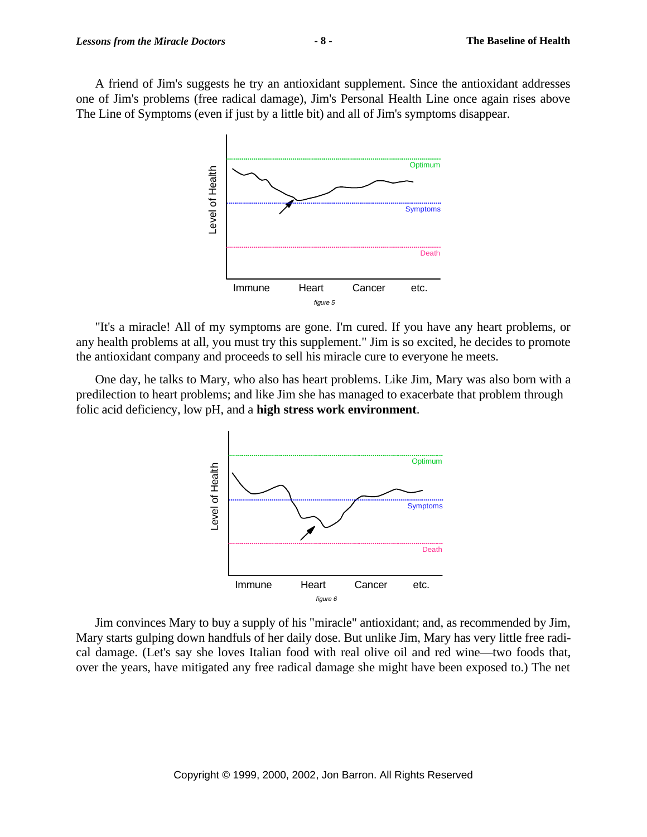A friend of Jim's suggests he try an antioxidant supplement. Since the antioxidant addresses one of Jim's problems (free radical damage), Jim's Personal Health Line once again rises above The Line of Symptoms (even if just by a little bit) and all of Jim's symptoms disappear.



"It's a miracle! All of my symptoms are gone. I'm cured. If you have any heart problems, or any health problems at all, you must try this supplement." Jim is so excited, he decides to promote the antioxidant company and proceeds to sell his miracle cure to everyone he meets.

One day, he talks to Mary, who also has heart problems. Like Jim, Mary was also born with a predilection to heart problems; and like Jim she has managed to exacerbate that problem through folic acid deficiency, low pH, and a **high stress work environment**.



Jim convinces Mary to buy a supply of his "miracle" antioxidant; and, as recommended by Jim, Mary starts gulping down handfuls of her daily dose. But unlike Jim, Mary has very little free radical damage. (Let's say she loves Italian food with real olive oil and red wine—two foods that,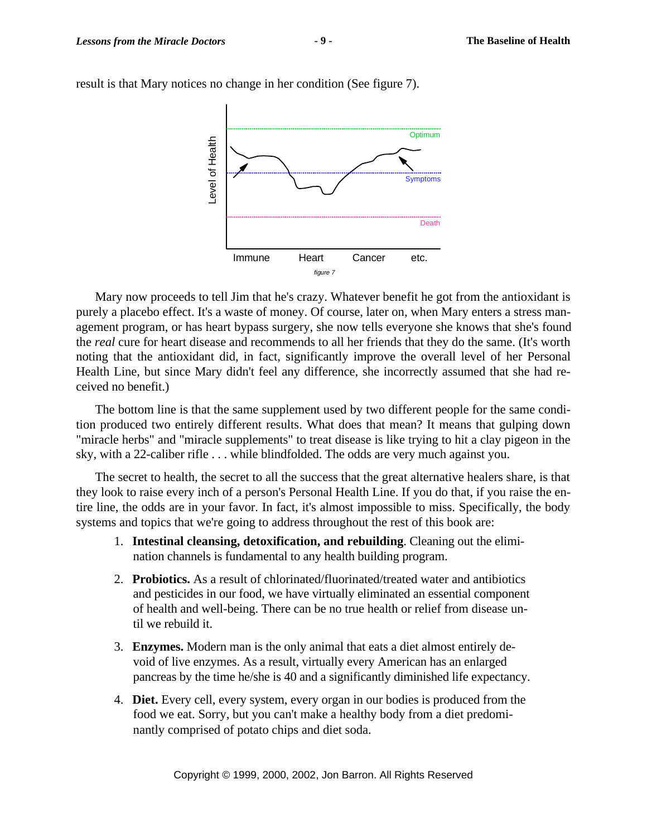

result is that Mary notices no change in her condition (See figure 7).

Mary now proceeds to tell Jim that he's crazy. Whatever benefit he got from the antioxidant is purely a placebo effect. It's a waste of money. Of course, later on, when Mary enters a stress management program, or has heart bypass surgery, she now tells everyone she knows that she's found the *real* cure for heart disease and recommends to all her friends that they do the same. (It's worth noting that the antioxidant did, in fact, significantly improve the overall level of her Personal Health Line, but since Mary didn't feel any difference, she incorrectly assumed that she had received no benefit.)

The bottom line is that the same supplement used by two different people for the same condition produced two entirely different results. What does that mean? It means that gulping down "miracle herbs" and "miracle supplements" to treat disease is like trying to hit a clay pigeon in the sky, with a 22-caliber rifle . . . while blindfolded. The odds are very much against you.

The secret to health, the secret to all the success that the great alternative healers share, is that they look to raise every inch of a person's Personal Health Line. If you do that, if you raise the entire line, the odds are in your favor. In fact, it's almost impossible to miss. Specifically, the body systems and topics that we're going to address throughout the rest of this book are:

- 1. **Intestinal cleansing, detoxification, and rebuilding**. Cleaning out the elimination channels is fundamental to any health building program.
- 2. **Probiotics.** As a result of chlorinated/fluorinated/treated water and antibiotics and pesticides in our food, we have virtually eliminated an essential component of health and well-being. There can be no true health or relief from disease until we rebuild it.
- 3. **Enzymes.** Modern man is the only animal that eats a diet almost entirely devoid of live enzymes. As a result, virtually every American has an enlarged pancreas by the time he/she is 40 and a significantly diminished life expectancy.
- 4. **Diet.** Every cell, every system, every organ in our bodies is produced from the food we eat. Sorry, but you can't make a healthy body from a diet predomi-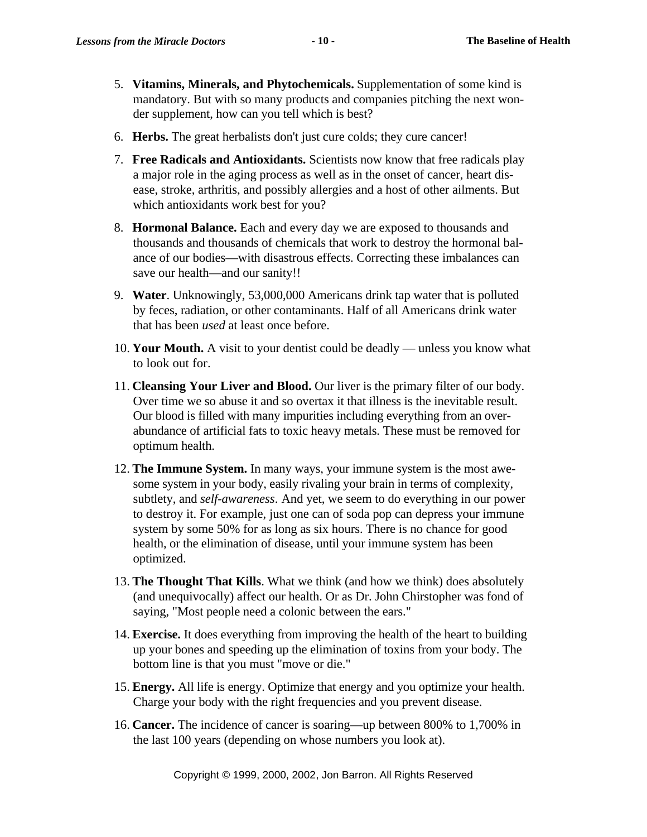- 5. **Vitamins, Minerals, and Phytochemicals.** Supplementation of some kind is mandatory. But with so many products and companies pitching the next wonder supplement, how can you tell which is best?
- 6. **Herbs.** The great herbalists don't just cure colds; they cure cancer!
- 7. **Free Radicals and Antioxidants.** Scientists now know that free radicals play a major role in the aging process as well as in the onset of cancer, heart disease, stroke, arthritis, and possibly allergies and a host of other ailments. But which antioxidants work best for you?
- 8. **Hormonal Balance.** Each and every day we are exposed to thousands and thousands and thousands of chemicals that work to destroy the hormonal balance of our bodies—with disastrous effects. Correcting these imbalances can save our health—and our sanity!!
- 9. **Water**. Unknowingly, 53,000,000 Americans drink tap water that is polluted by feces, radiation, or other contaminants. Half of all Americans drink water that has been *used* at least once before.
- 10. **Your Mouth.** A visit to your dentist could be deadly unless you know what to look out for.
- 11. **Cleansing Your Liver and Blood.** Our liver is the primary filter of our body. Over time we so abuse it and so overtax it that illness is the inevitable result. Our blood is filled with many impurities including everything from an overabundance of artificial fats to toxic heavy metals. These must be removed for optimum health.
- 12. **The Immune System.** In many ways, your immune system is the most awesome system in your body, easily rivaling your brain in terms of complexity, subtlety, and *self-awareness*. And yet, we seem to do everything in our power to destroy it. For example, just one can of soda pop can depress your immune system by some 50% for as long as six hours. There is no chance for good health, or the elimination of disease, until your immune system has been optimized.
- 13. **The Thought That Kills**. What we think (and how we think) does absolutely (and unequivocally) affect our health. Or as Dr. John Chirstopher was fond of saying, "Most people need a colonic between the ears."
- 14. **Exercise.** It does everything from improving the health of the heart to building up your bones and speeding up the elimination of toxins from your body. The bottom line is that you must "move or die."
- 15. **Energy.** All life is energy. Optimize that energy and you optimize your health. Charge your body with the right frequencies and you prevent disease.
- 16. **Cancer.** The incidence of cancer is soaring—up between 800% to 1,700% in the last 100 years (depending on whose numbers you look at).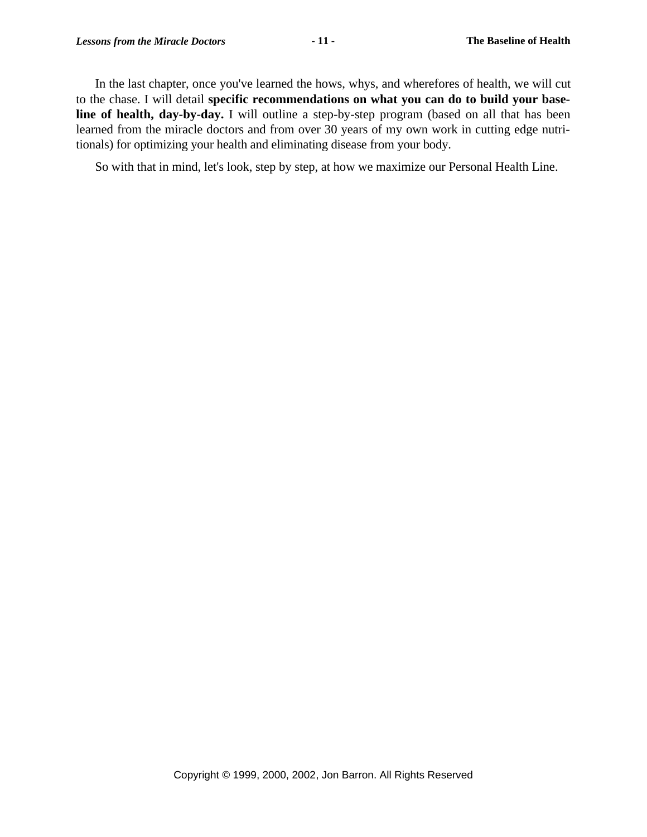In the last chapter, once you've learned the hows, whys, and wherefores of health, we will cut to the chase. I will detail **specific recommendations on what you can do to build your baseline of health, day-by-day.** I will outline a step-by-step program (based on all that has been learned from the miracle doctors and from over 30 years of my own work in cutting edge nutritionals) for optimizing your health and eliminating disease from your body.

So with that in mind, let's look, step by step, at how we maximize our Personal Health Line.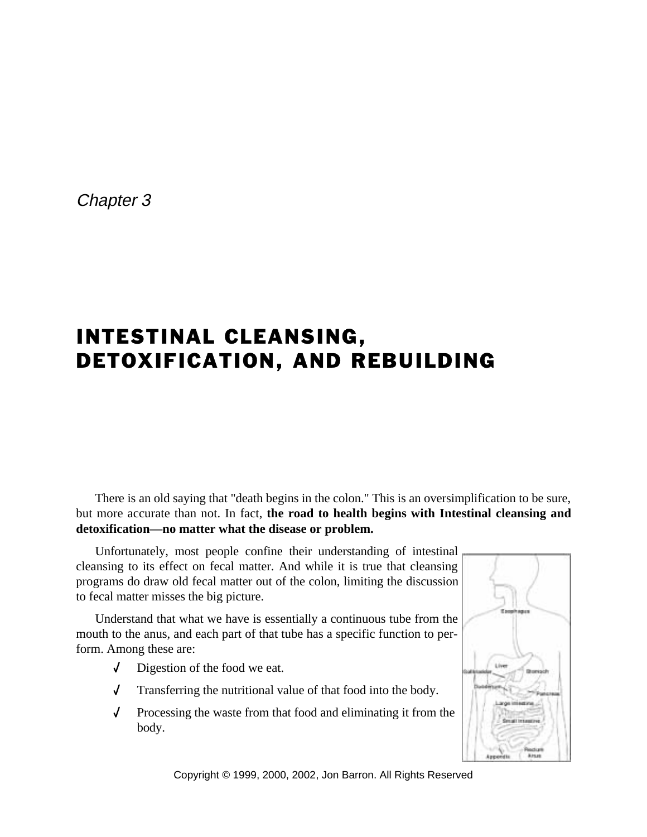Chapter 3

# INTESTINAL CLEANSING, DETOXIFICATION, AND REBUILDING

There is an old saying that "death begins in the colon." This is an oversimplification to be sure, but more accurate than not. In fact, **the road to health begins with Intestinal cleansing and detoxification—no matter what the disease or problem.**

Unfortunately, most people confine their understanding of intestinal cleansing to its effect on fecal matter. And while it is true that cleansing programs do draw old fecal matter out of the colon, limiting the discussion to fecal matter misses the big picture.

Understand that what we have is essentially a continuous tube from the mouth to the anus, and each part of that tube has a specific function to perform. Among these are:

- $\sqrt{\phantom{a}}$  Digestion of the food we eat.
- $\sqrt{ }$ Transferring the nutritional value of that food into the body.
- $\sqrt{ }$ Processing the waste from that food and eliminating it from the body.



Copyright © 1999, 2000, 2002, Jon Barron. All Rights Reserved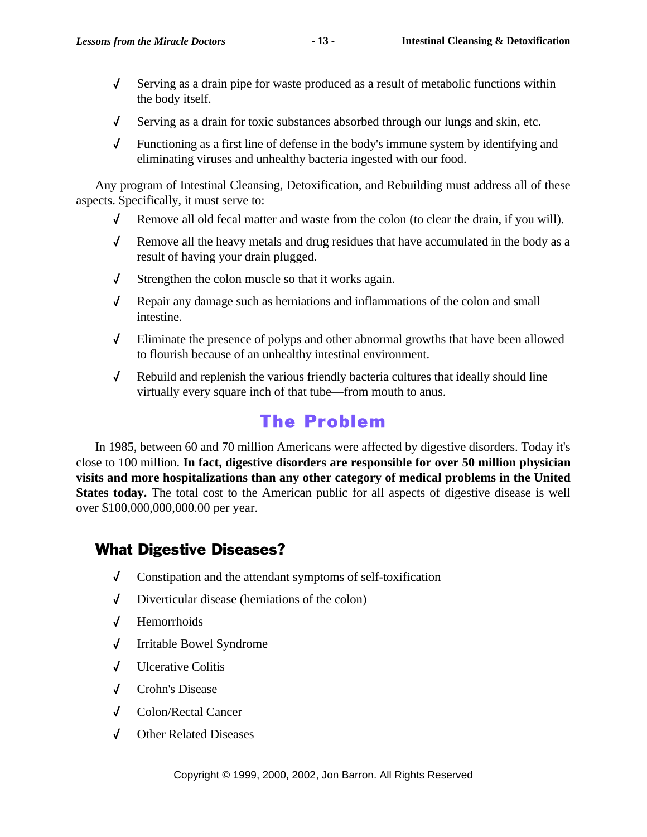- $\sqrt{ }$ Serving as a drain pipe for waste produced as a result of metabolic functions within the body itself.
- $\sqrt{ }$ Serving as a drain for toxic substances absorbed through our lungs and skin, etc.
- Functioning as a first line of defense in the body's immune system by identifying and eliminating viruses and unhealthy bacteria ingested with our food.

Any program of Intestinal Cleansing, Detoxification, and Rebuilding must address all of these aspects. Specifically, it must serve to:

- $\sqrt{ }$ Remove all old fecal matter and waste from the colon (to clear the drain, if you will).
- $\sqrt{ }$ Remove all the heavy metals and drug residues that have accumulated in the body as a result of having your drain plugged.
- $\sqrt{ }$ Strengthen the colon muscle so that it works again.
- $\sqrt{ }$ Repair any damage such as herniations and inflammations of the colon and small intestine.
- $\sqrt{ }$ Eliminate the presence of polyps and other abnormal growths that have been allowed to flourish because of an unhealthy intestinal environment.
- $\sqrt{ }$ Rebuild and replenish the various friendly bacteria cultures that ideally should line virtually every square inch of that tube—from mouth to anus.

# The Problem

In 1985, between 60 and 70 million Americans were affected by digestive disorders. Today it's close to 100 million. **In fact, digestive disorders are responsible for over 50 million physician visits and more hospitalizations than any other category of medical problems in the United States today.** The total cost to the American public for all aspects of digestive disease is well over \$100,000,000,000.00 per year.

#### What Digestive Diseases?

- $\sqrt{ }$ Constipation and the attendant symptoms of self-toxification
- $\sqrt{ }$ Diverticular disease (herniations of the colon)
- Hemorrhoids
- $\sqrt{ }$ Irritable Bowel Syndrome
- $J$  . Ulcerative Colitis
- $\sqrt{ }$ Crohn's Disease
- Colon/Rectal Cancer
- Other Related Diseases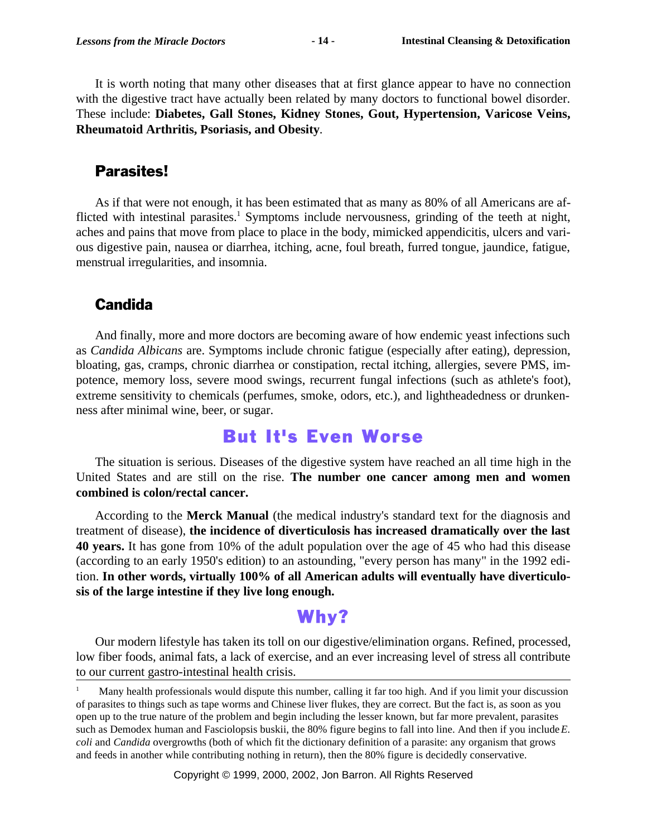It is worth noting that many other diseases that at first glance appear to have no connection with the digestive tract have actually been related by many doctors to functional bowel disorder. These include: **Diabetes, Gall Stones, Kidney Stones, Gout, Hypertension, Varicose Veins, Rheumatoid Arthritis, Psoriasis, and Obesity**.

#### Parasites!

As if that were not enough, it has been estimated that as many as 80% of all Americans are afflicted with intestinal parasites.<sup>1</sup> Symptoms include nervousness, grinding of the teeth at night, aches and pains that move from place to place in the body, mimicked appendicitis, ulcers and various digestive pain, nausea or diarrhea, itching, acne, foul breath, furred tongue, jaundice, fatigue, menstrual irregularities, and insomnia.

#### Candida

And finally, more and more doctors are becoming aware of how endemic yeast infections such as *Candida Albicans* are. Symptoms include chronic fatigue (especially after eating), depression, bloating, gas, cramps, chronic diarrhea or constipation, rectal itching, allergies, severe PMS, impotence, memory loss, severe mood swings, recurrent fungal infections (such as athlete's foot), extreme sensitivity to chemicals (perfumes, smoke, odors, etc.), and lightheadedness or drunkenness after minimal wine, beer, or sugar.

#### But It's Even Worse

The situation is serious. Diseases of the digestive system have reached an all time high in the United States and are still on the rise. **The number one cancer among men and women combined is colon/rectal cancer.**

According to the **Merck Manual** (the medical industry's standard text for the diagnosis and treatment of disease), **the incidence of diverticulosis has increased dramatically over the last 40 years.** It has gone from 10% of the adult population over the age of 45 who had this disease (according to an early 1950's edition) to an astounding, "every person has many" in the 1992 edition. **In other words, virtually 100% of all American adults will eventually have diverticulosis of the large intestine if they live long enough.** 

#### Why?

Our modern lifestyle has taken its toll on our digestive/elimination organs. Refined, processed, low fiber foods, animal fats, a lack of exercise, and an ever increasing level of stress all contribute to our current gastro-intestinal health crisis.

<sup>1</sup> Many health professionals would dispute this number, calling it far too high. And if you limit your discussion of parasites to things such as tape worms and Chinese liver flukes, they are correct. But the fact is, as soon as you open up to the true nature of the problem and begin including the lesser known, but far more prevalent, parasites such as Demodex human and Fasciolopsis buskii, the 80% figure begins to fall into line. And then if you include *E. coli* and *Candida* overgrowths (both of which fit the dictionary definition of a parasite: any organism that grows and feeds in another while contributing nothing in return), then the 80% figure is decidedly conservative.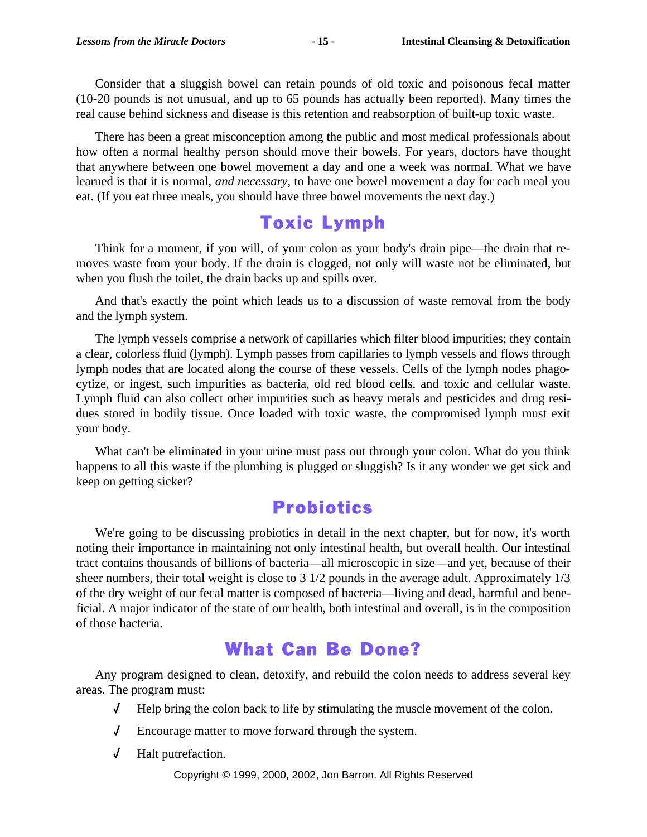Consider that a sluggish bowel can retain pounds of old toxic and poisonous fecal matter (10-20 pounds is not unusual, and up to 65 pounds has actually been reported). Many times the real cause behind sickness and disease is this retention and reabsorption of built-up toxic waste.

There has been a great misconception among the public and most medical professionals about how often a normal healthy person should move their bowels. For years, doctors have thought that anywhere between one bowel movement a day and one a week was normal. What we have learned is that it is normal, *and necessary*, to have one bowel movement a day for each meal you eat. (If you eat three meals, you should have three bowel movements the next day.)

#### Toxic Lymph

Think for a moment, if you will, of your colon as your body's drain pipe—the drain that removes waste from your body. If the drain is clogged, not only will waste not be eliminated, but when you flush the toilet, the drain backs up and spills over.

And that's exactly the point which leads us to a discussion of waste removal from the body and the lymph system.

The lymph vessels comprise a network of capillaries which filter blood impurities; they contain a clear, colorless fluid (lymph). Lymph passes from capillaries to lymph vessels and flows through lymph nodes that are located along the course of these vessels. Cells of the lymph nodes phagocytize, or ingest, such impurities as bacteria, old red blood cells, and toxic and cellular waste. Lymph fluid can also collect other impurities such as heavy metals and pesticides and drug residues stored in bodily tissue. Once loaded with toxic waste, the compromised lymph must exit your body.

What can't be eliminated in your urine must pass out through your colon. What do you think happens to all this waste if the plumbing is plugged or sluggish? Is it any wonder we get sick and keep on getting sicker?

#### **Probiotics**

We're going to be discussing probiotics in detail in the next chapter, but for now, it's worth noting their importance in maintaining not only intestinal health, but overall health. Our intestinal tract contains thousands of billions of bacteria—all microscopic in size—and yet, because of their sheer numbers, their total weight is close to 3 1/2 pounds in the average adult. Approximately 1/3 of the dry weight of our fecal matter is composed of bacteria—living and dead, harmful and beneficial. A major indicator of the state of our health, both intestinal and overall, is in the composition of those bacteria.

### What Can Be Done?

Any program designed to clean, detoxify, and rebuild the colon needs to address several key areas. The program must:

- $\sqrt{ }$ Help bring the colon back to life by stimulating the muscle movement of the colon.
- $\sqrt{ }$ Encourage matter to move forward through the system.
- $\sqrt{ }$ Halt putrefaction.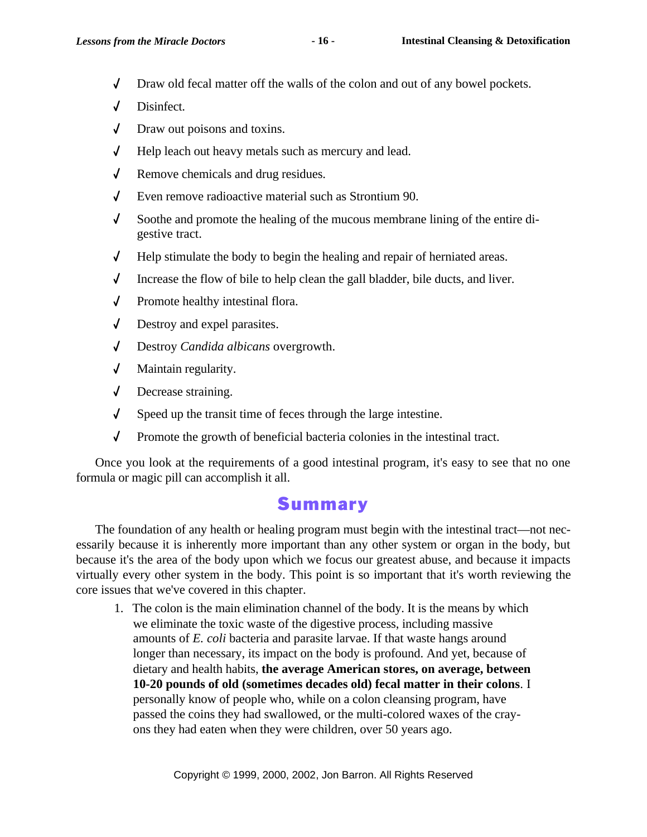- $\overline{J}$ Draw old fecal matter off the walls of the colon and out of any bowel pockets.
- $\sqrt{ }$ Disinfect.
- $\sqrt{ }$ Draw out poisons and toxins.
- $\sqrt{ }$ Help leach out heavy metals such as mercury and lead.
- $\sqrt{ }$ Remove chemicals and drug residues.
- $\sqrt{ }$ Even remove radioactive material such as Strontium 90.
- $\sqrt{ }$ Soothe and promote the healing of the mucous membrane lining of the entire digestive tract.
- $\sqrt{ }$ Help stimulate the body to begin the healing and repair of herniated areas.
- $\sqrt{ }$ Increase the flow of bile to help clean the gall bladder, bile ducts, and liver.
- $\sqrt{ }$ Promote healthy intestinal flora.
- $\sqrt{ }$ Destroy and expel parasites.
- $\sqrt{ }$ Destroy *Candida albicans* overgrowth.
- $\sqrt{ }$ Maintain regularity.
- $\sqrt{\phantom{a}}$  Decrease straining.
- $\sqrt{ }$ Speed up the transit time of feces through the large intestine.
- $\sqrt{ }$ Promote the growth of beneficial bacteria colonies in the intestinal tract.

Once you look at the requirements of a good intestinal program, it's easy to see that no one formula or magic pill can accomplish it all.

#### Summary

The foundation of any health or healing program must begin with the intestinal tract—not necessarily because it is inherently more important than any other system or organ in the body, but because it's the area of the body upon which we focus our greatest abuse, and because it impacts virtually every other system in the body. This point is so important that it's worth reviewing the core issues that we've covered in this chapter.

1. The colon is the main elimination channel of the body. It is the means by which we eliminate the toxic waste of the digestive process, including massive amounts of *E. coli* bacteria and parasite larvae. If that waste hangs around longer than necessary, its impact on the body is profound. And yet, because of dietary and health habits, **the average American stores, on average, between 10-20 pounds of old (sometimes decades old) fecal matter in their colons**. I personally know of people who, while on a colon cleansing program, have passed the coins they had swallowed, or the multi-colored waxes of the crayons they had eaten when they were children, over 50 years ago.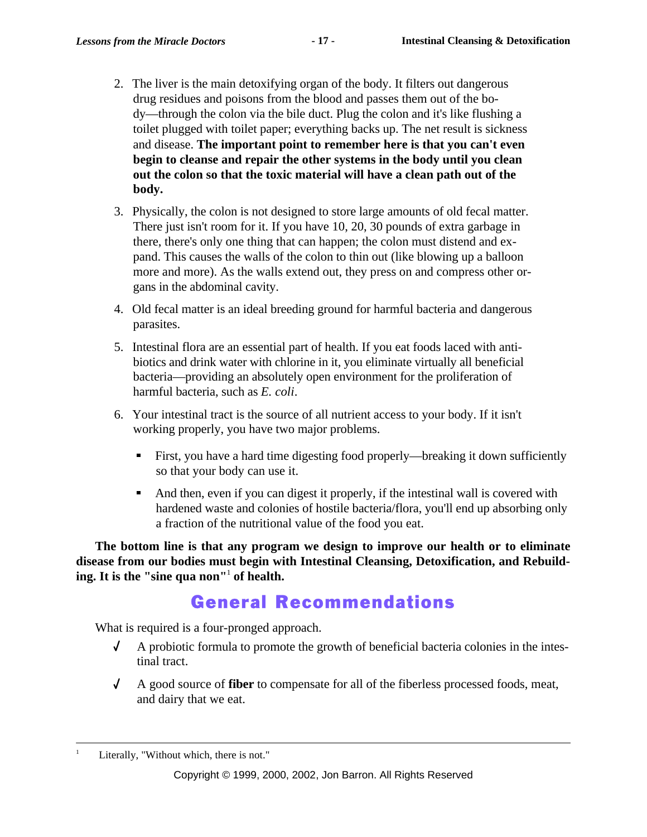- 2. The liver is the main detoxifying organ of the body. It filters out dangerous drug residues and poisons from the blood and passes them out of the body—through the colon via the bile duct. Plug the colon and it's like flushing a toilet plugged with toilet paper; everything backs up. The net result is sickness and disease. **The important point to remember here is that you can't even begin to cleanse and repair the other systems in the body until you clean out the colon so that the toxic material will have a clean path out of the body.**
- 3. Physically, the colon is not designed to store large amounts of old fecal matter. There just isn't room for it. If you have 10, 20, 30 pounds of extra garbage in there, there's only one thing that can happen; the colon must distend and expand. This causes the walls of the colon to thin out (like blowing up a balloon more and more). As the walls extend out, they press on and compress other organs in the abdominal cavity.
- 4. Old fecal matter is an ideal breeding ground for harmful bacteria and dangerous parasites.
- 5. Intestinal flora are an essential part of health. If you eat foods laced with antibiotics and drink water with chlorine in it, you eliminate virtually all beneficial bacteria—providing an absolutely open environment for the proliferation of harmful bacteria, such as *E. coli*.
- 6. Your intestinal tract is the source of all nutrient access to your body. If it isn't working properly, you have two major problems.
	- $\mathbf{u}$  . First, you have a hard time digesting food properly—breaking it down sufficiently so that your body can use it.
	- $\mathbf{m}$ And then, even if you can digest it properly, if the intestinal wall is covered with hardened waste and colonies of hostile bacteria/flora, you'll end up absorbing only a fraction of the nutritional value of the food you eat.

**The bottom line is that any program we design to improve our health or to eliminate disease from our bodies must begin with Intestinal Cleansing, Detoxification, and Rebuilding. It is the "sine qua non"**<sup>1</sup>  **of health.**

## General Recommendations

What is required is a four-pronged approach.

- $\sqrt{ }$ A probiotic formula to promote the growth of beneficial bacteria colonies in the intestinal tract.
- $\sqrt{ }$ A good source of **fiber** to compensate for all of the fiberless processed foods, meat, and dairy that we eat.

Literally, "Without which, there is not."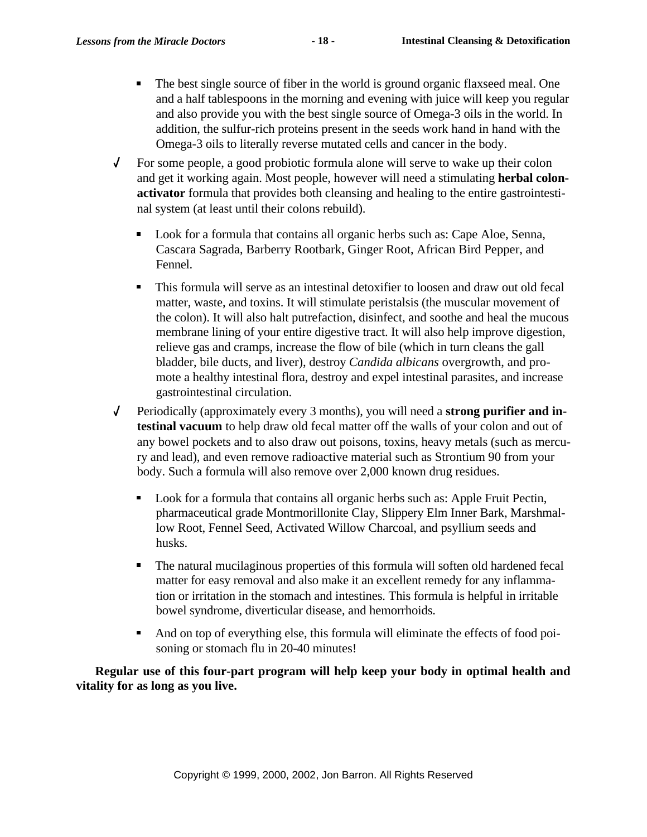- The best single source of fiber in the world is ground organic flaxseed meal. One and a half tablespoons in the morning and evening with juice will keep you regular and also provide you with the best single source of Omega-3 oils in the world. In addition, the sulfur-rich proteins present in the seeds work hand in hand with the Omega-3 oils to literally reverse mutated cells and cancer in the body.
- $\sqrt{ }$ For some people, a good probiotic formula alone will serve to wake up their colon and get it working again. Most people, however will need a stimulating **herbal colonactivator** formula that provides both cleansing and healing to the entire gastrointestinal system (at least until their colons rebuild).
	- $\mathbf{u}$ Look for a formula that contains all organic herbs such as: Cape Aloe, Senna, Cascara Sagrada, Barberry Rootbark, Ginger Root, African Bird Pepper, and Fennel.
	- $\blacksquare$ This formula will serve as an intestinal detoxifier to loosen and draw out old fecal matter, waste, and toxins. It will stimulate peristalsis (the muscular movement of the colon). It will also halt putrefaction, disinfect, and soothe and heal the mucous membrane lining of your entire digestive tract. It will also help improve digestion, relieve gas and cramps, increase the flow of bile (which in turn cleans the gall bladder, bile ducts, and liver), destroy *Candida albicans* overgrowth, and promote a healthy intestinal flora, destroy and expel intestinal parasites, and increase gastrointestinal circulation.
- $\sqrt{2}$ Periodically (approximately every 3 months), you will need a **strong purifier and intestinal vacuum** to help draw old fecal matter off the walls of your colon and out of any bowel pockets and to also draw out poisons, toxins, heavy metals (such as mercury and lead), and even remove radioactive material such as Strontium 90 from your body. Such a formula will also remove over 2,000 known drug residues.
	- $\blacksquare$ Look for a formula that contains all organic herbs such as: Apple Fruit Pectin, pharmaceutical grade Montmorillonite Clay, Slippery Elm Inner Bark, Marshmallow Root, Fennel Seed, Activated Willow Charcoal, and psyllium seeds and husks.
	- $\blacksquare$ The natural mucilaginous properties of this formula will soften old hardened fecal matter for easy removal and also make it an excellent remedy for any inflammation or irritation in the stomach and intestines. This formula is helpful in irritable bowel syndrome, diverticular disease, and hemorrhoids.
	- $\blacksquare$ And on top of everything else, this formula will eliminate the effects of food poisoning or stomach flu in 20-40 minutes!

**Regular use of this four-part program will help keep your body in optimal health and vitality for as long as you live.**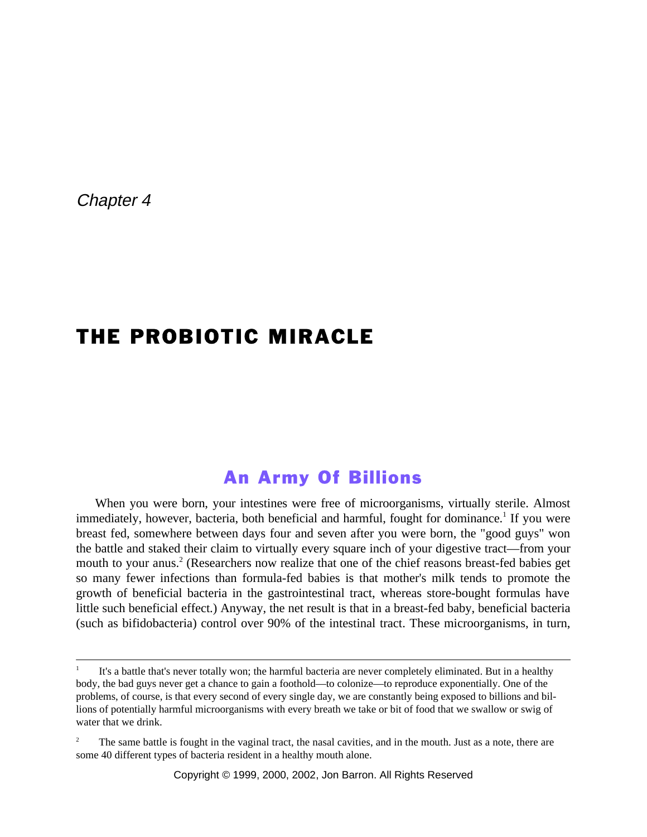Chapter 4

# THE PROBIOTIC MIRACLE

## An Army Of Billions

When you were born, your intestines were free of microorganisms, virtually sterile. Almost immediately, however, bacteria, both beneficial and harmful, fought for dominance.<sup>1</sup> If you were breast fed, somewhere between days four and seven after you were born, the "good guys" won the battle and staked their claim to virtually every square inch of your digestive tract—from your mouth to your anus.<sup>2</sup> (Researchers now realize that one of the chief reasons breast-fed babies get so many fewer infections than formula-fed babies is that mother's milk tends to promote the growth of beneficial bacteria in the gastrointestinal tract, whereas store-bought formulas have little such beneficial effect.) Anyway, the net result is that in a breast-fed baby, beneficial bacteria (such as bifidobacteria) control over 90% of the intestinal tract. These microorganisms, in turn,

Copyright © 1999, 2000, 2002, Jon Barron. All Rights Reserved

It's a battle that's never totally won; the harmful bacteria are never completely eliminated. But in a healthy body, the bad guys never get a chance to gain a foothold—to colonize—to reproduce exponentially. One of the problems, of course, is that every second of every single day, we are constantly being exposed to billions and billions of potentially harmful microorganisms with every breath we take or bit of food that we swallow or swig of water that we drink.

<sup>2</sup> The same battle is fought in the vaginal tract, the nasal cavities, and in the mouth. Just as a note, there are some 40 different types of bacteria resident in a healthy mouth alone.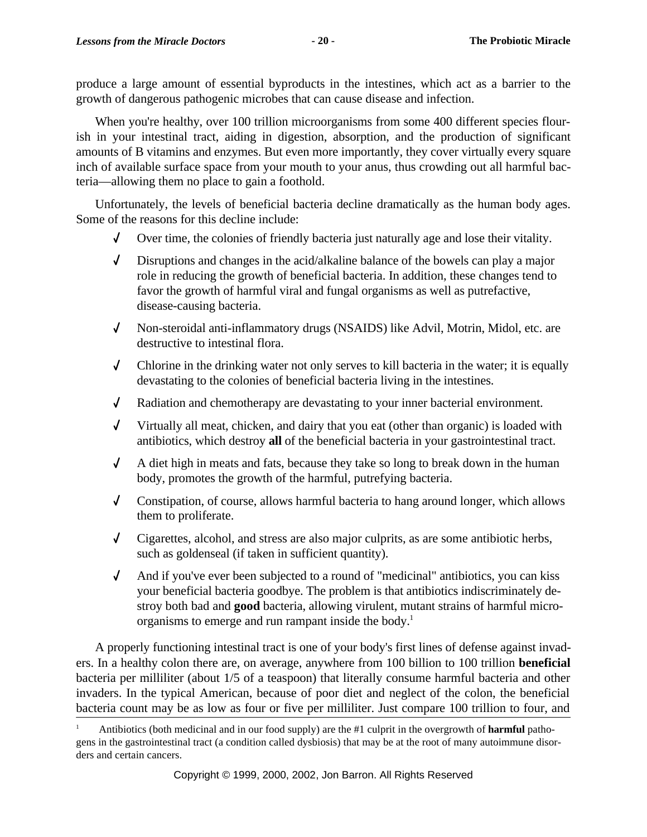produce a large amount of essential byproducts in the intestines, which act as a barrier to the growth of dangerous pathogenic microbes that can cause disease and infection.

When you're healthy, over 100 trillion microorganisms from some 400 different species flourish in your intestinal tract, aiding in digestion, absorption, and the production of significant amounts of B vitamins and enzymes. But even more importantly, they cover virtually every square inch of available surface space from your mouth to your anus, thus crowding out all harmful bacteria—allowing them no place to gain a foothold.

Unfortunately, the levels of beneficial bacteria decline dramatically as the human body ages. Some of the reasons for this decline include:

- Over time, the colonies of friendly bacteria just naturally age and lose their vitality.  $J$
- $\sqrt{ }$ Disruptions and changes in the acid/alkaline balance of the bowels can play a major role in reducing the growth of beneficial bacteria. In addition, these changes tend to favor the growth of harmful viral and fungal organisms as well as putrefactive, disease-causing bacteria.
- $\sqrt{ }$ Non-steroidal anti-inflammatory drugs (NSAIDS) like Advil, Motrin, Midol, etc. are destructive to intestinal flora.
- $\sqrt{ }$ Chlorine in the drinking water not only serves to kill bacteria in the water; it is equally devastating to the colonies of beneficial bacteria living in the intestines.
- $\sqrt{ }$ Radiation and chemotherapy are devastating to your inner bacterial environment.
- $\sqrt{ }$ Virtually all meat, chicken, and dairy that you eat (other than organic) is loaded with antibiotics, which destroy **all** of the beneficial bacteria in your gastrointestinal tract.
- $\sqrt{ }$ A diet high in meats and fats, because they take so long to break down in the human body, promotes the growth of the harmful, putrefying bacteria.
- $\sqrt{ }$ Constipation, of course, allows harmful bacteria to hang around longer, which allows them to proliferate.
- $\sqrt{ }$ Cigarettes, alcohol, and stress are also major culprits, as are some antibiotic herbs, such as goldenseal (if taken in sufficient quantity).
- $\sqrt{ }$ And if you've ever been subjected to a round of "medicinal" antibiotics, you can kiss your beneficial bacteria goodbye. The problem is that antibiotics indiscriminately destroy both bad and **good** bacteria, allowing virulent, mutant strains of harmful microorganisms to emerge and run rampant inside the body.<sup>1</sup>

A properly functioning intestinal tract is one of your body's first lines of defense against invaders. In a healthy colon there are, on average, anywhere from 100 billion to 100 trillion **beneficial** bacteria per milliliter (about 1/5 of a teaspoon) that literally consume harmful bacteria and other invaders. In the typical American, because of poor diet and neglect of the colon, the beneficial bacteria count may be as low as four or five per milliliter. Just compare 100 trillion to four, and

<sup>1</sup> Antibiotics (both medicinal and in our food supply) are the #1 culprit in the overgrowth of **harmful** pathogens in the gastrointestinal tract (a condition called dysbiosis) that may be at the root of many autoimmune disorders and certain cancers.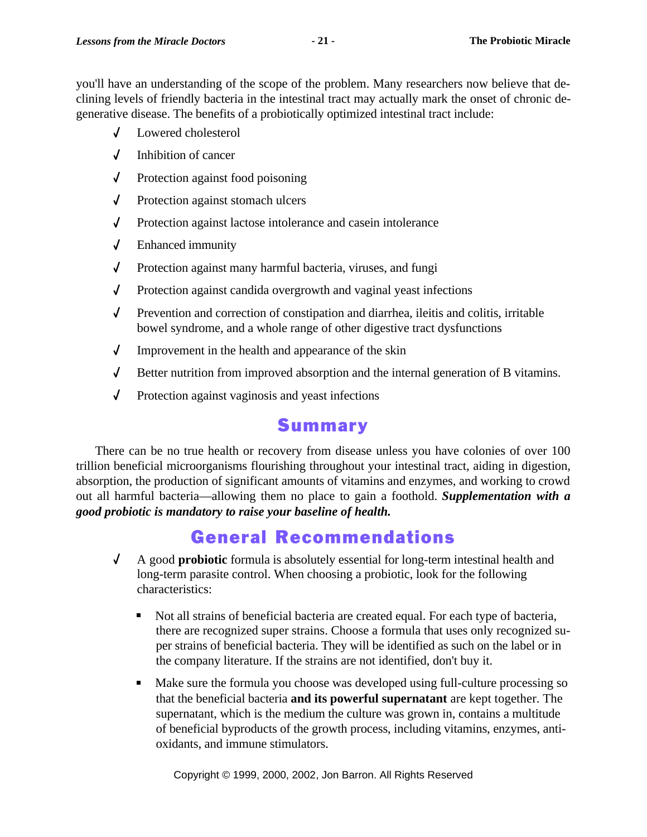you'll have an understanding of the scope of the problem. Many researchers now believe that declining levels of friendly bacteria in the intestinal tract may actually mark the onset of chronic degenerative disease. The benefits of a probiotically optimized intestinal tract include:

- $\overline{J}$ Lowered cholesterol
- $J$ Inhibition of cancer
- $\sqrt{ }$ Protection against food poisoning
- $\sqrt{ }$ Protection against stomach ulcers
- $\sqrt{ }$ Protection against lactose intolerance and casein intolerance
- $\sqrt{ }$ Enhanced immunity
- $\sqrt{ }$ Protection against many harmful bacteria, viruses, and fungi
- $\sqrt{ }$ Protection against candida overgrowth and vaginal yeast infections
- $\sqrt{ }$ Prevention and correction of constipation and diarrhea, ileitis and colitis, irritable bowel syndrome, and a whole range of other digestive tract dysfunctions
- $\sqrt{ }$ Improvement in the health and appearance of the skin
- $\sqrt{ }$ Better nutrition from improved absorption and the internal generation of B vitamins.
- $\sqrt{ }$ Protection against vaginosis and yeast infections

#### Summary

There can be no true health or recovery from disease unless you have colonies of over 100 trillion beneficial microorganisms flourishing throughout your intestinal tract, aiding in digestion, absorption, the production of significant amounts of vitamins and enzymes, and working to crowd out all harmful bacteria—allowing them no place to gain a foothold. *Supplementation with a good probiotic is mandatory to raise your baseline of health.*

### General Recommendations

- $\sqrt{ }$ A good **probiotic** formula is absolutely essential for long-term intestinal health and long-term parasite control. When choosing a probiotic, look for the following characteristics:
	- $\blacksquare$ Not all strains of beneficial bacteria are created equal. For each type of bacteria, there are recognized super strains. Choose a formula that uses only recognized super strains of beneficial bacteria. They will be identified as such on the label or in the company literature. If the strains are not identified, don't buy it.
	- Make sure the formula you choose was developed using full-culture processing so  $\blacksquare$  . that the beneficial bacteria **and its powerful supernatant** are kept together. The supernatant, which is the medium the culture was grown in, contains a multitude of beneficial byproducts of the growth process, including vitamins, enzymes, antioxidants, and immune stimulators.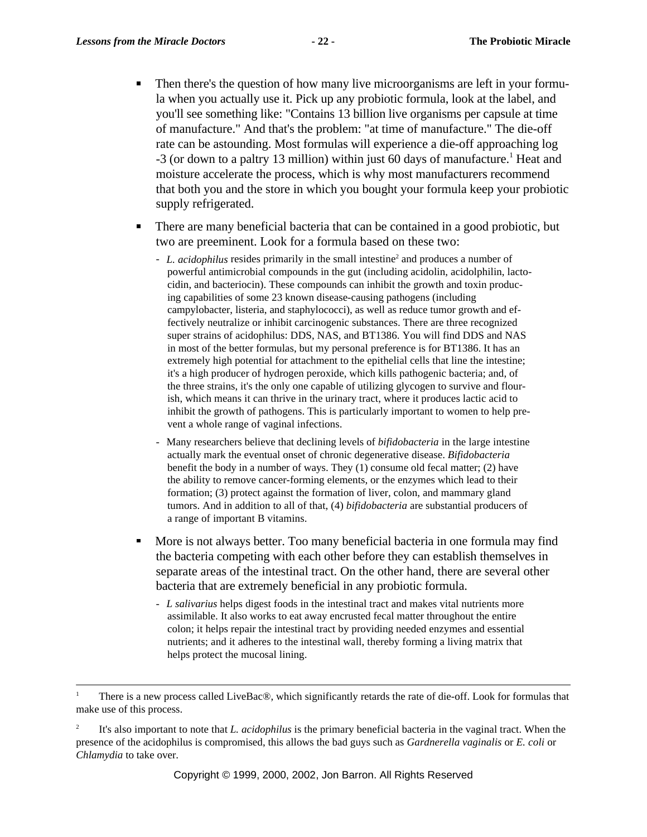- Then there's the question of how many live microorganisms are left in your formula when you actually use it. Pick up any probiotic formula, look at the label, and you'll see something like: "Contains 13 billion live organisms per capsule at time of manufacture." And that's the problem: "at time of manufacture." The die-off rate can be astounding. Most formulas will experience a die-off approaching log -3 (or down to a paltry 13 million) within just 60 days of manufacture.<sup>1</sup> Heat and moisture accelerate the process, which is why most manufacturers recommend that both you and the store in which you bought your formula keep your probiotic supply refrigerated.
- There are many beneficial bacteria that can be contained in a good probiotic, but two are preeminent. Look for a formula based on these two:
	- L. acidophilus resides primarily in the small intestine<sup>2</sup> and produces a number of powerful antimicrobial compounds in the gut (including acidolin, acidolphilin, lactocidin, and bacteriocin). These compounds can inhibit the growth and toxin producing capabilities of some 23 known disease-causing pathogens (including campylobacter, listeria, and staphylococci), as well as reduce tumor growth and effectively neutralize or inhibit carcinogenic substances. There are three recognized super strains of acidophilus: DDS, NAS, and BT1386. You will find DDS and NAS in most of the better formulas, but my personal preference is for BT1386. It has an extremely high potential for attachment to the epithelial cells that line the intestine; it's a high producer of hydrogen peroxide, which kills pathogenic bacteria; and, of the three strains, it's the only one capable of utilizing glycogen to survive and flourish, which means it can thrive in the urinary tract, where it produces lactic acid to inhibit the growth of pathogens. This is particularly important to women to help prevent a whole range of vaginal infections.
	- Many researchers believe that declining levels of *bifidobacteria* in the large intestine actually mark the eventual onset of chronic degenerative disease. *Bifidobacteria* benefit the body in a number of ways. They (1) consume old fecal matter; (2) have the ability to remove cancer-forming elements, or the enzymes which lead to their formation; (3) protect against the formation of liver, colon, and mammary gland tumors. And in addition to all of that, (4) *bifidobacteria* are substantial producers of a range of important B vitamins.
- More is not always better. Too many beneficial bacteria in one formula may find the bacteria competing with each other before they can establish themselves in separate areas of the intestinal tract. On the other hand, there are several other bacteria that are extremely beneficial in any probiotic formula.
	- *L salivarius* helps digest foods in the intestinal tract and makes vital nutrients more assimilable. It also works to eat away encrusted fecal matter throughout the entire colon; it helps repair the intestinal tract by providing needed enzymes and essential nutrients; and it adheres to the intestinal wall, thereby forming a living matrix that helps protect the mucosal lining.

<sup>1</sup> There is a new process called LiveBac®, which significantly retards the rate of die-off. Look for formulas that make use of this process.

<sup>2</sup> It's also important to note that *L. acidophilus* is the primary beneficial bacteria in the vaginal tract. When the presence of the acidophilus is compromised, this allows the bad guys such as *Gardnerella vaginalis* or *E. coli* or *Chlamydia* to take over.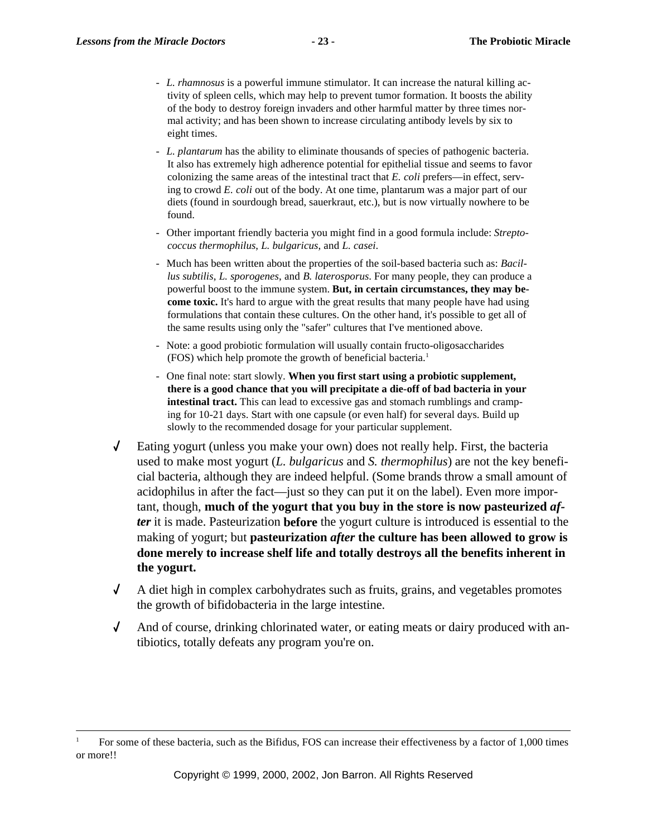- *L. rhamnosus* is a powerful immune stimulator. It can increase the natural killing activity of spleen cells, which may help to prevent tumor formation. It boosts the ability of the body to destroy foreign invaders and other harmful matter by three times normal activity; and has been shown to increase circulating antibody levels by six to eight times.
- *L. plantarum* has the ability to eliminate thousands of species of pathogenic bacteria. It also has extremely high adherence potential for epithelial tissue and seems to favor colonizing the same areas of the intestinal tract that *E. coli* prefers—in effect, serving to crowd *E. coli* out of the body. At one time, plantarum was a major part of our diets (found in sourdough bread, sauerkraut, etc.), but is now virtually nowhere to be found.
- Other important friendly bacteria you might find in a good formula include: *Streptococcus thermophilus*, *L. bulgaricus*, and *L. casei*.
- Much has been written about the properties of the soil-based bacteria such as: *Bacillus subtilis*, *L. sporogenes*, and *B. laterosporus*. For many people, they can produce a powerful boost to the immune system. **But, in certain circumstances, they may become toxic.** It's hard to argue with the great results that many people have had using formulations that contain these cultures. On the other hand, it's possible to get all of the same results using only the "safer" cultures that I've mentioned above.
- Note: a good probiotic formulation will usually contain fructo-oligosaccharides (FOS) which help promote the growth of beneficial bacteria.1
- One final note: start slowly. **When you first start using a probiotic supplement, there is a good chance that you will precipitate a die-off of bad bacteria in your intestinal tract.** This can lead to excessive gas and stomach rumblings and cramping for 10-21 days. Start with one capsule (or even half) for several days. Build up slowly to the recommended dosage for your particular supplement.
- $\sqrt{ }$ Eating yogurt (unless you make your own) does not really help. First, the bacteria used to make most yogurt (*L. bulgaricus* and *S. thermophilus*) are not the key beneficial bacteria, although they are indeed helpful. (Some brands throw a small amount of acidophilus in after the fact—just so they can put it on the label). Even more important, though, **much of the yogurt that you buy in the store is now pasteurized** *after* it is made. Pasteurization **before** the yogurt culture is introduced is essential to the making of yogurt; but **pasteurization** *after* **the culture has been allowed to grow is done merely to increase shelf life and totally destroys all the benefits inherent in the yogurt.**
- $\sqrt{ }$ A diet high in complex carbohydrates such as fruits, grains, and vegetables promotes the growth of bifidobacteria in the large intestine.
- $\sqrt{ }$ And of course, drinking chlorinated water, or eating meats or dairy produced with antibiotics, totally defeats any program you're on.

<sup>1</sup> For some of these bacteria, such as the Bifidus, FOS can increase their effectiveness by a factor of 1,000 times or more!!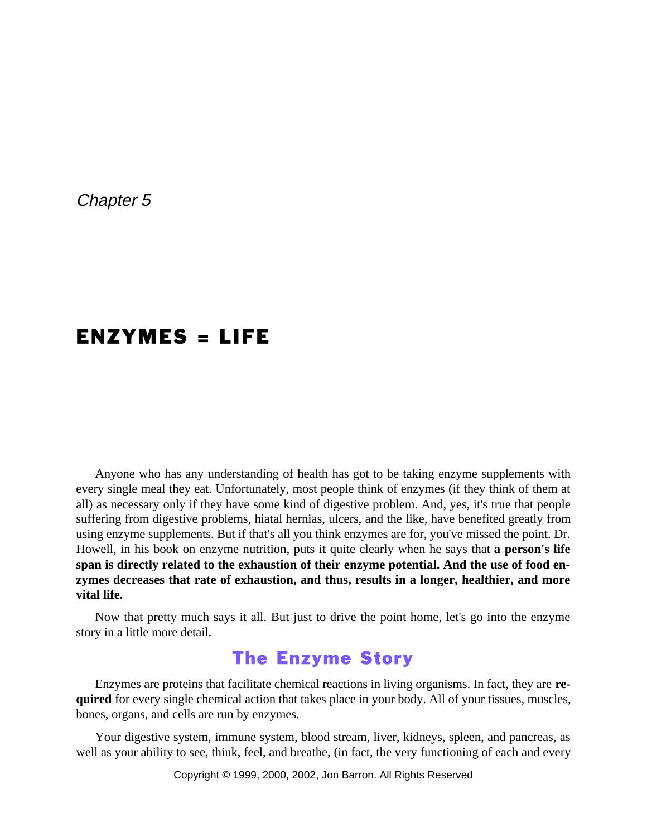#### Chapter 5

## $ENZYMES = LIFE$

Anyone who has any understanding of health has got to be taking enzyme supplements with every single meal they eat. Unfortunately, most people think of enzymes (if they think of them at all) as necessary only if they have some kind of digestive problem. And, yes, it's true that people suffering from digestive problems, hiatal hernias, ulcers, and the like, have benefited greatly from using enzyme supplements. But if that's all you think enzymes are for, you've missed the point. Dr. Howell, in his book on enzyme nutrition, puts it quite clearly when he says that **a person's life span is directly related to the exhaustion of their enzyme potential. And the use of food enzymes decreases that rate of exhaustion, and thus, results in a longer, healthier, and more vital life.**

Now that pretty much says it all. But just to drive the point home, let's go into the enzyme story in a little more detail.

### The Enzyme Story

Enzymes are proteins that facilitate chemical reactions in living organisms. In fact, they are **required** for every single chemical action that takes place in your body. All of your tissues, muscles, bones, organs, and cells are run by enzymes.

Your digestive system, immune system, blood stream, liver, kidneys, spleen, and pancreas, as well as your ability to see, think, feel, and breathe, (in fact, the very functioning of each and every

Copyright © 1999, 2000, 2002, Jon Barron. All Rights Reserved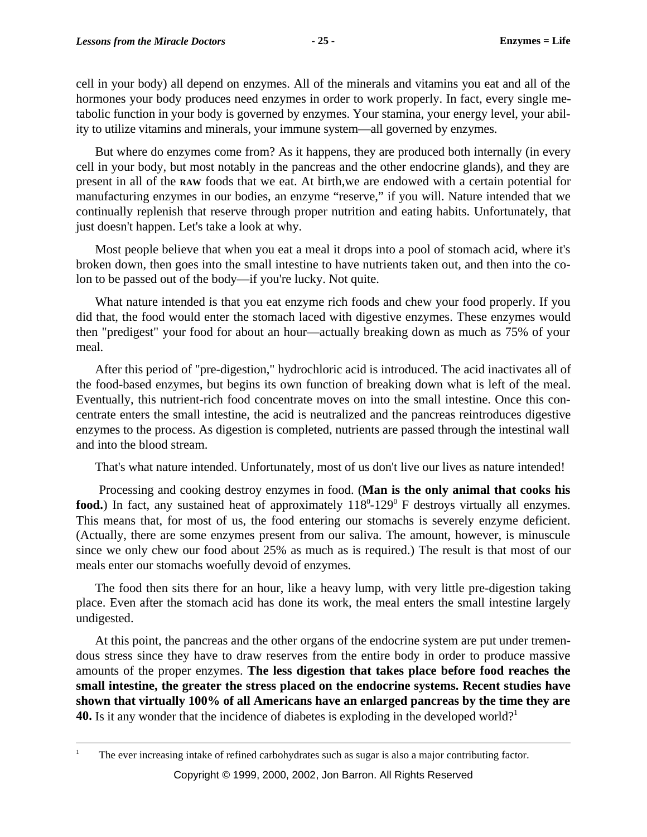cell in your body) all depend on enzymes. All of the minerals and vitamins you eat and all of the hormones your body produces need enzymes in order to work properly. In fact, every single metabolic function in your body is governed by enzymes. Your stamina, your energy level, your ability to utilize vitamins and minerals, your immune system—all governed by enzymes.

But where do enzymes come from? As it happens, they are produced both internally (in every cell in your body, but most notably in the pancreas and the other endocrine glands), and they are present in all of the **RAW** foods that we eat. At birth,we are endowed with a certain potential for manufacturing enzymes in our bodies, an enzyme "reserve," if you will. Nature intended that we continually replenish that reserve through proper nutrition and eating habits. Unfortunately, that just doesn't happen. Let's take a look at why.

Most people believe that when you eat a meal it drops into a pool of stomach acid, where it's broken down, then goes into the small intestine to have nutrients taken out, and then into the colon to be passed out of the body—if you're lucky. Not quite.

What nature intended is that you eat enzyme rich foods and chew your food properly. If you did that, the food would enter the stomach laced with digestive enzymes. These enzymes would then "predigest" your food for about an hour—actually breaking down as much as 75% of your meal.

After this period of "pre-digestion," hydrochloric acid is introduced. The acid inactivates all of the food-based enzymes, but begins its own function of breaking down what is left of the meal. Eventually, this nutrient-rich food concentrate moves on into the small intestine. Once this concentrate enters the small intestine, the acid is neutralized and the pancreas reintroduces digestive enzymes to the process. As digestion is completed, nutrients are passed through the intestinal wall and into the blood stream.

That's what nature intended. Unfortunately, most of us don't live our lives as nature intended!

 Processing and cooking destroy enzymes in food. (**Man is the only animal that cooks his** food.) In fact, any sustained heat of approximately  $118^{\circ}$ -129<sup>°</sup> F destroys virtually all enzymes. This means that, for most of us, the food entering our stomachs is severely enzyme deficient. (Actually, there are some enzymes present from our saliva. The amount, however, is minuscule since we only chew our food about 25% as much as is required.) The result is that most of our meals enter our stomachs woefully devoid of enzymes.

The food then sits there for an hour, like a heavy lump, with very little pre-digestion taking place. Even after the stomach acid has done its work, the meal enters the small intestine largely undigested.

At this point, the pancreas and the other organs of the endocrine system are put under tremendous stress since they have to draw reserves from the entire body in order to produce massive amounts of the proper enzymes. **The less digestion that takes place before food reaches the small intestine, the greater the stress placed on the endocrine systems. Recent studies have shown that virtually 100% of all Americans have an enlarged pancreas by the time they are 40.** Is it any wonder that the incidence of diabetes is exploding in the developed world?<sup>1</sup>

<sup>1</sup> The ever increasing intake of refined carbohydrates such as sugar is also a major contributing factor.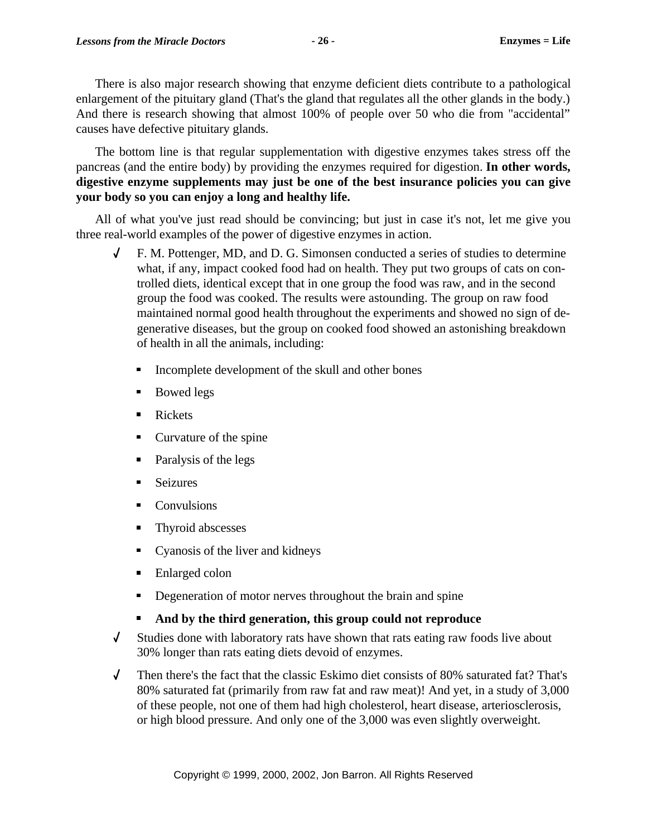There is also major research showing that enzyme deficient diets contribute to a pathological enlargement of the pituitary gland (That's the gland that regulates all the other glands in the body.) And there is research showing that almost 100% of people over 50 who die from "accidental" causes have defective pituitary glands.

The bottom line is that regular supplementation with digestive enzymes takes stress off the pancreas (and the entire body) by providing the enzymes required for digestion. **In other words, digestive enzyme supplements may just be one of the best insurance policies you can give your body so you can enjoy a long and healthy life.**

All of what you've just read should be convincing; but just in case it's not, let me give you three real-world examples of the power of digestive enzymes in action.

- $\sqrt{ }$ F. M. Pottenger, MD, and D. G. Simonsen conducted a series of studies to determine what, if any, impact cooked food had on health. They put two groups of cats on controlled diets, identical except that in one group the food was raw, and in the second group the food was cooked. The results were astounding. The group on raw food maintained normal good health throughout the experiments and showed no sign of degenerative diseases, but the group on cooked food showed an astonishing breakdown of health in all the animals, including:
	- $\blacksquare$ Incomplete development of the skull and other bones
	- Bowed legs
	- $\blacksquare$ Rickets
	- Curvature of the spine
	- $\blacksquare$ Paralysis of the legs
	- $\blacksquare$ Seizures
	- Convulsions
	- Thyroid abscesses
	- Cyanosis of the liver and kidneys
	- $\blacksquare$  . Enlarged colon
	- Degeneration of motor nerves throughout the brain and spine  $\blacksquare$
	- **And by the third generation, this group could not reproduce**
- $\sqrt{ }$ Studies done with laboratory rats have shown that rats eating raw foods live about 30% longer than rats eating diets devoid of enzymes.
- $\sqrt{ }$ Then there's the fact that the classic Eskimo diet consists of 80% saturated fat? That's 80% saturated fat (primarily from raw fat and raw meat)! And yet, in a study of 3,000 of these people, not one of them had high cholesterol, heart disease, arteriosclerosis, or high blood pressure. And only one of the 3,000 was even slightly overweight.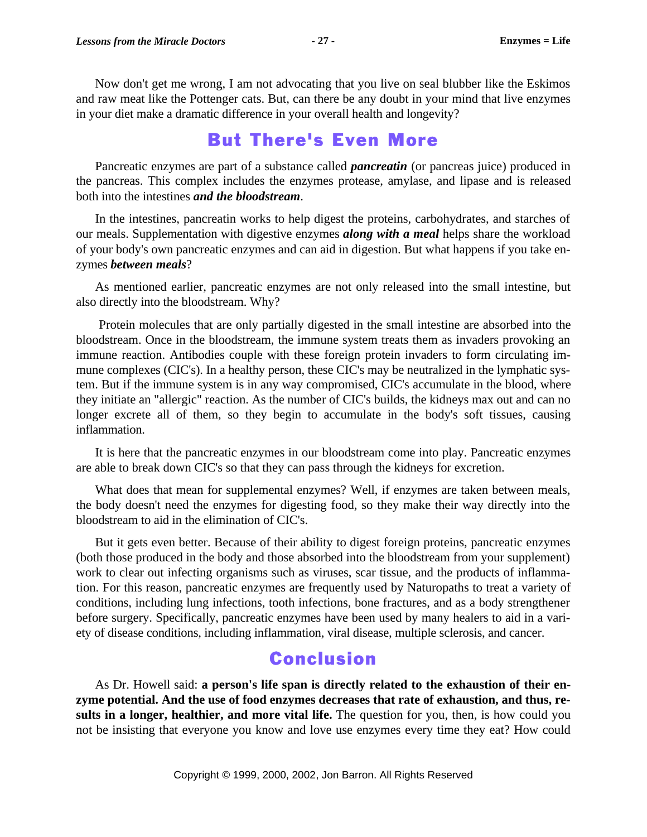Now don't get me wrong, I am not advocating that you live on seal blubber like the Eskimos and raw meat like the Pottenger cats. But, can there be any doubt in your mind that live enzymes in your diet make a dramatic difference in your overall health and longevity?

# But There's Even More

Pancreatic enzymes are part of a substance called *pancreatin* (or pancreas juice) produced in the pancreas. This complex includes the enzymes protease, amylase, and lipase and is released both into the intestines *and the bloodstream*.

In the intestines, pancreatin works to help digest the proteins, carbohydrates, and starches of our meals. Supplementation with digestive enzymes *along with a meal* helps share the workload of your body's own pancreatic enzymes and can aid in digestion. But what happens if you take enzymes *between meals*?

As mentioned earlier, pancreatic enzymes are not only released into the small intestine, but also directly into the bloodstream. Why?

 Protein molecules that are only partially digested in the small intestine are absorbed into the bloodstream. Once in the bloodstream, the immune system treats them as invaders provoking an immune reaction. Antibodies couple with these foreign protein invaders to form circulating immune complexes (CIC's). In a healthy person, these CIC's may be neutralized in the lymphatic system. But if the immune system is in any way compromised, CIC's accumulate in the blood, where they initiate an "allergic" reaction. As the number of CIC's builds, the kidneys max out and can no longer excrete all of them, so they begin to accumulate in the body's soft tissues, causing inflammation.

It is here that the pancreatic enzymes in our bloodstream come into play. Pancreatic enzymes are able to break down CIC's so that they can pass through the kidneys for excretion.

What does that mean for supplemental enzymes? Well, if enzymes are taken between meals, the body doesn't need the enzymes for digesting food, so they make their way directly into the bloodstream to aid in the elimination of CIC's.

But it gets even better. Because of their ability to digest foreign proteins, pancreatic enzymes (both those produced in the body and those absorbed into the bloodstream from your supplement) work to clear out infecting organisms such as viruses, scar tissue, and the products of inflammation. For this reason, pancreatic enzymes are frequently used by Naturopaths to treat a variety of conditions, including lung infections, tooth infections, bone fractures, and as a body strengthener before surgery. Specifically, pancreatic enzymes have been used by many healers to aid in a variety of disease conditions, including inflammation, viral disease, multiple sclerosis, and cancer.

### Conclusion

As Dr. Howell said: **a person's life span is directly related to the exhaustion of their enzyme potential. And the use of food enzymes decreases that rate of exhaustion, and thus, results in a longer, healthier, and more vital life.** The question for you, then, is how could you not be insisting that everyone you know and love use enzymes every time they eat? How could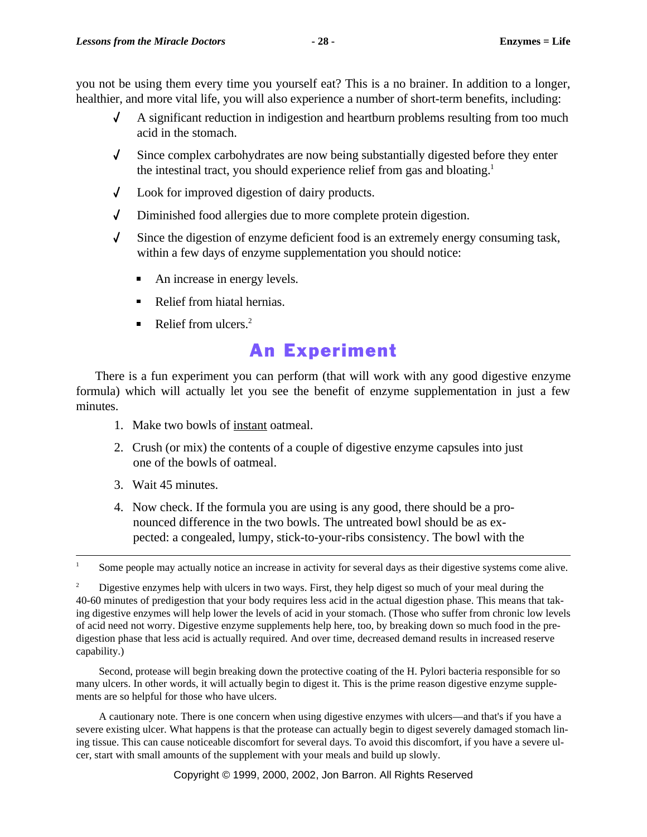you not be using them every time you yourself eat? This is a no brainer. In addition to a longer, healthier, and more vital life, you will also experience a number of short-term benefits, including:

- $\sqrt{2}$ A significant reduction in indigestion and heartburn problems resulting from too much acid in the stomach.
- $\sqrt{ }$ Since complex carbohydrates are now being substantially digested before they enter the intestinal tract, you should experience relief from gas and bloating.<sup>1</sup>
- $\sqrt{ }$ Look for improved digestion of dairy products.
- $\sqrt{ }$ Diminished food allergies due to more complete protein digestion.
- $\sqrt{ }$ Since the digestion of enzyme deficient food is an extremely energy consuming task, within a few days of enzyme supplementation you should notice:
	- An increase in energy levels.
	- $\blacksquare$ Relief from hiatal hernias.
	- $\blacksquare$ Relief from ulcers.<sup>2</sup>

# An Experiment

There is a fun experiment you can perform (that will work with any good digestive enzyme formula) which will actually let you see the benefit of enzyme supplementation in just a few minutes.

- 1. Make two bowls of instant oatmeal.
- 2. Crush (or mix) the contents of a couple of digestive enzyme capsules into just one of the bowls of oatmeal.
- 3. Wait 45 minutes.
- 4. Now check. If the formula you are using is any good, there should be a pronounced difference in the two bowls. The untreated bowl should be as expected: a congealed, lumpy, stick-to-your-ribs consistency. The bowl with the

Second, protease will begin breaking down the protective coating of the H. Pylori bacteria responsible for so many ulcers. In other words, it will actually begin to digest it. This is the prime reason digestive enzyme supplements are so helpful for those who have ulcers.

A cautionary note. There is one concern when using digestive enzymes with ulcers—and that's if you have a severe existing ulcer. What happens is that the protease can actually begin to digest severely damaged stomach lining tissue. This can cause noticeable discomfort for several days. To avoid this discomfort, if you have a severe ulcer, start with small amounts of the supplement with your meals and build up slowly.

Copyright © 1999, 2000, 2002, Jon Barron. All Rights Reserved

Some people may actually notice an increase in activity for several days as their digestive systems come alive.

<sup>2</sup> Digestive enzymes help with ulcers in two ways. First, they help digest so much of your meal during the 40-60 minutes of predigestion that your body requires less acid in the actual digestion phase. This means that taking digestive enzymes will help lower the levels of acid in your stomach. (Those who suffer from chronic low levels of acid need not worry. Digestive enzyme supplements help here, too, by breaking down so much food in the predigestion phase that less acid is actually required. And over time, decreased demand results in increased reserve capability.)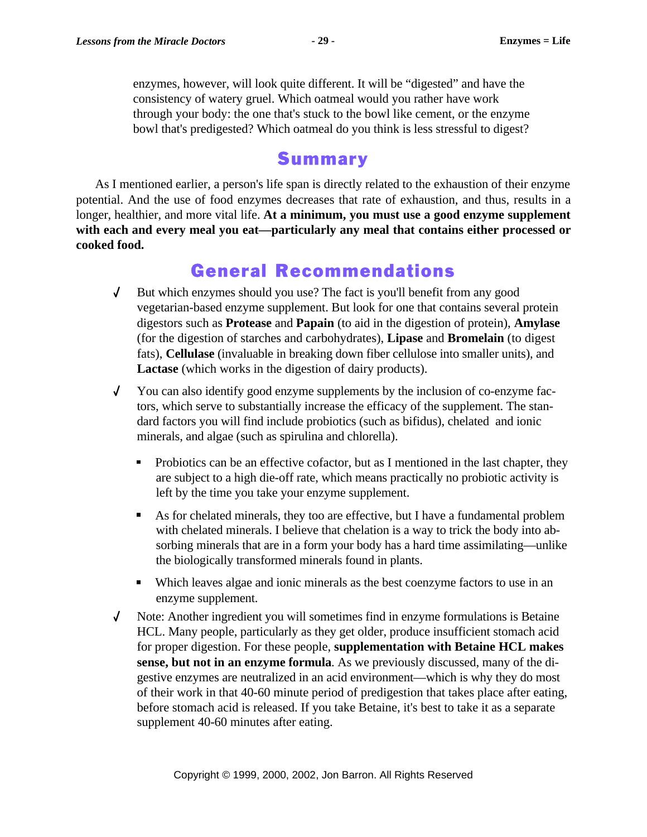enzymes, however, will look quite different. It will be "digested" and have the consistency of watery gruel. Which oatmeal would you rather have work through your body: the one that's stuck to the bowl like cement, or the enzyme bowl that's predigested? Which oatmeal do you think is less stressful to digest?

### Summary

As I mentioned earlier, a person's life span is directly related to the exhaustion of their enzyme potential. And the use of food enzymes decreases that rate of exhaustion, and thus, results in a longer, healthier, and more vital life. **At a minimum, you must use a good enzyme supplement with each and every meal you eat—particularly any meal that contains either processed or cooked food.**

# General Recommendations

- $\sqrt{ }$ But which enzymes should you use? The fact is you'll benefit from any good vegetarian-based enzyme supplement. But look for one that contains several protein digestors such as **Protease** and **Papain** (to aid in the digestion of protein), **Amylase** (for the digestion of starches and carbohydrates), **Lipase** and **Bromelain** (to digest fats), **Cellulase** (invaluable in breaking down fiber cellulose into smaller units), and **Lactase** (which works in the digestion of dairy products).
- $\sqrt{ }$ You can also identify good enzyme supplements by the inclusion of co-enzyme factors, which serve to substantially increase the efficacy of the supplement. The standard factors you will find include probiotics (such as bifidus), chelated and ionic minerals, and algae (such as spirulina and chlorella).
	- Probiotics can be an effective cofactor, but as I mentioned in the last chapter, they are subject to a high die-off rate, which means practically no probiotic activity is left by the time you take your enzyme supplement.
	- $\blacksquare$ As for chelated minerals, they too are effective, but I have a fundamental problem with chelated minerals. I believe that chelation is a way to trick the body into absorbing minerals that are in a form your body has a hard time assimilating—unlike the biologically transformed minerals found in plants.
	- Which leaves algae and ionic minerals as the best coenzyme factors to use in an enzyme supplement.
- $\sqrt{ }$ Note: Another ingredient you will sometimes find in enzyme formulations is Betaine HCL. Many people, particularly as they get older, produce insufficient stomach acid for proper digestion. For these people, **supplementation with Betaine HCL makes sense, but not in an enzyme formula**. As we previously discussed, many of the digestive enzymes are neutralized in an acid environment—which is why they do most of their work in that 40-60 minute period of predigestion that takes place after eating, before stomach acid is released. If you take Betaine, it's best to take it as a separate supplement 40-60 minutes after eating.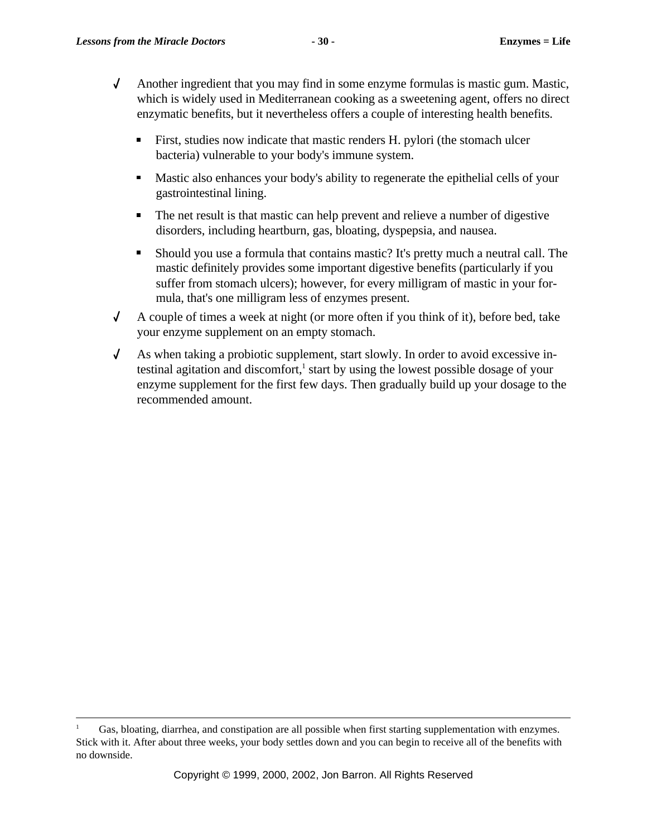- $\sqrt{2}$ Another ingredient that you may find in some enzyme formulas is mastic gum. Mastic, which is widely used in Mediterranean cooking as a sweetening agent, offers no direct enzymatic benefits, but it nevertheless offers a couple of interesting health benefits.
	- First, studies now indicate that mastic renders H. pylori (the stomach ulcer bacteria) vulnerable to your body's immune system.
	- $\blacksquare$ Mastic also enhances your body's ability to regenerate the epithelial cells of your gastrointestinal lining.
	- The net result is that mastic can help prevent and relieve a number of digestive disorders, including heartburn, gas, bloating, dyspepsia, and nausea.
	- Should you use a formula that contains mastic? It's pretty much a neutral call. The mastic definitely provides some important digestive benefits (particularly if you suffer from stomach ulcers); however, for every milligram of mastic in your formula, that's one milligram less of enzymes present.
- $\sqrt{ }$ A couple of times a week at night (or more often if you think of it), before bed, take your enzyme supplement on an empty stomach.
- $\sqrt{ }$ As when taking a probiotic supplement, start slowly. In order to avoid excessive intestinal agitation and discomfort,<sup>1</sup> start by using the lowest possible dosage of your enzyme supplement for the first few days. Then gradually build up your dosage to the recommended amount.

<sup>1</sup> Gas, bloating, diarrhea, and constipation are all possible when first starting supplementation with enzymes. Stick with it. After about three weeks, your body settles down and you can begin to receive all of the benefits with no downside.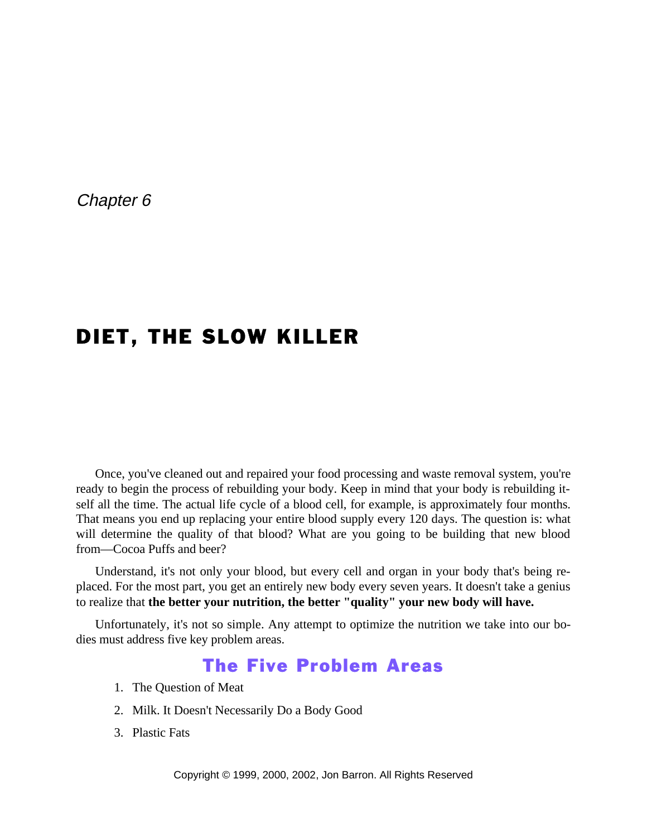Chapter 6

# DIET, THE SLOW KILLER

Once, you've cleaned out and repaired your food processing and waste removal system, you're ready to begin the process of rebuilding your body. Keep in mind that your body is rebuilding itself all the time. The actual life cycle of a blood cell, for example, is approximately four months. That means you end up replacing your entire blood supply every 120 days. The question is: what will determine the quality of that blood? What are you going to be building that new blood from—Cocoa Puffs and beer?

Understand, it's not only your blood, but every cell and organ in your body that's being replaced. For the most part, you get an entirely new body every seven years. It doesn't take a genius to realize that **the better your nutrition, the better "quality" your new body will have.**

Unfortunately, it's not so simple. Any attempt to optimize the nutrition we take into our bodies must address five key problem areas.

# The Five Problem Areas

- 1. The Question of Meat
- 2. Milk. It Doesn't Necessarily Do a Body Good
- 3. Plastic Fats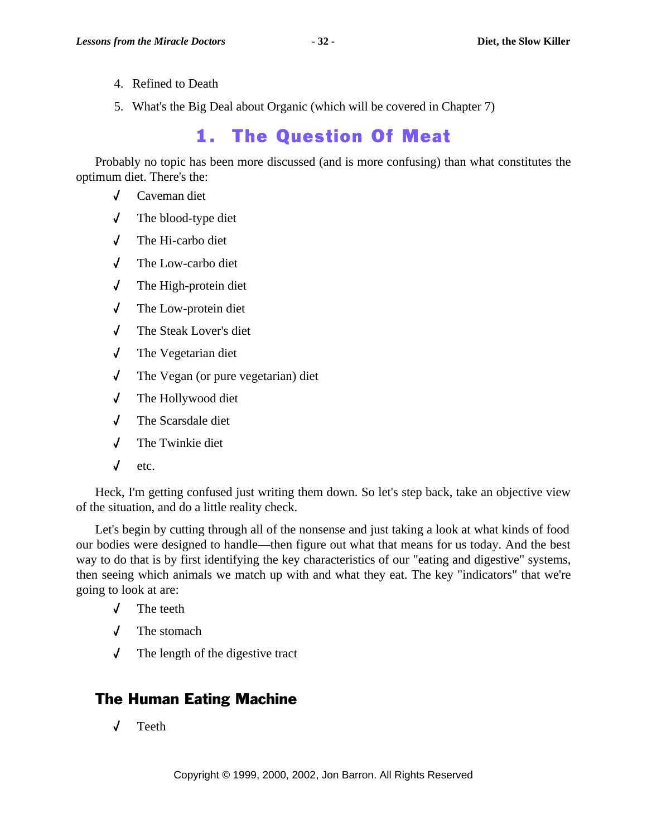- 4. Refined to Death
- 5. What's the Big Deal about Organic (which will be covered in Chapter 7)

# 1. The Question Of Meat

Probably no topic has been more discussed (and is more confusing) than what constitutes the optimum diet. There's the:

- $\sqrt{ }$ Caveman diet
- $\sqrt{ }$ The blood-type diet
- $\sqrt{ }$ The Hi-carbo diet
- $\sqrt{ }$ The Low-carbo diet
- $\sqrt{ }$ The High-protein diet
- $\sqrt{ }$ The Low-protein diet
- $\sqrt{ }$ The Steak Lover's diet
- $\sqrt{ }$ The Vegetarian diet
- $\sqrt{ }$ The Vegan (or pure vegetarian) diet
- $\sqrt{ }$ The Hollywood diet
- $\sqrt{ }$ The Scarsdale diet
- $\sqrt{ }$ The Twinkie diet
- $\sqrt{ }$ etc.

Heck, I'm getting confused just writing them down. So let's step back, take an objective view of the situation, and do a little reality check.

Let's begin by cutting through all of the nonsense and just taking a look at what kinds of food our bodies were designed to handle—then figure out what that means for us today. And the best way to do that is by first identifying the key characteristics of our "eating and digestive" systems, then seeing which animals we match up with and what they eat. The key "indicators" that we're going to look at are:

- $J$ The teeth
- $\sqrt{ }$ The stomach
- $\sqrt{\phantom{a}}$  The length of the digestive tract

### The Human Eating Machine

**J** Teeth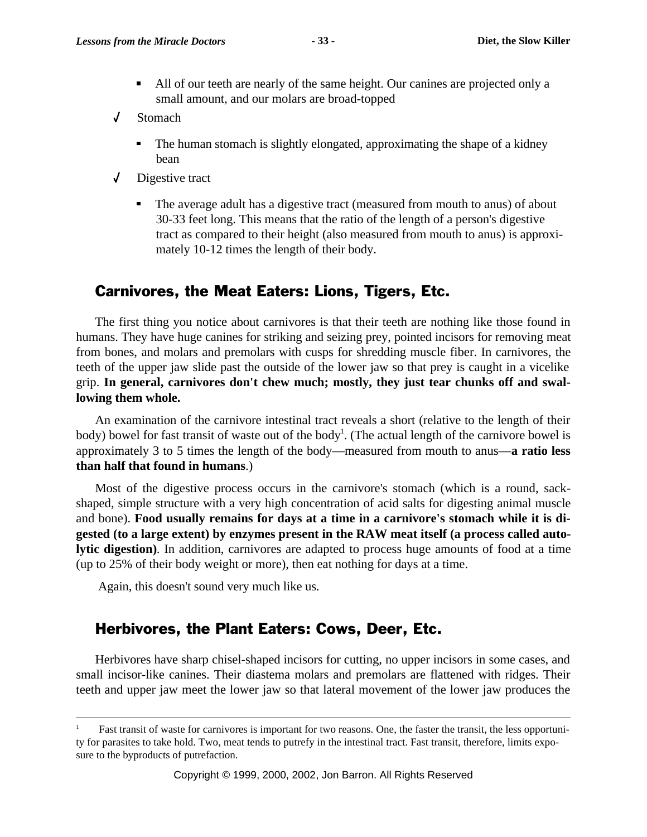- All of our teeth are nearly of the same height. Our canines are projected only a small amount, and our molars are broad-topped
- $\sqrt{ }$ Stomach
	- The human stomach is slightly elongated, approximating the shape of a kidney bean
- $\sqrt{2}$ Digestive tract
	- The average adult has a digestive tract (measured from mouth to anus) of about 30-33 feet long. This means that the ratio of the length of a person's digestive tract as compared to their height (also measured from mouth to anus) is approximately 10-12 times the length of their body.

### Carnivores, the Meat Eaters: Lions, Tigers, Etc.

The first thing you notice about carnivores is that their teeth are nothing like those found in humans. They have huge canines for striking and seizing prey, pointed incisors for removing meat from bones, and molars and premolars with cusps for shredding muscle fiber. In carnivores, the teeth of the upper jaw slide past the outside of the lower jaw so that prey is caught in a vicelike grip. **In general, carnivores don't chew much; mostly, they just tear chunks off and swallowing them whole.**

An examination of the carnivore intestinal tract reveals a short (relative to the length of their body) bowel for fast transit of waste out of the body<sup>1</sup>. (The actual length of the carnivore bowel is approximately 3 to 5 times the length of the body—measured from mouth to anus—**a ratio less than half that found in humans**.)

Most of the digestive process occurs in the carnivore's stomach (which is a round, sackshaped, simple structure with a very high concentration of acid salts for digesting animal muscle and bone). **Food usually remains for days at a time in a carnivore's stomach while it is digested (to a large extent) by enzymes present in the RAW meat itself (a process called autolytic digestion)**. In addition, carnivores are adapted to process huge amounts of food at a time (up to 25% of their body weight or more), then eat nothing for days at a time.

Again, this doesn't sound very much like us.

### Herbivores, the Plant Eaters: Cows, Deer, Etc.

Herbivores have sharp chisel-shaped incisors for cutting, no upper incisors in some cases, and small incisor-like canines. Their diastema molars and premolars are flattened with ridges. Their teeth and upper jaw meet the lower jaw so that lateral movement of the lower jaw produces the

<sup>1</sup> Fast transit of waste for carnivores is important for two reasons. One, the faster the transit, the less opportunity for parasites to take hold. Two, meat tends to putrefy in the intestinal tract. Fast transit, therefore, limits exposure to the byproducts of putrefaction.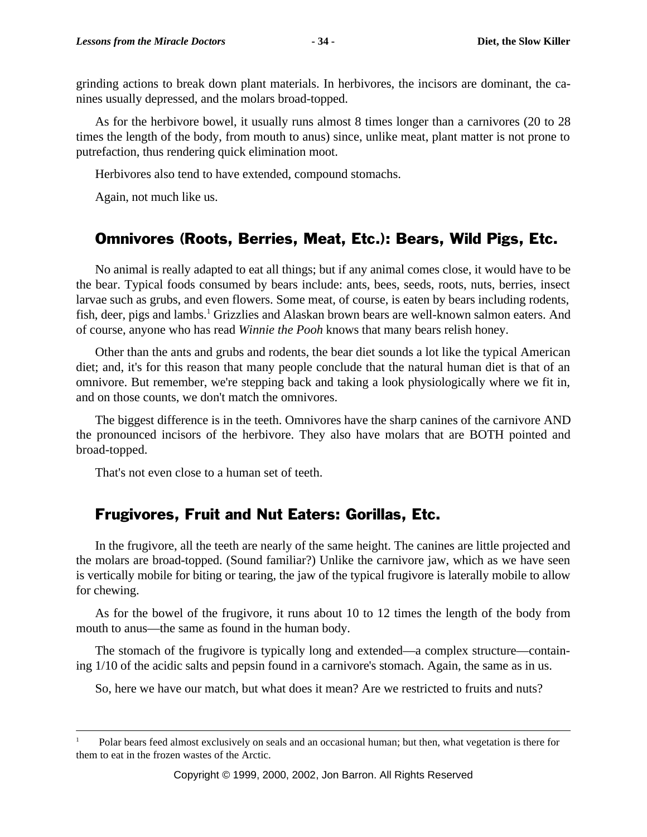grinding actions to break down plant materials. In herbivores, the incisors are dominant, the canines usually depressed, and the molars broad-topped.

As for the herbivore bowel, it usually runs almost 8 times longer than a carnivores (20 to 28 times the length of the body, from mouth to anus) since, unlike meat, plant matter is not prone to putrefaction, thus rendering quick elimination moot.

Herbivores also tend to have extended, compound stomachs.

Again, not much like us.

### Omnivores (Roots, Berries, Meat, Etc.): Bears, Wild Pigs, Etc.

No animal is really adapted to eat all things; but if any animal comes close, it would have to be the bear. Typical foods consumed by bears include: ants, bees, seeds, roots, nuts, berries, insect larvae such as grubs, and even flowers. Some meat, of course, is eaten by bears including rodents, fish, deer, pigs and lambs.<sup>1</sup> Grizzlies and Alaskan brown bears are well-known salmon eaters. And of course, anyone who has read *Winnie the Pooh* knows that many bears relish honey.

Other than the ants and grubs and rodents, the bear diet sounds a lot like the typical American diet; and, it's for this reason that many people conclude that the natural human diet is that of an omnivore. But remember, we're stepping back and taking a look physiologically where we fit in, and on those counts, we don't match the omnivores.

The biggest difference is in the teeth. Omnivores have the sharp canines of the carnivore AND the pronounced incisors of the herbivore. They also have molars that are BOTH pointed and broad-topped.

That's not even close to a human set of teeth.

#### Frugivores, Fruit and Nut Eaters: Gorillas, Etc.

In the frugivore, all the teeth are nearly of the same height. The canines are little projected and the molars are broad-topped. (Sound familiar?) Unlike the carnivore jaw, which as we have seen is vertically mobile for biting or tearing, the jaw of the typical frugivore is laterally mobile to allow for chewing.

As for the bowel of the frugivore, it runs about 10 to 12 times the length of the body from mouth to anus—the same as found in the human body.

The stomach of the frugivore is typically long and extended—a complex structure—containing 1/10 of the acidic salts and pepsin found in a carnivore's stomach. Again, the same as in us.

So, here we have our match, but what does it mean? Are we restricted to fruits and nuts?

<sup>1</sup> Polar bears feed almost exclusively on seals and an occasional human; but then, what vegetation is there for them to eat in the frozen wastes of the Arctic.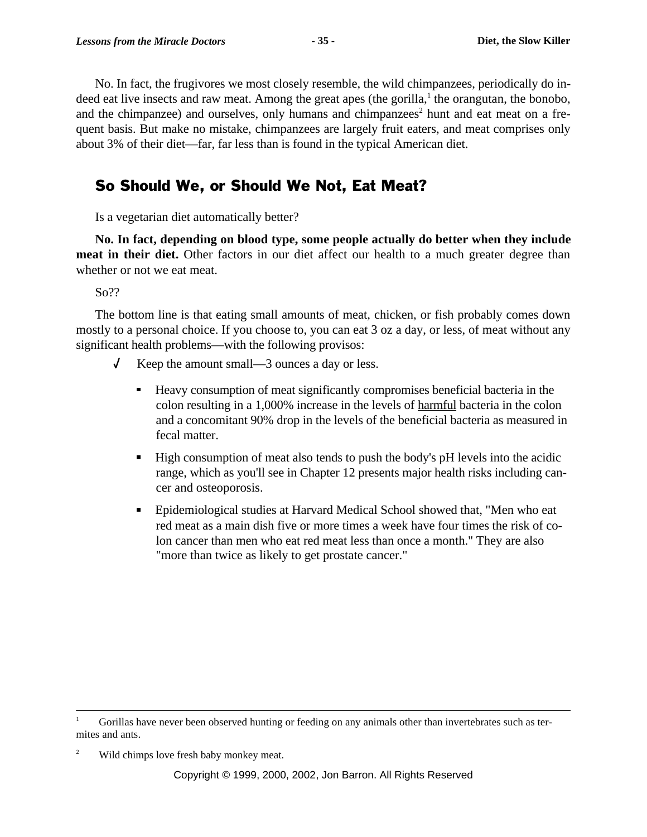No. In fact, the frugivores we most closely resemble, the wild chimpanzees, periodically do indeed eat live insects and raw meat. Among the great apes (the gorilla,<sup>1</sup> the orangutan, the bonobo, and the chimpanzee) and ourselves, only humans and chimpanzees<sup>2</sup> hunt and eat meat on a frequent basis. But make no mistake, chimpanzees are largely fruit eaters, and meat comprises only about 3% of their diet—far, far less than is found in the typical American diet.

### So Should We, or Should We Not, Eat Meat?

Is a vegetarian diet automatically better?

**No. In fact, depending on blood type, some people actually do better when they include meat in their diet.** Other factors in our diet affect our health to a much greater degree than whether or not we eat meat.

So??

The bottom line is that eating small amounts of meat, chicken, or fish probably comes down mostly to a personal choice. If you choose to, you can eat 3 oz a day, or less, of meat without any significant health problems—with the following provisos:

- $\sqrt{ }$ Keep the amount small—3 ounces a day or less.
	- Heavy consumption of meat significantly compromises beneficial bacteria in the  $\mathbf{m}$ colon resulting in a 1,000% increase in the levels of harmful bacteria in the colon and a concomitant 90% drop in the levels of the beneficial bacteria as measured in fecal matter.
	- $\mathbf{u}$  . High consumption of meat also tends to push the body's pH levels into the acidic range, which as you'll see in Chapter 12 presents major health risks including cancer and osteoporosis.
	- $\mathbf{r}$ Epidemiological studies at Harvard Medical School showed that, "Men who eat red meat as a main dish five or more times a week have four times the risk of colon cancer than men who eat red meat less than once a month." They are also "more than twice as likely to get prostate cancer."

Gorillas have never been observed hunting or feeding on any animals other than invertebrates such as termites and ants.

<sup>&</sup>lt;sup>2</sup> Wild chimps love fresh baby monkey meat.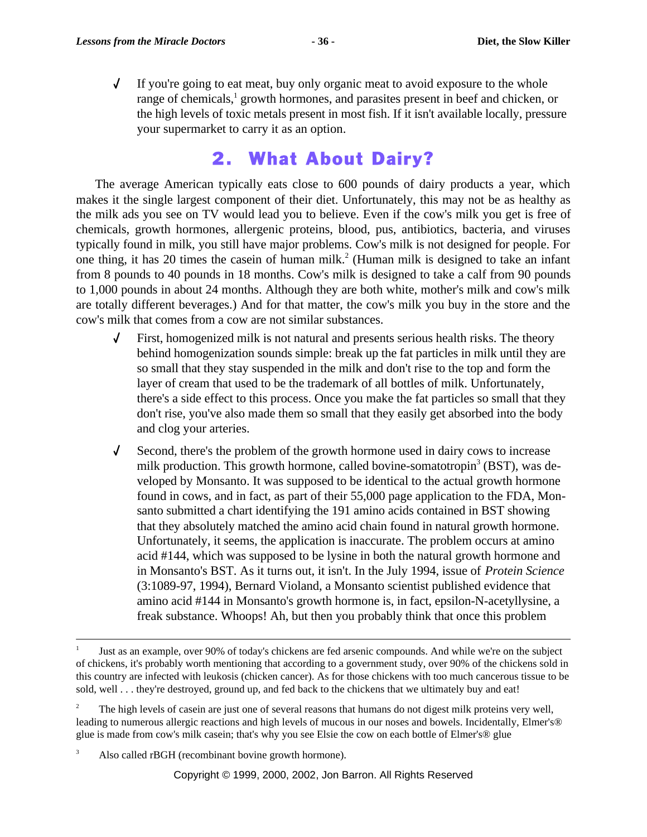$\sqrt{ }$ If you're going to eat meat, buy only organic meat to avoid exposure to the whole range of chemicals,<sup>1</sup> growth hormones, and parasites present in beef and chicken, or the high levels of toxic metals present in most fish. If it isn't available locally, pressure your supermarket to carry it as an option.

# 2. What About Dairy?

The average American typically eats close to 600 pounds of dairy products a year, which makes it the single largest component of their diet. Unfortunately, this may not be as healthy as the milk ads you see on TV would lead you to believe. Even if the cow's milk you get is free of chemicals, growth hormones, allergenic proteins, blood, pus, antibiotics, bacteria, and viruses typically found in milk, you still have major problems. Cow's milk is not designed for people. For one thing, it has 20 times the casein of human milk.<sup>2</sup> (Human milk is designed to take an infant from 8 pounds to 40 pounds in 18 months. Cow's milk is designed to take a calf from 90 pounds to 1,000 pounds in about 24 months. Although they are both white, mother's milk and cow's milk are totally different beverages.) And for that matter, the cow's milk you buy in the store and the cow's milk that comes from a cow are not similar substances.

- $\sqrt{2}$ First, homogenized milk is not natural and presents serious health risks. The theory behind homogenization sounds simple: break up the fat particles in milk until they are so small that they stay suspended in the milk and don't rise to the top and form the layer of cream that used to be the trademark of all bottles of milk. Unfortunately, there's a side effect to this process. Once you make the fat particles so small that they don't rise, you've also made them so small that they easily get absorbed into the body and clog your arteries.
- $\sqrt{ }$ Second, there's the problem of the growth hormone used in dairy cows to increase milk production. This growth hormone, called bovine-somatotropin<sup>3</sup> (BST), was developed by Monsanto. It was supposed to be identical to the actual growth hormone found in cows, and in fact, as part of their 55,000 page application to the FDA, Monsanto submitted a chart identifying the 191 amino acids contained in BST showing that they absolutely matched the amino acid chain found in natural growth hormone. Unfortunately, it seems, the application is inaccurate. The problem occurs at amino acid #144, which was supposed to be lysine in both the natural growth hormone and in Monsanto's BST. As it turns out, it isn't. In the July 1994, issue of *Protein Science* (3:1089-97, 1994), Bernard Violand, a Monsanto scientist published evidence that amino acid #144 in Monsanto's growth hormone is, in fact, epsilon-N-acetyllysine, a freak substance. Whoops! Ah, but then you probably think that once this problem

<sup>1</sup> Just as an example, over 90% of today's chickens are fed arsenic compounds. And while we're on the subject of chickens, it's probably worth mentioning that according to a government study, over 90% of the chickens sold in this country are infected with leukosis (chicken cancer). As for those chickens with too much cancerous tissue to be sold, well . . . they're destroyed, ground up, and fed back to the chickens that we ultimately buy and eat!

The high levels of casein are just one of several reasons that humans do not digest milk proteins very well, leading to numerous allergic reactions and high levels of mucous in our noses and bowels. Incidentally, Elmer's® glue is made from cow's milk casein; that's why you see Elsie the cow on each bottle of Elmer's® glue

Also called rBGH (recombinant bovine growth hormone).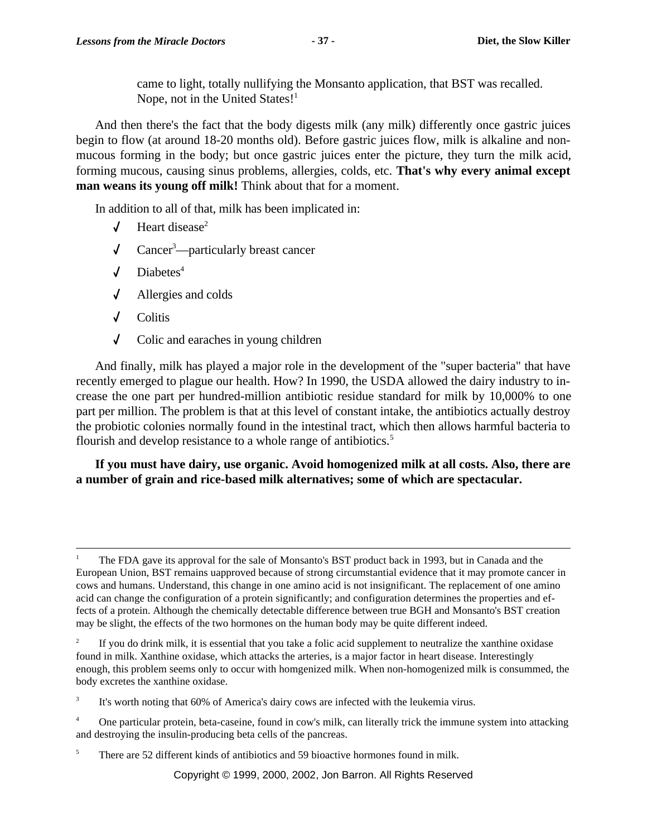came to light, totally nullifying the Monsanto application, that BST was recalled. Nope, not in the United States!<sup>1</sup>

And then there's the fact that the body digests milk (any milk) differently once gastric juices begin to flow (at around 18-20 months old). Before gastric juices flow, milk is alkaline and nonmucous forming in the body; but once gastric juices enter the picture, they turn the milk acid, forming mucous, causing sinus problems, allergies, colds, etc. **That's why every animal except man weans its young off milk!** Think about that for a moment.

In addition to all of that, milk has been implicated in:

- $\overline{J}$ Heart disease<sup>2</sup>
- $\sqrt{ }$ Cancer<sup>3</sup>—particularly breast cancer
- Diabetes<sup>4</sup>  $\sqrt{ }$
- $\sqrt{ }$ Allergies and colds
- $\sqrt{ }$ **Colitis**
- $\sqrt{2}$ Colic and earaches in young children

And finally, milk has played a major role in the development of the "super bacteria" that have recently emerged to plague our health. How? In 1990, the USDA allowed the dairy industry to increase the one part per hundred-million antibiotic residue standard for milk by 10,000% to one part per million. The problem is that at this level of constant intake, the antibiotics actually destroy the probiotic colonies normally found in the intestinal tract, which then allows harmful bacteria to flourish and develop resistance to a whole range of antibiotics.<sup>5</sup>

**If you must have dairy, use organic. Avoid homogenized milk at all costs. Also, there are a number of grain and rice-based milk alternatives; some of which are spectacular.**

<sup>1</sup> The FDA gave its approval for the sale of Monsanto's BST product back in 1993, but in Canada and the European Union, BST remains uapproved because of strong circumstantial evidence that it may promote cancer in cows and humans. Understand, this change in one amino acid is not insignificant. The replacement of one amino acid can change the configuration of a protein significantly; and configuration determines the properties and effects of a protein. Although the chemically detectable difference between true BGH and Monsanto's BST creation may be slight, the effects of the two hormones on the human body may be quite different indeed.

<sup>2</sup> If you do drink milk, it is essential that you take a folic acid supplement to neutralize the xanthine oxidase found in milk. Xanthine oxidase, which attacks the arteries, is a major factor in heart disease. Interestingly enough, this problem seems only to occur with homgenized milk. When non-homogenized milk is consummed, the body excretes the xanthine oxidase.

<sup>&</sup>lt;sup>3</sup> It's worth noting that 60% of America's dairy cows are infected with the leukemia virus.

<sup>&</sup>lt;sup>4</sup> One particular protein, beta-caseine, found in cow's milk, can literally trick the immune system into attacking and destroying the insulin-producing beta cells of the pancreas.

<sup>5</sup> There are 52 different kinds of antibiotics and 59 bioactive hormones found in milk.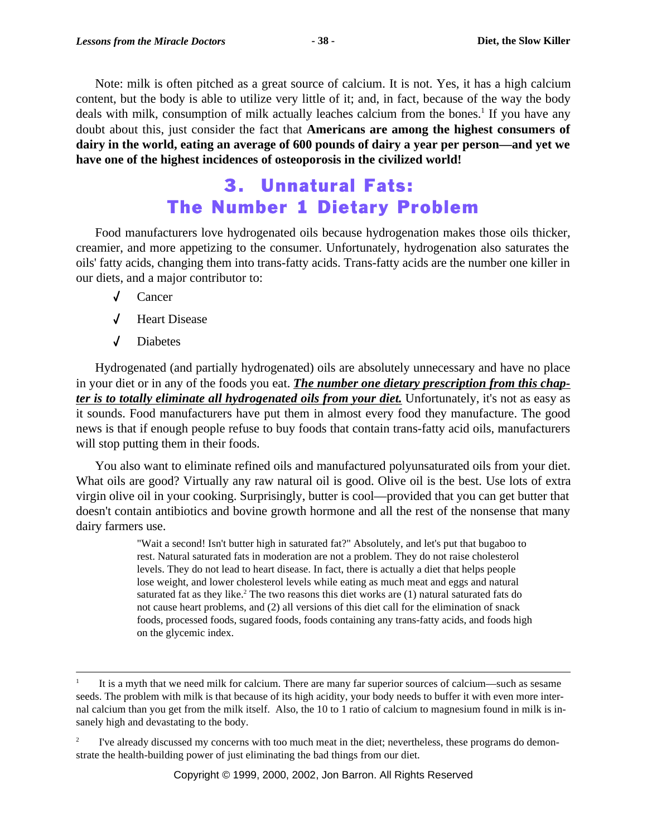Note: milk is often pitched as a great source of calcium. It is not. Yes, it has a high calcium content, but the body is able to utilize very little of it; and, in fact, because of the way the body deals with milk, consumption of milk actually leaches calcium from the bones.<sup>1</sup> If you have any doubt about this, just consider the fact that **Americans are among the highest consumers of dairy in the world, eating an average of 600 pounds of dairy a year per person—and yet we have one of the highest incidences of osteoporosis in the civilized world!**

# 3. Unnatural Fats: The Number 1 Dietary Problem

Food manufacturers love hydrogenated oils because hydrogenation makes those oils thicker, creamier, and more appetizing to the consumer. Unfortunately, hydrogenation also saturates the oils' fatty acids, changing them into trans-fatty acids. Trans-fatty acids are the number one killer in our diets, and a major contributor to:

- $\sqrt{2}$ Cancer
- Heart Disease  $\sqrt{2}$
- $\sqrt{ }$ Diabetes

Hydrogenated (and partially hydrogenated) oils are absolutely unnecessary and have no place in your diet or in any of the foods you eat. *The number one dietary prescription from this chapter is to totally eliminate all hydrogenated oils from your diet.* Unfortunately, it's not as easy as it sounds. Food manufacturers have put them in almost every food they manufacture. The good news is that if enough people refuse to buy foods that contain trans-fatty acid oils, manufacturers will stop putting them in their foods.

You also want to eliminate refined oils and manufactured polyunsaturated oils from your diet. What oils are good? Virtually any raw natural oil is good. Olive oil is the best. Use lots of extra virgin olive oil in your cooking. Surprisingly, butter is cool—provided that you can get butter that doesn't contain antibiotics and bovine growth hormone and all the rest of the nonsense that many dairy farmers use.

> "Wait a second! Isn't butter high in saturated fat?" Absolutely, and let's put that bugaboo to rest. Natural saturated fats in moderation are not a problem. They do not raise cholesterol levels. They do not lead to heart disease. In fact, there is actually a diet that helps people lose weight, and lower cholesterol levels while eating as much meat and eggs and natural saturated fat as they like.<sup>2</sup> The two reasons this diet works are (1) natural saturated fats do not cause heart problems, and (2) all versions of this diet call for the elimination of snack foods, processed foods, sugared foods, foods containing any trans-fatty acids, and foods high on the glycemic index.

<sup>1</sup> It is a myth that we need milk for calcium. There are many far superior sources of calcium—such as sesame seeds. The problem with milk is that because of its high acidity, your body needs to buffer it with even more internal calcium than you get from the milk itself. Also, the 10 to 1 ratio of calcium to magnesium found in milk is insanely high and devastating to the body.

<sup>&</sup>lt;sup>2</sup> I've already discussed my concerns with too much meat in the diet; nevertheless, these programs do demonstrate the health-building power of just eliminating the bad things from our diet.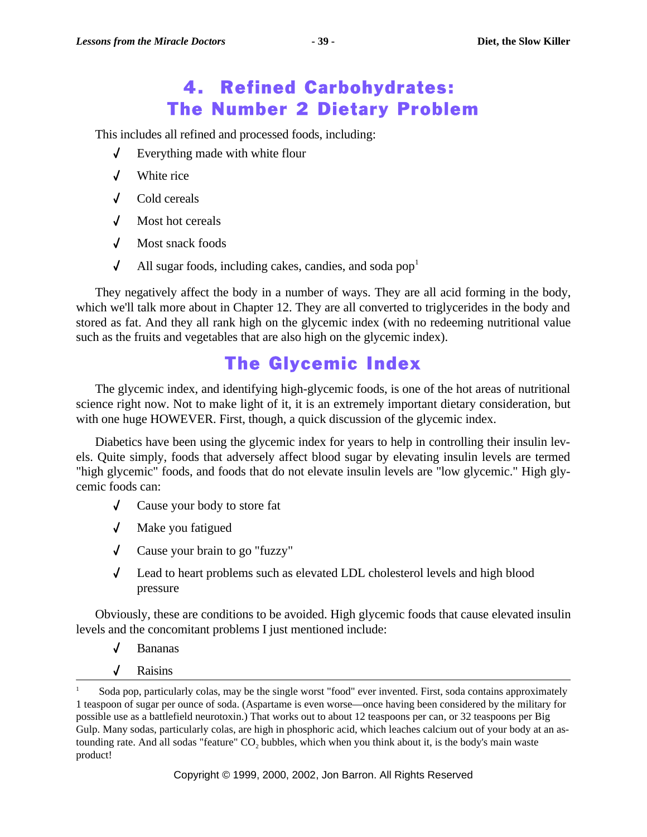# 4. Refined Carbohydrates: The Number 2 Dietary Problem

This includes all refined and processed foods, including:

- $\overline{J}$ Everything made with white flour
- $\overline{J}$ White rice
- $\sqrt{\phantom{a}}$  Cold cereals
- $J$  . Most hot cereals
- $J$  . Most snack foods
- $\sqrt{ }$ All sugar foods, including cakes, candies, and soda  $pop<sup>1</sup>$

They negatively affect the body in a number of ways. They are all acid forming in the body, which we'll talk more about in Chapter 12. They are all converted to triglycerides in the body and stored as fat. And they all rank high on the glycemic index (with no redeeming nutritional value such as the fruits and vegetables that are also high on the glycemic index).

# The Glycemic Index

The glycemic index, and identifying high-glycemic foods, is one of the hot areas of nutritional science right now. Not to make light of it, it is an extremely important dietary consideration, but with one huge HOWEVER. First, though, a quick discussion of the glycemic index.

Diabetics have been using the glycemic index for years to help in controlling their insulin levels. Quite simply, foods that adversely affect blood sugar by elevating insulin levels are termed "high glycemic" foods, and foods that do not elevate insulin levels are "low glycemic." High glycemic foods can:

- $J$ Cause your body to store fat
- $\sqrt{ }$ Make you fatigued
- $\sqrt{ }$ Cause your brain to go "fuzzy"
- $\sqrt{ }$ Lead to heart problems such as elevated LDL cholesterol levels and high blood pressure

Obviously, these are conditions to be avoided. High glycemic foods that cause elevated insulin levels and the concomitant problems I just mentioned include:

- $\sqrt{ }$ Bananas
- $\overline{J}$ Raisins

<sup>1</sup> Soda pop, particularly colas, may be the single worst "food" ever invented. First, soda contains approximately 1 teaspoon of sugar per ounce of soda. (Aspartame is even worse—once having been considered by the military for possible use as a battlefield neurotoxin.) That works out to about 12 teaspoons per can, or 32 teaspoons per Big Gulp. Many sodas, particularly colas, are high in phosphoric acid, which leaches calcium out of your body at an astounding rate. And all sodas "feature" CO<sub>2</sub> bubbles, which when you think about it, is the body's main waste product!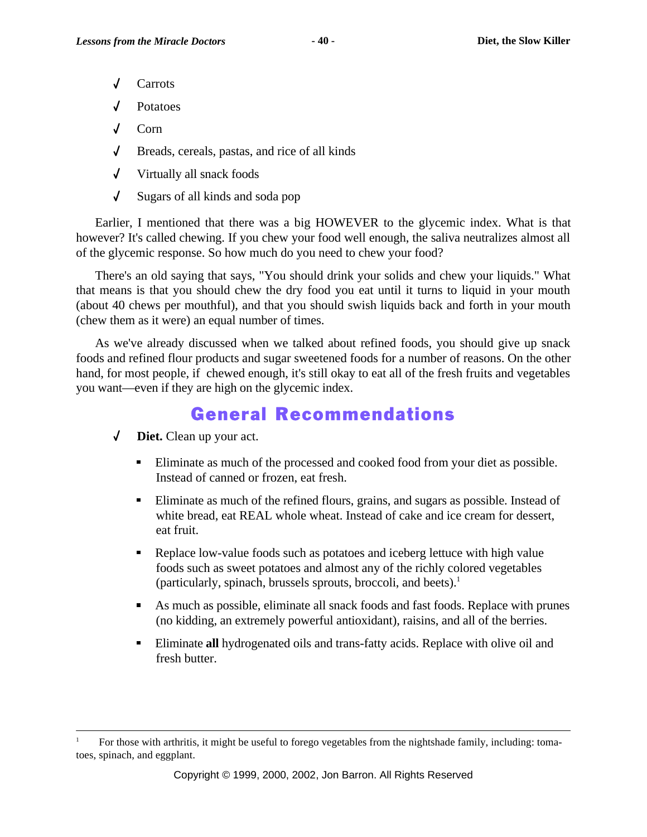- $\overline{J}$ Carrots
- $\sqrt{ }$ Potatoes
- $J$ Corn
- $\sqrt{ }$ Breads, cereals, pastas, and rice of all kinds
- $\sqrt{ }$ Virtually all snack foods
- Sugars of all kinds and soda pop  $\sqrt{ }$

Earlier, I mentioned that there was a big HOWEVER to the glycemic index. What is that however? It's called chewing. If you chew your food well enough, the saliva neutralizes almost all of the glycemic response. So how much do you need to chew your food?

There's an old saying that says, "You should drink your solids and chew your liquids." What that means is that you should chew the dry food you eat until it turns to liquid in your mouth (about 40 chews per mouthful), and that you should swish liquids back and forth in your mouth (chew them as it were) an equal number of times.

As we've already discussed when we talked about refined foods, you should give up snack foods and refined flour products and sugar sweetened foods for a number of reasons. On the other hand, for most people, if chewed enough, it's still okay to eat all of the fresh fruits and vegetables you want—even if they are high on the glycemic index.

## General Recommendations

- **Diet.** Clean up your act.
	- Eliminate as much of the processed and cooked food from your diet as possible. Instead of canned or frozen, eat fresh.
	- $\blacksquare$ Eliminate as much of the refined flours, grains, and sugars as possible. Instead of white bread, eat REAL whole wheat. Instead of cake and ice cream for dessert, eat fruit.
	- $\mathbf{u}$  . Replace low-value foods such as potatoes and iceberg lettuce with high value foods such as sweet potatoes and almost any of the richly colored vegetables (particularly, spinach, brussels sprouts, broccoli, and beets).<sup>1</sup>
	- As much as possible, eliminate all snack foods and fast foods. Replace with prunes (no kidding, an extremely powerful antioxidant), raisins, and all of the berries.
	- $\blacksquare$ Eliminate **all** hydrogenated oils and trans-fatty acids. Replace with olive oil and fresh butter.

<sup>1</sup> For those with arthritis, it might be useful to forego vegetables from the nightshade family, including: tomatoes, spinach, and eggplant.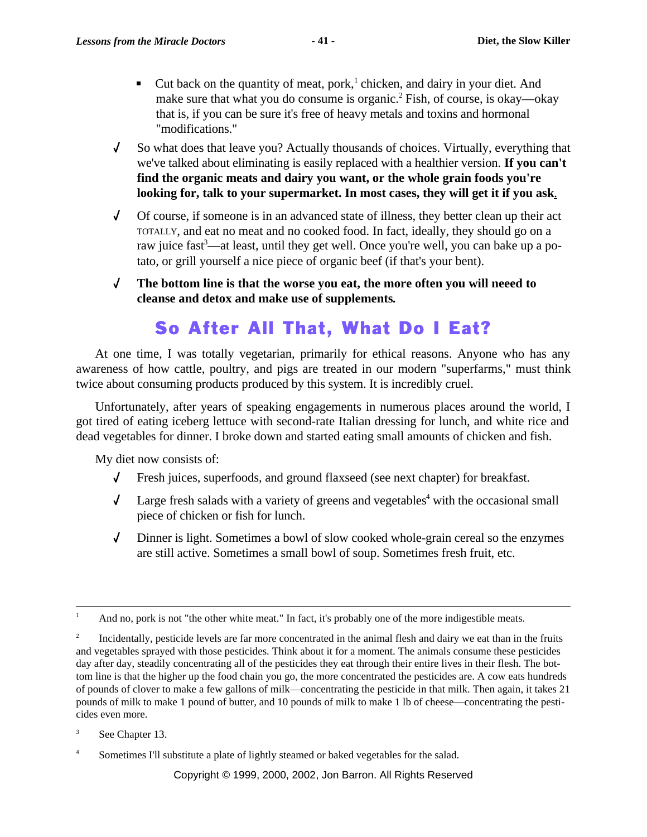- Cut back on the quantity of meat, pork, $<sup>1</sup>$  chicken, and dairy in your diet. And</sup> make sure that what you do consume is organic.<sup>2</sup> Fish, of course, is okay—okay that is, if you can be sure it's free of heavy metals and toxins and hormonal "modifications."
- $\sqrt{ }$ So what does that leave you? Actually thousands of choices. Virtually, everything that we've talked about eliminating is easily replaced with a healthier version. **If you can't find the organic meats and dairy you want, or the whole grain foods you're looking for, talk to your supermarket. In most cases, they will get it if you ask**.
- $\sqrt{ }$ Of course, if someone is in an advanced state of illness, they better clean up their act TOTALLY, and eat no meat and no cooked food. In fact, ideally, they should go on a raw juice fast<sup>3</sup>—at least, until they get well. Once you're well, you can bake up a potato, or grill yourself a nice piece of organic beef (if that's your bent).
- $\sqrt{ }$ **The bottom line is that the worse you eat, the more often you will neeed to cleanse and detox and make use of supplements***.*

# So After All That, What Do I Eat?

At one time, I was totally vegetarian, primarily for ethical reasons. Anyone who has any awareness of how cattle, poultry, and pigs are treated in our modern "superfarms," must think twice about consuming products produced by this system. It is incredibly cruel.

Unfortunately, after years of speaking engagements in numerous places around the world, I got tired of eating iceberg lettuce with second-rate Italian dressing for lunch, and white rice and dead vegetables for dinner. I broke down and started eating small amounts of chicken and fish.

My diet now consists of:

- $\sqrt{ }$ Fresh juices, superfoods, and ground flaxseed (see next chapter) for breakfast.
- Large fresh salads with a variety of greens and vegetables<sup>4</sup> with the occasional small piece of chicken or fish for lunch.
- $\sqrt{ }$ Dinner is light. Sometimes a bowl of slow cooked whole-grain cereal so the enzymes are still active. Sometimes a small bowl of soup. Sometimes fresh fruit, etc.

<sup>4</sup> Sometimes I'll substitute a plate of lightly steamed or baked vegetables for the salad.

And no, pork is not "the other white meat." In fact, it's probably one of the more indigestible meats.

<sup>&</sup>lt;sup>2</sup> Incidentally, pesticide levels are far more concentrated in the animal flesh and dairy we eat than in the fruits and vegetables sprayed with those pesticides. Think about it for a moment. The animals consume these pesticides day after day, steadily concentrating all of the pesticides they eat through their entire lives in their flesh. The bottom line is that the higher up the food chain you go, the more concentrated the pesticides are. A cow eats hundreds of pounds of clover to make a few gallons of milk—concentrating the pesticide in that milk. Then again, it takes 21 pounds of milk to make 1 pound of butter, and 10 pounds of milk to make 1 lb of cheese—concentrating the pesticides even more.

<sup>&</sup>lt;sup>3</sup> See Chapter 13.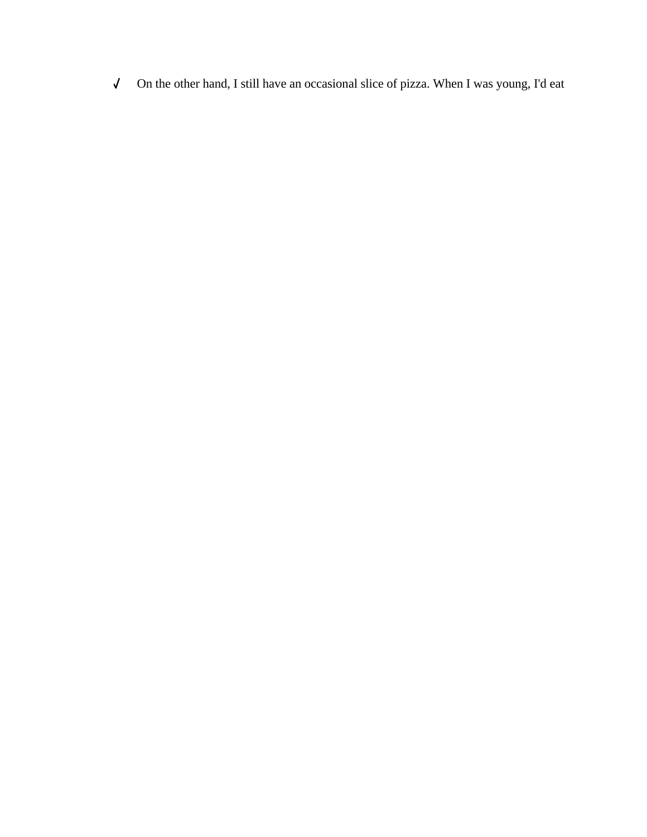$\sqrt{\phantom{a}}$  On the other hand, I still have an occasional slice of pizza. When I was young, I'd eat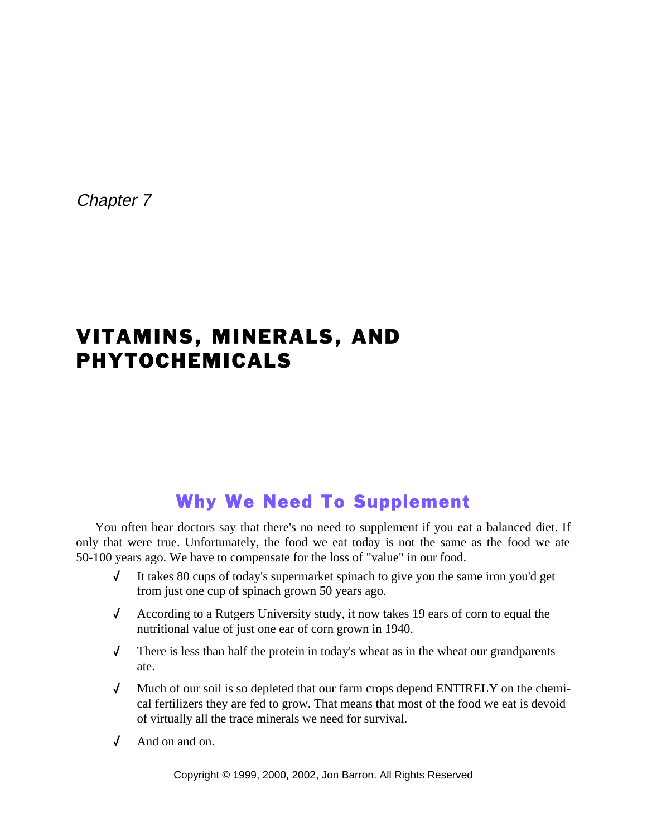Chapter 7

# VITAMINS, MINERALS, AND PHYTOCHEMICALS

# Why We Need To Supplement

You often hear doctors say that there's no need to supplement if you eat a balanced diet. If only that were true. Unfortunately, the food we eat today is not the same as the food we ate 50-100 years ago. We have to compensate for the loss of "value" in our food.

- $\sqrt{ }$ It takes 80 cups of today's supermarket spinach to give you the same iron you'd get from just one cup of spinach grown 50 years ago.
- $\sqrt{ }$ According to a Rutgers University study, it now takes 19 ears of corn to equal the nutritional value of just one ear of corn grown in 1940.
- $\sqrt{ }$ There is less than half the protein in today's wheat as in the wheat our grandparents ate.
- $\sqrt{ }$ Much of our soil is so depleted that our farm crops depend ENTIRELY on the chemical fertilizers they are fed to grow. That means that most of the food we eat is devoid of virtually all the trace minerals we need for survival.
- $\sqrt{ }$ And on and on.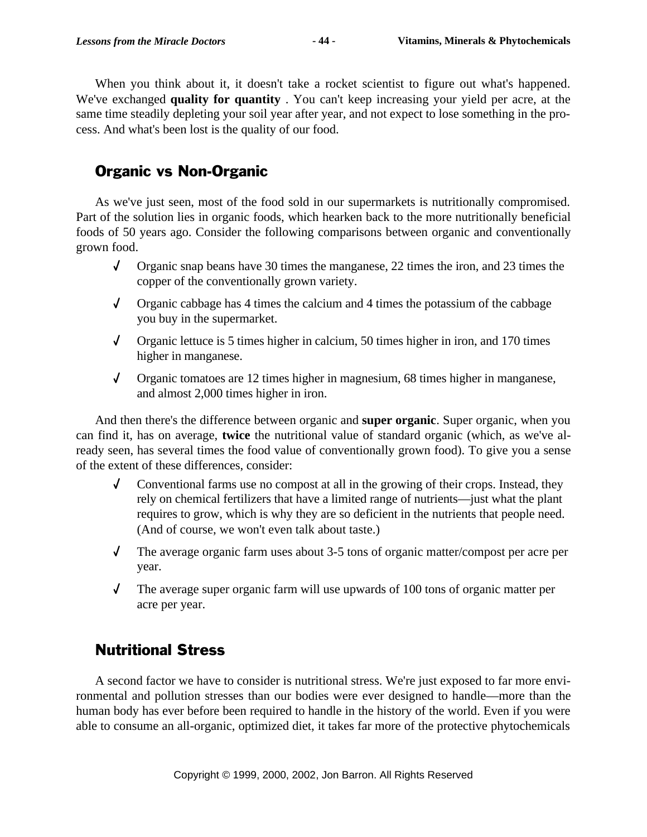When you think about it, it doesn't take a rocket scientist to figure out what's happened. We've exchanged **quality for quantity** . You can't keep increasing your yield per acre, at the same time steadily depleting your soil year after year, and not expect to lose something in the process. And what's been lost is the quality of our food.

### Organic vs Non-Organic

As we've just seen, most of the food sold in our supermarkets is nutritionally compromised. Part of the solution lies in organic foods, which hearken back to the more nutritionally beneficial foods of 50 years ago. Consider the following comparisons between organic and conventionally grown food.

- $\sqrt{\phantom{a}}$  Organic snap beans have 30 times the manganese, 22 times the iron, and 23 times the copper of the conventionally grown variety.
- $\sqrt{\phantom{a}}$  Organic cabbage has 4 times the calcium and 4 times the potassium of the cabbage you buy in the supermarket.
- $\sqrt{\phantom{a}}$  Organic lettuce is 5 times higher in calcium, 50 times higher in iron, and 170 times higher in manganese.
- $\sqrt{\phantom{a}}$  Organic tomatoes are 12 times higher in magnesium, 68 times higher in manganese, and almost 2,000 times higher in iron.

And then there's the difference between organic and **super organic**. Super organic, when you can find it, has on average, **twice** the nutritional value of standard organic (which, as we've already seen, has several times the food value of conventionally grown food). To give you a sense of the extent of these differences, consider:

- $\sqrt{ }$ Conventional farms use no compost at all in the growing of their crops. Instead, they rely on chemical fertilizers that have a limited range of nutrients—just what the plant requires to grow, which is why they are so deficient in the nutrients that people need. (And of course, we won't even talk about taste.)
- $\sqrt{ }$ The average organic farm uses about 3-5 tons of organic matter/compost per acre per year.
- $\sqrt{ }$ The average super organic farm will use upwards of 100 tons of organic matter per acre per year.

### Nutritional Stress

A second factor we have to consider is nutritional stress. We're just exposed to far more environmental and pollution stresses than our bodies were ever designed to handle—more than the human body has ever before been required to handle in the history of the world. Even if you were able to consume an all-organic, optimized diet, it takes far more of the protective phytochemicals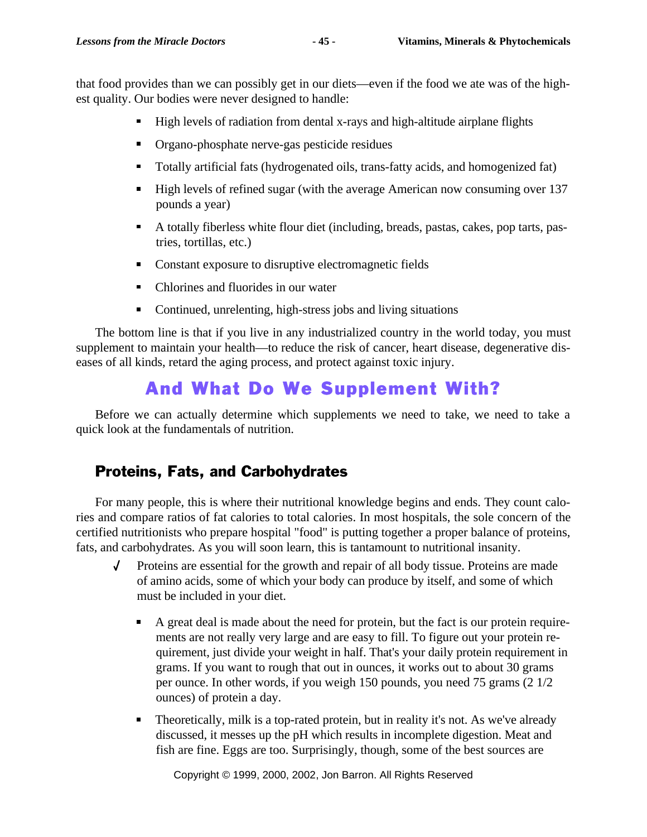that food provides than we can possibly get in our diets—even if the food we ate was of the highest quality. Our bodies were never designed to handle:

- High levels of radiation from dental x-rays and high-altitude airplane flights
- Organo-phosphate nerve-gas pesticide residues
- $\blacksquare$  . Totally artificial fats (hydrogenated oils, trans-fatty acids, and homogenized fat)
- $\mathbf{u}$ High levels of refined sugar (with the average American now consuming over 137 pounds a year)
- A totally fiberless white flour diet (including, breads, pastas, cakes, pop tarts, pastries, tortillas, etc.)
- Constant exposure to disruptive electromagnetic fields
- Chlorines and fluorides in our water  $\mathbf{u}$  .
- $\mathbf{u}$  . Continued, unrelenting, high-stress jobs and living situations

The bottom line is that if you live in any industrialized country in the world today, you must supplement to maintain your health—to reduce the risk of cancer, heart disease, degenerative diseases of all kinds, retard the aging process, and protect against toxic injury.

# And What Do We Supplement With?

Before we can actually determine which supplements we need to take, we need to take a quick look at the fundamentals of nutrition.

### Proteins, Fats, and Carbohydrates

For many people, this is where their nutritional knowledge begins and ends. They count calories and compare ratios of fat calories to total calories. In most hospitals, the sole concern of the certified nutritionists who prepare hospital "food" is putting together a proper balance of proteins, fats, and carbohydrates. As you will soon learn, this is tantamount to nutritional insanity.

- $J$ Proteins are essential for the growth and repair of all body tissue. Proteins are made of amino acids, some of which your body can produce by itself, and some of which must be included in your diet.
	- A great deal is made about the need for protein, but the fact is our protein requirements are not really very large and are easy to fill. To figure out your protein requirement, just divide your weight in half. That's your daily protein requirement in grams. If you want to rough that out in ounces, it works out to about 30 grams per ounce. In other words, if you weigh 150 pounds, you need 75 grams (2 1/2 ounces) of protein a day.
	- Theoretically, milk is a top-rated protein, but in reality it's not. As we've already discussed, it messes up the pH which results in incomplete digestion. Meat and fish are fine. Eggs are too. Surprisingly, though, some of the best sources are

Copyright © 1999, 2000, 2002, Jon Barron. All Rights Reserved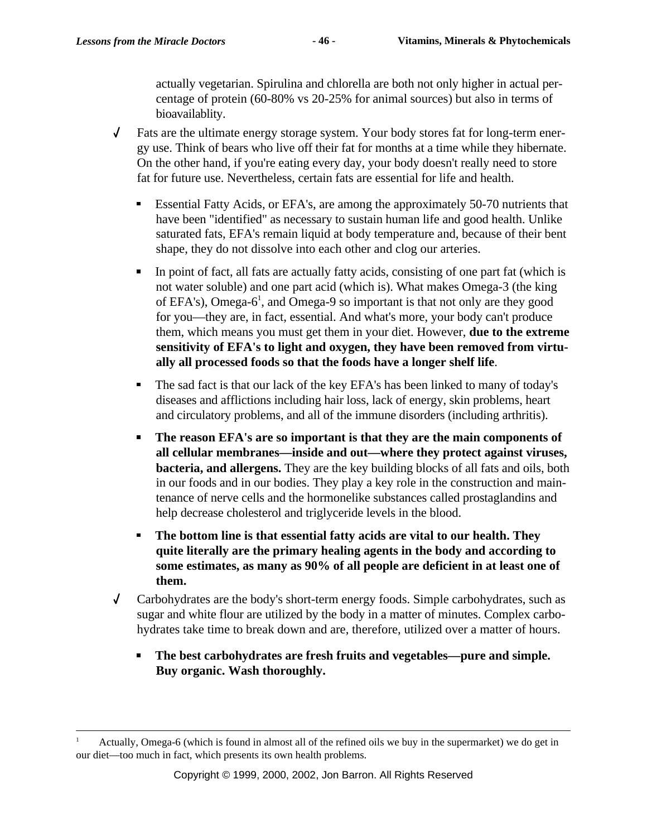actually vegetarian. Spirulina and chlorella are both not only higher in actual percentage of protein (60-80% vs 20-25% for animal sources) but also in terms of bioavailablity.

- $\sqrt{ }$ Fats are the ultimate energy storage system. Your body stores fat for long-term energy use. Think of bears who live off their fat for months at a time while they hibernate. On the other hand, if you're eating every day, your body doesn't really need to store fat for future use. Nevertheless, certain fats are essential for life and health.
	- Essential Fatty Acids, or EFA's, are among the approximately 50-70 nutrients that have been "identified" as necessary to sustain human life and good health. Unlike saturated fats, EFA's remain liquid at body temperature and, because of their bent shape, they do not dissolve into each other and clog our arteries.
	- $\blacksquare$ In point of fact, all fats are actually fatty acids, consisting of one part fat (which is not water soluble) and one part acid (which is). What makes Omega-3 (the king of EFA's), Omega-6<sup>1</sup>, and Omega-9 so important is that not only are they good for you—they are, in fact, essential. And what's more, your body can't produce them, which means you must get them in your diet. However, **due to the extreme sensitivity of EFA's to light and oxygen, they have been removed from virtually all processed foods so that the foods have a longer shelf life**.
	- $\blacksquare$ The sad fact is that our lack of the key EFA's has been linked to many of today's diseases and afflictions including hair loss, lack of energy, skin problems, heart and circulatory problems, and all of the immune disorders (including arthritis).
	- **The reason EFA's are so important is that they are the main components of**  $\blacksquare$ **all cellular membranes—inside and out—where they protect against viruses, bacteria, and allergens.** They are the key building blocks of all fats and oils, both in our foods and in our bodies. They play a key role in the construction and maintenance of nerve cells and the hormonelike substances called prostaglandins and help decrease cholesterol and triglyceride levels in the blood.
	- $\blacksquare$ **The bottom line is that essential fatty acids are vital to our health. They quite literally are the primary healing agents in the body and according to some estimates, as many as 90% of all people are deficient in at least one of them.**
- $\sqrt{ }$ Carbohydrates are the body's short-term energy foods. Simple carbohydrates, such as sugar and white flour are utilized by the body in a matter of minutes. Complex carbohydrates take time to break down and are, therefore, utilized over a matter of hours.
	- $\blacksquare$ **The best carbohydrates are fresh fruits and vegetables—pure and simple. Buy organic. Wash thoroughly.**

<sup>1</sup> Actually, Omega-6 (which is found in almost all of the refined oils we buy in the supermarket) we do get in our diet—too much in fact, which presents its own health problems.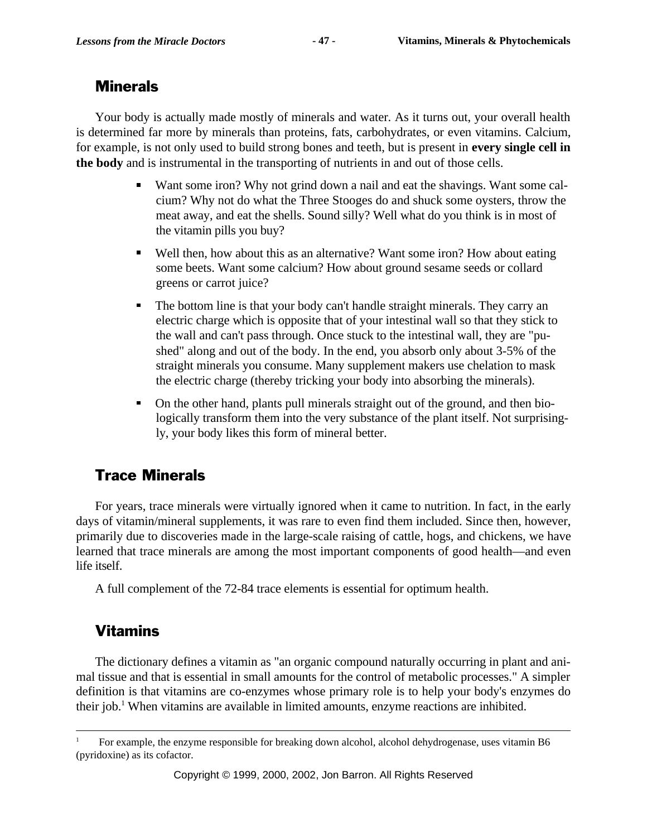### Minerals

Your body is actually made mostly of minerals and water. As it turns out, your overall health is determined far more by minerals than proteins, fats, carbohydrates, or even vitamins. Calcium, for example, is not only used to build strong bones and teeth, but is present in **every single cell in the body** and is instrumental in the transporting of nutrients in and out of those cells.

- $\blacksquare$ Want some iron? Why not grind down a nail and eat the shavings. Want some calcium? Why not do what the Three Stooges do and shuck some oysters, throw the meat away, and eat the shells. Sound silly? Well what do you think is in most of the vitamin pills you buy?
- $\blacksquare$ Well then, how about this as an alternative? Want some iron? How about eating some beets. Want some calcium? How about ground sesame seeds or collard greens or carrot juice?
- $\blacksquare$ The bottom line is that your body can't handle straight minerals. They carry an electric charge which is opposite that of your intestinal wall so that they stick to the wall and can't pass through. Once stuck to the intestinal wall, they are "pushed" along and out of the body. In the end, you absorb only about 3-5% of the straight minerals you consume. Many supplement makers use chelation to mask the electric charge (thereby tricking your body into absorbing the minerals).
- $\blacksquare$ On the other hand, plants pull minerals straight out of the ground, and then biologically transform them into the very substance of the plant itself. Not surprisingly, your body likes this form of mineral better.

### Trace Minerals

For years, trace minerals were virtually ignored when it came to nutrition. In fact, in the early days of vitamin/mineral supplements, it was rare to even find them included. Since then, however, primarily due to discoveries made in the large-scale raising of cattle, hogs, and chickens, we have learned that trace minerals are among the most important components of good health—and even life itself.

A full complement of the 72-84 trace elements is essential for optimum health.

### **Vitamins**

The dictionary defines a vitamin as "an organic compound naturally occurring in plant and animal tissue and that is essential in small amounts for the control of metabolic processes." A simpler definition is that vitamins are co-enzymes whose primary role is to help your body's enzymes do their job.<sup>1</sup> When vitamins are available in limited amounts, enzyme reactions are inhibited.

<sup>1</sup> For example, the enzyme responsible for breaking down alcohol, alcohol dehydrogenase, uses vitamin B6 (pyridoxine) as its cofactor.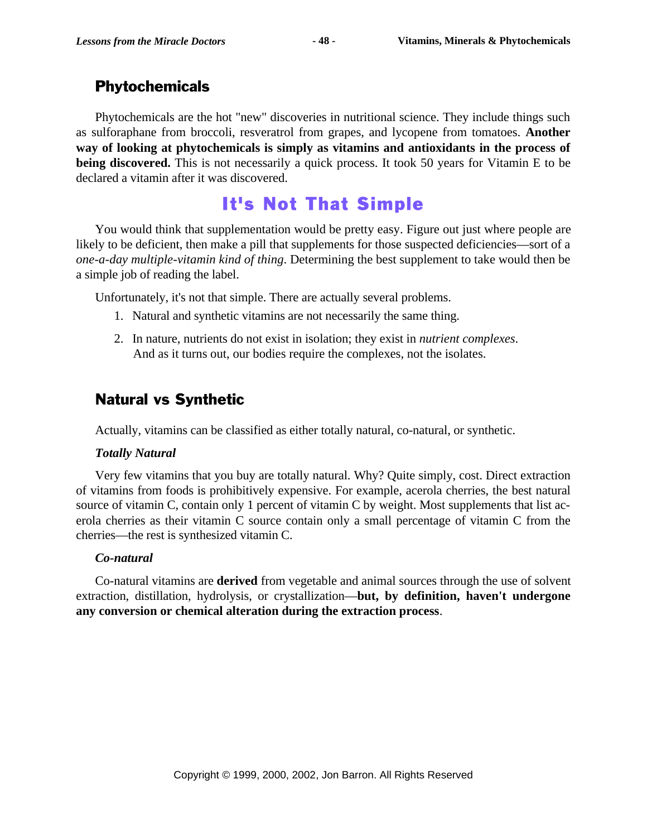### Phytochemicals

Phytochemicals are the hot "new" discoveries in nutritional science. They include things such as sulforaphane from broccoli, resveratrol from grapes, and lycopene from tomatoes. **Another way of looking at phytochemicals is simply as vitamins and antioxidants in the process of being discovered.** This is not necessarily a quick process. It took 50 years for Vitamin E to be declared a vitamin after it was discovered.

# It's Not That Simple

You would think that supplementation would be pretty easy. Figure out just where people are likely to be deficient, then make a pill that supplements for those suspected deficiencies—sort of a *one-a-day multiple-vitamin kind of thing*. Determining the best supplement to take would then be a simple job of reading the label.

Unfortunately, it's not that simple. There are actually several problems.

- 1. Natural and synthetic vitamins are not necessarily the same thing.
- 2. In nature, nutrients do not exist in isolation; they exist in *nutrient complexes*. And as it turns out, our bodies require the complexes, not the isolates.

### Natural vs Synthetic

Actually, vitamins can be classified as either totally natural, co-natural, or synthetic.

#### *Totally Natural*

Very few vitamins that you buy are totally natural. Why? Quite simply, cost. Direct extraction of vitamins from foods is prohibitively expensive. For example, acerola cherries, the best natural source of vitamin C, contain only 1 percent of vitamin C by weight. Most supplements that list acerola cherries as their vitamin C source contain only a small percentage of vitamin C from the cherries—the rest is synthesized vitamin C.

#### *Co-natural*

Co-natural vitamins are **derived** from vegetable and animal sources through the use of solvent extraction, distillation, hydrolysis, or crystallization—**but, by definition, haven't undergone any conversion or chemical alteration during the extraction process**.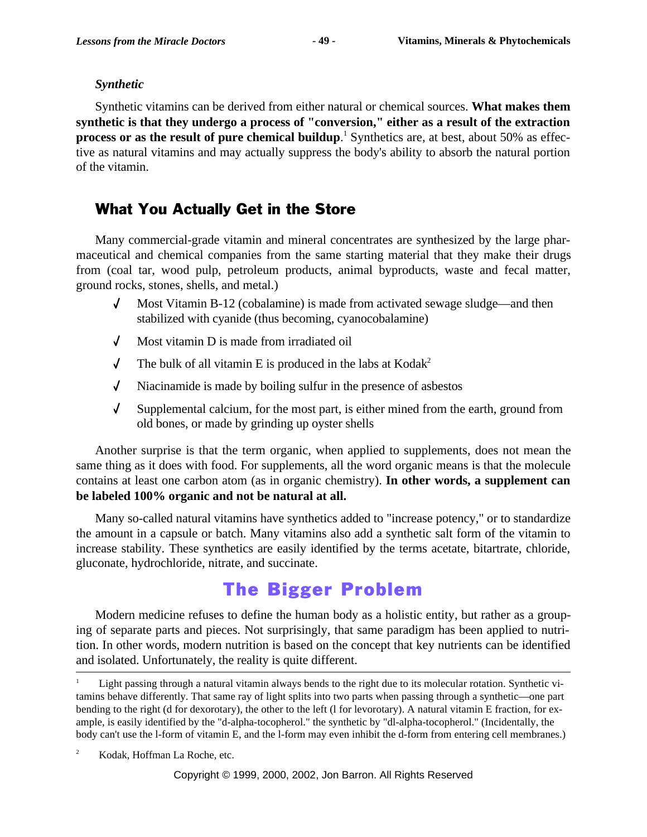#### *Synthetic*

Synthetic vitamins can be derived from either natural or chemical sources. **What makes them synthetic is that they undergo a process of "conversion," either as a result of the extraction process or as the result of pure chemical buildup.** Synthetics are, at best, about 50% as effective as natural vitamins and may actually suppress the body's ability to absorb the natural portion of the vitamin.

#### What You Actually Get in the Store

Many commercial-grade vitamin and mineral concentrates are synthesized by the large pharmaceutical and chemical companies from the same starting material that they make their drugs from (coal tar, wood pulp, petroleum products, animal byproducts, waste and fecal matter, ground rocks, stones, shells, and metal.)

- $\sqrt{2}$ Most Vitamin B-12 (cobalamine) is made from activated sewage sludge—and then stabilized with cyanide (thus becoming, cyanocobalamine)
- $\sqrt{ }$ Most vitamin D is made from irradiated oil
- $\sqrt{ }$ The bulk of all vitamin E is produced in the labs at  $Kodak<sup>2</sup>$
- $\sqrt{ }$ Niacinamide is made by boiling sulfur in the presence of asbestos
- $\sqrt{ }$ Supplemental calcium, for the most part, is either mined from the earth, ground from old bones, or made by grinding up oyster shells

Another surprise is that the term organic, when applied to supplements, does not mean the same thing as it does with food. For supplements, all the word organic means is that the molecule contains at least one carbon atom (as in organic chemistry). **In other words, a supplement can be labeled 100% organic and not be natural at all.**

Many so-called natural vitamins have synthetics added to "increase potency," or to standardize the amount in a capsule or batch. Many vitamins also add a synthetic salt form of the vitamin to increase stability. These synthetics are easily identified by the terms acetate, bitartrate, chloride, gluconate, hydrochloride, nitrate, and succinate.

### The Bigger Problem

Modern medicine refuses to define the human body as a holistic entity, but rather as a grouping of separate parts and pieces. Not surprisingly, that same paradigm has been applied to nutrition. In other words, modern nutrition is based on the concept that key nutrients can be identified and isolated. Unfortunately, the reality is quite different.

<sup>1</sup> Light passing through a natural vitamin always bends to the right due to its molecular rotation. Synthetic vitamins behave differently. That same ray of light splits into two parts when passing through a synthetic—one part bending to the right (d for dexorotary), the other to the left (l for levorotary). A natural vitamin E fraction, for example, is easily identified by the "d-alpha-tocopherol." the synthetic by "dl-alpha-tocopherol." (Incidentally, the body can't use the l-form of vitamin E, and the l-form may even inhibit the d-form from entering cell membranes.)

<sup>&</sup>lt;sup>2</sup> Kodak, Hoffman La Roche, etc.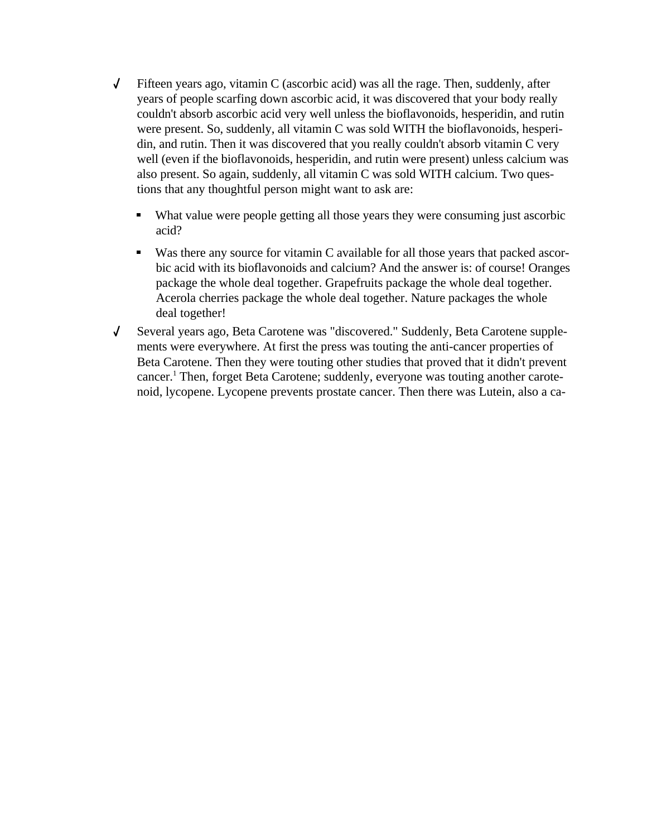- $\sqrt{ }$ Fifteen years ago, vitamin C (ascorbic acid) was all the rage. Then, suddenly, after years of people scarfing down ascorbic acid, it was discovered that your body really couldn't absorb ascorbic acid very well unless the bioflavonoids, hesperidin, and rutin were present. So, suddenly, all vitamin C was sold WITH the bioflavonoids, hesperidin, and rutin. Then it was discovered that you really couldn't absorb vitamin C very well (even if the bioflavonoids, hesperidin, and rutin were present) unless calcium was also present. So again, suddenly, all vitamin C was sold WITH calcium. Two questions that any thoughtful person might want to ask are:
	- What value were people getting all those years they were consuming just ascorbic acid?
	- Was there any source for vitamin C available for all those years that packed ascorbic acid with its bioflavonoids and calcium? And the answer is: of course! Oranges package the whole deal together. Grapefruits package the whole deal together. Acerola cherries package the whole deal together. Nature packages the whole deal together!
- $\sqrt{ }$ Several years ago, Beta Carotene was "discovered." Suddenly, Beta Carotene supplements were everywhere. At first the press was touting the anti-cancer properties of Beta Carotene. Then they were touting other studies that proved that it didn't prevent cancer.<sup>1</sup> Then, forget Beta Carotene; suddenly, everyone was touting another carotenoid, lycopene. Lycopene prevents prostate cancer. Then there was Lutein, also a ca-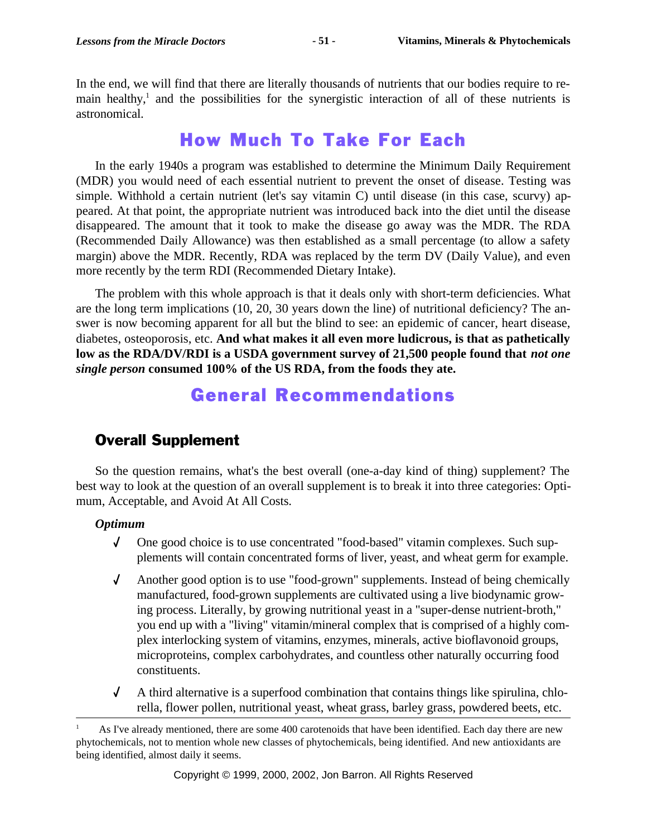In the end, we will find that there are literally thousands of nutrients that our bodies require to remain healthy,<sup>1</sup> and the possibilities for the synergistic interaction of all of these nutrients is astronomical.

# How Much To Take For Each

In the early 1940s a program was established to determine the Minimum Daily Requirement (MDR) you would need of each essential nutrient to prevent the onset of disease. Testing was simple. Withhold a certain nutrient (let's say vitamin C) until disease (in this case, scurvy) appeared. At that point, the appropriate nutrient was introduced back into the diet until the disease disappeared. The amount that it took to make the disease go away was the MDR. The RDA (Recommended Daily Allowance) was then established as a small percentage (to allow a safety margin) above the MDR. Recently, RDA was replaced by the term DV (Daily Value), and even more recently by the term RDI (Recommended Dietary Intake).

The problem with this whole approach is that it deals only with short-term deficiencies. What are the long term implications (10, 20, 30 years down the line) of nutritional deficiency? The answer is now becoming apparent for all but the blind to see: an epidemic of cancer, heart disease, diabetes, osteoporosis, etc. **And what makes it all even more ludicrous, is that as pathetically low as the RDA/DV/RDI is a USDA government survey of 21,500 people found that** *not one single person* **consumed 100% of the US RDA, from the foods they ate.**

# General Recommendations

### Overall Supplement

So the question remains, what's the best overall (one-a-day kind of thing) supplement? The best way to look at the question of an overall supplement is to break it into three categories: Optimum, Acceptable, and Avoid At All Costs.

#### *Optimum*

- $\sqrt{ }$ One good choice is to use concentrated "food-based" vitamin complexes. Such supplements will contain concentrated forms of liver, yeast, and wheat germ for example.
- $\sqrt{ }$ Another good option is to use "food-grown" supplements. Instead of being chemically manufactured, food-grown supplements are cultivated using a live biodynamic growing process. Literally, by growing nutritional yeast in a "super-dense nutrient-broth," you end up with a "living" vitamin/mineral complex that is comprised of a highly complex interlocking system of vitamins, enzymes, minerals, active bioflavonoid groups, microproteins, complex carbohydrates, and countless other naturally occurring food constituents.
- $\sqrt{ }$ A third alternative is a superfood combination that contains things like spirulina, chlorella, flower pollen, nutritional yeast, wheat grass, barley grass, powdered beets, etc.

<sup>1</sup> As I've already mentioned, there are some 400 carotenoids that have been identified. Each day there are new phytochemicals, not to mention whole new classes of phytochemicals, being identified. And new antioxidants are being identified, almost daily it seems.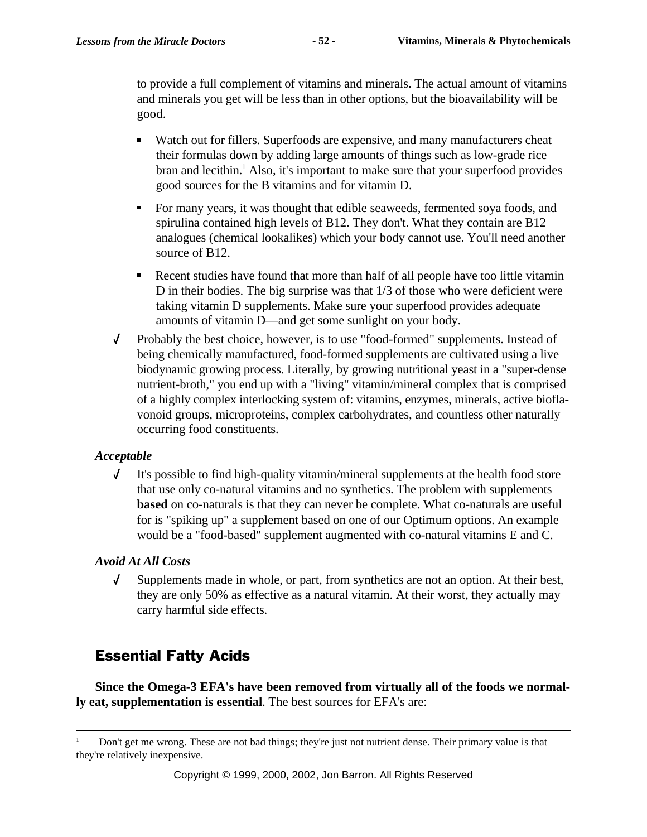to provide a full complement of vitamins and minerals. The actual amount of vitamins and minerals you get will be less than in other options, but the bioavailability will be good.

- Watch out for fillers. Superfoods are expensive, and many manufacturers cheat their formulas down by adding large amounts of things such as low-grade rice bran and lecithin.<sup>1</sup> Also, it's important to make sure that your superfood provides good sources for the B vitamins and for vitamin D.
- $\blacksquare$  . For many years, it was thought that edible seaweeds, fermented soya foods, and spirulina contained high levels of B12. They don't. What they contain are B12 analogues (chemical lookalikes) which your body cannot use. You'll need another source of B12.
- Recent studies have found that more than half of all people have too little vitamin D in their bodies. The big surprise was that 1/3 of those who were deficient were taking vitamin D supplements. Make sure your superfood provides adequate amounts of vitamin D—and get some sunlight on your body.
- Probably the best choice, however, is to use "food-formed" supplements. Instead of  $\sqrt{ }$ being chemically manufactured, food-formed supplements are cultivated using a live biodynamic growing process. Literally, by growing nutritional yeast in a "super-dense nutrient-broth," you end up with a "living" vitamin/mineral complex that is comprised of a highly complex interlocking system of: vitamins, enzymes, minerals, active bioflavonoid groups, microproteins, complex carbohydrates, and countless other naturally occurring food constituents.

#### *Acceptable*

 $\overline{J}$ It's possible to find high-quality vitamin/mineral supplements at the health food store that use only co-natural vitamins and no synthetics. The problem with supplements **based** on co-naturals is that they can never be complete. What co-naturals are useful for is "spiking up" a supplement based on one of our Optimum options. An example would be a "food-based" supplement augmented with co-natural vitamins E and C.

#### *Avoid At All Costs*

 $\sqrt{ }$ Supplements made in whole, or part, from synthetics are not an option. At their best, they are only 50% as effective as a natural vitamin. At their worst, they actually may carry harmful side effects.

### Essential Fatty Acids

**Since the Omega-3 EFA's have been removed from virtually all of the foods we normally eat, supplementation is essential**. The best sources for EFA's are:

<sup>1</sup> Don't get me wrong. These are not bad things; they're just not nutrient dense. Their primary value is that they're relatively inexpensive.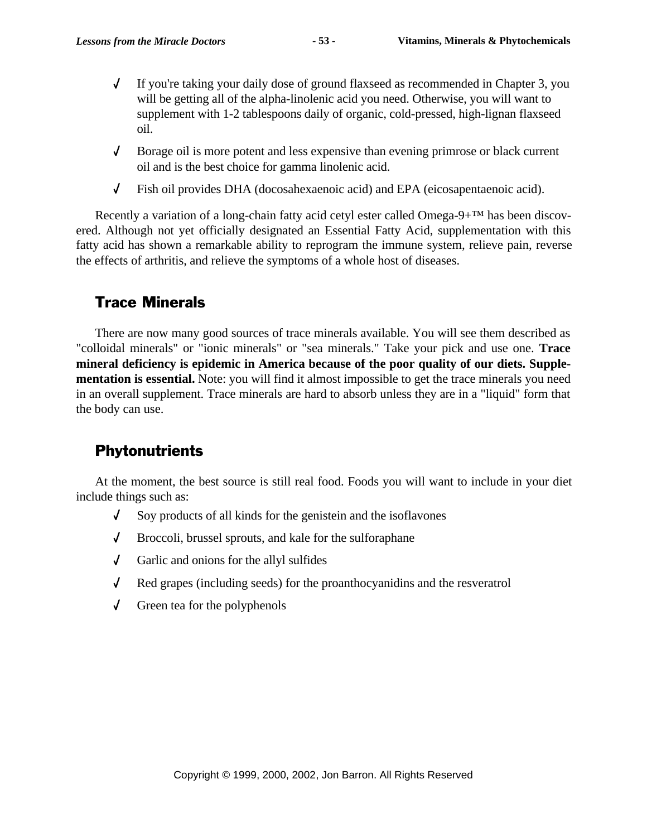- $\sqrt{ }$ If you're taking your daily dose of ground flaxseed as recommended in Chapter 3, you will be getting all of the alpha-linolenic acid you need. Otherwise, you will want to supplement with 1-2 tablespoons daily of organic, cold-pressed, high-lignan flaxseed oil.
- $\sqrt{ }$ Borage oil is more potent and less expensive than evening primrose or black current oil and is the best choice for gamma linolenic acid.
- $\sqrt{ }$ Fish oil provides DHA (docosahexaenoic acid) and EPA (eicosapentaenoic acid).

Recently a variation of a long-chain fatty acid cetyl ester called Omega-9+™ has been discovered. Although not yet officially designated an Essential Fatty Acid, supplementation with this fatty acid has shown a remarkable ability to reprogram the immune system, relieve pain, reverse the effects of arthritis, and relieve the symptoms of a whole host of diseases.

### Trace Minerals

There are now many good sources of trace minerals available. You will see them described as "colloidal minerals" or "ionic minerals" or "sea minerals." Take your pick and use one. **Trace mineral deficiency is epidemic in America because of the poor quality of our diets. Supplementation is essential.** Note: you will find it almost impossible to get the trace minerals you need in an overall supplement. Trace minerals are hard to absorb unless they are in a "liquid" form that the body can use.

### **Phytonutrients**

At the moment, the best source is still real food. Foods you will want to include in your diet include things such as:

- $J$ Soy products of all kinds for the genistein and the isoflavones
- $\sqrt{ }$ Broccoli, brussel sprouts, and kale for the sulforaphane
- $J$ Garlic and onions for the allyl sulfides
- $J$ Red grapes (including seeds) for the proanthocyanidins and the resveratrol
- $\sqrt{ }$ Green tea for the polyphenols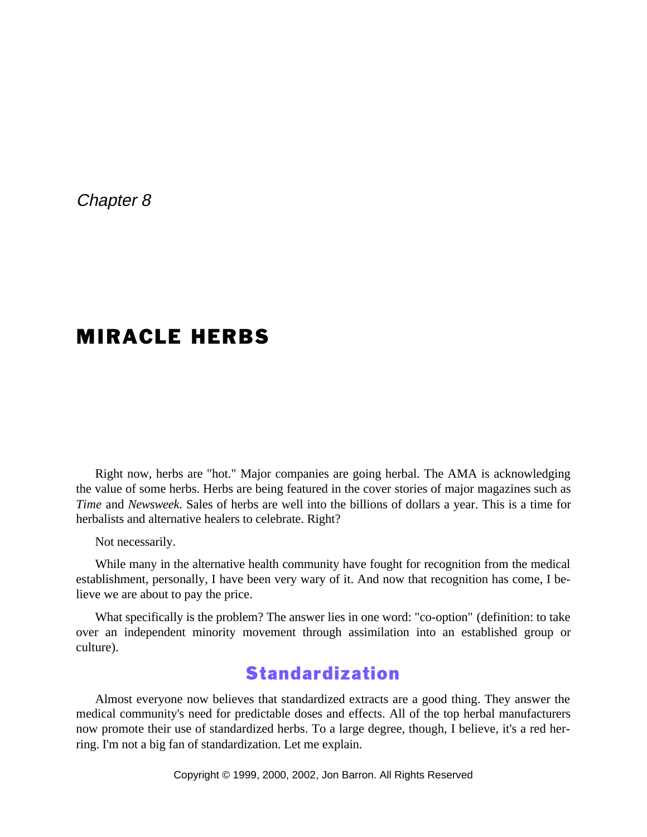Chapter 8

# MIRACLE HERBS

Right now, herbs are "hot." Major companies are going herbal. The AMA is acknowledging the value of some herbs. Herbs are being featured in the cover stories of major magazines such as *Time* and *Newsweek*. Sales of herbs are well into the billions of dollars a year. This is a time for herbalists and alternative healers to celebrate. Right?

Not necessarily.

While many in the alternative health community have fought for recognition from the medical establishment, personally, I have been very wary of it. And now that recognition has come, I believe we are about to pay the price.

What specifically is the problem? The answer lies in one word: "co-option" (definition: to take over an independent minority movement through assimilation into an established group or culture).

### Standardization

Almost everyone now believes that standardized extracts are a good thing. They answer the medical community's need for predictable doses and effects. All of the top herbal manufacturers now promote their use of standardized herbs. To a large degree, though, I believe, it's a red herring. I'm not a big fan of standardization. Let me explain.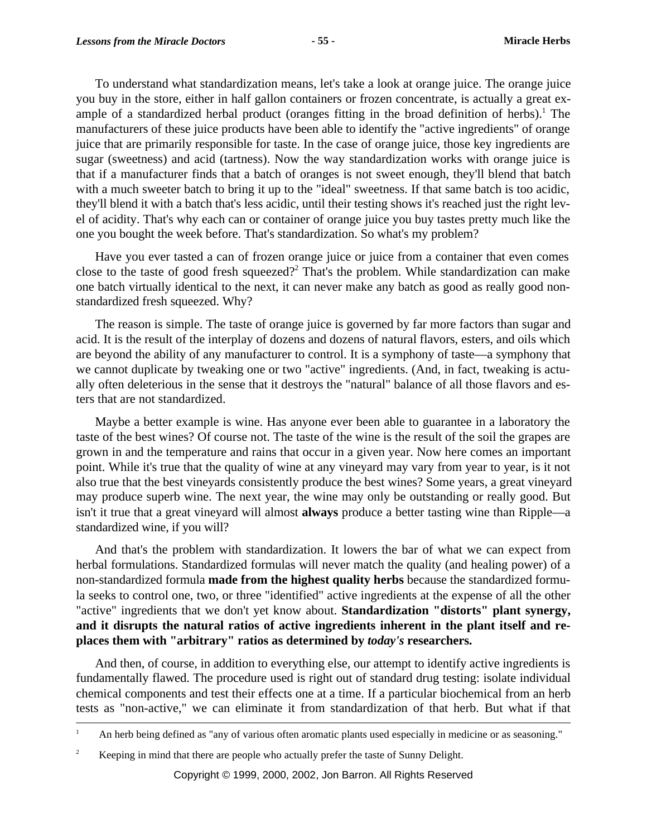To understand what standardization means, let's take a look at orange juice. The orange juice you buy in the store, either in half gallon containers or frozen concentrate, is actually a great example of a standardized herbal product (oranges fitting in the broad definition of herbs).<sup>1</sup> The manufacturers of these juice products have been able to identify the "active ingredients" of orange juice that are primarily responsible for taste. In the case of orange juice, those key ingredients are sugar (sweetness) and acid (tartness). Now the way standardization works with orange juice is that if a manufacturer finds that a batch of oranges is not sweet enough, they'll blend that batch with a much sweeter batch to bring it up to the "ideal" sweetness. If that same batch is too acidic, they'll blend it with a batch that's less acidic, until their testing shows it's reached just the right level of acidity. That's why each can or container of orange juice you buy tastes pretty much like the one you bought the week before. That's standardization. So what's my problem?

Have you ever tasted a can of frozen orange juice or juice from a container that even comes close to the taste of good fresh squeezed?<sup>2</sup> That's the problem. While standardization can make one batch virtually identical to the next, it can never make any batch as good as really good nonstandardized fresh squeezed. Why?

The reason is simple. The taste of orange juice is governed by far more factors than sugar and acid. It is the result of the interplay of dozens and dozens of natural flavors, esters, and oils which are beyond the ability of any manufacturer to control. It is a symphony of taste—a symphony that we cannot duplicate by tweaking one or two "active" ingredients. (And, in fact, tweaking is actually often deleterious in the sense that it destroys the "natural" balance of all those flavors and esters that are not standardized.

Maybe a better example is wine. Has anyone ever been able to guarantee in a laboratory the taste of the best wines? Of course not. The taste of the wine is the result of the soil the grapes are grown in and the temperature and rains that occur in a given year. Now here comes an important point. While it's true that the quality of wine at any vineyard may vary from year to year, is it not also true that the best vineyards consistently produce the best wines? Some years, a great vineyard may produce superb wine. The next year, the wine may only be outstanding or really good. But isn't it true that a great vineyard will almost **always** produce a better tasting wine than Ripple—a standardized wine, if you will?

And that's the problem with standardization. It lowers the bar of what we can expect from herbal formulations. Standardized formulas will never match the quality (and healing power) of a non-standardized formula **made from the highest quality herbs** because the standardized formula seeks to control one, two, or three "identified" active ingredients at the expense of all the other "active" ingredients that we don't yet know about. **Standardization "distorts" plant synergy, and it disrupts the natural ratios of active ingredients inherent in the plant itself and replaces them with "arbitrary" ratios as determined by** *today's* **researchers.**

And then, of course, in addition to everything else, our attempt to identify active ingredients is fundamentally flawed. The procedure used is right out of standard drug testing: isolate individual chemical components and test their effects one at a time. If a particular biochemical from an herb tests as "non-active," we can eliminate it from standardization of that herb. But what if that

<sup>1</sup> An herb being defined as "any of various often aromatic plants used especially in medicine or as seasoning."

<sup>&</sup>lt;sup>2</sup> Keeping in mind that there are people who actually prefer the taste of Sunny Delight.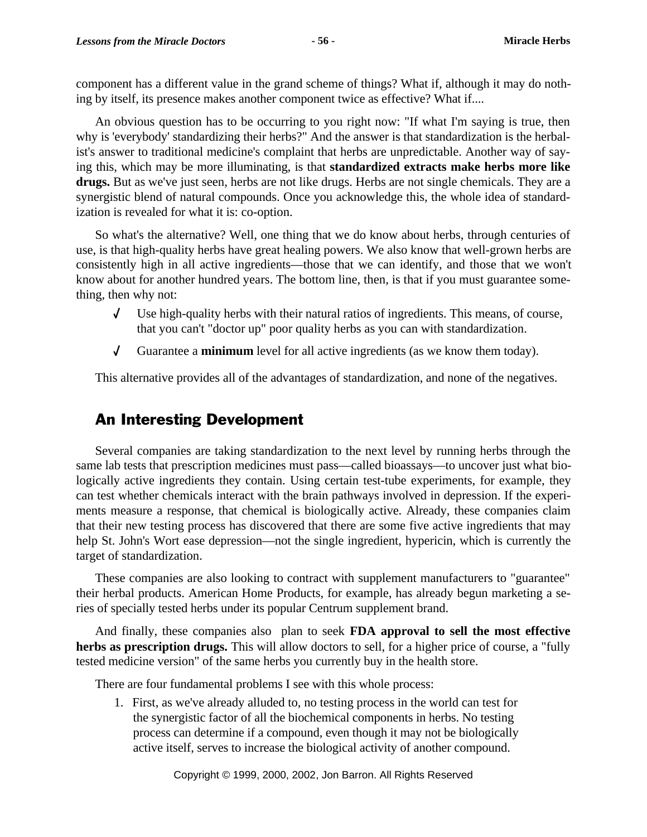component has a different value in the grand scheme of things? What if, although it may do nothing by itself, its presence makes another component twice as effective? What if....

An obvious question has to be occurring to you right now: "If what I'm saying is true, then why is 'everybody' standardizing their herbs?" And the answer is that standardization is the herbalist's answer to traditional medicine's complaint that herbs are unpredictable. Another way of saying this, which may be more illuminating, is that **standardized extracts make herbs more like drugs.** But as we've just seen, herbs are not like drugs. Herbs are not single chemicals. They are a synergistic blend of natural compounds. Once you acknowledge this, the whole idea of standardization is revealed for what it is: co-option.

So what's the alternative? Well, one thing that we do know about herbs, through centuries of use, is that high-quality herbs have great healing powers. We also know that well-grown herbs are consistently high in all active ingredients—those that we can identify, and those that we won't know about for another hundred years. The bottom line, then, is that if you must guarantee something, then why not:

- $\sqrt{ }$ Use high-quality herbs with their natural ratios of ingredients. This means, of course, that you can't "doctor up" poor quality herbs as you can with standardization.
- $J$ Guarantee a **minimum** level for all active ingredients (as we know them today).

This alternative provides all of the advantages of standardization, and none of the negatives.

### An Interesting Development

Several companies are taking standardization to the next level by running herbs through the same lab tests that prescription medicines must pass—called bioassays—to uncover just what biologically active ingredients they contain. Using certain test-tube experiments, for example, they can test whether chemicals interact with the brain pathways involved in depression. If the experiments measure a response, that chemical is biologically active. Already, these companies claim that their new testing process has discovered that there are some five active ingredients that may help St. John's Wort ease depression—not the single ingredient, hypericin, which is currently the target of standardization.

These companies are also looking to contract with supplement manufacturers to "guarantee" their herbal products. American Home Products, for example, has already begun marketing a series of specially tested herbs under its popular Centrum supplement brand.

And finally, these companies also plan to seek **FDA approval to sell the most effective herbs as prescription drugs.** This will allow doctors to sell, for a higher price of course, a "fully tested medicine version" of the same herbs you currently buy in the health store.

There are four fundamental problems I see with this whole process:

1. First, as we've already alluded to, no testing process in the world can test for the synergistic factor of all the biochemical components in herbs. No testing process can determine if a compound, even though it may not be biologically active itself, serves to increase the biological activity of another compound.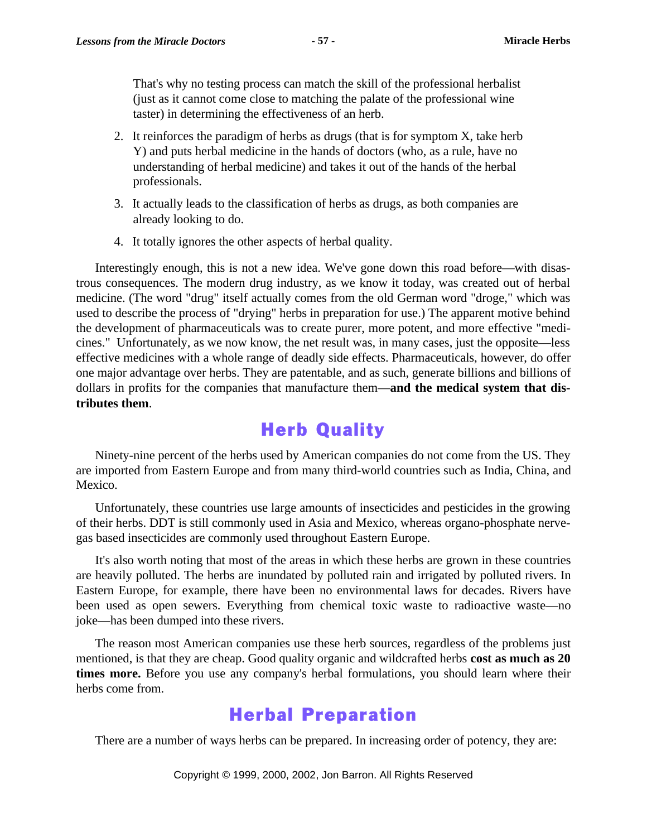That's why no testing process can match the skill of the professional herbalist (just as it cannot come close to matching the palate of the professional wine taster) in determining the effectiveness of an herb.

- 2. It reinforces the paradigm of herbs as drugs (that is for symptom X, take herb Y) and puts herbal medicine in the hands of doctors (who, as a rule, have no understanding of herbal medicine) and takes it out of the hands of the herbal professionals.
- 3. It actually leads to the classification of herbs as drugs, as both companies are already looking to do.
- 4. It totally ignores the other aspects of herbal quality.

Interestingly enough, this is not a new idea. We've gone down this road before—with disastrous consequences. The modern drug industry, as we know it today, was created out of herbal medicine. (The word "drug" itself actually comes from the old German word "droge," which was used to describe the process of "drying" herbs in preparation for use.) The apparent motive behind the development of pharmaceuticals was to create purer, more potent, and more effective "medicines." Unfortunately, as we now know, the net result was, in many cases, just the opposite—less effective medicines with a whole range of deadly side effects. Pharmaceuticals, however, do offer one major advantage over herbs. They are patentable, and as such, generate billions and billions of dollars in profits for the companies that manufacture them—**and the medical system that distributes them**.

### Herb Quality

Ninety-nine percent of the herbs used by American companies do not come from the US. They are imported from Eastern Europe and from many third-world countries such as India, China, and Mexico.

Unfortunately, these countries use large amounts of insecticides and pesticides in the growing of their herbs. DDT is still commonly used in Asia and Mexico, whereas organo-phosphate nervegas based insecticides are commonly used throughout Eastern Europe.

It's also worth noting that most of the areas in which these herbs are grown in these countries are heavily polluted. The herbs are inundated by polluted rain and irrigated by polluted rivers. In Eastern Europe, for example, there have been no environmental laws for decades. Rivers have been used as open sewers. Everything from chemical toxic waste to radioactive waste—no joke—has been dumped into these rivers.

The reason most American companies use these herb sources, regardless of the problems just mentioned, is that they are cheap. Good quality organic and wildcrafted herbs **cost as much as 20 times more.** Before you use any company's herbal formulations, you should learn where their herbs come from.

### Herbal Preparation

There are a number of ways herbs can be prepared. In increasing order of potency, they are: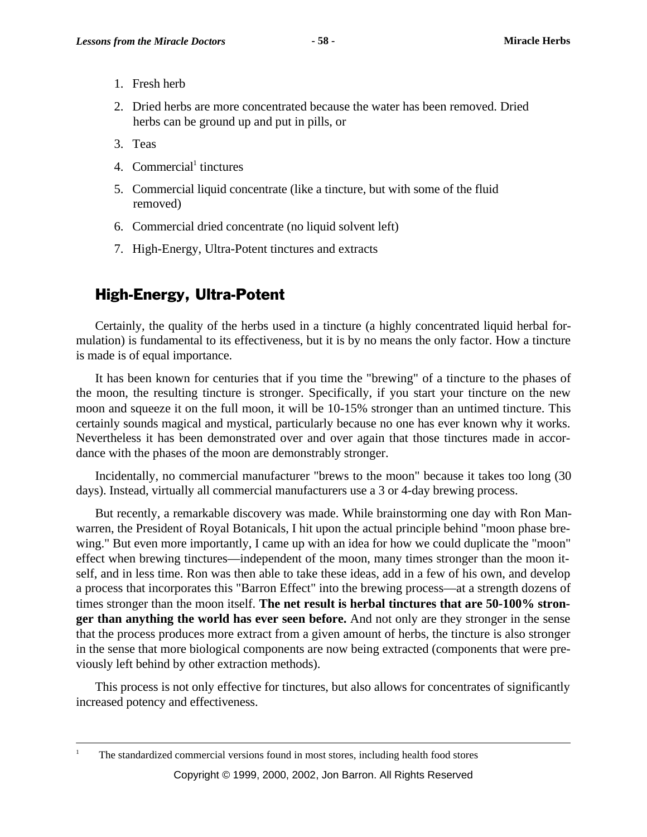- 1. Fresh herb
- 2. Dried herbs are more concentrated because the water has been removed. Dried herbs can be ground up and put in pills, or
- 3. Teas
- 4. Commercial<sup>1</sup> tinctures
- 5. Commercial liquid concentrate (like a tincture, but with some of the fluid removed)
- 6. Commercial dried concentrate (no liquid solvent left)
- 7. High-Energy, Ultra-Potent tinctures and extracts

### High-Energy, Ultra-Potent

Certainly, the quality of the herbs used in a tincture (a highly concentrated liquid herbal formulation) is fundamental to its effectiveness, but it is by no means the only factor. How a tincture is made is of equal importance.

It has been known for centuries that if you time the "brewing" of a tincture to the phases of the moon, the resulting tincture is stronger. Specifically, if you start your tincture on the new moon and squeeze it on the full moon, it will be 10-15% stronger than an untimed tincture. This certainly sounds magical and mystical, particularly because no one has ever known why it works. Nevertheless it has been demonstrated over and over again that those tinctures made in accordance with the phases of the moon are demonstrably stronger.

Incidentally, no commercial manufacturer "brews to the moon" because it takes too long (30 days). Instead, virtually all commercial manufacturers use a 3 or 4-day brewing process.

But recently, a remarkable discovery was made. While brainstorming one day with Ron Manwarren, the President of Royal Botanicals, I hit upon the actual principle behind "moon phase brewing." But even more importantly, I came up with an idea for how we could duplicate the "moon" effect when brewing tinctures—independent of the moon, many times stronger than the moon itself, and in less time. Ron was then able to take these ideas, add in a few of his own, and develop a process that incorporates this "Barron Effect" into the brewing process—at a strength dozens of times stronger than the moon itself. **The net result is herbal tinctures that are 50-100% stronger than anything the world has ever seen before.** And not only are they stronger in the sense that the process produces more extract from a given amount of herbs, the tincture is also stronger in the sense that more biological components are now being extracted (components that were previously left behind by other extraction methods).

This process is not only effective for tinctures, but also allows for concentrates of significantly increased potency and effectiveness.

<sup>1</sup> The standardized commercial versions found in most stores, including health food stores

Copyright © 1999, 2000, 2002, Jon Barron. All Rights Reserved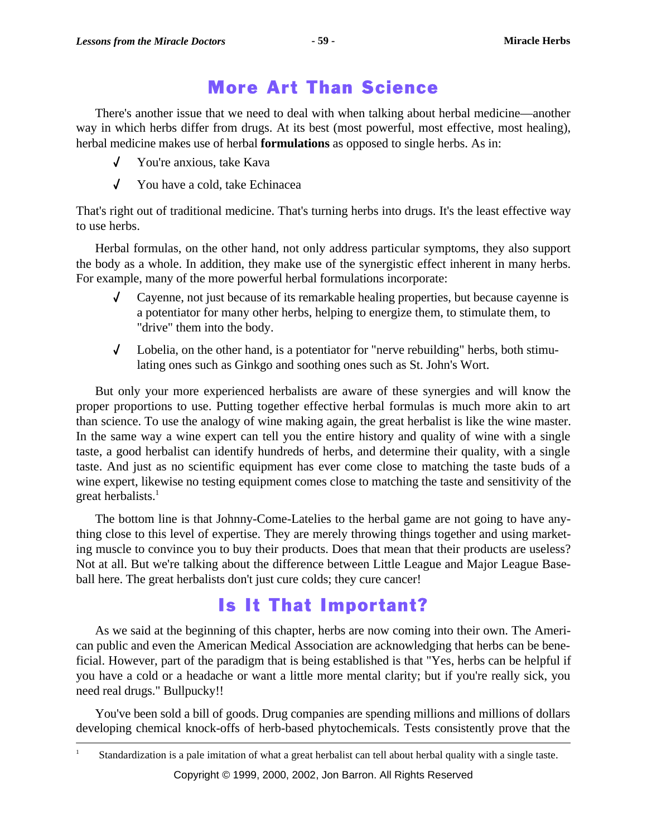# More Art Than Science

There's another issue that we need to deal with when talking about herbal medicine—another way in which herbs differ from drugs. At its best (most powerful, most effective, most healing), herbal medicine makes use of herbal **formulations** as opposed to single herbs. As in:

- $\overline{J}$ You're anxious, take Kava
- $\sqrt{2}$ You have a cold, take Echinacea

That's right out of traditional medicine. That's turning herbs into drugs. It's the least effective way to use herbs.

Herbal formulas, on the other hand, not only address particular symptoms, they also support the body as a whole. In addition, they make use of the synergistic effect inherent in many herbs. For example, many of the more powerful herbal formulations incorporate:

- $\sqrt{ }$ Cayenne, not just because of its remarkable healing properties, but because cayenne is a potentiator for many other herbs, helping to energize them, to stimulate them, to "drive" them into the body.
- $\sqrt{\phantom{a}}$  Lobelia, on the other hand, is a potentiator for "nerve rebuilding" herbs, both stimulating ones such as Ginkgo and soothing ones such as St. John's Wort.

But only your more experienced herbalists are aware of these synergies and will know the proper proportions to use. Putting together effective herbal formulas is much more akin to art than science. To use the analogy of wine making again, the great herbalist is like the wine master. In the same way a wine expert can tell you the entire history and quality of wine with a single taste, a good herbalist can identify hundreds of herbs, and determine their quality, with a single taste. And just as no scientific equipment has ever come close to matching the taste buds of a wine expert, likewise no testing equipment comes close to matching the taste and sensitivity of the great herbalists. $<sup>1</sup>$ </sup>

The bottom line is that Johnny-Come-Latelies to the herbal game are not going to have anything close to this level of expertise. They are merely throwing things together and using marketing muscle to convince you to buy their products. Does that mean that their products are useless? Not at all. But we're talking about the difference between Little League and Major League Baseball here. The great herbalists don't just cure colds; they cure cancer!

### Is It That Important?

As we said at the beginning of this chapter, herbs are now coming into their own. The American public and even the American Medical Association are acknowledging that herbs can be beneficial. However, part of the paradigm that is being established is that "Yes, herbs can be helpful if you have a cold or a headache or want a little more mental clarity; but if you're really sick, you need real drugs." Bullpucky!!

You've been sold a bill of goods. Drug companies are spending millions and millions of dollars developing chemical knock-offs of herb-based phytochemicals. Tests consistently prove that the

Copyright © 1999, 2000, 2002, Jon Barron. All Rights Reserved

<sup>1</sup> Standardization is a pale imitation of what a great herbalist can tell about herbal quality with a single taste.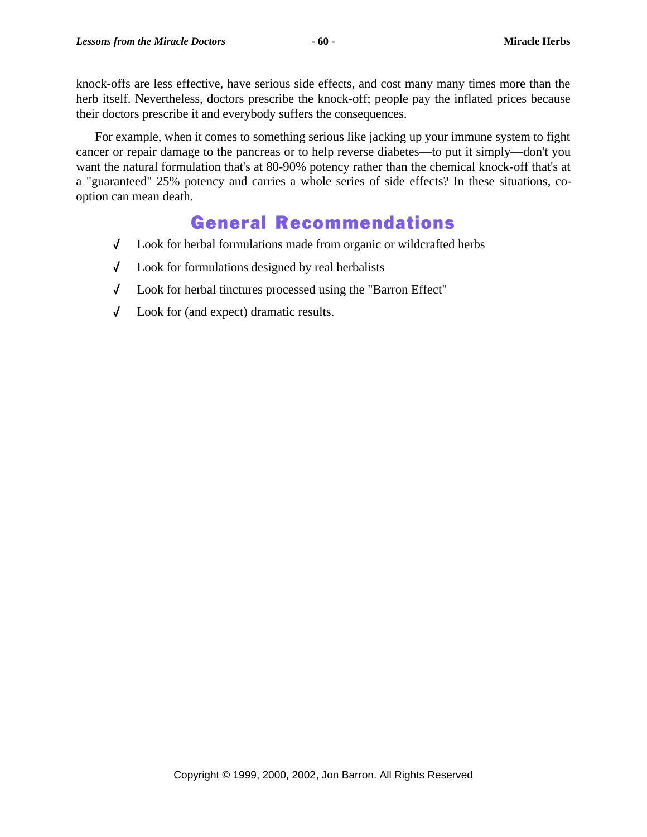knock-offs are less effective, have serious side effects, and cost many many times more than the herb itself. Nevertheless, doctors prescribe the knock-off; people pay the inflated prices because their doctors prescribe it and everybody suffers the consequences.

For example, when it comes to something serious like jacking up your immune system to fight cancer or repair damage to the pancreas or to help reverse diabetes—to put it simply—don't you want the natural formulation that's at 80-90% potency rather than the chemical knock-off that's at a "guaranteed" 25% potency and carries a whole series of side effects? In these situations, cooption can mean death.

# General Recommendations

- $\sqrt{\phantom{a}}$  Look for herbal formulations made from organic or wildcrafted herbs
- $\sqrt{\phantom{a}}$  Look for formulations designed by real herbalists
- Look for herbal tinctures processed using the "Barron Effect"
- $\sqrt{\phantom{a}}$  Look for (and expect) dramatic results.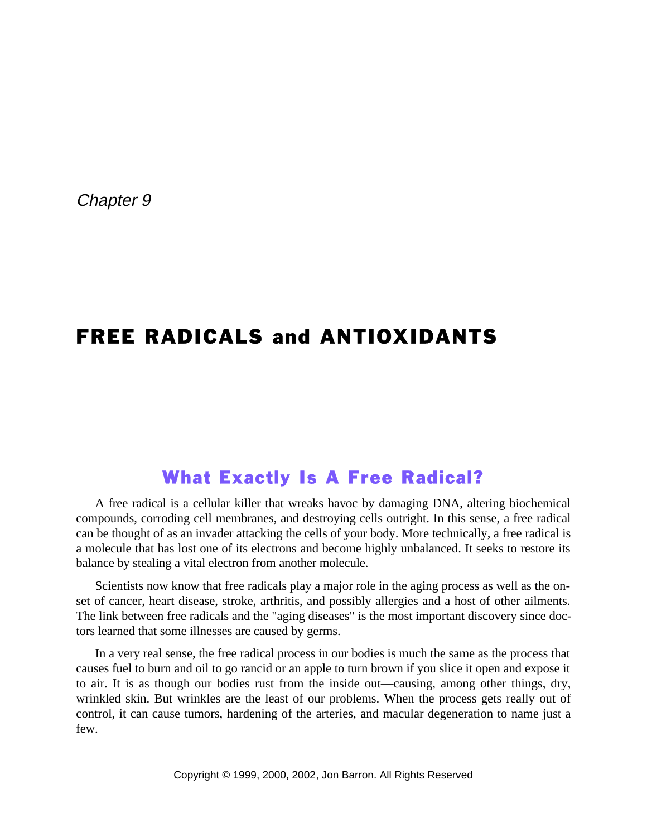Chapter 9

# FREE RADICALS and ANTIOXIDANTS

# What Exactly Is A Free Radical?

A free radical is a cellular killer that wreaks havoc by damaging DNA, altering biochemical compounds, corroding cell membranes, and destroying cells outright. In this sense, a free radical can be thought of as an invader attacking the cells of your body. More technically, a free radical is a molecule that has lost one of its electrons and become highly unbalanced. It seeks to restore its balance by stealing a vital electron from another molecule.

Scientists now know that free radicals play a major role in the aging process as well as the onset of cancer, heart disease, stroke, arthritis, and possibly allergies and a host of other ailments. The link between free radicals and the "aging diseases" is the most important discovery since doctors learned that some illnesses are caused by germs.

In a very real sense, the free radical process in our bodies is much the same as the process that causes fuel to burn and oil to go rancid or an apple to turn brown if you slice it open and expose it to air. It is as though our bodies rust from the inside out—causing, among other things, dry, wrinkled skin. But wrinkles are the least of our problems. When the process gets really out of control, it can cause tumors, hardening of the arteries, and macular degeneration to name just a few.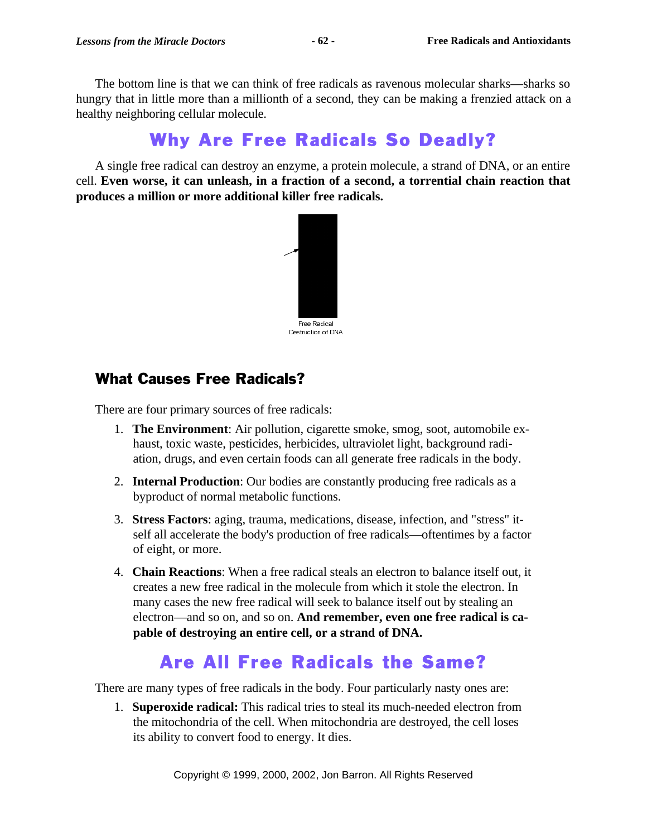The bottom line is that we can think of free radicals as ravenous molecular sharks—sharks so hungry that in little more than a millionth of a second, they can be making a frenzied attack on a healthy neighboring cellular molecule.

# Why Are Free Radicals So Deadly?

A single free radical can destroy an enzyme, a protein molecule, a strand of DNA, or an entire cell. **Even worse, it can unleash, in a fraction of a second, a torrential chain reaction that produces a million or more additional killer free radicals.**



### What Causes Free Radicals?

There are four primary sources of free radicals:

- 1. **The Environment**: Air pollution, cigarette smoke, smog, soot, automobile exhaust, toxic waste, pesticides, herbicides, ultraviolet light, background radiation, drugs, and even certain foods can all generate free radicals in the body.
- 2. **Internal Production**: Our bodies are constantly producing free radicals as a byproduct of normal metabolic functions.
- 3. **Stress Factors**: aging, trauma, medications, disease, infection, and "stress" itself all accelerate the body's production of free radicals—oftentimes by a factor of eight, or more.
- 4. **Chain Reactions**: When a free radical steals an electron to balance itself out, it creates a new free radical in the molecule from which it stole the electron. In many cases the new free radical will seek to balance itself out by stealing an electron—and so on, and so on. **And remember, even one free radical is capable of destroying an entire cell, or a strand of DNA.**

# Are All Free Radicals the Same?

There are many types of free radicals in the body. Four particularly nasty ones are:

1. **Superoxide radical:** This radical tries to steal its much-needed electron from the mitochondria of the cell. When mitochondria are destroyed, the cell loses its ability to convert food to energy. It dies.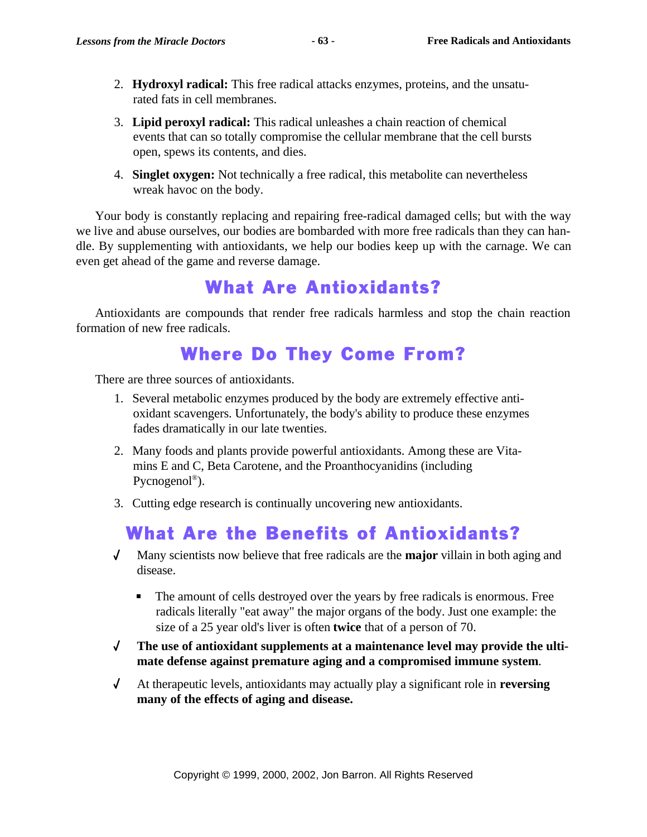- 2. **Hydroxyl radical:** This free radical attacks enzymes, proteins, and the unsaturated fats in cell membranes.
- 3. **Lipid peroxyl radical:** This radical unleashes a chain reaction of chemical events that can so totally compromise the cellular membrane that the cell bursts open, spews its contents, and dies.
- 4. **Singlet oxygen:** Not technically a free radical, this metabolite can nevertheless wreak havoc on the body.

Your body is constantly replacing and repairing free-radical damaged cells; but with the way we live and abuse ourselves, our bodies are bombarded with more free radicals than they can handle. By supplementing with antioxidants, we help our bodies keep up with the carnage. We can even get ahead of the game and reverse damage.

# What Are Antioxidants?

Antioxidants are compounds that render free radicals harmless and stop the chain reaction formation of new free radicals.

# Where Do They Come From?

There are three sources of antioxidants.

- 1. Several metabolic enzymes produced by the body are extremely effective antioxidant scavengers. Unfortunately, the body's ability to produce these enzymes fades dramatically in our late twenties.
- 2. Many foods and plants provide powerful antioxidants. Among these are Vitamins E and C, Beta Carotene, and the Proanthocyanidins (including Pycnogenol<sup>®</sup>).
- 3. Cutting edge research is continually uncovering new antioxidants.

# What Are the Benefits of Antioxidants?

- Many scientists now believe that free radicals are the **major** villain in both aging and disease.
	- The amount of cells destroyed over the years by free radicals is enormous. Free  $\blacksquare$ radicals literally "eat away" the major organs of the body. Just one example: the size of a 25 year old's liver is often **twice** that of a person of 70.
- $\sqrt{ }$ **The use of antioxidant supplements at a maintenance level may provide the ultimate defense against premature aging and a compromised immune system**.
- At therapeutic levels, antioxidants may actually play a significant role in **reversing**  $\sqrt{ }$ **many of the effects of aging and disease.**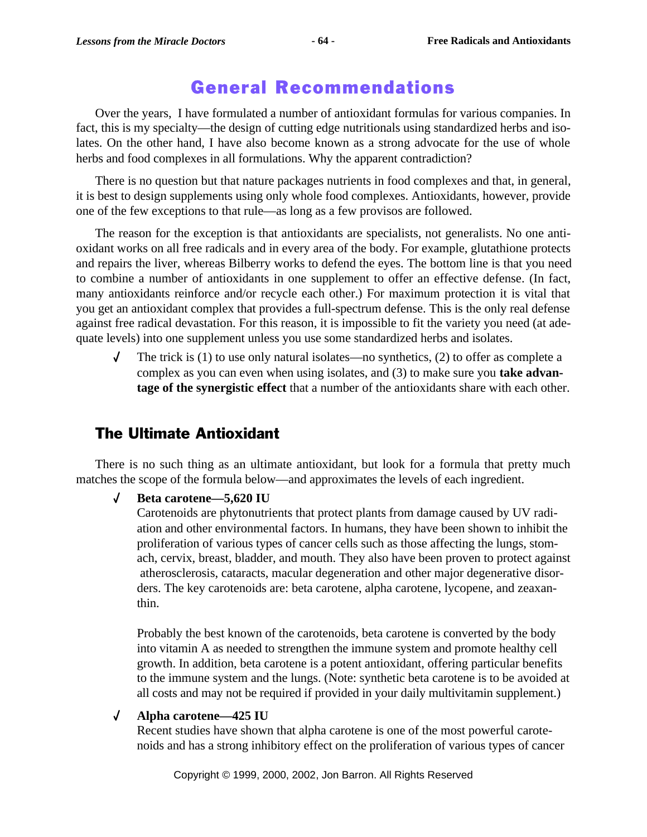## General Recommendations

Over the years, I have formulated a number of antioxidant formulas for various companies. In fact, this is my specialty—the design of cutting edge nutritionals using standardized herbs and isolates. On the other hand, I have also become known as a strong advocate for the use of whole herbs and food complexes in all formulations. Why the apparent contradiction?

There is no question but that nature packages nutrients in food complexes and that, in general, it is best to design supplements using only whole food complexes. Antioxidants, however, provide one of the few exceptions to that rule—as long as a few provisos are followed.

The reason for the exception is that antioxidants are specialists, not generalists. No one antioxidant works on all free radicals and in every area of the body. For example, glutathione protects and repairs the liver, whereas Bilberry works to defend the eyes. The bottom line is that you need to combine a number of antioxidants in one supplement to offer an effective defense. (In fact, many antioxidants reinforce and/or recycle each other.) For maximum protection it is vital that you get an antioxidant complex that provides a full-spectrum defense. This is the only real defense against free radical devastation. For this reason, it is impossible to fit the variety you need (at adequate levels) into one supplement unless you use some standardized herbs and isolates.

 $J_{-}$ The trick is (1) to use only natural isolates—no synthetics, (2) to offer as complete a complex as you can even when using isolates, and (3) to make sure you **take advantage of the synergistic effect** that a number of the antioxidants share with each other.

### The Ultimate Antioxidant

There is no such thing as an ultimate antioxidant, but look for a formula that pretty much matches the scope of the formula below—and approximates the levels of each ingredient.

#### $\sqrt{ }$ **Beta carotene—5,620 IU**

Carotenoids are phytonutrients that protect plants from damage caused by UV radiation and other environmental factors. In humans, they have been shown to inhibit the proliferation of various types of cancer cells such as those affecting the lungs, stomach, cervix, breast, bladder, and mouth. They also have been proven to protect against atherosclerosis, cataracts, macular degeneration and other major degenerative disorders. The key carotenoids are: beta carotene, alpha carotene, lycopene, and zeaxanthin.

Probably the best known of the carotenoids, beta carotene is converted by the body into vitamin A as needed to strengthen the immune system and promote healthy cell growth. In addition, beta carotene is a potent antioxidant, offering particular benefits to the immune system and the lungs. (Note: synthetic beta carotene is to be avoided at all costs and may not be required if provided in your daily multivitamin supplement.)

#### $\sqrt{ }$ **Alpha carotene—425 IU**

Recent studies have shown that alpha carotene is one of the most powerful carotenoids and has a strong inhibitory effect on the proliferation of various types of cancer

Copyright © 1999, 2000, 2002, Jon Barron. All Rights Reserved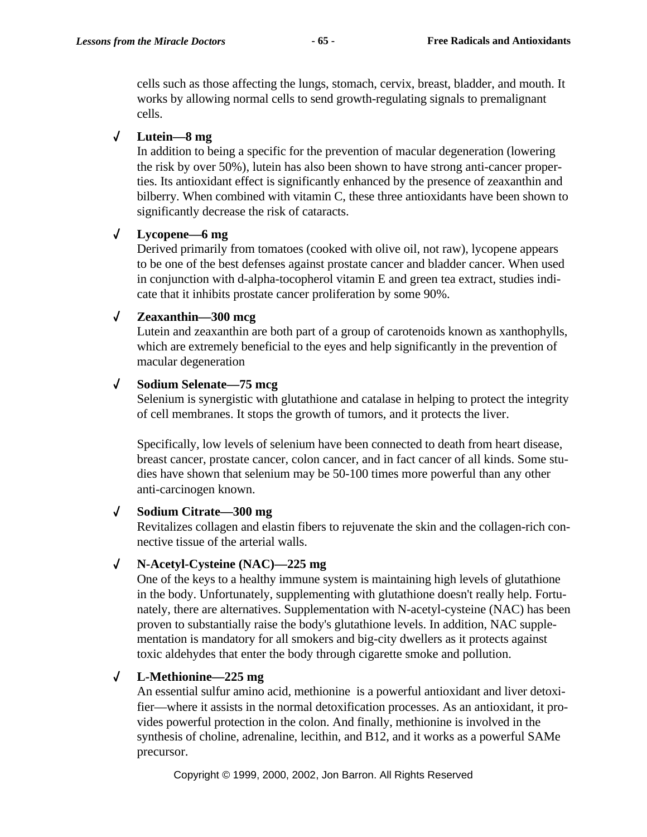cells such as those affecting the lungs, stomach, cervix, breast, bladder, and mouth. It works by allowing normal cells to send growth-regulating signals to premalignant cells.

### **Lutein—8 mg**

In addition to being a specific for the prevention of macular degeneration (lowering the risk by over 50%), lutein has also been shown to have strong anti-cancer properties. Its antioxidant effect is significantly enhanced by the presence of zeaxanthin and bilberry. When combined with vitamin C, these three antioxidants have been shown to significantly decrease the risk of cataracts.

### **Lycopene—6 mg**

Derived primarily from tomatoes (cooked with olive oil, not raw), lycopene appears to be one of the best defenses against prostate cancer and bladder cancer. When used in conjunction with d-alpha-tocopherol vitamin E and green tea extract, studies indicate that it inhibits prostate cancer proliferation by some 90%.

#### $\sqrt{ }$ **Zeaxanthin—300 mcg**

Lutein and zeaxanthin are both part of a group of carotenoids known as xanthophylls, which are extremely beneficial to the eyes and help significantly in the prevention of macular degeneration

#### $\sqrt{ }$ **Sodium Selenate—75 mcg**

Selenium is synergistic with glutathione and catalase in helping to protect the integrity of cell membranes. It stops the growth of tumors, and it protects the liver.

Specifically, low levels of selenium have been connected to death from heart disease, breast cancer, prostate cancer, colon cancer, and in fact cancer of all kinds. Some studies have shown that selenium may be 50-100 times more powerful than any other anti-carcinogen known.

#### $\sqrt{ }$ **Sodium Citrate—300 mg**

Revitalizes collagen and elastin fibers to rejuvenate the skin and the collagen-rich connective tissue of the arterial walls.

#### $\sqrt{ }$ **N-Acetyl-Cysteine (NAC)—225 mg**

One of the keys to a healthy immune system is maintaining high levels of glutathione in the body. Unfortunately, supplementing with glutathione doesn't really help. Fortunately, there are alternatives. Supplementation with N-acetyl-cysteine (NAC) has been proven to substantially raise the body's glutathione levels. In addition, NAC supplementation is mandatory for all smokers and big-city dwellers as it protects against toxic aldehydes that enter the body through cigarette smoke and pollution.

### **L-Methionine—225 mg**

An essential sulfur amino acid, methionine is a powerful antioxidant and liver detoxifier—where it assists in the normal detoxification processes. As an antioxidant, it provides powerful protection in the colon. And finally, methionine is involved in the synthesis of choline, adrenaline, lecithin, and B12, and it works as a powerful SAMe precursor.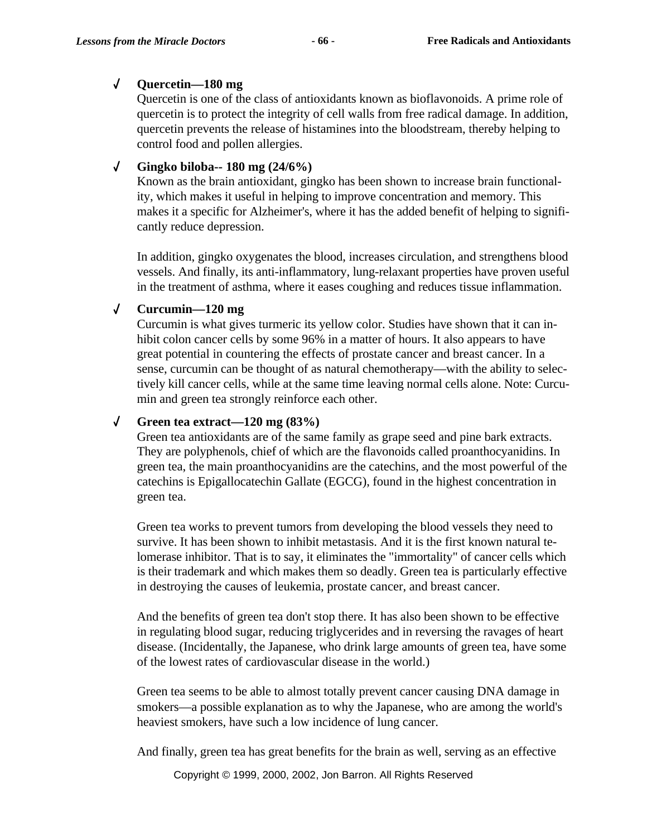#### $\sqrt{ }$ **Quercetin—180 mg**

Quercetin is one of the class of antioxidants known as bioflavonoids. A prime role of quercetin is to protect the integrity of cell walls from free radical damage. In addition, quercetin prevents the release of histamines into the bloodstream, thereby helping to control food and pollen allergies.

#### $\sqrt{ }$ **Gingko biloba-- 180 mg (24/6%)**

Known as the brain antioxidant, gingko has been shown to increase brain functionality, which makes it useful in helping to improve concentration and memory. This makes it a specific for Alzheimer's, where it has the added benefit of helping to significantly reduce depression.

In addition, gingko oxygenates the blood, increases circulation, and strengthens blood vessels. And finally, its anti-inflammatory, lung-relaxant properties have proven useful in the treatment of asthma, where it eases coughing and reduces tissue inflammation.

#### $\sqrt{ }$ **Curcumin—120 mg**

Curcumin is what gives turmeric its yellow color. Studies have shown that it can inhibit colon cancer cells by some 96% in a matter of hours. It also appears to have great potential in countering the effects of prostate cancer and breast cancer. In a sense, curcumin can be thought of as natural chemotherapy—with the ability to selectively kill cancer cells, while at the same time leaving normal cells alone. Note: Curcumin and green tea strongly reinforce each other.

#### $\sqrt{ }$ **Green tea extract—120 mg (83%)**

Green tea antioxidants are of the same family as grape seed and pine bark extracts. They are polyphenols, chief of which are the flavonoids called proanthocyanidins. In green tea, the main proanthocyanidins are the catechins, and the most powerful of the catechins is Epigallocatechin Gallate (EGCG), found in the highest concentration in green tea.

Green tea works to prevent tumors from developing the blood vessels they need to survive. It has been shown to inhibit metastasis. And it is the first known natural telomerase inhibitor. That is to say, it eliminates the "immortality" of cancer cells which is their trademark and which makes them so deadly. Green tea is particularly effective in destroying the causes of leukemia, prostate cancer, and breast cancer.

And the benefits of green tea don't stop there. It has also been shown to be effective in regulating blood sugar, reducing triglycerides and in reversing the ravages of heart disease. (Incidentally, the Japanese, who drink large amounts of green tea, have some of the lowest rates of cardiovascular disease in the world.)

Green tea seems to be able to almost totally prevent cancer causing DNA damage in smokers—a possible explanation as to why the Japanese, who are among the world's heaviest smokers, have such a low incidence of lung cancer.

And finally, green tea has great benefits for the brain as well, serving as an effective

Copyright © 1999, 2000, 2002, Jon Barron. All Rights Reserved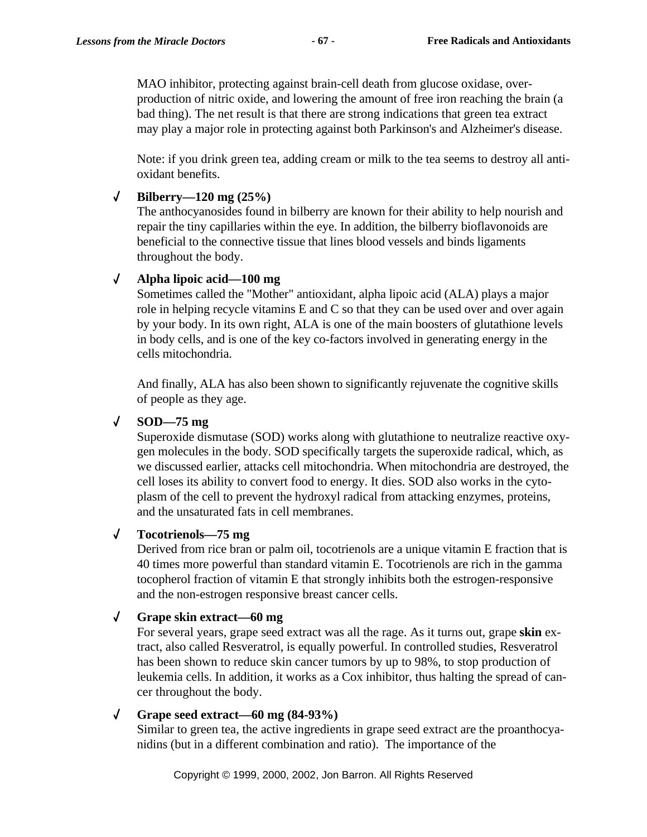MAO inhibitor, protecting against brain-cell death from glucose oxidase, overproduction of nitric oxide, and lowering the amount of free iron reaching the brain (a bad thing). The net result is that there are strong indications that green tea extract may play a major role in protecting against both Parkinson's and Alzheimer's disease.

Note: if you drink green tea, adding cream or milk to the tea seems to destroy all antioxidant benefits.

#### **Bilberry—120 mg (25%)**  $\sqrt{ }$

The anthocyanosides found in bilberry are known for their ability to help nourish and repair the tiny capillaries within the eye. In addition, the bilberry bioflavonoids are beneficial to the connective tissue that lines blood vessels and binds ligaments throughout the body.

#### $\sqrt{ }$ **Alpha lipoic acid—100 mg**

Sometimes called the "Mother" antioxidant, alpha lipoic acid (ALA) plays a major role in helping recycle vitamins E and C so that they can be used over and over again by your body. In its own right, ALA is one of the main boosters of glutathione levels in body cells, and is one of the key co-factors involved in generating energy in the cells mitochondria.

And finally, ALA has also been shown to significantly rejuvenate the cognitive skills of people as they age.

#### $\sqrt{ }$ **SOD—75 mg**

Superoxide dismutase (SOD) works along with glutathione to neutralize reactive oxygen molecules in the body. SOD specifically targets the superoxide radical, which, as we discussed earlier, attacks cell mitochondria. When mitochondria are destroyed, the cell loses its ability to convert food to energy. It dies. SOD also works in the cytoplasm of the cell to prevent the hydroxyl radical from attacking enzymes, proteins, and the unsaturated fats in cell membranes.

#### $\sqrt{ }$ **Tocotrienols—75 mg**

Derived from rice bran or palm oil, tocotrienols are a unique vitamin E fraction that is 40 times more powerful than standard vitamin E. Tocotrienols are rich in the gamma tocopherol fraction of vitamin E that strongly inhibits both the estrogen-responsive and the non-estrogen responsive breast cancer cells.

#### $\sqrt{ }$ **Grape skin extract—60 mg**

For several years, grape seed extract was all the rage. As it turns out, grape **skin** extract, also called Resveratrol, is equally powerful. In controlled studies, Resveratrol has been shown to reduce skin cancer tumors by up to 98%, to stop production of leukemia cells. In addition, it works as a Cox inhibitor, thus halting the spread of cancer throughout the body.

#### $\sqrt{ }$ **Grape seed extract—60 mg (84-93%)**

Similar to green tea, the active ingredients in grape seed extract are the proanthocyanidins (but in a different combination and ratio). The importance of the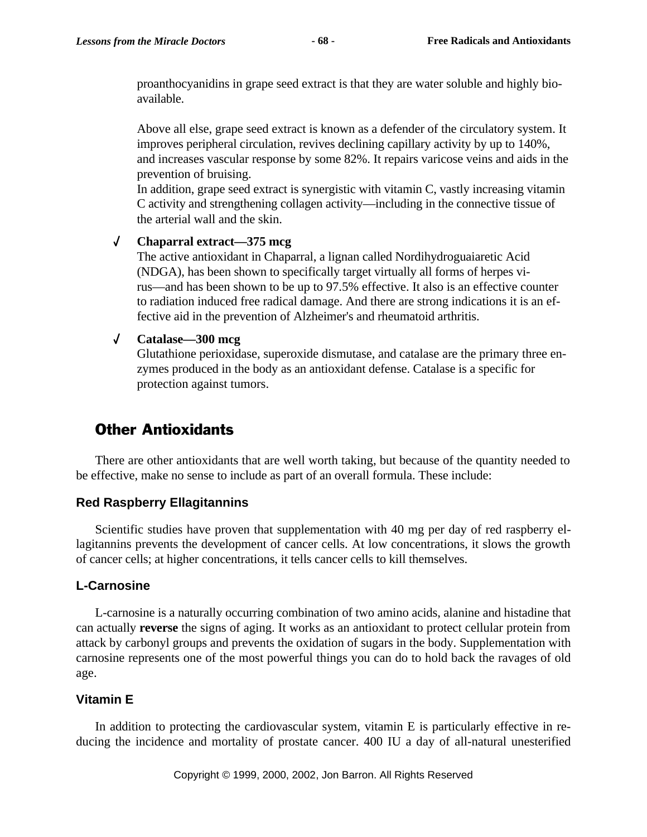proanthocyanidins in grape seed extract is that they are water soluble and highly bioavailable.

Above all else, grape seed extract is known as a defender of the circulatory system. It improves peripheral circulation, revives declining capillary activity by up to 140%, and increases vascular response by some 82%. It repairs varicose veins and aids in the prevention of bruising.

In addition, grape seed extract is synergistic with vitamin C, vastly increasing vitamin C activity and strengthening collagen activity—including in the connective tissue of the arterial wall and the skin.

#### $\sqrt{ }$ **Chaparral extract—375 mcg**

The active antioxidant in Chaparral, a lignan called Nordihydroguaiaretic Acid (NDGA), has been shown to specifically target virtually all forms of herpes virus—and has been shown to be up to 97.5% effective. It also is an effective counter to radiation induced free radical damage. And there are strong indications it is an effective aid in the prevention of Alzheimer's and rheumatoid arthritis.

### **Catalase—300 mcg**

Glutathione perioxidase, superoxide dismutase, and catalase are the primary three enzymes produced in the body as an antioxidant defense. Catalase is a specific for protection against tumors.

## Other Antioxidants

There are other antioxidants that are well worth taking, but because of the quantity needed to be effective, make no sense to include as part of an overall formula. These include:

### **Red Raspberry Ellagitannins**

Scientific studies have proven that supplementation with 40 mg per day of red raspberry ellagitannins prevents the development of cancer cells. At low concentrations, it slows the growth of cancer cells; at higher concentrations, it tells cancer cells to kill themselves.

### **L-Carnosine**

L-carnosine is a naturally occurring combination of two amino acids, alanine and histadine that can actually **reverse** the signs of aging. It works as an antioxidant to protect cellular protein from attack by carbonyl groups and prevents the oxidation of sugars in the body. Supplementation with carnosine represents one of the most powerful things you can do to hold back the ravages of old age.

### **Vitamin E**

In addition to protecting the cardiovascular system, vitamin E is particularly effective in reducing the incidence and mortality of prostate cancer. 400 IU a day of all-natural unesterified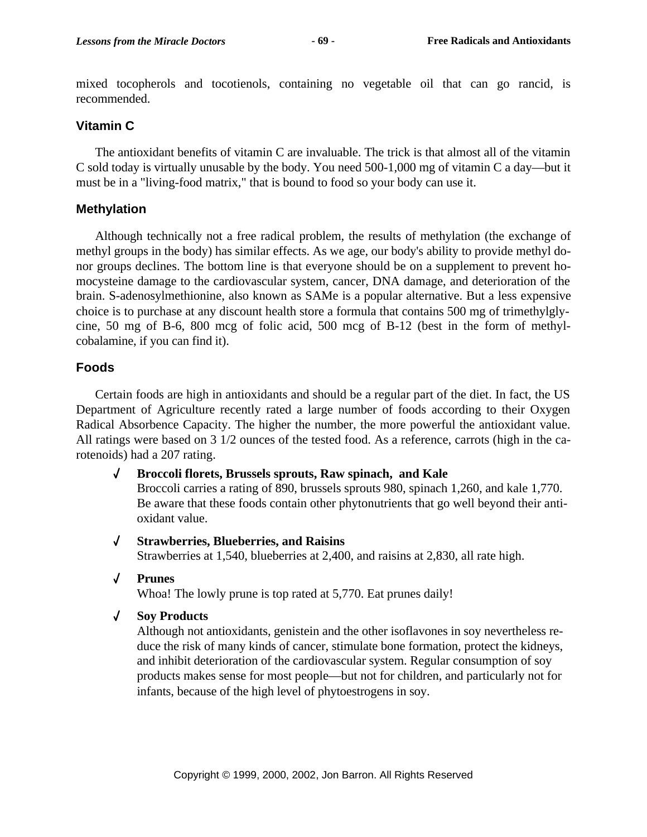mixed tocopherols and tocotienols, containing no vegetable oil that can go rancid, is recommended.

### **Vitamin C**

The antioxidant benefits of vitamin C are invaluable. The trick is that almost all of the vitamin C sold today is virtually unusable by the body. You need 500-1,000 mg of vitamin C a day—but it must be in a "living-food matrix," that is bound to food so your body can use it.

### **Methylation**

Although technically not a free radical problem, the results of methylation (the exchange of methyl groups in the body) has similar effects. As we age, our body's ability to provide methyl donor groups declines. The bottom line is that everyone should be on a supplement to prevent homocysteine damage to the cardiovascular system, cancer, DNA damage, and deterioration of the brain. S-adenosylmethionine, also known as SAMe is a popular alternative. But a less expensive choice is to purchase at any discount health store a formula that contains 500 mg of trimethylglycine, 50 mg of B-6, 800 mcg of folic acid, 500 mcg of B-12 (best in the form of methylcobalamine, if you can find it).

### **Foods**

Certain foods are high in antioxidants and should be a regular part of the diet. In fact, the US Department of Agriculture recently rated a large number of foods according to their Oxygen Radical Absorbence Capacity. The higher the number, the more powerful the antioxidant value. All ratings were based on 3 1/2 ounces of the tested food. As a reference, carrots (high in the carotenoids) had a 207 rating.

 $J_{-}$ **Broccoli florets, Brussels sprouts, Raw spinach, and Kale**

Broccoli carries a rating of 890, brussels sprouts 980, spinach 1,260, and kale 1,770. Be aware that these foods contain other phytonutrients that go well beyond their antioxidant value.

 $\sqrt{ }$ **Strawberries, Blueberries, and Raisins**

Strawberries at 1,540, blueberries at 2,400, and raisins at 2,830, all rate high.

**Prunes**

Whoa! The lowly prune is top rated at 5,770. Eat prunes daily!

**Soy Products**  $\sqrt{ }$ 

> Although not antioxidants, genistein and the other isoflavones in soy nevertheless reduce the risk of many kinds of cancer, stimulate bone formation, protect the kidneys, and inhibit deterioration of the cardiovascular system. Regular consumption of soy products makes sense for most people—but not for children, and particularly not for infants, because of the high level of phytoestrogens in soy.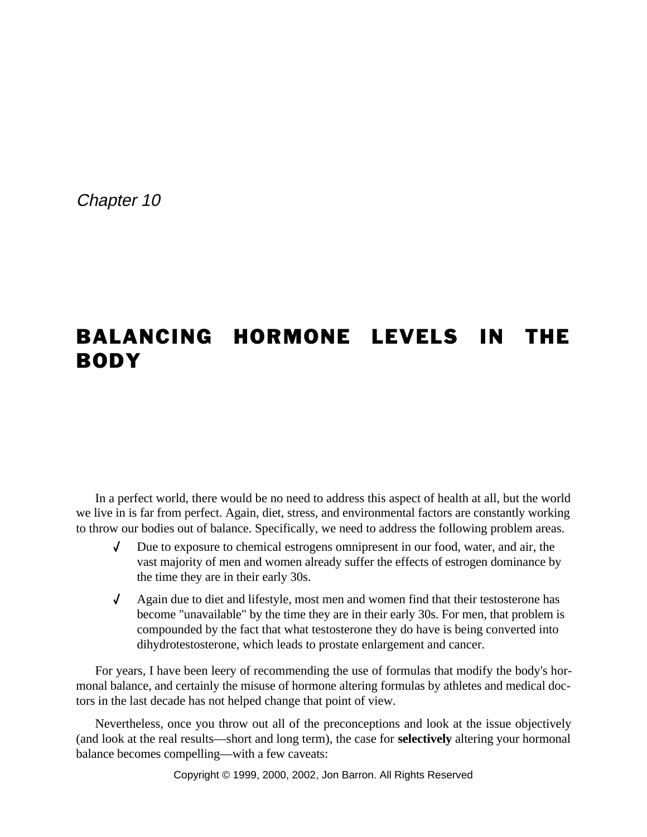Chapter 10

# BALANCING HORMONE LEVELS IN THE **BODY**

In a perfect world, there would be no need to address this aspect of health at all, but the world we live in is far from perfect. Again, diet, stress, and environmental factors are constantly working to throw our bodies out of balance. Specifically, we need to address the following problem areas.

- Due to exposure to chemical estrogens omnipresent in our food, water, and air, the  $J$ vast majority of men and women already suffer the effects of estrogen dominance by the time they are in their early 30s.
- $\sqrt{ }$ Again due to diet and lifestyle, most men and women find that their testosterone has become "unavailable" by the time they are in their early 30s. For men, that problem is compounded by the fact that what testosterone they do have is being converted into dihydrotestosterone, which leads to prostate enlargement and cancer.

For years, I have been leery of recommending the use of formulas that modify the body's hormonal balance, and certainly the misuse of hormone altering formulas by athletes and medical doctors in the last decade has not helped change that point of view.

Nevertheless, once you throw out all of the preconceptions and look at the issue objectively (and look at the real results—short and long term), the case for **selectively** altering your hormonal balance becomes compelling—with a few caveats:

Copyright © 1999, 2000, 2002, Jon Barron. All Rights Reserved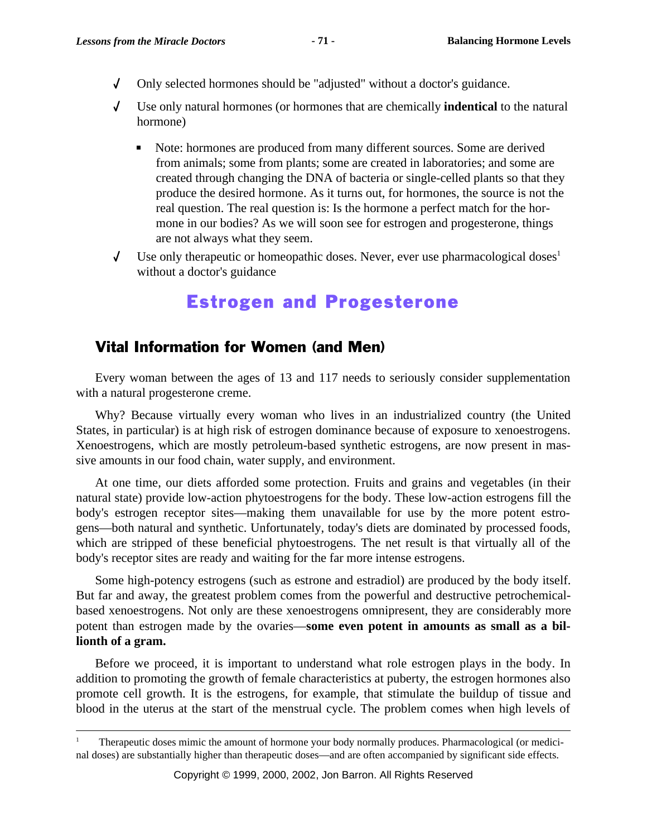- $\sqrt{2}$ Only selected hormones should be "adjusted" without a doctor's guidance.
- $\sqrt{ }$ Use only natural hormones (or hormones that are chemically **indentical** to the natural hormone)
	- Note: hormones are produced from many different sources. Some are derived from animals; some from plants; some are created in laboratories; and some are created through changing the DNA of bacteria or single-celled plants so that they produce the desired hormone. As it turns out, for hormones, the source is not the real question. The real question is: Is the hormone a perfect match for the hormone in our bodies? As we will soon see for estrogen and progesterone, things are not always what they seem.
- $\sqrt{\phantom{a}}$  Use only therapeutic or homeopathic doses. Never, ever use pharmacological doses<sup>1</sup> without a doctor's guidance

# Estrogen and Progesterone

## Vital Information for Women (and Men)

Every woman between the ages of 13 and 117 needs to seriously consider supplementation with a natural progesterone creme.

Why? Because virtually every woman who lives in an industrialized country (the United States, in particular) is at high risk of estrogen dominance because of exposure to xenoestrogens. Xenoestrogens, which are mostly petroleum-based synthetic estrogens, are now present in massive amounts in our food chain, water supply, and environment.

At one time, our diets afforded some protection. Fruits and grains and vegetables (in their natural state) provide low-action phytoestrogens for the body. These low-action estrogens fill the body's estrogen receptor sites—making them unavailable for use by the more potent estrogens—both natural and synthetic. Unfortunately, today's diets are dominated by processed foods, which are stripped of these beneficial phytoestrogens. The net result is that virtually all of the body's receptor sites are ready and waiting for the far more intense estrogens.

Some high-potency estrogens (such as estrone and estradiol) are produced by the body itself. But far and away, the greatest problem comes from the powerful and destructive petrochemicalbased xenoestrogens. Not only are these xenoestrogens omnipresent, they are considerably more potent than estrogen made by the ovaries—**some even potent in amounts as small as a billionth of a gram.**

Before we proceed, it is important to understand what role estrogen plays in the body. In addition to promoting the growth of female characteristics at puberty, the estrogen hormones also promote cell growth. It is the estrogens, for example, that stimulate the buildup of tissue and blood in the uterus at the start of the menstrual cycle. The problem comes when high levels of

<sup>1</sup> Therapeutic doses mimic the amount of hormone your body normally produces. Pharmacological (or medicinal doses) are substantially higher than therapeutic doses—and are often accompanied by significant side effects.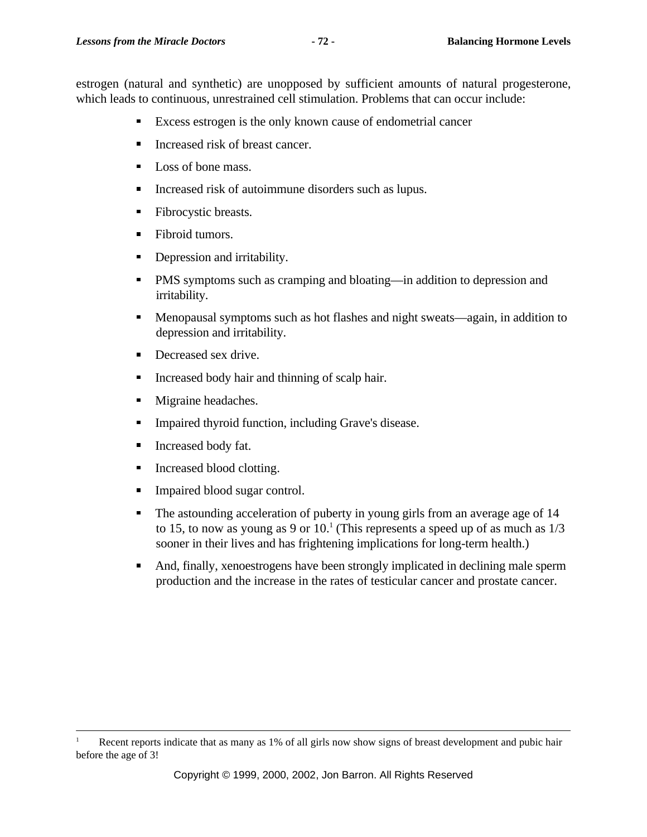estrogen (natural and synthetic) are unopposed by sufficient amounts of natural progesterone, which leads to continuous, unrestrained cell stimulation. Problems that can occur include:

- Excess estrogen is the only known cause of endometrial cancer  $\mathbf{u}$  .
- Increased risk of breast cancer.  $\blacksquare$
- Loss of bone mass.
- Increased risk of autoimmune disorders such as lupus.  $\mathbf{m}$
- Fibrocystic breasts.  $\blacksquare$  .
- $\blacksquare$ Fibroid tumors.
- Depression and irritability.
- $\mathbf{u}$  . PMS symptoms such as cramping and bloating—in addition to depression and irritability.
- Menopausal symptoms such as hot flashes and night sweats—again, in addition to  $\blacksquare$  . depression and irritability.
- Decreased sex drive.
- $\mathbf{m}$ Increased body hair and thinning of scalp hair.
- $\blacksquare$ Migraine headaches.
- $\mathbf{u}$ Impaired thyroid function, including Grave's disease.
- Increased body fat.  $\mathbf{m}$
- Increased blood clotting.  $\blacksquare$  .
- Impaired blood sugar control.  $\blacksquare$  .
- The astounding acceleration of puberty in young girls from an average age of 14  $\blacksquare$  . to 15, to now as young as 9 or  $10<sup>1</sup>$  (This represents a speed up of as much as  $1/3$ sooner in their lives and has frightening implications for long-term health.)
- $\mathbf{u}$  . And, finally, xenoestrogens have been strongly implicated in declining male sperm production and the increase in the rates of testicular cancer and prostate cancer.

Recent reports indicate that as many as 1% of all girls now show signs of breast development and pubic hair before the age of 3!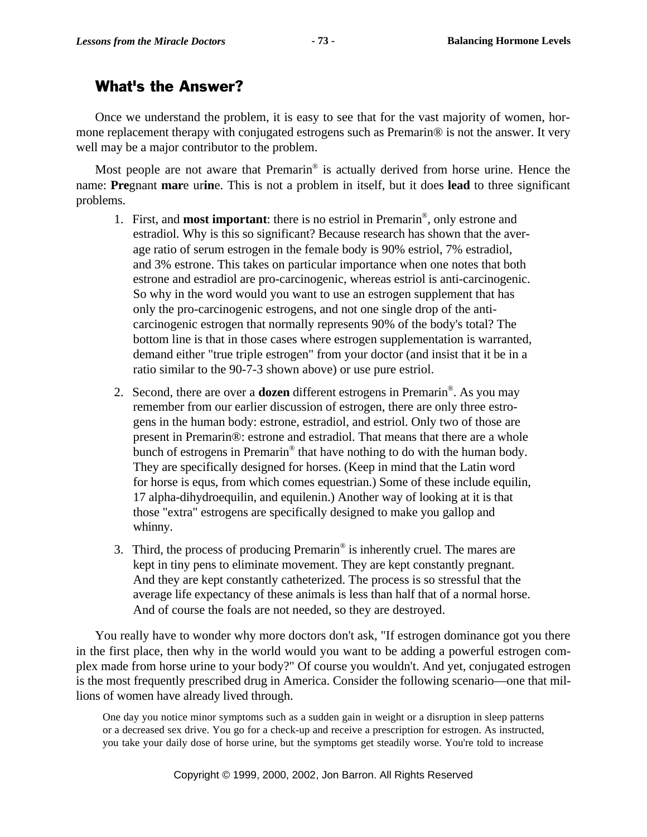## What's the Answer?

Once we understand the problem, it is easy to see that for the vast majority of women, hormone replacement therapy with conjugated estrogens such as Premarin® is not the answer. It very well may be a major contributor to the problem.

Most people are not aware that Premarin® is actually derived from horse urine. Hence the name: **Pre**gnant **mar**e ur**in**e. This is not a problem in itself, but it does **lead** to three significant problems.

- 1. First, and **most important**: there is no estriol in Premarin®, only estrone and estradiol. Why is this so significant? Because research has shown that the average ratio of serum estrogen in the female body is 90% estriol, 7% estradiol, and 3% estrone. This takes on particular importance when one notes that both estrone and estradiol are pro-carcinogenic, whereas estriol is anti-carcinogenic. So why in the word would you want to use an estrogen supplement that has only the pro-carcinogenic estrogens, and not one single drop of the anticarcinogenic estrogen that normally represents 90% of the body's total? The bottom line is that in those cases where estrogen supplementation is warranted, demand either "true triple estrogen" from your doctor (and insist that it be in a ratio similar to the 90-7-3 shown above) or use pure estriol.
- 2. Second, there are over a **dozen** different estrogens in Premarin®. As you may remember from our earlier discussion of estrogen, there are only three estrogens in the human body: estrone, estradiol, and estriol. Only two of those are present in Premarin®: estrone and estradiol. That means that there are a whole bunch of estrogens in Premarin® that have nothing to do with the human body. They are specifically designed for horses. (Keep in mind that the Latin word for horse is equs, from which comes equestrian.) Some of these include equilin, 17 alpha-dihydroequilin, and equilenin.) Another way of looking at it is that those "extra" estrogens are specifically designed to make you gallop and whinny.
- 3. Third, the process of producing Premarin® is inherently cruel. The mares are kept in tiny pens to eliminate movement. They are kept constantly pregnant. And they are kept constantly catheterized. The process is so stressful that the average life expectancy of these animals is less than half that of a normal horse. And of course the foals are not needed, so they are destroyed.

You really have to wonder why more doctors don't ask, "If estrogen dominance got you there in the first place, then why in the world would you want to be adding a powerful estrogen complex made from horse urine to your body?" Of course you wouldn't. And yet, conjugated estrogen is the most frequently prescribed drug in America. Consider the following scenario—one that millions of women have already lived through.

One day you notice minor symptoms such as a sudden gain in weight or a disruption in sleep patterns or a decreased sex drive. You go for a check-up and receive a prescription for estrogen. As instructed, you take your daily dose of horse urine, but the symptoms get steadily worse. You're told to increase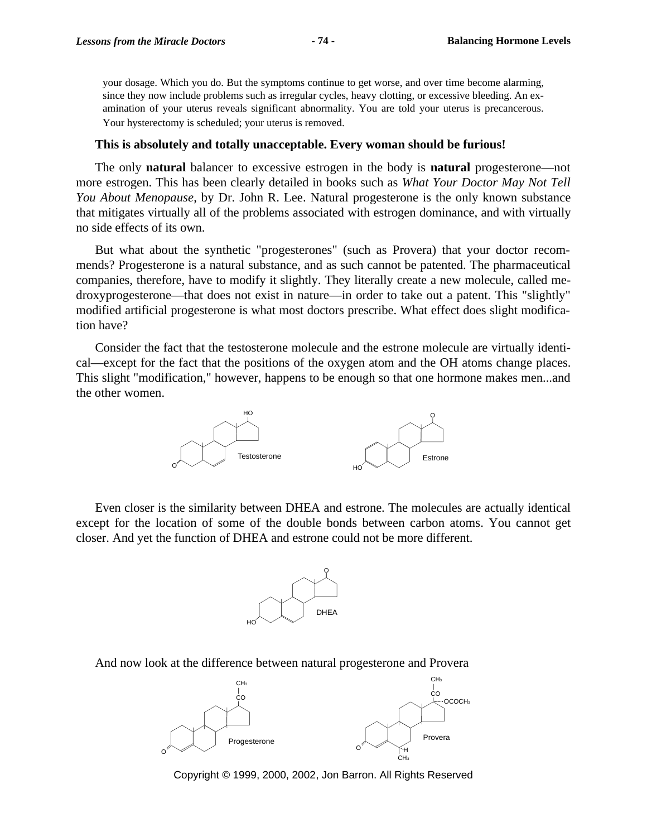your dosage. Which you do. But the symptoms continue to get worse, and over time become alarming, since they now include problems such as irregular cycles, heavy clotting, or excessive bleeding. An examination of your uterus reveals significant abnormality. You are told your uterus is precancerous. Your hysterectomy is scheduled; your uterus is removed.

#### **This is absolutely and totally unacceptable. Every woman should be furious!**

The only **natural** balancer to excessive estrogen in the body is **natural** progesterone—not more estrogen. This has been clearly detailed in books such as *What Your Doctor May Not Tell You About Menopause*, by Dr. John R. Lee. Natural progesterone is the only known substance that mitigates virtually all of the problems associated with estrogen dominance, and with virtually no side effects of its own.

But what about the synthetic "progesterones" (such as Provera) that your doctor recommends? Progesterone is a natural substance, and as such cannot be patented. The pharmaceutical companies, therefore, have to modify it slightly. They literally create a new molecule, called medroxyprogesterone—that does not exist in nature—in order to take out a patent. This "slightly" modified artificial progesterone is what most doctors prescribe. What effect does slight modification have?

Consider the fact that the testosterone molecule and the estrone molecule are virtually identical—except for the fact that the positions of the oxygen atom and the OH atoms change places. This slight "modification," however, happens to be enough so that one hormone makes men...and the other women.



Even closer is the similarity between DHEA and estrone. The molecules are actually identical except for the location of some of the double bonds between carbon atoms. You cannot get closer. And yet the function of DHEA and estrone could not be more different.



And now look at the difference between natural progesterone and Provera



Copyright © 1999, 2000, 2002, Jon Barron. All Rights Reserved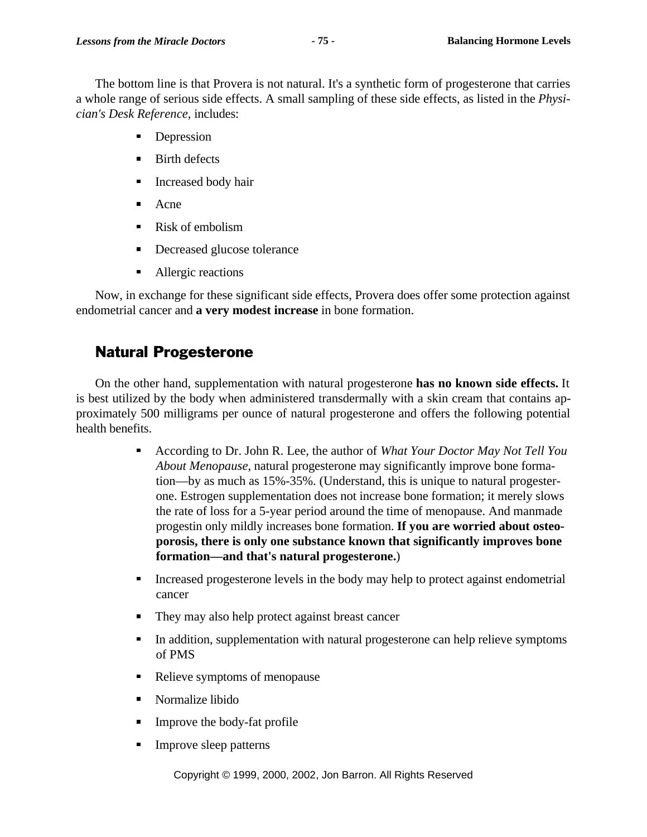The bottom line is that Provera is not natural. It's a synthetic form of progesterone that carries a whole range of serious side effects. A small sampling of these side effects, as listed in the *Physician's Desk Reference,* includes:

- Depression  $\mathbf{r}$
- $\blacksquare$ Birth defects
- $\mathbf{m}$ Increased body hair
- Acne
- Risk of embolism
- Decreased glucose tolerance
- $\blacksquare$ Allergic reactions

Now, in exchange for these significant side effects, Provera does offer some protection against endometrial cancer and **a very modest increase** in bone formation.

# Natural Progesterone

On the other hand, supplementation with natural progesterone **has no known side effects.** It is best utilized by the body when administered transdermally with a skin cream that contains approximately 500 milligrams per ounce of natural progesterone and offers the following potential health benefits.

- According to Dr. John R. Lee, the author of *What Your Doctor May Not Tell You*  $\blacksquare$ *About Menopause*, natural progesterone may significantly improve bone formation—by as much as 15%-35%. (Understand, this is unique to natural progesterone. Estrogen supplementation does not increase bone formation; it merely slows the rate of loss for a 5-year period around the time of menopause. And manmade progestin only mildly increases bone formation. **If you are worried about osteoporosis, there is only one substance known that significantly improves bone formation—and that's natural progesterone.**)
- $\blacksquare$ Increased progesterone levels in the body may help to protect against endometrial cancer
- $\mathbf{m}$ They may also help protect against breast cancer
- In addition, supplementation with natural progesterone can help relieve symptoms  $\blacksquare$ of PMS
- $\mathbf{u}$ Relieve symptoms of menopause
- $\mathbf{m}$  . Normalize libido
- $\mathbf{r}$  . Improve the body-fat profile
- $\blacksquare$ Improve sleep patterns

Copyright © 1999, 2000, 2002, Jon Barron. All Rights Reserved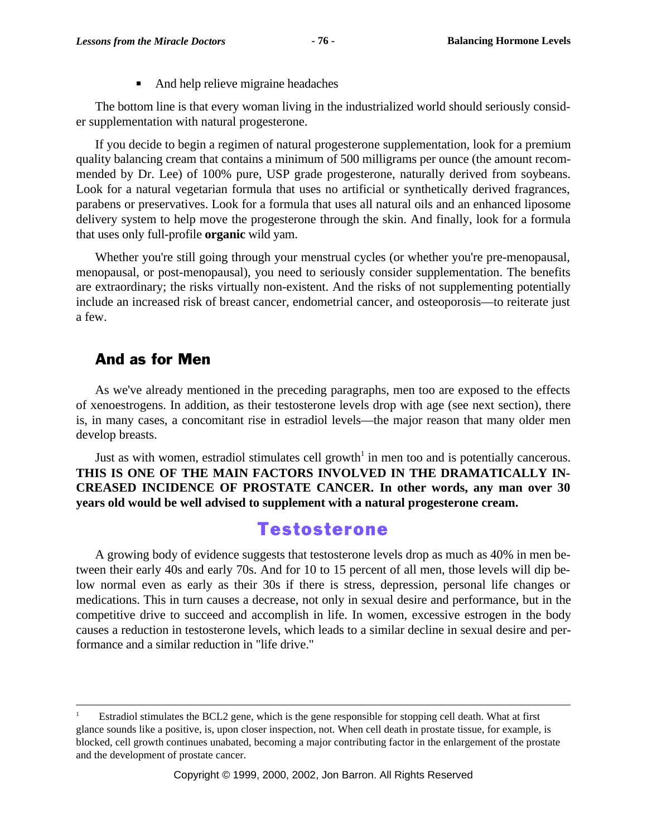And help relieve migraine headaches

The bottom line is that every woman living in the industrialized world should seriously consider supplementation with natural progesterone.

If you decide to begin a regimen of natural progesterone supplementation, look for a premium quality balancing cream that contains a minimum of 500 milligrams per ounce (the amount recommended by Dr. Lee) of 100% pure, USP grade progesterone, naturally derived from soybeans. Look for a natural vegetarian formula that uses no artificial or synthetically derived fragrances, parabens or preservatives. Look for a formula that uses all natural oils and an enhanced liposome delivery system to help move the progesterone through the skin. And finally, look for a formula that uses only full-profile **organic** wild yam.

Whether you're still going through your menstrual cycles (or whether you're pre-menopausal, menopausal, or post-menopausal), you need to seriously consider supplementation. The benefits are extraordinary; the risks virtually non-existent. And the risks of not supplementing potentially include an increased risk of breast cancer, endometrial cancer, and osteoporosis—to reiterate just a few.

### And as for Men

As we've already mentioned in the preceding paragraphs, men too are exposed to the effects of xenoestrogens. In addition, as their testosterone levels drop with age (see next section), there is, in many cases, a concomitant rise in estradiol levels—the major reason that many older men develop breasts.

Just as with women, estradiol stimulates cell growth<sup>1</sup> in men too and is potentially cancerous. **THIS IS ONE OF THE MAIN FACTORS INVOLVED IN THE DRAMATICALLY IN-CREASED INCIDENCE OF PROSTATE CANCER. In other words, any man over 30 years old would be well advised to supplement with a natural progesterone cream.**

## Testosterone

A growing body of evidence suggests that testosterone levels drop as much as 40% in men between their early 40s and early 70s. And for 10 to 15 percent of all men, those levels will dip below normal even as early as their 30s if there is stress, depression, personal life changes or medications. This in turn causes a decrease, not only in sexual desire and performance, but in the competitive drive to succeed and accomplish in life. In women, excessive estrogen in the body causes a reduction in testosterone levels, which leads to a similar decline in sexual desire and performance and a similar reduction in "life drive."

<sup>1</sup> Estradiol stimulates the BCL2 gene, which is the gene responsible for stopping cell death. What at first glance sounds like a positive, is, upon closer inspection, not. When cell death in prostate tissue, for example, is blocked, cell growth continues unabated, becoming a major contributing factor in the enlargement of the prostate and the development of prostate cancer.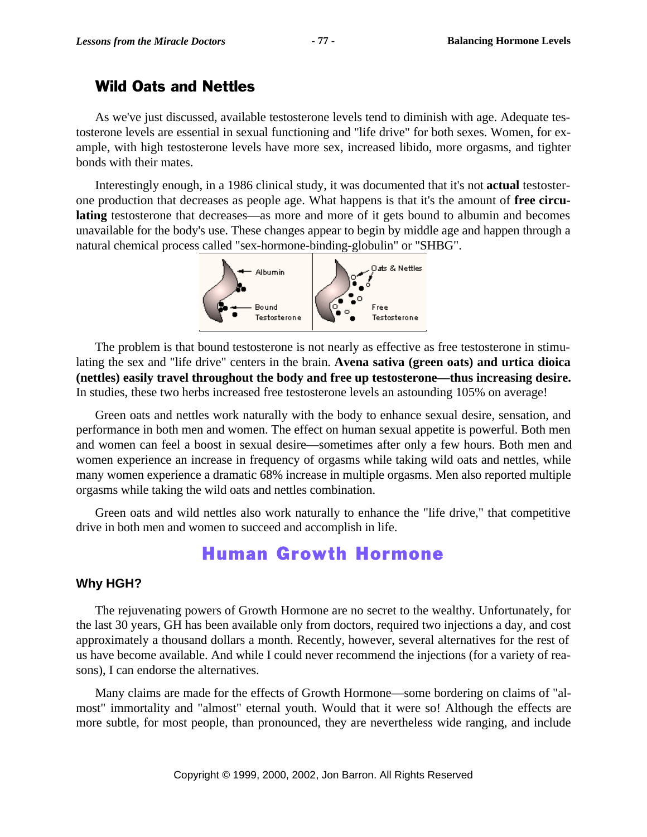### Wild Oats and Nettles

As we've just discussed, available testosterone levels tend to diminish with age. Adequate testosterone levels are essential in sexual functioning and "life drive" for both sexes. Women, for example, with high testosterone levels have more sex, increased libido, more orgasms, and tighter bonds with their mates.

Interestingly enough, in a 1986 clinical study, it was documented that it's not **actual** testosterone production that decreases as people age. What happens is that it's the amount of **free circulating** testosterone that decreases—as more and more of it gets bound to albumin and becomes unavailable for the body's use. These changes appear to begin by middle age and happen through a natural chemical process called "sex-hormone-binding-globulin" or "SHBG".



The problem is that bound testosterone is not nearly as effective as free testosterone in stimulating the sex and "life drive" centers in the brain. **Avena sativa (green oats) and urtica dioica (nettles) easily travel throughout the body and free up testosterone—thus increasing desire.** In studies, these two herbs increased free testosterone levels an astounding 105% on average!

Green oats and nettles work naturally with the body to enhance sexual desire, sensation, and performance in both men and women. The effect on human sexual appetite is powerful. Both men and women can feel a boost in sexual desire—sometimes after only a few hours. Both men and women experience an increase in frequency of orgasms while taking wild oats and nettles, while many women experience a dramatic 68% increase in multiple orgasms. Men also reported multiple orgasms while taking the wild oats and nettles combination.

Green oats and wild nettles also work naturally to enhance the "life drive," that competitive drive in both men and women to succeed and accomplish in life.

## Human Growth Hormone

### **Why HGH?**

The rejuvenating powers of Growth Hormone are no secret to the wealthy. Unfortunately, for the last 30 years, GH has been available only from doctors, required two injections a day, and cost approximately a thousand dollars a month. Recently, however, several alternatives for the rest of us have become available. And while I could never recommend the injections (for a variety of reasons), I can endorse the alternatives.

Many claims are made for the effects of Growth Hormone—some bordering on claims of "almost" immortality and "almost" eternal youth. Would that it were so! Although the effects are more subtle, for most people, than pronounced, they are nevertheless wide ranging, and include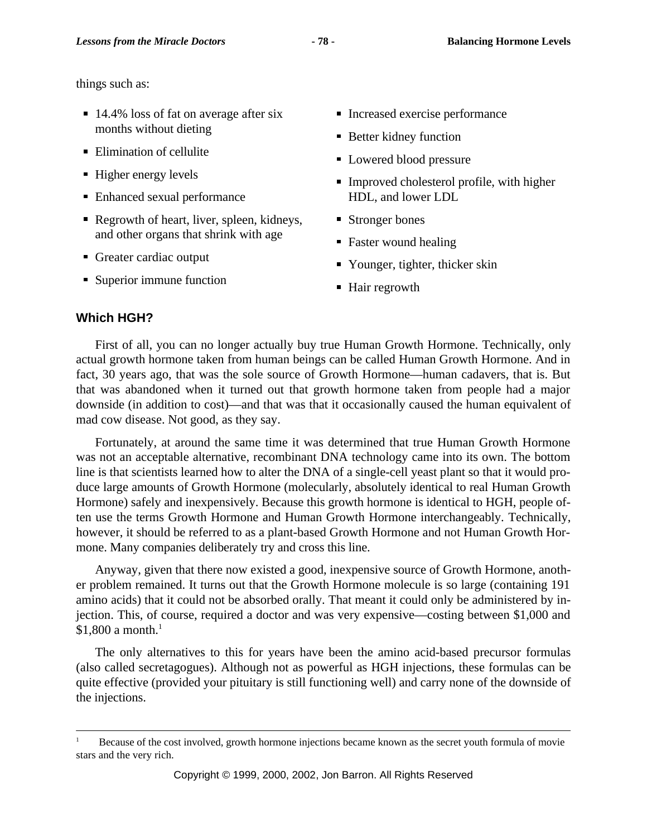things such as:

- 14.4% loss of fat on average after six months without dieting
- Elimination of cellulite
- Higher energy levels
- Enhanced sexual performance
- Regrowth of heart, liver, spleen, kidneys, and other organs that shrink with age
- Greater cardiac output
- Superior immune function
- Increased exercise performance
- Better kidney function
- Lowered blood pressure
- Improved cholesterol profile, with higher HDL, and lower LDL
- **Stronger bones**
- Faster wound healing
- Younger, tighter, thicker skin
- **Hair regrowth**

### **Which HGH?**

First of all, you can no longer actually buy true Human Growth Hormone. Technically, only actual growth hormone taken from human beings can be called Human Growth Hormone. And in fact, 30 years ago, that was the sole source of Growth Hormone—human cadavers, that is. But that was abandoned when it turned out that growth hormone taken from people had a major downside (in addition to cost)—and that was that it occasionally caused the human equivalent of mad cow disease. Not good, as they say.

Fortunately, at around the same time it was determined that true Human Growth Hormone was not an acceptable alternative, recombinant DNA technology came into its own. The bottom line is that scientists learned how to alter the DNA of a single-cell yeast plant so that it would produce large amounts of Growth Hormone (molecularly, absolutely identical to real Human Growth Hormone) safely and inexpensively. Because this growth hormone is identical to HGH, people often use the terms Growth Hormone and Human Growth Hormone interchangeably. Technically, however, it should be referred to as a plant-based Growth Hormone and not Human Growth Hormone. Many companies deliberately try and cross this line.

Anyway, given that there now existed a good, inexpensive source of Growth Hormone, another problem remained. It turns out that the Growth Hormone molecule is so large (containing 191 amino acids) that it could not be absorbed orally. That meant it could only be administered by injection. This, of course, required a doctor and was very expensive—costing between \$1,000 and  $$1,800$  a month.<sup>1</sup>

The only alternatives to this for years have been the amino acid-based precursor formulas (also called secretagogues). Although not as powerful as HGH injections, these formulas can be quite effective (provided your pituitary is still functioning well) and carry none of the downside of the injections.

Because of the cost involved, growth hormone injections became known as the secret youth formula of movie stars and the very rich.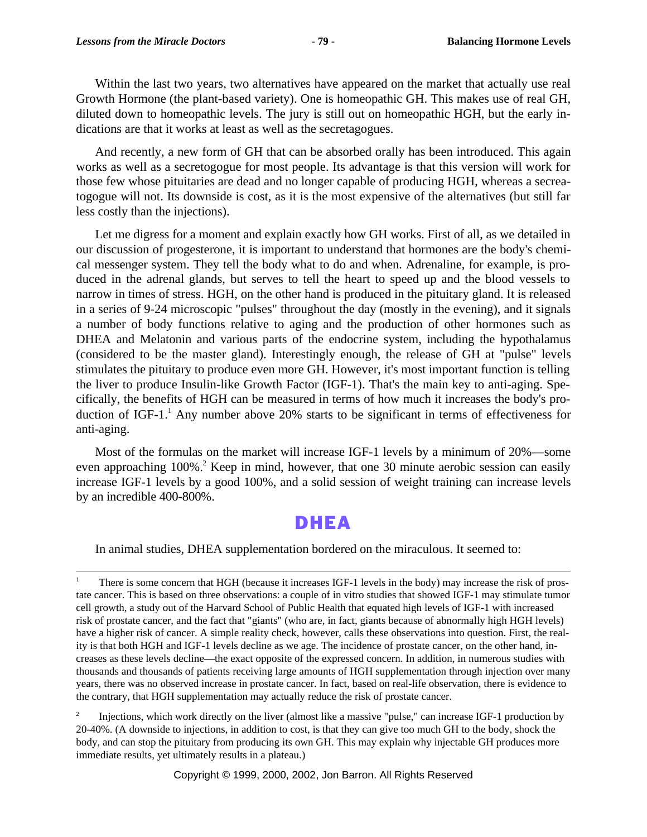Within the last two years, two alternatives have appeared on the market that actually use real Growth Hormone (the plant-based variety). One is homeopathic GH. This makes use of real GH, diluted down to homeopathic levels. The jury is still out on homeopathic HGH, but the early indications are that it works at least as well as the secretagogues.

And recently, a new form of GH that can be absorbed orally has been introduced. This again works as well as a secretogogue for most people. Its advantage is that this version will work for those few whose pituitaries are dead and no longer capable of producing HGH, whereas a secreatogogue will not. Its downside is cost, as it is the most expensive of the alternatives (but still far less costly than the injections).

Let me digress for a moment and explain exactly how GH works. First of all, as we detailed in our discussion of progesterone, it is important to understand that hormones are the body's chemical messenger system. They tell the body what to do and when. Adrenaline, for example, is produced in the adrenal glands, but serves to tell the heart to speed up and the blood vessels to narrow in times of stress. HGH, on the other hand is produced in the pituitary gland. It is released in a series of 9-24 microscopic "pulses" throughout the day (mostly in the evening), and it signals a number of body functions relative to aging and the production of other hormones such as DHEA and Melatonin and various parts of the endocrine system, including the hypothalamus (considered to be the master gland). Interestingly enough, the release of GH at "pulse" levels stimulates the pituitary to produce even more GH. However, it's most important function is telling the liver to produce Insulin-like Growth Factor (IGF-1). That's the main key to anti-aging. Specifically, the benefits of HGH can be measured in terms of how much it increases the body's production of IGF-1.<sup>1</sup> Any number above 20% starts to be significant in terms of effectiveness for anti-aging.

Most of the formulas on the market will increase IGF-1 levels by a minimum of 20%—some even approaching 100%.<sup>2</sup> Keep in mind, however, that one 30 minute aerobic session can easily increase IGF-1 levels by a good 100%, and a solid session of weight training can increase levels by an incredible 400-800%.

## DHEA

In animal studies, DHEA supplementation bordered on the miraculous. It seemed to:

<sup>1</sup> There is some concern that HGH (because it increases IGF-1 levels in the body) may increase the risk of prostate cancer. This is based on three observations: a couple of in vitro studies that showed IGF-1 may stimulate tumor cell growth, a study out of the Harvard School of Public Health that equated high levels of IGF-1 with increased risk of prostate cancer, and the fact that "giants" (who are, in fact, giants because of abnormally high HGH levels) have a higher risk of cancer. A simple reality check, however, calls these observations into question. First, the reality is that both HGH and IGF-1 levels decline as we age. The incidence of prostate cancer, on the other hand, increases as these levels decline—the exact opposite of the expressed concern. In addition, in numerous studies with thousands and thousands of patients receiving large amounts of HGH supplementation through injection over many years, there was no observed increase in prostate cancer. In fact, based on real-life observation, there is evidence to the contrary, that HGH supplementation may actually reduce the risk of prostate cancer.

 $\frac{2}{1}$  Injections, which work directly on the liver (almost like a massive "pulse," can increase IGF-1 production by 20-40%. (A downside to injections, in addition to cost, is that they can give too much GH to the body, shock the body, and can stop the pituitary from producing its own GH. This may explain why injectable GH produces more immediate results, yet ultimately results in a plateau.)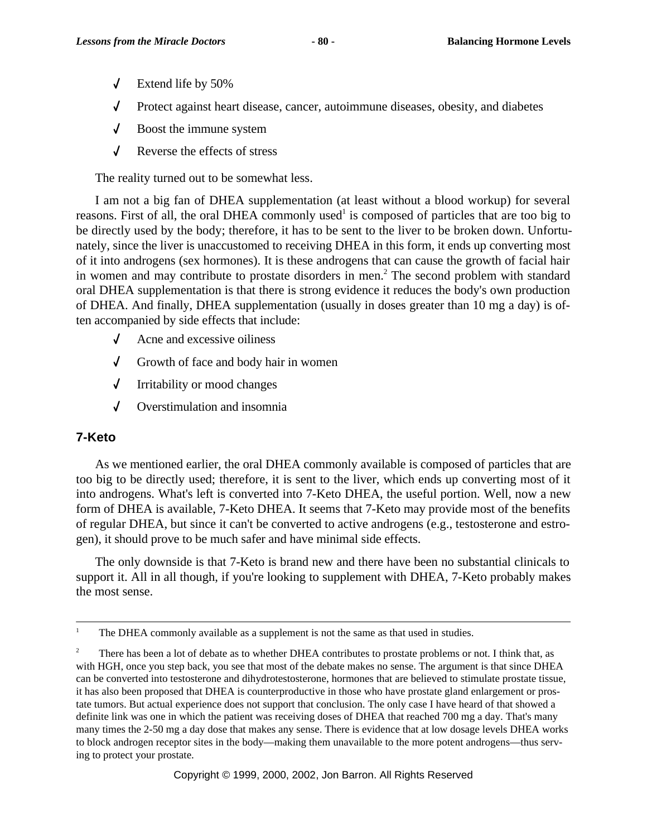- $\sqrt{2}$ Extend life by 50%
- $\sqrt{2}$ Protect against heart disease, cancer, autoimmune diseases, obesity, and diabetes
- $\sqrt{ }$ Boost the immune system
- $\sqrt{2}$ Reverse the effects of stress

The reality turned out to be somewhat less.

I am not a big fan of DHEA supplementation (at least without a blood workup) for several reasons. First of all, the oral DHEA commonly used<sup>1</sup> is composed of particles that are too big to be directly used by the body; therefore, it has to be sent to the liver to be broken down. Unfortunately, since the liver is unaccustomed to receiving DHEA in this form, it ends up converting most of it into androgens (sex hormones). It is these androgens that can cause the growth of facial hair in women and may contribute to prostate disorders in men.<sup>2</sup> The second problem with standard oral DHEA supplementation is that there is strong evidence it reduces the body's own production of DHEA. And finally, DHEA supplementation (usually in doses greater than 10 mg a day) is often accompanied by side effects that include:

- $\overline{J}$ Acne and excessive oiliness
- $\sqrt{ }$ Growth of face and body hair in women
- $\sqrt{ }$ Irritability or mood changes
- $\sqrt{2}$ Overstimulation and insomnia

### **7-Keto**

As we mentioned earlier, the oral DHEA commonly available is composed of particles that are too big to be directly used; therefore, it is sent to the liver, which ends up converting most of it into androgens. What's left is converted into 7-Keto DHEA, the useful portion. Well, now a new form of DHEA is available, 7-Keto DHEA. It seems that 7-Keto may provide most of the benefits of regular DHEA, but since it can't be converted to active androgens (e.g., testosterone and estrogen), it should prove to be much safer and have minimal side effects.

The only downside is that 7-Keto is brand new and there have been no substantial clinicals to support it. All in all though, if you're looking to supplement with DHEA, 7-Keto probably makes the most sense.

The DHEA commonly available as a supplement is not the same as that used in studies.

<sup>2</sup> There has been a lot of debate as to whether DHEA contributes to prostate problems or not. I think that, as with HGH, once you step back, you see that most of the debate makes no sense. The argument is that since DHEA can be converted into testosterone and dihydrotestosterone, hormones that are believed to stimulate prostate tissue, it has also been proposed that DHEA is counterproductive in those who have prostate gland enlargement or prostate tumors. But actual experience does not support that conclusion. The only case I have heard of that showed a definite link was one in which the patient was receiving doses of DHEA that reached 700 mg a day. That's many many times the 2-50 mg a day dose that makes any sense. There is evidence that at low dosage levels DHEA works to block androgen receptor sites in the body—making them unavailable to the more potent androgens—thus serving to protect your prostate.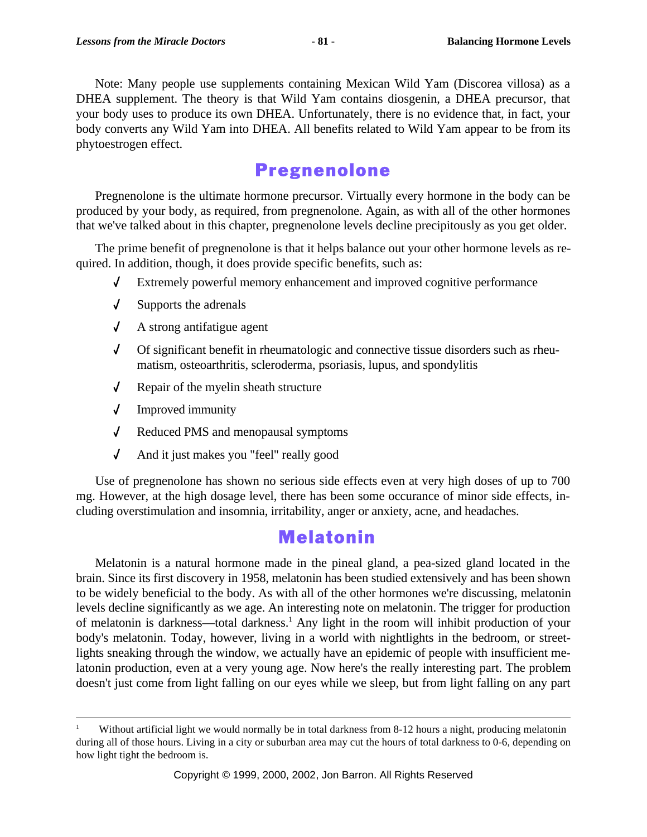Note: Many people use supplements containing Mexican Wild Yam (Discorea villosa) as a DHEA supplement. The theory is that Wild Yam contains diosgenin, a DHEA precursor, that your body uses to produce its own DHEA. Unfortunately, there is no evidence that, in fact, your body converts any Wild Yam into DHEA. All benefits related to Wild Yam appear to be from its phytoestrogen effect.

## Pregnenolone

Pregnenolone is the ultimate hormone precursor. Virtually every hormone in the body can be produced by your body, as required, from pregnenolone. Again, as with all of the other hormones that we've talked about in this chapter, pregnenolone levels decline precipitously as you get older.

The prime benefit of pregnenolone is that it helps balance out your other hormone levels as required. In addition, though, it does provide specific benefits, such as:

- $\overline{J}$ Extremely powerful memory enhancement and improved cognitive performance
- $J$ Supports the adrenals
- $\sqrt{ }$ A strong antifatigue agent
- $\sqrt{ }$ Of significant benefit in rheumatologic and connective tissue disorders such as rheumatism, osteoarthritis, scleroderma, psoriasis, lupus, and spondylitis
- $\sqrt{ }$ Repair of the myelin sheath structure
- $\sqrt{ }$ Improved immunity
- $\sqrt{ }$ Reduced PMS and menopausal symptoms
- $\sqrt{2}$ And it just makes you "feel" really good

Use of pregnenolone has shown no serious side effects even at very high doses of up to 700 mg. However, at the high dosage level, there has been some occurance of minor side effects, including overstimulation and insomnia, irritability, anger or anxiety, acne, and headaches.

## Melatonin

Melatonin is a natural hormone made in the pineal gland, a pea-sized gland located in the brain. Since its first discovery in 1958, melatonin has been studied extensively and has been shown to be widely beneficial to the body. As with all of the other hormones we're discussing, melatonin levels decline significantly as we age. An interesting note on melatonin. The trigger for production of melatonin is darkness—total darkness.<sup>1</sup> Any light in the room will inhibit production of your body's melatonin. Today, however, living in a world with nightlights in the bedroom, or streetlights sneaking through the window, we actually have an epidemic of people with insufficient melatonin production, even at a very young age. Now here's the really interesting part. The problem doesn't just come from light falling on our eyes while we sleep, but from light falling on any part

Without artificial light we would normally be in total darkness from 8-12 hours a night, producing melatonin during all of those hours. Living in a city or suburban area may cut the hours of total darkness to 0-6, depending on how light tight the bedroom is.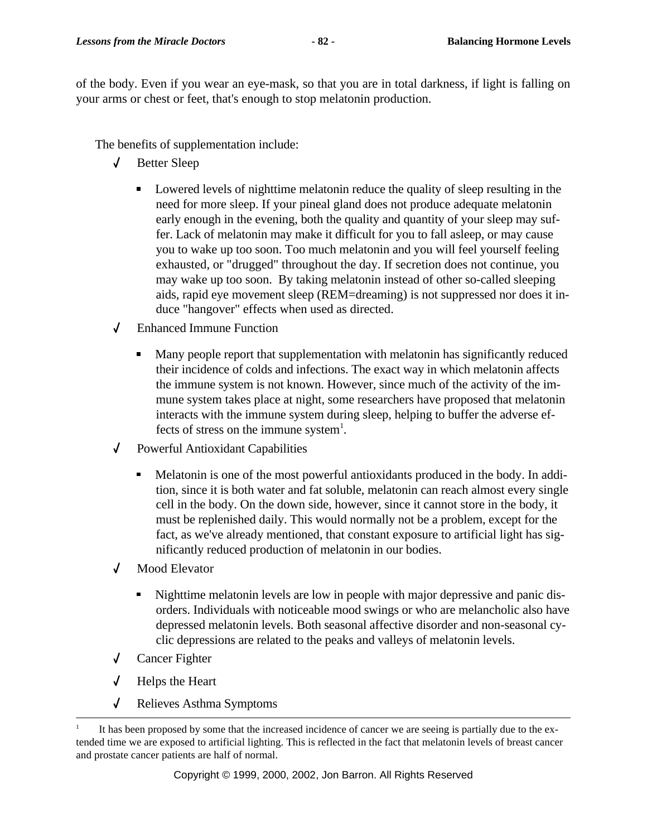of the body. Even if you wear an eye-mask, so that you are in total darkness, if light is falling on your arms or chest or feet, that's enough to stop melatonin production.

The benefits of supplementation include:

- $\sqrt{ }$ Better Sleep
	- Lowered levels of nighttime melatonin reduce the quality of sleep resulting in the  $\mathbf{m}$ need for more sleep. If your pineal gland does not produce adequate melatonin early enough in the evening, both the quality and quantity of your sleep may suffer. Lack of melatonin may make it difficult for you to fall asleep, or may cause you to wake up too soon. Too much melatonin and you will feel yourself feeling exhausted, or "drugged" throughout the day. If secretion does not continue, you may wake up too soon. By taking melatonin instead of other so-called sleeping aids, rapid eye movement sleep (REM=dreaming) is not suppressed nor does it induce "hangover" effects when used as directed.
- $\overline{J}$ Enhanced Immune Function
	- Many people report that supplementation with melatonin has significantly reduced their incidence of colds and infections. The exact way in which melatonin affects the immune system is not known. However, since much of the activity of the immune system takes place at night, some researchers have proposed that melatonin interacts with the immune system during sleep, helping to buffer the adverse effects of stress on the immune system<sup>1</sup>.
- $\sqrt{2}$ Powerful Antioxidant Capabilities
	- $\blacksquare$ Melatonin is one of the most powerful antioxidants produced in the body. In addition, since it is both water and fat soluble, melatonin can reach almost every single cell in the body. On the down side, however, since it cannot store in the body, it must be replenished daily. This would normally not be a problem, except for the fact, as we've already mentioned, that constant exposure to artificial light has significantly reduced production of melatonin in our bodies.
- $\overline{J}$ Mood Elevator
	- Nighttime melatonin levels are low in people with major depressive and panic disorders. Individuals with noticeable mood swings or who are melancholic also have depressed melatonin levels. Both seasonal affective disorder and non-seasonal cyclic depressions are related to the peaks and valleys of melatonin levels.
- $\sqrt{ }$ Cancer Fighter
- $\sqrt{ }$ Helps the Heart
- $\sqrt{2}$ Relieves Asthma Symptoms

It has been proposed by some that the increased incidence of cancer we are seeing is partially due to the extended time we are exposed to artificial lighting. This is reflected in the fact that melatonin levels of breast cancer and prostate cancer patients are half of normal.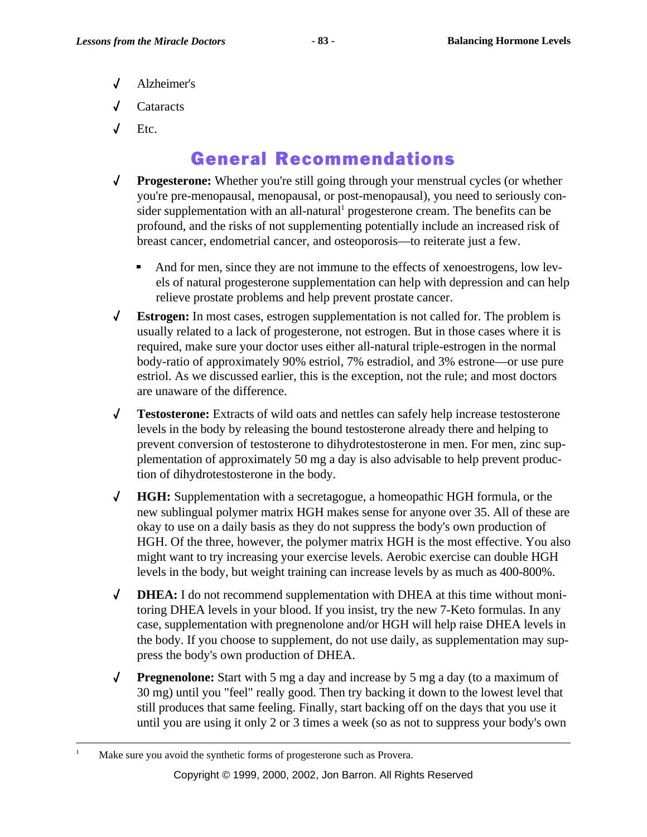- $\overline{J}$ Alzheimer's
- $\sqrt{ }$ **Cataracts**
- $J$ Etc.

# General Recommendations

- $\sqrt{ }$ **Progesterone:** Whether you're still going through your menstrual cycles (or whether you're pre-menopausal, menopausal, or post-menopausal), you need to seriously consider supplementation with an all-natural<sup>1</sup> progesterone cream. The benefits can be profound, and the risks of not supplementing potentially include an increased risk of breast cancer, endometrial cancer, and osteoporosis—to reiterate just a few.
	- And for men, since they are not immune to the effects of xenoestrogens, low levels of natural progesterone supplementation can help with depression and can help relieve prostate problems and help prevent prostate cancer.
- $\sqrt{ }$ **Estrogen:** In most cases, estrogen supplementation is not called for. The problem is usually related to a lack of progesterone, not estrogen. But in those cases where it is required, make sure your doctor uses either all-natural triple-estrogen in the normal body-ratio of approximately 90% estriol, 7% estradiol, and 3% estrone—or use pure estriol. As we discussed earlier, this is the exception, not the rule; and most doctors are unaware of the difference.
- $\sqrt{ }$ **Testosterone:** Extracts of wild oats and nettles can safely help increase testosterone levels in the body by releasing the bound testosterone already there and helping to prevent conversion of testosterone to dihydrotestosterone in men. For men, zinc supplementation of approximately 50 mg a day is also advisable to help prevent production of dihydrotestosterone in the body.
- $\sqrt{ }$ **HGH:** Supplementation with a secretagogue, a homeopathic HGH formula, or the new sublingual polymer matrix HGH makes sense for anyone over 35. All of these are okay to use on a daily basis as they do not suppress the body's own production of HGH. Of the three, however, the polymer matrix HGH is the most effective. You also might want to try increasing your exercise levels. Aerobic exercise can double HGH levels in the body, but weight training can increase levels by as much as 400-800%.
- $\sqrt{ }$ **DHEA:** I do not recommend supplementation with DHEA at this time without monitoring DHEA levels in your blood. If you insist, try the new 7-Keto formulas. In any case, supplementation with pregnenolone and/or HGH will help raise DHEA levels in the body. If you choose to supplement, do not use daily, as supplementation may suppress the body's own production of DHEA.
- $\sqrt{ }$ **Pregnenolone:** Start with 5 mg a day and increase by 5 mg a day (to a maximum of 30 mg) until you "feel" really good. Then try backing it down to the lowest level that still produces that same feeling. Finally, start backing off on the days that you use it until you are using it only 2 or 3 times a week (so as not to suppress your body's own

Make sure you avoid the synthetic forms of progesterone such as Provera.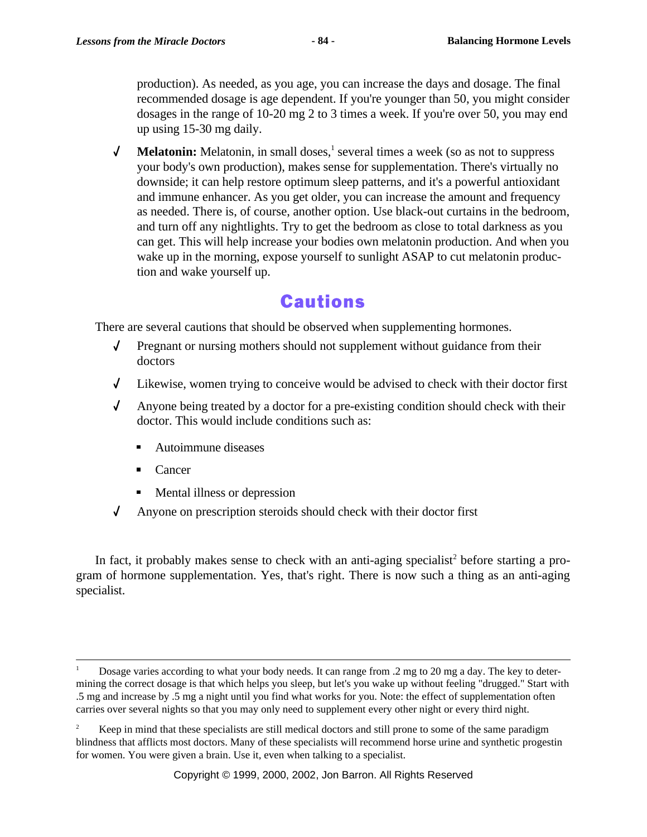production). As needed, as you age, you can increase the days and dosage. The final recommended dosage is age dependent. If you're younger than 50, you might consider dosages in the range of 10-20 mg 2 to 3 times a week. If you're over 50, you may end up using 15-30 mg daily.

 $\sqrt{ }$ **Melatonin:** Melatonin, in small doses,<sup>1</sup> several times a week (so as not to suppress your body's own production), makes sense for supplementation. There's virtually no downside; it can help restore optimum sleep patterns, and it's a powerful antioxidant and immune enhancer. As you get older, you can increase the amount and frequency as needed. There is, of course, another option. Use black-out curtains in the bedroom, and turn off any nightlights. Try to get the bedroom as close to total darkness as you can get. This will help increase your bodies own melatonin production. And when you wake up in the morning, expose yourself to sunlight ASAP to cut melatonin production and wake yourself up.

## Cautions

There are several cautions that should be observed when supplementing hormones.

- Pregnant or nursing mothers should not supplement without guidance from their  $J$ doctors
- $\sqrt{ }$ Likewise, women trying to conceive would be advised to check with their doctor first
- $\sqrt{ }$ Anyone being treated by a doctor for a pre-existing condition should check with their doctor. This would include conditions such as:
	- Autoimmune diseases
	- Cancer
	- Mental illness or depression
- $\sqrt{\phantom{a}}$  Anyone on prescription steroids should check with their doctor first

In fact, it probably makes sense to check with an anti-aging specialist<sup>2</sup> before starting a program of hormone supplementation. Yes, that's right. There is now such a thing as an anti-aging specialist.

Dosage varies according to what your body needs. It can range from .2 mg to 20 mg a day. The key to determining the correct dosage is that which helps you sleep, but let's you wake up without feeling "drugged." Start with .5 mg and increase by .5 mg a night until you find what works for you. Note: the effect of supplementation often carries over several nights so that you may only need to supplement every other night or every third night.

<sup>2</sup> Keep in mind that these specialists are still medical doctors and still prone to some of the same paradigm blindness that afflicts most doctors. Many of these specialists will recommend horse urine and synthetic progestin for women. You were given a brain. Use it, even when talking to a specialist.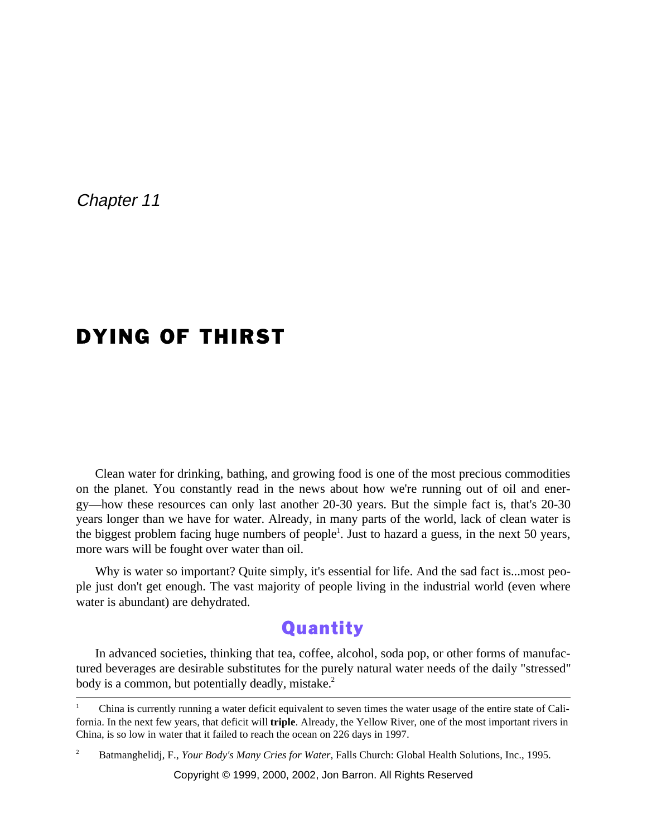Chapter 11

# DYING OF THIRST

Clean water for drinking, bathing, and growing food is one of the most precious commodities on the planet. You constantly read in the news about how we're running out of oil and energy—how these resources can only last another 20-30 years. But the simple fact is, that's 20-30 years longer than we have for water. Already, in many parts of the world, lack of clean water is the biggest problem facing huge numbers of people<sup>1</sup>. Just to hazard a guess, in the next 50 years, more wars will be fought over water than oil.

Why is water so important? Quite simply, it's essential for life. And the sad fact is...most people just don't get enough. The vast majority of people living in the industrial world (even where water is abundant) are dehydrated.

## **Quantity**

In advanced societies, thinking that tea, coffee, alcohol, soda pop, or other forms of manufactured beverages are desirable substitutes for the purely natural water needs of the daily "stressed" body is a common, but potentially deadly, mistake.<sup>2</sup>

Copyright © 1999, 2000, 2002, Jon Barron. All Rights Reserved

<sup>1</sup> China is currently running a water deficit equivalent to seven times the water usage of the entire state of California. In the next few years, that deficit will **triple**. Already, the Yellow River, one of the most important rivers in China, is so low in water that it failed to reach the ocean on 226 days in 1997.

<sup>&</sup>lt;sup>2</sup> Batmanghelidj, F., *Your Body's Many Cries for Water*, Falls Church: Global Health Solutions, Inc., 1995.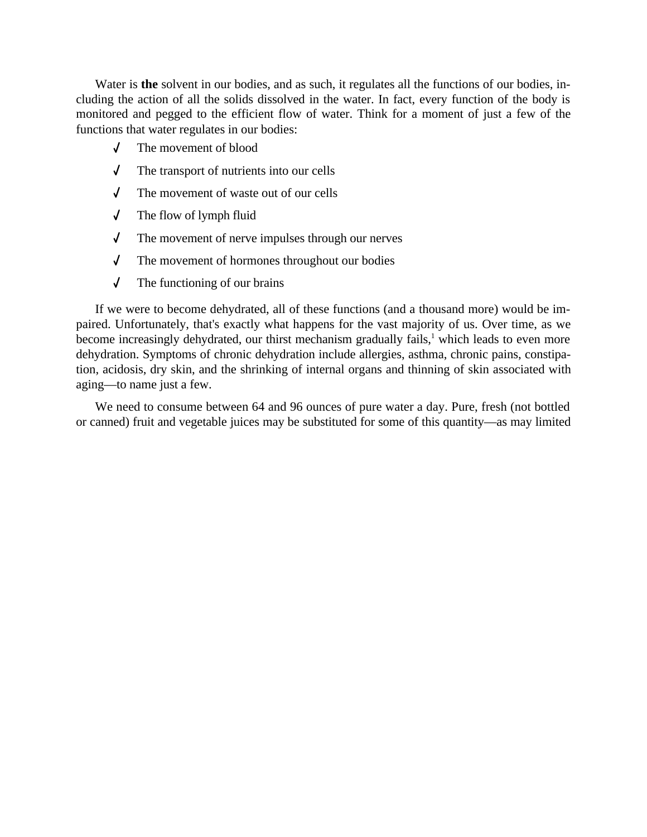Water is **the** solvent in our bodies, and as such, it regulates all the functions of our bodies, including the action of all the solids dissolved in the water. In fact, every function of the body is monitored and pegged to the efficient flow of water. Think for a moment of just a few of the functions that water regulates in our bodies:

- $J_{-}$ The movement of blood
- $\sqrt{2}$ The transport of nutrients into our cells
- $\sqrt{ }$ The movement of waste out of our cells
- $\overline{J}$ The flow of lymph fluid
- $\sqrt{ }$ The movement of nerve impulses through our nerves
- $\sqrt{2}$ The movement of hormones throughout our bodies
- $\sqrt{2}$ The functioning of our brains

If we were to become dehydrated, all of these functions (and a thousand more) would be impaired. Unfortunately, that's exactly what happens for the vast majority of us. Over time, as we become increasingly dehydrated, our thirst mechanism gradually fails,<sup>1</sup> which leads to even more dehydration. Symptoms of chronic dehydration include allergies, asthma, chronic pains, constipation, acidosis, dry skin, and the shrinking of internal organs and thinning of skin associated with aging—to name just a few.

We need to consume between 64 and 96 ounces of pure water a day. Pure, fresh (not bottled or canned) fruit and vegetable juices may be substituted for some of this quantity—as may limited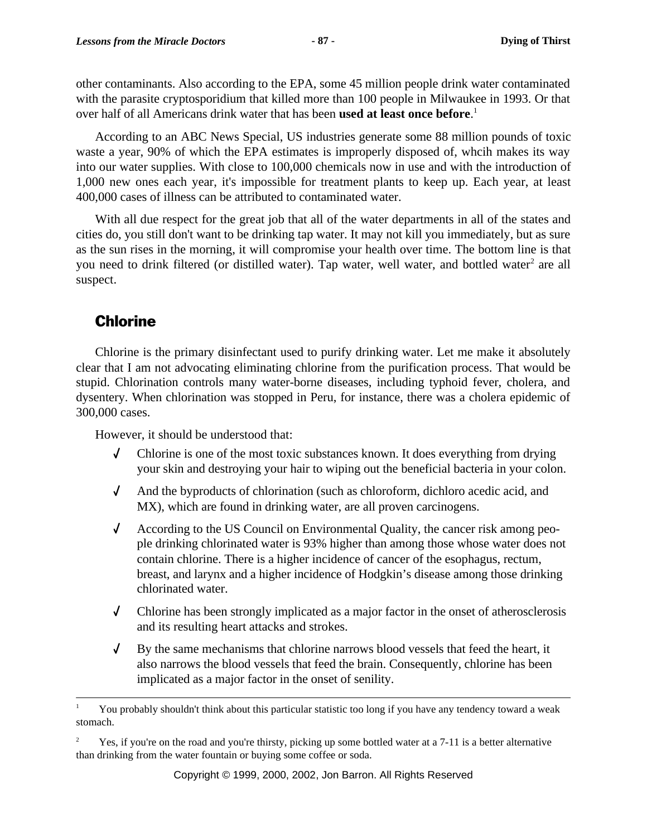other contaminants. Also according to the EPA, some 45 million people drink water contaminated with the parasite cryptosporidium that killed more than 100 people in Milwaukee in 1993. Or that over half of all Americans drink water that has been **used at least once before**. 1

According to an ABC News Special, US industries generate some 88 million pounds of toxic waste a year, 90% of which the EPA estimates is improperly disposed of, whcih makes its way into our water supplies. With close to 100,000 chemicals now in use and with the introduction of 1,000 new ones each year, it's impossible for treatment plants to keep up. Each year, at least 400,000 cases of illness can be attributed to contaminated water.

With all due respect for the great job that all of the water departments in all of the states and cities do, you still don't want to be drinking tap water. It may not kill you immediately, but as sure as the sun rises in the morning, it will compromise your health over time. The bottom line is that you need to drink filtered (or distilled water). Tap water, well water, and bottled water<sup>2</sup> are all suspect.

### **Chlorine**

Chlorine is the primary disinfectant used to purify drinking water. Let me make it absolutely clear that I am not advocating eliminating chlorine from the purification process. That would be stupid. Chlorination controls many water-borne diseases, including typhoid fever, cholera, and dysentery. When chlorination was stopped in Peru, for instance, there was a cholera epidemic of 300,000 cases.

However, it should be understood that:

- $\sqrt{ }$ Chlorine is one of the most toxic substances known. It does everything from drying your skin and destroying your hair to wiping out the beneficial bacteria in your colon.
- $\sqrt{ }$ And the byproducts of chlorination (such as chloroform, dichloro acedic acid, and MX), which are found in drinking water, are all proven carcinogens.
- $\sqrt{ }$ According to the US Council on Environmental Quality, the cancer risk among people drinking chlorinated water is 93% higher than among those whose water does not contain chlorine. There is a higher incidence of cancer of the esophagus, rectum, breast, and larynx and a higher incidence of Hodgkin's disease among those drinking chlorinated water.
- $\sqrt{ }$ Chlorine has been strongly implicated as a major factor in the onset of atherosclerosis and its resulting heart attacks and strokes.
- $\sqrt{ }$ By the same mechanisms that chlorine narrows blood vessels that feed the heart, it also narrows the blood vessels that feed the brain. Consequently, chlorine has been implicated as a major factor in the onset of senility.

<sup>1</sup> You probably shouldn't think about this particular statistic too long if you have any tendency toward a weak stomach.

<sup>&</sup>lt;sup>2</sup> Yes, if you're on the road and you're thirsty, picking up some bottled water at a 7-11 is a better alternative than drinking from the water fountain or buying some coffee or soda.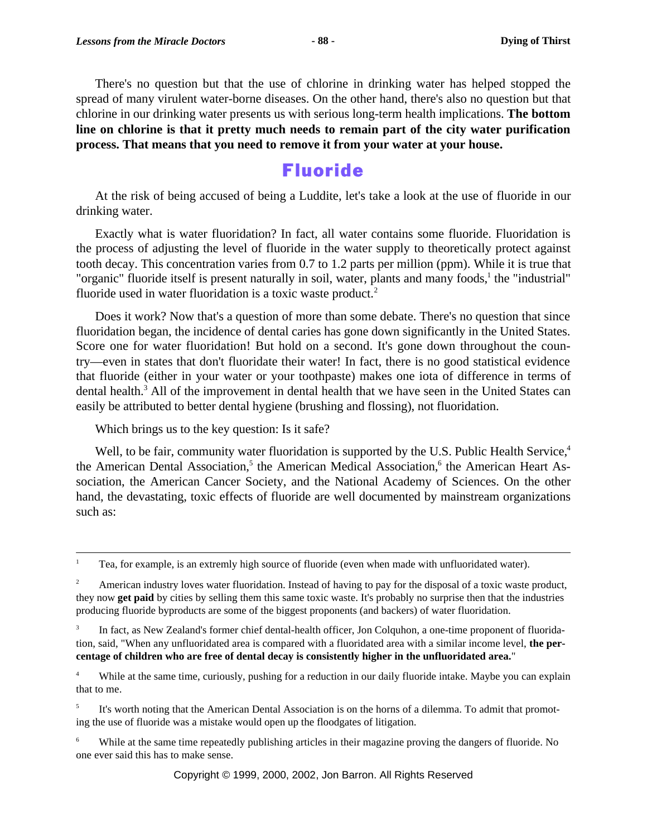There's no question but that the use of chlorine in drinking water has helped stopped the spread of many virulent water-borne diseases. On the other hand, there's also no question but that chlorine in our drinking water presents us with serious long-term health implications. **The bottom line on chlorine is that it pretty much needs to remain part of the city water purification process. That means that you need to remove it from your water at your house.**

## Fluoride

At the risk of being accused of being a Luddite, let's take a look at the use of fluoride in our drinking water.

Exactly what is water fluoridation? In fact, all water contains some fluoride. Fluoridation is the process of adjusting the level of fluoride in the water supply to theoretically protect against tooth decay. This concentration varies from 0.7 to 1.2 parts per million (ppm). While it is true that "organic" fluoride itself is present naturally in soil, water, plants and many foods,<sup>1</sup> the "industrial" fluoride used in water fluoridation is a toxic waste product.<sup>2</sup>

Does it work? Now that's a question of more than some debate. There's no question that since fluoridation began, the incidence of dental caries has gone down significantly in the United States. Score one for water fluoridation! But hold on a second. It's gone down throughout the country—even in states that don't fluoridate their water! In fact, there is no good statistical evidence that fluoride (either in your water or your toothpaste) makes one iota of difference in terms of dental health.<sup>3</sup> All of the improvement in dental health that we have seen in the United States can easily be attributed to better dental hygiene (brushing and flossing), not fluoridation.

Which brings us to the key question: Is it safe?

Well, to be fair, community water fluoridation is supported by the U.S. Public Health Service,<sup>4</sup> the American Dental Association,<sup>5</sup> the American Medical Association,<sup>6</sup> the American Heart Association, the American Cancer Society, and the National Academy of Sciences. On the other hand, the devastating, toxic effects of fluoride are well documented by mainstream organizations such as:

<sup>4</sup> While at the same time, curiously, pushing for a reduction in our daily fluoride intake. Maybe you can explain that to me.

It's worth noting that the American Dental Association is on the horns of a dilemma. To admit that promoting the use of fluoride was a mistake would open up the floodgates of litigation.

While at the same time repeatedly publishing articles in their magazine proving the dangers of fluoride. No one ever said this has to make sense.

Copyright © 1999, 2000, 2002, Jon Barron. All Rights Reserved

<sup>&</sup>lt;sup>1</sup> Tea, for example, is an extremly high source of fluoride (even when made with unfluoridated water).

<sup>&</sup>lt;sup>2</sup> American industry loves water fluoridation. Instead of having to pay for the disposal of a toxic waste product, they now **get paid** by cities by selling them this same toxic waste. It's probably no surprise then that the industries producing fluoride byproducts are some of the biggest proponents (and backers) of water fluoridation.

<sup>&</sup>lt;sup>3</sup> In fact, as New Zealand's former chief dental-health officer, Jon Colquhon, a one-time proponent of fluoridation, said, "When any unfluoridated area is compared with a fluoridated area with a similar income level, **the percentage of children who are free of dental decay is consistently higher in the unfluoridated area.**"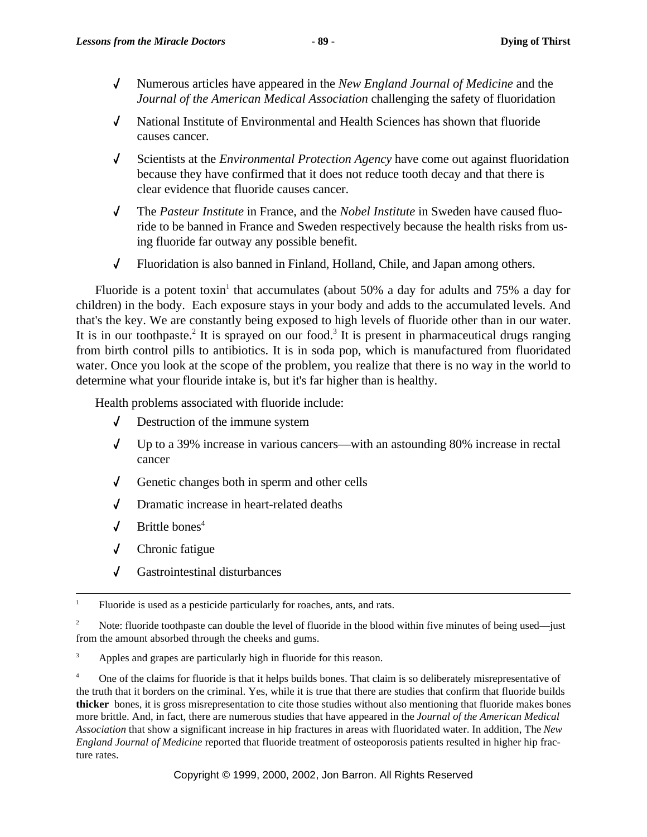- $\sqrt{ }$ Numerous articles have appeared in the *New England Journal of Medicine* and the *Journal of the American Medical Association* challenging the safety of fluoridation
- $\sqrt{ }$ National Institute of Environmental and Health Sciences has shown that fluoride causes cancer.
- $\sqrt{ }$ Scientists at the *Environmental Protection Agency* have come out against fluoridation because they have confirmed that it does not reduce tooth decay and that there is clear evidence that fluoride causes cancer.
- The *Pasteur Institute* in France, and the *Nobel Institute* in Sweden have caused fluo- $\sqrt{ }$ ride to be banned in France and Sweden respectively because the health risks from using fluoride far outway any possible benefit.
- $\sqrt{ }$ Fluoridation is also banned in Finland, Holland, Chile, and Japan among others.

Fluoride is a potent toxin<sup>1</sup> that accumulates (about 50% a day for adults and 75% a day for children) in the body. Each exposure stays in your body and adds to the accumulated levels. And that's the key. We are constantly being exposed to high levels of fluoride other than in our water. It is in our toothpaste.<sup>2</sup> It is sprayed on our food.<sup>3</sup> It is present in pharmaceutical drugs ranging from birth control pills to antibiotics. It is in soda pop, which is manufactured from fluoridated water. Once you look at the scope of the problem, you realize that there is no way in the world to determine what your flouride intake is, but it's far higher than is healthy.

Health problems associated with fluoride include:

- $\sqrt{ }$ Destruction of the immune system
- $\sqrt{\phantom{a}}$  Up to a 39% increase in various cancers—with an astounding 80% increase in rectal cancer
- $\sqrt{ }$ Genetic changes both in sperm and other cells
- $\sqrt{ }$ Dramatic increase in heart-related deaths
- $J$ Brittle bones $4$
- $\sqrt{ }$ Chronic fatigue
- $\sqrt{ }$ Gastrointestinal disturbances

<sup>1</sup> Fluoride is used as a pesticide particularly for roaches, ants, and rats.

<sup>&</sup>lt;sup>2</sup> Note: fluoride toothpaste can double the level of fluoride in the blood within five minutes of being used—just from the amount absorbed through the cheeks and gums.

<sup>&</sup>lt;sup>3</sup> Apples and grapes are particularly high in fluoride for this reason.

<sup>&</sup>lt;sup>4</sup> One of the claims for fluoride is that it helps builds bones. That claim is so deliberately misrepresentative of the truth that it borders on the criminal. Yes, while it is true that there are studies that confirm that fluoride builds **thicker** bones, it is gross misrepresentation to cite those studies without also mentioning that fluoride makes bones more brittle. And, in fact, there are numerous studies that have appeared in the *Journal of the American Medical Association* that show a significant increase in hip fractures in areas with fluoridated water. In addition, The *New England Journal of Medicine* reported that fluoride treatment of osteoporosis patients resulted in higher hip fracture rates.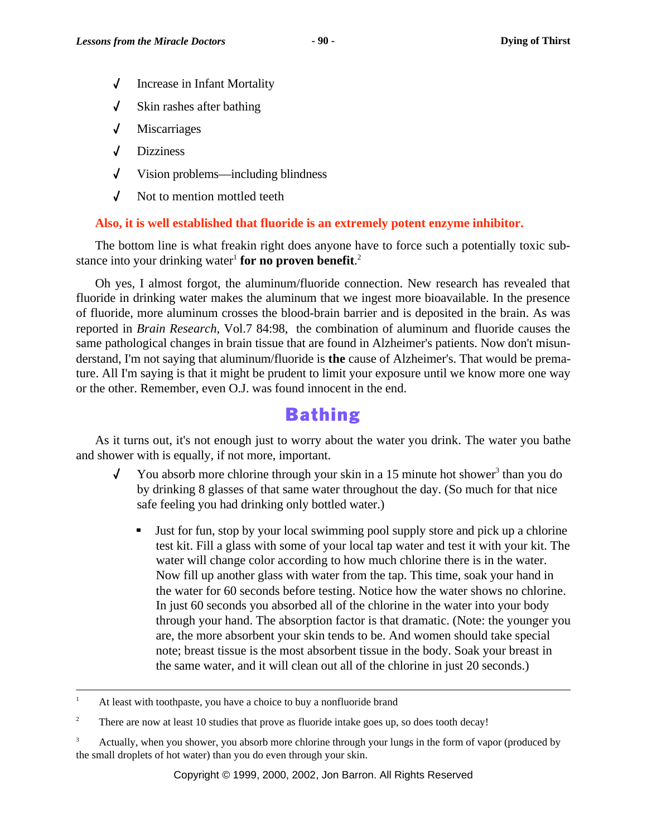- $\overline{J}$ Increase in Infant Mortality
- $\overline{J}$ Skin rashes after bathing
- $\sqrt{ }$ **Miscarriages**
- $\sqrt{ }$ Dizziness
- $\sqrt{ }$ Vision problems—including blindness
- Not to mention mottled teeth  $\sqrt{ }$

### **Also, it is well established that fluoride is an extremely potent enzyme inhibitor.**

The bottom line is what freakin right does anyone have to force such a potentially toxic substance into your drinking water<sup>1</sup> for no proven benefit.<sup>2</sup>

Oh yes, I almost forgot, the aluminum/fluoride connection. New research has revealed that fluoride in drinking water makes the aluminum that we ingest more bioavailable. In the presence of fluoride, more aluminum crosses the blood-brain barrier and is deposited in the brain. As was reported in *Brain Research*, Vol.7 84:98, the combination of aluminum and fluoride causes the same pathological changes in brain tissue that are found in Alzheimer's patients. Now don't misunderstand, I'm not saying that aluminum/fluoride is **the** cause of Alzheimer's. That would be premature. All I'm saying is that it might be prudent to limit your exposure until we know more one way or the other. Remember, even O.J. was found innocent in the end.

## Bathing

As it turns out, it's not enough just to worry about the water you drink. The water you bathe and shower with is equally, if not more, important.

- You absorb more chlorine through your skin in a 15 minute hot shower<sup>3</sup> than you do  $\sqrt{2}$ by drinking 8 glasses of that same water throughout the day. (So much for that nice safe feeling you had drinking only bottled water.)
	- Just for fun, stop by your local swimming pool supply store and pick up a chlorine test kit. Fill a glass with some of your local tap water and test it with your kit. The water will change color according to how much chlorine there is in the water. Now fill up another glass with water from the tap. This time, soak your hand in the water for 60 seconds before testing. Notice how the water shows no chlorine. In just 60 seconds you absorbed all of the chlorine in the water into your body through your hand. The absorption factor is that dramatic. (Note: the younger you are, the more absorbent your skin tends to be. And women should take special note; breast tissue is the most absorbent tissue in the body. Soak your breast in the same water, and it will clean out all of the chlorine in just 20 seconds.)

<sup>&</sup>lt;sup>1</sup> At least with toothpaste, you have a choice to buy a nonfluoride brand

<sup>&</sup>lt;sup>2</sup> There are now at least 10 studies that prove as fluoride intake goes up, so does tooth decay!

<sup>&</sup>lt;sup>3</sup> Actually, when you shower, you absorb more chlorine through your lungs in the form of vapor (produced by the small droplets of hot water) than you do even through your skin.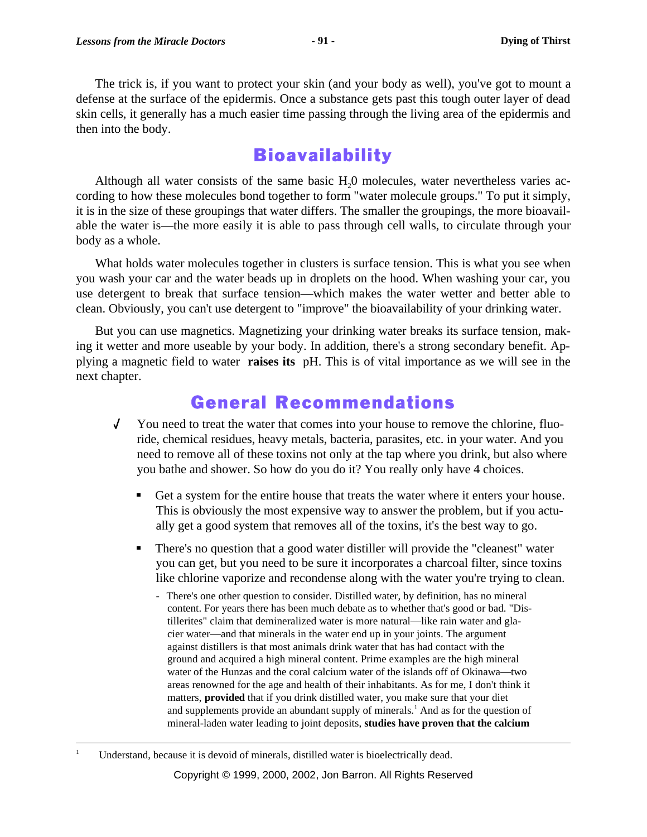The trick is, if you want to protect your skin (and your body as well), you've got to mount a defense at the surface of the epidermis. Once a substance gets past this tough outer layer of dead skin cells, it generally has a much easier time passing through the living area of the epidermis and then into the body.

## Bioavailability

Although all water consists of the same basic H20 molecules, water nevertheless varies according to how these molecules bond together to form "water molecule groups." To put it simply, it is in the size of these groupings that water differs. The smaller the groupings, the more bioavailable the water is—the more easily it is able to pass through cell walls, to circulate through your body as a whole.

What holds water molecules together in clusters is surface tension. This is what you see when you wash your car and the water beads up in droplets on the hood. When washing your car, you use detergent to break that surface tension—which makes the water wetter and better able to clean. Obviously, you can't use detergent to "improve" the bioavailability of your drinking water.

But you can use magnetics. Magnetizing your drinking water breaks its surface tension, making it wetter and more useable by your body. In addition, there's a strong secondary benefit. Applying a magnetic field to water **raises its** pH. This is of vital importance as we will see in the next chapter.

### General Recommendations

- $\sqrt{ }$ You need to treat the water that comes into your house to remove the chlorine, fluoride, chemical residues, heavy metals, bacteria, parasites, etc. in your water. And you need to remove all of these toxins not only at the tap where you drink, but also where you bathe and shower. So how do you do it? You really only have 4 choices.
	- Get a system for the entire house that treats the water where it enters your house. This is obviously the most expensive way to answer the problem, but if you actually get a good system that removes all of the toxins, it's the best way to go.
	- $\blacksquare$ There's no question that a good water distiller will provide the "cleanest" water you can get, but you need to be sure it incorporates a charcoal filter, since toxins like chlorine vaporize and recondense along with the water you're trying to clean.
		- There's one other question to consider. Distilled water, by definition, has no mineral content. For years there has been much debate as to whether that's good or bad. "Distillerites" claim that demineralized water is more natural—like rain water and glacier water—and that minerals in the water end up in your joints. The argument against distillers is that most animals drink water that has had contact with the ground and acquired a high mineral content. Prime examples are the high mineral water of the Hunzas and the coral calcium water of the islands off of Okinawa—two areas renowned for the age and health of their inhabitants. As for me, I don't think it matters, **provided** that if you drink distilled water, you make sure that your diet and supplements provide an abundant supply of minerals.<sup>1</sup> And as for the question of mineral-laden water leading to joint deposits, **studies have proven that the calcium**

<sup>1</sup> Understand, because it is devoid of minerals, distilled water is bioelectrically dead.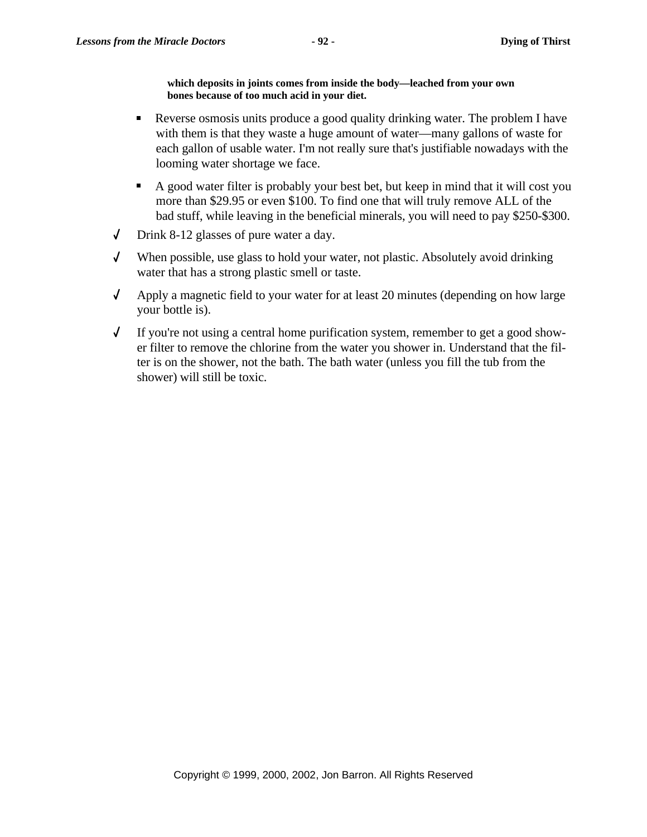**which deposits in joints comes from inside the body—leached from your own bones because of too much acid in your diet.**

- $\mathbf{u}$  . Reverse osmosis units produce a good quality drinking water. The problem I have with them is that they waste a huge amount of water—many gallons of waste for each gallon of usable water. I'm not really sure that's justifiable nowadays with the looming water shortage we face.
- A good water filter is probably your best bet, but keep in mind that it will cost you more than \$29.95 or even \$100. To find one that will truly remove ALL of the bad stuff, while leaving in the beneficial minerals, you will need to pay \$250-\$300.
- $\sqrt{2}$ Drink 8-12 glasses of pure water a day.
- $\sqrt{ }$ When possible, use glass to hold your water, not plastic. Absolutely avoid drinking water that has a strong plastic smell or taste.
- $\sqrt{ }$ Apply a magnetic field to your water for at least 20 minutes (depending on how large your bottle is).
- $\sqrt{ }$ If you're not using a central home purification system, remember to get a good shower filter to remove the chlorine from the water you shower in. Understand that the filter is on the shower, not the bath. The bath water (unless you fill the tub from the shower) will still be toxic.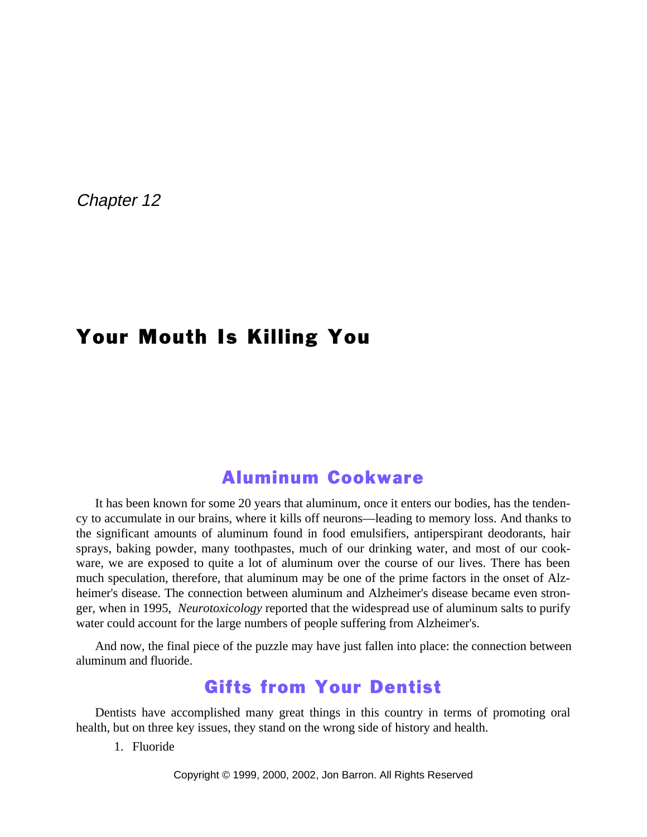Chapter 12

# Your Mouth Is Killing You

## Aluminum Cookware

It has been known for some 20 years that aluminum, once it enters our bodies, has the tendency to accumulate in our brains, where it kills off neurons—leading to memory loss. And thanks to the significant amounts of aluminum found in food emulsifiers, antiperspirant deodorants, hair sprays, baking powder, many toothpastes, much of our drinking water, and most of our cookware, we are exposed to quite a lot of aluminum over the course of our lives. There has been much speculation, therefore, that aluminum may be one of the prime factors in the onset of Alzheimer's disease. The connection between aluminum and Alzheimer's disease became even stronger, when in 1995, *Neurotoxicology* reported that the widespread use of aluminum salts to purify water could account for the large numbers of people suffering from Alzheimer's.

And now, the final piece of the puzzle may have just fallen into place: the connection between aluminum and fluoride.

## Gifts from Your Dentist

Dentists have accomplished many great things in this country in terms of promoting oral health, but on three key issues, they stand on the wrong side of history and health.

1. Fluoride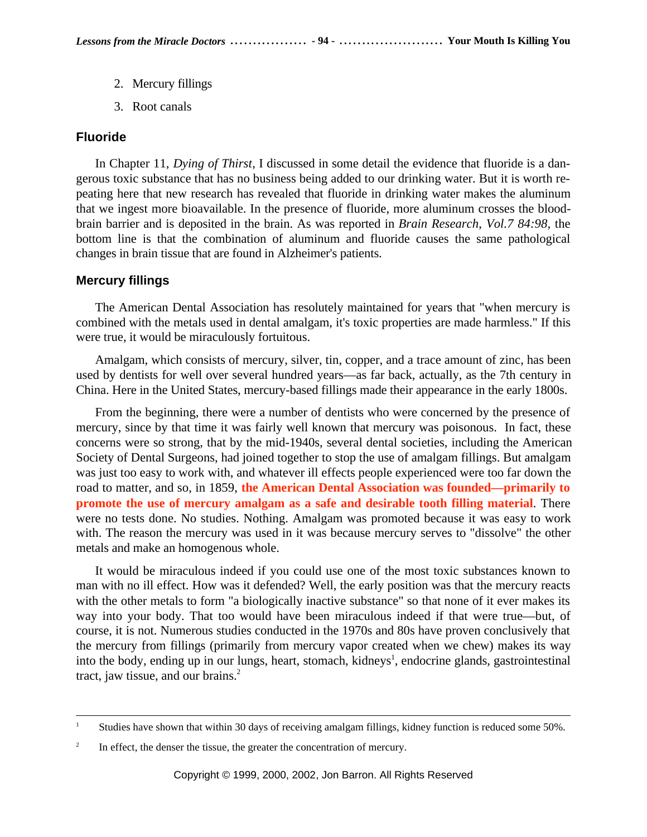- 2. Mercury fillings
- 3. Root canals

### **Fluoride**

In Chapter 11, *Dying of Thirst*, I discussed in some detail the evidence that fluoride is a dangerous toxic substance that has no business being added to our drinking water. But it is worth repeating here that new research has revealed that fluoride in drinking water makes the aluminum that we ingest more bioavailable. In the presence of fluoride, more aluminum crosses the bloodbrain barrier and is deposited in the brain. As was reported in *Brain Research*, *Vol.7 84:98,* the bottom line is that the combination of aluminum and fluoride causes the same pathological changes in brain tissue that are found in Alzheimer's patients.

### **Mercury fillings**

The American Dental Association has resolutely maintained for years that "when mercury is combined with the metals used in dental amalgam, it's toxic properties are made harmless." If this were true, it would be miraculously fortuitous.

Amalgam, which consists of mercury, silver, tin, copper, and a trace amount of zinc, has been used by dentists for well over several hundred years—as far back, actually, as the 7th century in China. Here in the United States, mercury-based fillings made their appearance in the early 1800s.

From the beginning, there were a number of dentists who were concerned by the presence of mercury, since by that time it was fairly well known that mercury was poisonous. In fact, these concerns were so strong, that by the mid-1940s, several dental societies, including the American Society of Dental Surgeons, had joined together to stop the use of amalgam fillings. But amalgam was just too easy to work with, and whatever ill effects people experienced were too far down the road to matter, and so, in 1859, **the American Dental Association was founded—primarily to promote the use of mercury amalgam as a safe and desirable tooth filling material**. There were no tests done. No studies. Nothing. Amalgam was promoted because it was easy to work with. The reason the mercury was used in it was because mercury serves to "dissolve" the other metals and make an homogenous whole.

It would be miraculous indeed if you could use one of the most toxic substances known to man with no ill effect. How was it defended? Well, the early position was that the mercury reacts with the other metals to form "a biologically inactive substance" so that none of it ever makes its way into your body. That too would have been miraculous indeed if that were true—but, of course, it is not. Numerous studies conducted in the 1970s and 80s have proven conclusively that the mercury from fillings (primarily from mercury vapor created when we chew) makes its way into the body, ending up in our lungs, heart, stomach, kidneys<sup>1</sup>, endocrine glands, gastrointestinal tract, jaw tissue, and our brains.<sup>2</sup>

<sup>&</sup>lt;sup>1</sup> Studies have shown that within 30 days of receiving amalgam fillings, kidney function is reduced some 50%.

 $2^2$  In effect, the denser the tissue, the greater the concentration of mercury.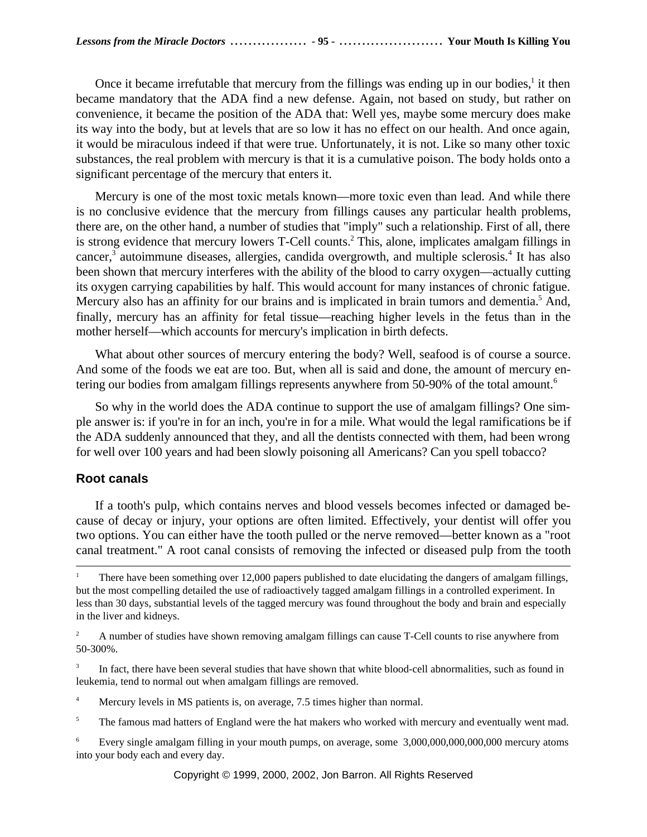Once it became irrefutable that mercury from the fillings was ending up in our bodies,<sup>1</sup> it then became mandatory that the ADA find a new defense. Again, not based on study, but rather on convenience, it became the position of the ADA that: Well yes, maybe some mercury does make its way into the body, but at levels that are so low it has no effect on our health. And once again, it would be miraculous indeed if that were true. Unfortunately, it is not. Like so many other toxic substances, the real problem with mercury is that it is a cumulative poison. The body holds onto a significant percentage of the mercury that enters it.

Mercury is one of the most toxic metals known—more toxic even than lead. And while there is no conclusive evidence that the mercury from fillings causes any particular health problems, there are, on the other hand, a number of studies that "imply" such a relationship. First of all, there is strong evidence that mercury lowers T-Cell counts.<sup>2</sup> This, alone, implicates amalgam fillings in cancer,<sup>3</sup> autoimmune diseases, allergies, candida overgrowth, and multiple sclerosis.<sup>4</sup> It has also been shown that mercury interferes with the ability of the blood to carry oxygen—actually cutting its oxygen carrying capabilities by half. This would account for many instances of chronic fatigue. Mercury also has an affinity for our brains and is implicated in brain tumors and dementia.<sup>5</sup> And, finally, mercury has an affinity for fetal tissue—reaching higher levels in the fetus than in the mother herself—which accounts for mercury's implication in birth defects.

What about other sources of mercury entering the body? Well, seafood is of course a source. And some of the foods we eat are too. But, when all is said and done, the amount of mercury entering our bodies from amalgam fillings represents anywhere from 50-90% of the total amount.<sup>6</sup>

So why in the world does the ADA continue to support the use of amalgam fillings? One simple answer is: if you're in for an inch, you're in for a mile. What would the legal ramifications be if the ADA suddenly announced that they, and all the dentists connected with them, had been wrong for well over 100 years and had been slowly poisoning all Americans? Can you spell tobacco?

### **Root canals**

If a tooth's pulp, which contains nerves and blood vessels becomes infected or damaged because of decay or injury, your options are often limited. Effectively, your dentist will offer you two options. You can either have the tooth pulled or the nerve removed—better known as a "root canal treatment." A root canal consists of removing the infected or diseased pulp from the tooth

In fact, there have been several studies that have shown that white blood-cell abnormalities, such as found in leukemia, tend to normal out when amalgam fillings are removed.

<sup>1</sup> There have been something over 12,000 papers published to date elucidating the dangers of amalgam fillings, but the most compelling detailed the use of radioactively tagged amalgam fillings in a controlled experiment. In less than 30 days, substantial levels of the tagged mercury was found throughout the body and brain and especially in the liver and kidneys.

<sup>&</sup>lt;sup>2</sup> A number of studies have shown removing amalgam fillings can cause T-Cell counts to rise anywhere from 50-300%.

<sup>&</sup>lt;sup>4</sup> Mercury levels in MS patients is, on average, 7.5 times higher than normal.

<sup>&</sup>lt;sup>5</sup> The famous mad hatters of England were the hat makers who worked with mercury and eventually went mad.

<sup>&</sup>lt;sup>6</sup> Every single amalgam filling in your mouth pumps, on average, some 3,000,000,000,000,000 mercury atoms into your body each and every day.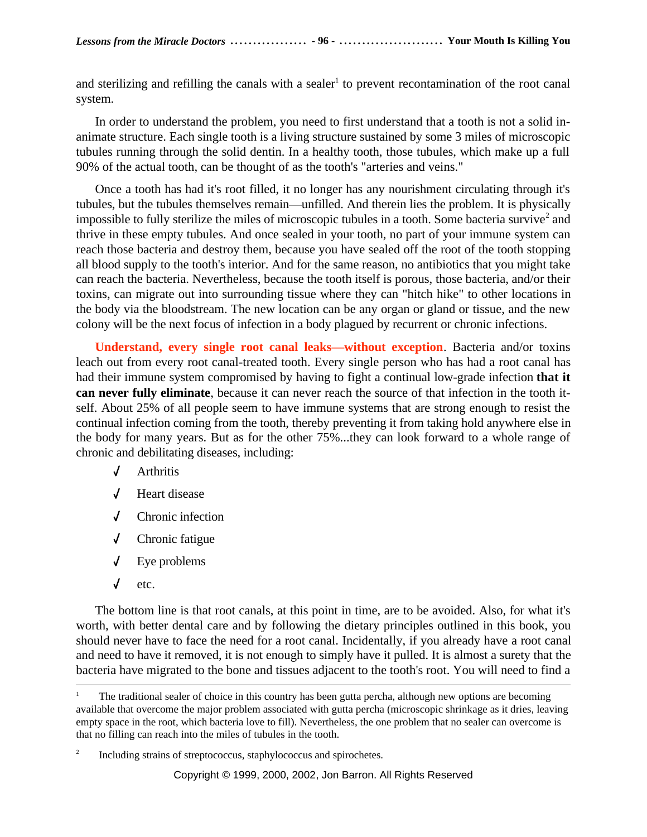and sterilizing and refilling the canals with a sealer<sup>1</sup> to prevent recontamination of the root canal system.

In order to understand the problem, you need to first understand that a tooth is not a solid inanimate structure. Each single tooth is a living structure sustained by some 3 miles of microscopic tubules running through the solid dentin. In a healthy tooth, those tubules, which make up a full 90% of the actual tooth, can be thought of as the tooth's "arteries and veins."

Once a tooth has had it's root filled, it no longer has any nourishment circulating through it's tubules, but the tubules themselves remain—unfilled. And therein lies the problem. It is physically impossible to fully sterilize the miles of microscopic tubules in a tooth. Some bacteria survive<sup>2</sup> and thrive in these empty tubules. And once sealed in your tooth, no part of your immune system can reach those bacteria and destroy them, because you have sealed off the root of the tooth stopping all blood supply to the tooth's interior. And for the same reason, no antibiotics that you might take can reach the bacteria. Nevertheless, because the tooth itself is porous, those bacteria, and/or their toxins, can migrate out into surrounding tissue where they can "hitch hike" to other locations in the body via the bloodstream. The new location can be any organ or gland or tissue, and the new colony will be the next focus of infection in a body plagued by recurrent or chronic infections.

**Understand, every single root canal leaks—without exception**. Bacteria and/or toxins leach out from every root canal-treated tooth. Every single person who has had a root canal has had their immune system compromised by having to fight a continual low-grade infection **that it can never fully eliminate**, because it can never reach the source of that infection in the tooth itself. About 25% of all people seem to have immune systems that are strong enough to resist the continual infection coming from the tooth, thereby preventing it from taking hold anywhere else in the body for many years. But as for the other 75%...they can look forward to a whole range of chronic and debilitating diseases, including:

- $\overline{J}$ Arthritis
- $J$ Heart disease
- $\sqrt{ }$ Chronic infection
- $\sqrt{\phantom{a}}$  Chronic fatigue
- $\sqrt{ }$ Eye problems
- $\overline{J}$ etc.

The bottom line is that root canals, at this point in time, are to be avoided. Also, for what it's worth, with better dental care and by following the dietary principles outlined in this book, you should never have to face the need for a root canal. Incidentally, if you already have a root canal and need to have it removed, it is not enough to simply have it pulled. It is almost a surety that the bacteria have migrated to the bone and tissues adjacent to the tooth's root. You will need to find a

<sup>1</sup> The traditional sealer of choice in this country has been gutta percha, although new options are becoming available that overcome the major problem associated with gutta percha (microscopic shrinkage as it dries, leaving empty space in the root, which bacteria love to fill). Nevertheless, the one problem that no sealer can overcome is that no filling can reach into the miles of tubules in the tooth.

<sup>&</sup>lt;sup>2</sup> Including strains of streptococcus, staphylococcus and spirochetes.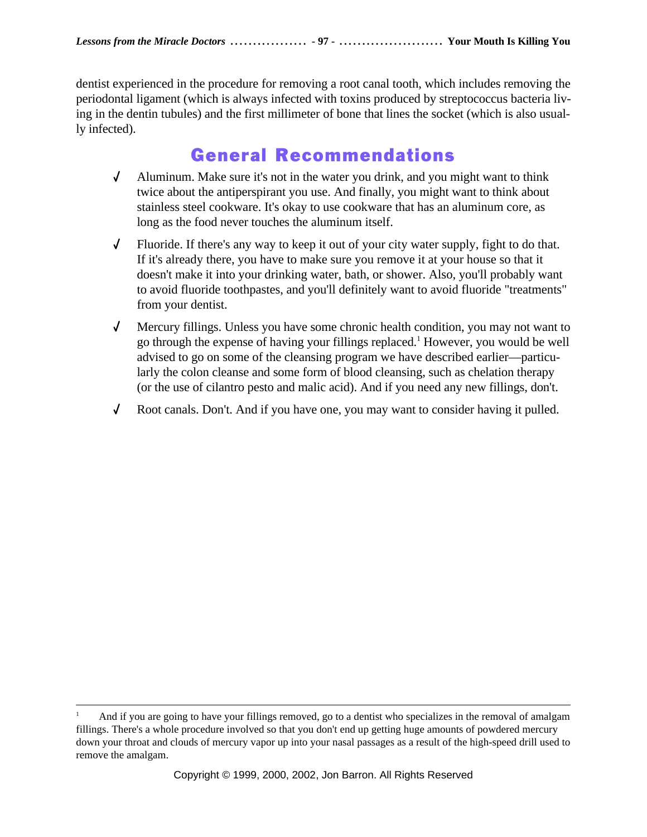dentist experienced in the procedure for removing a root canal tooth, which includes removing the periodontal ligament (which is always infected with toxins produced by streptococcus bacteria living in the dentin tubules) and the first millimeter of bone that lines the socket (which is also usually infected).

## General Recommendations

- $\sqrt{ }$ Aluminum. Make sure it's not in the water you drink, and you might want to think twice about the antiperspirant you use. And finally, you might want to think about stainless steel cookware. It's okay to use cookware that has an aluminum core, as long as the food never touches the aluminum itself.
- $\sqrt{ }$ Fluoride. If there's any way to keep it out of your city water supply, fight to do that. If it's already there, you have to make sure you remove it at your house so that it doesn't make it into your drinking water, bath, or shower. Also, you'll probably want to avoid fluoride toothpastes, and you'll definitely want to avoid fluoride "treatments" from your dentist.
- $\sqrt{ }$ Mercury fillings. Unless you have some chronic health condition, you may not want to go through the expense of having your fillings replaced.<sup>1</sup> However, you would be well advised to go on some of the cleansing program we have described earlier—particularly the colon cleanse and some form of blood cleansing, such as chelation therapy (or the use of cilantro pesto and malic acid). And if you need any new fillings, don't.
- $\sqrt{ }$ Root canals. Don't. And if you have one, you may want to consider having it pulled.

<sup>1</sup> And if you are going to have your fillings removed, go to a dentist who specializes in the removal of amalgam fillings. There's a whole procedure involved so that you don't end up getting huge amounts of powdered mercury down your throat and clouds of mercury vapor up into your nasal passages as a result of the high-speed drill used to remove the amalgam.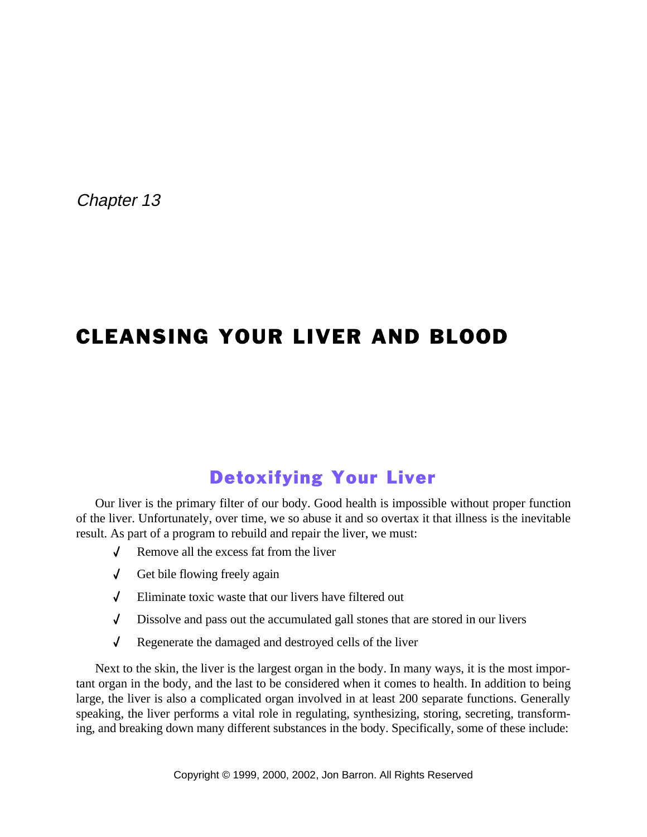Chapter 13

# CLEANSING YOUR LIVER AND BLOOD

# Detoxifying Your Liver

Our liver is the primary filter of our body. Good health is impossible without proper function of the liver. Unfortunately, over time, we so abuse it and so overtax it that illness is the inevitable result. As part of a program to rebuild and repair the liver, we must:

- $\sqrt{ }$ Remove all the excess fat from the liver
- $\sqrt{ }$ Get bile flowing freely again
- $\sqrt{ }$ Eliminate toxic waste that our livers have filtered out
- $\sqrt{ }$ Dissolve and pass out the accumulated gall stones that are stored in our livers
- $\sqrt{ }$ Regenerate the damaged and destroyed cells of the liver

Next to the skin, the liver is the largest organ in the body. In many ways, it is the most important organ in the body, and the last to be considered when it comes to health. In addition to being large, the liver is also a complicated organ involved in at least 200 separate functions. Generally speaking, the liver performs a vital role in regulating, synthesizing, storing, secreting, transforming, and breaking down many different substances in the body. Specifically, some of these include: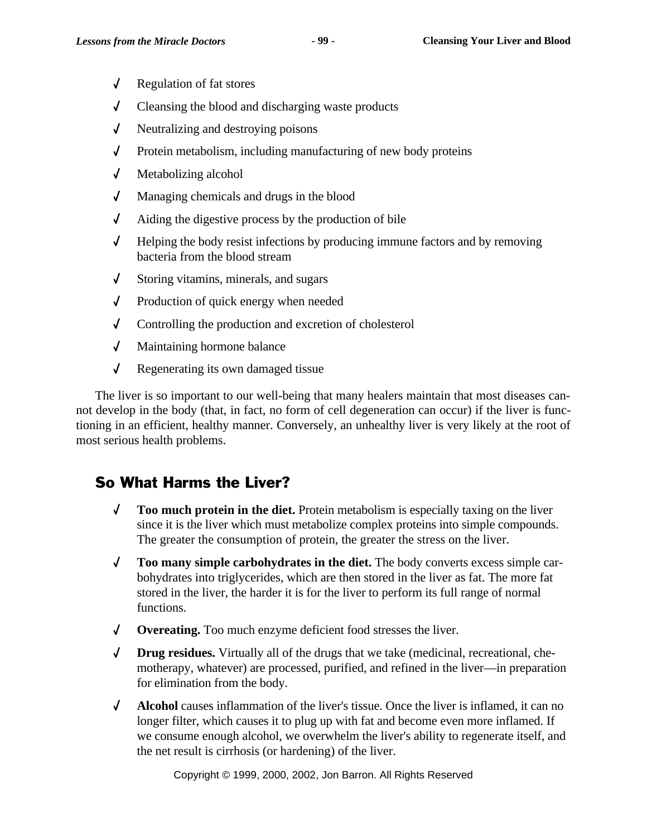- $\sqrt{ }$ Regulation of fat stores
- $\sqrt{ }$ Cleansing the blood and discharging waste products
- $\sqrt{ }$ Neutralizing and destroying poisons
- $\sqrt{ }$ Protein metabolism, including manufacturing of new body proteins
- $\sqrt{ }$ Metabolizing alcohol
- $\sqrt{ }$ Managing chemicals and drugs in the blood
- $\sqrt{ }$ Aiding the digestive process by the production of bile
- $\sqrt{ }$ Helping the body resist infections by producing immune factors and by removing bacteria from the blood stream
- $\sqrt{ }$ Storing vitamins, minerals, and sugars
- $\sqrt{ }$ Production of quick energy when needed
- $\sqrt{ }$ Controlling the production and excretion of cholesterol
- Maintaining hormone balance
- $\sqrt{ }$ Regenerating its own damaged tissue

The liver is so important to our well-being that many healers maintain that most diseases cannot develop in the body (that, in fact, no form of cell degeneration can occur) if the liver is functioning in an efficient, healthy manner. Conversely, an unhealthy liver is very likely at the root of most serious health problems.

### So What Harms the Liver?

- $\sqrt{ }$ **Too much protein in the diet.** Protein metabolism is especially taxing on the liver since it is the liver which must metabolize complex proteins into simple compounds. The greater the consumption of protein, the greater the stress on the liver.
- $\sqrt{ }$ **Too many simple carbohydrates in the diet.** The body converts excess simple carbohydrates into triglycerides, which are then stored in the liver as fat. The more fat stored in the liver, the harder it is for the liver to perform its full range of normal functions.
- $\sqrt{ }$ **Overeating.** Too much enzyme deficient food stresses the liver.
- **Drug residues.** Virtually all of the drugs that we take (medicinal, recreational, che- $\sqrt{ }$ motherapy, whatever) are processed, purified, and refined in the liver—in preparation for elimination from the body.
- $\sqrt{ }$ **Alcohol** causes inflammation of the liver's tissue. Once the liver is inflamed, it can no longer filter, which causes it to plug up with fat and become even more inflamed. If we consume enough alcohol, we overwhelm the liver's ability to regenerate itself, and the net result is cirrhosis (or hardening) of the liver.

Copyright © 1999, 2000, 2002, Jon Barron. All Rights Reserved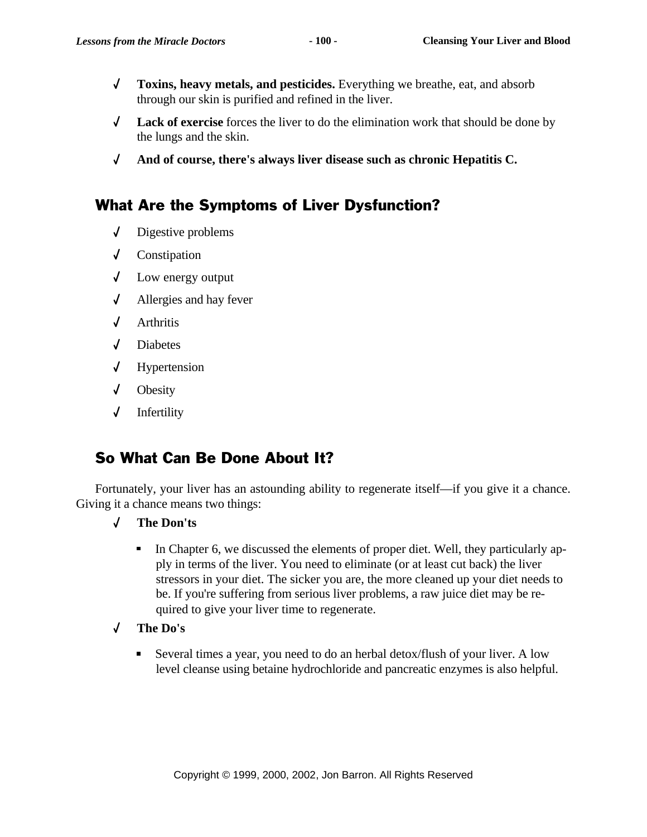- $\sqrt{ }$ **Toxins, heavy metals, and pesticides.** Everything we breathe, eat, and absorb through our skin is purified and refined in the liver.
- **Lack of exercise** forces the liver to do the elimination work that should be done by the lungs and the skin.
- **And of course, there's always liver disease such as chronic Hepatitis C.**

### What Are the Symptoms of Liver Dysfunction?

- $\sqrt{ }$ Digestive problems
- **V** Constipation
- $\sqrt{\phantom{a}}$  Low energy output
- $\sqrt{\phantom{a}}$  Allergies and hay fever
- Arthritis
- Diabetes
- $\sqrt{\phantom{a}}$  Hypertension
- $\sqrt{\phantom{a}}$  Obesity
- $\sqrt{\phantom{a}}$  Infertility

## So What Can Be Done About It?

Fortunately, your liver has an astounding ability to regenerate itself—if you give it a chance. Giving it a chance means two things:

- **The Don'ts**
	- In Chapter 6, we discussed the elements of proper diet. Well, they particularly ap- $\mathbf{u}$ ply in terms of the liver. You need to eliminate (or at least cut back) the liver stressors in your diet. The sicker you are, the more cleaned up your diet needs to be. If you're suffering from serious liver problems, a raw juice diet may be required to give your liver time to regenerate.
- **The Do's**
	- $\blacksquare$ Several times a year, you need to do an herbal detox/flush of your liver. A low level cleanse using betaine hydrochloride and pancreatic enzymes is also helpful.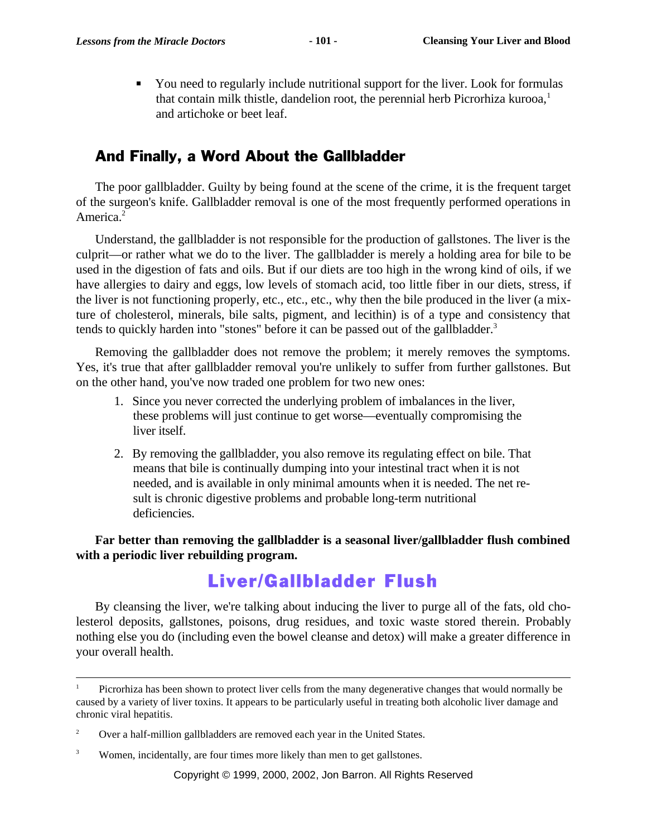You need to regularly include nutritional support for the liver. Look for formulas that contain milk thistle, dandelion root, the perennial herb Picrorhiza kurooa,<sup>1</sup> and artichoke or beet leaf.

### And Finally, a Word About the Gallbladder

The poor gallbladder. Guilty by being found at the scene of the crime, it is the frequent target of the surgeon's knife. Gallbladder removal is one of the most frequently performed operations in America.<sup>2</sup>

Understand, the gallbladder is not responsible for the production of gallstones. The liver is the culprit—or rather what we do to the liver. The gallbladder is merely a holding area for bile to be used in the digestion of fats and oils. But if our diets are too high in the wrong kind of oils, if we have allergies to dairy and eggs, low levels of stomach acid, too little fiber in our diets, stress, if the liver is not functioning properly, etc., etc., etc., why then the bile produced in the liver (a mixture of cholesterol, minerals, bile salts, pigment, and lecithin) is of a type and consistency that tends to quickly harden into "stones" before it can be passed out of the gallbladder.<sup>3</sup>

Removing the gallbladder does not remove the problem; it merely removes the symptoms. Yes, it's true that after gallbladder removal you're unlikely to suffer from further gallstones. But on the other hand, you've now traded one problem for two new ones:

- 1. Since you never corrected the underlying problem of imbalances in the liver, these problems will just continue to get worse—eventually compromising the liver itself.
- 2. By removing the gallbladder, you also remove its regulating effect on bile. That means that bile is continually dumping into your intestinal tract when it is not needed, and is available in only minimal amounts when it is needed. The net result is chronic digestive problems and probable long-term nutritional deficiencies.

**Far better than removing the gallbladder is a seasonal liver/gallbladder flush combined with a periodic liver rebuilding program.**

# Liver/Gallbladder Flush

By cleansing the liver, we're talking about inducing the liver to purge all of the fats, old cholesterol deposits, gallstones, poisons, drug residues, and toxic waste stored therein. Probably nothing else you do (including even the bowel cleanse and detox) will make a greater difference in your overall health.

<sup>3</sup> Women, incidentally, are four times more likely than men to get gallstones.

<sup>1</sup> Picrorhiza has been shown to protect liver cells from the many degenerative changes that would normally be caused by a variety of liver toxins. It appears to be particularly useful in treating both alcoholic liver damage and chronic viral hepatitis.

<sup>&</sup>lt;sup>2</sup> Over a half-million gallbladders are removed each year in the United States.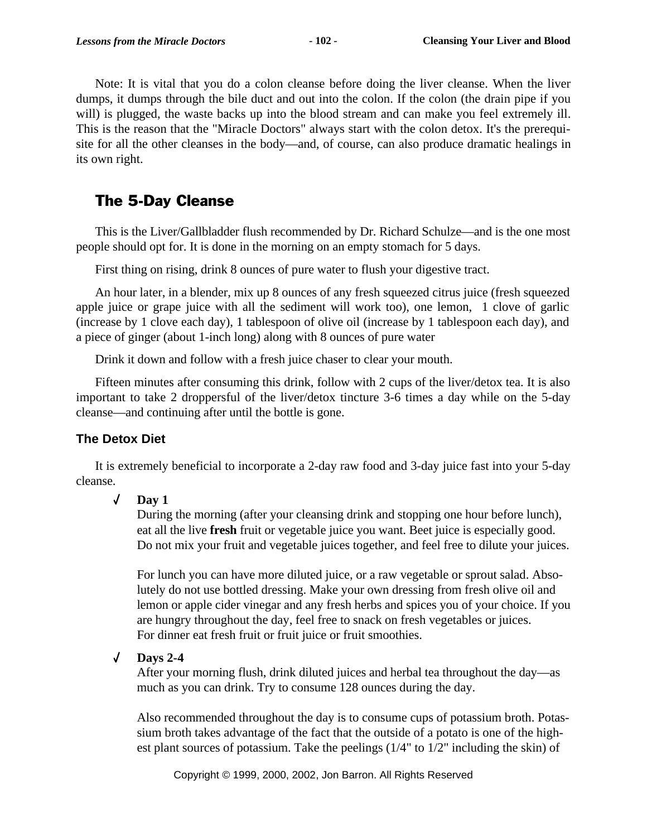Note: It is vital that you do a colon cleanse before doing the liver cleanse. When the liver dumps, it dumps through the bile duct and out into the colon. If the colon (the drain pipe if you will) is plugged, the waste backs up into the blood stream and can make you feel extremely ill. This is the reason that the "Miracle Doctors" always start with the colon detox. It's the prerequisite for all the other cleanses in the body—and, of course, can also produce dramatic healings in its own right.

#### The 5-Day Cleanse

This is the Liver/Gallbladder flush recommended by Dr. Richard Schulze—and is the one most people should opt for. It is done in the morning on an empty stomach for 5 days.

First thing on rising, drink 8 ounces of pure water to flush your digestive tract.

An hour later, in a blender, mix up 8 ounces of any fresh squeezed citrus juice (fresh squeezed apple juice or grape juice with all the sediment will work too), one lemon, 1 clove of garlic (increase by 1 clove each day), 1 tablespoon of olive oil (increase by 1 tablespoon each day), and a piece of ginger (about 1-inch long) along with 8 ounces of pure water

Drink it down and follow with a fresh juice chaser to clear your mouth.

Fifteen minutes after consuming this drink, follow with 2 cups of the liver/detox tea. It is also important to take 2 droppersful of the liver/detox tincture 3-6 times a day while on the 5-day cleanse—and continuing after until the bottle is gone.

#### **The Detox Diet**

It is extremely beneficial to incorporate a 2-day raw food and 3-day juice fast into your 5-day cleanse.

#### $\sqrt{ }$ **Day 1**

During the morning (after your cleansing drink and stopping one hour before lunch), eat all the live **fresh** fruit or vegetable juice you want. Beet juice is especially good. Do not mix your fruit and vegetable juices together, and feel free to dilute your juices.

For lunch you can have more diluted juice, or a raw vegetable or sprout salad. Absolutely do not use bottled dressing. Make your own dressing from fresh olive oil and lemon or apple cider vinegar and any fresh herbs and spices you of your choice. If you are hungry throughout the day, feel free to snack on fresh vegetables or juices. For dinner eat fresh fruit or fruit juice or fruit smoothies.

 $\sqrt{ }$ **Days 2-4**

> After your morning flush, drink diluted juices and herbal tea throughout the day—as much as you can drink. Try to consume 128 ounces during the day.

Also recommended throughout the day is to consume cups of potassium broth. Potassium broth takes advantage of the fact that the outside of a potato is one of the highest plant sources of potassium. Take the peelings (1/4" to 1/2" including the skin) of

Copyright © 1999, 2000, 2002, Jon Barron. All Rights Reserved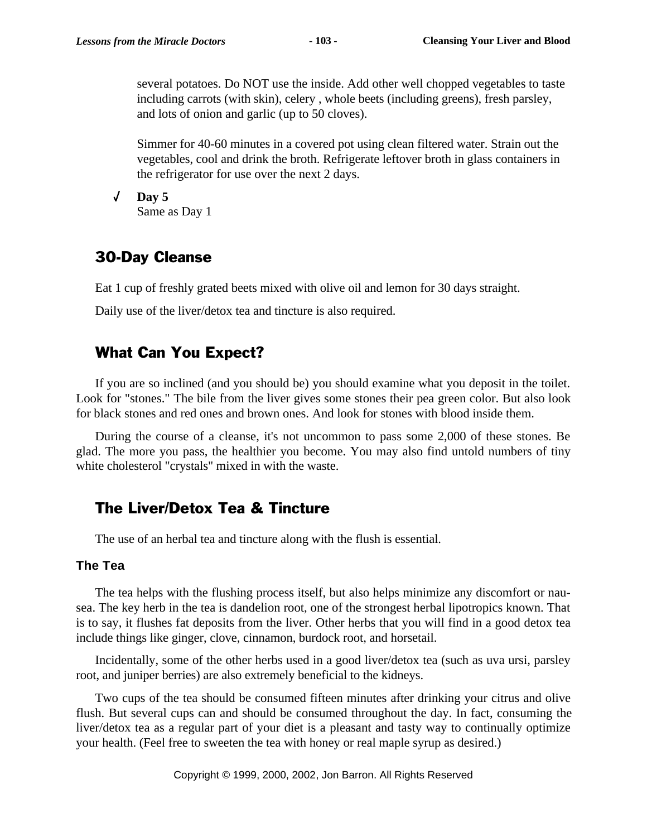several potatoes. Do NOT use the inside. Add other well chopped vegetables to taste including carrots (with skin), celery , whole beets (including greens), fresh parsley, and lots of onion and garlic (up to 50 cloves).

Simmer for 40-60 minutes in a covered pot using clean filtered water. Strain out the vegetables, cool and drink the broth. Refrigerate leftover broth in glass containers in the refrigerator for use over the next 2 days.

 $\sqrt{ }$  Day 5 Same as Day 1

#### 30-Day Cleanse

Eat 1 cup of freshly grated beets mixed with olive oil and lemon for 30 days straight.

Daily use of the liver/detox tea and tincture is also required.

#### What Can You Expect?

If you are so inclined (and you should be) you should examine what you deposit in the toilet. Look for "stones." The bile from the liver gives some stones their pea green color. But also look for black stones and red ones and brown ones. And look for stones with blood inside them.

During the course of a cleanse, it's not uncommon to pass some 2,000 of these stones. Be glad. The more you pass, the healthier you become. You may also find untold numbers of tiny white cholesterol "crystals" mixed in with the waste.

#### The Liver/Detox Tea & Tincture

The use of an herbal tea and tincture along with the flush is essential.

#### **The Tea**

The tea helps with the flushing process itself, but also helps minimize any discomfort or nausea. The key herb in the tea is dandelion root, one of the strongest herbal lipotropics known. That is to say, it flushes fat deposits from the liver. Other herbs that you will find in a good detox tea include things like ginger, clove, cinnamon, burdock root, and horsetail.

Incidentally, some of the other herbs used in a good liver/detox tea (such as uva ursi, parsley root, and juniper berries) are also extremely beneficial to the kidneys.

Two cups of the tea should be consumed fifteen minutes after drinking your citrus and olive flush. But several cups can and should be consumed throughout the day. In fact, consuming the liver/detox tea as a regular part of your diet is a pleasant and tasty way to continually optimize your health. (Feel free to sweeten the tea with honey or real maple syrup as desired.)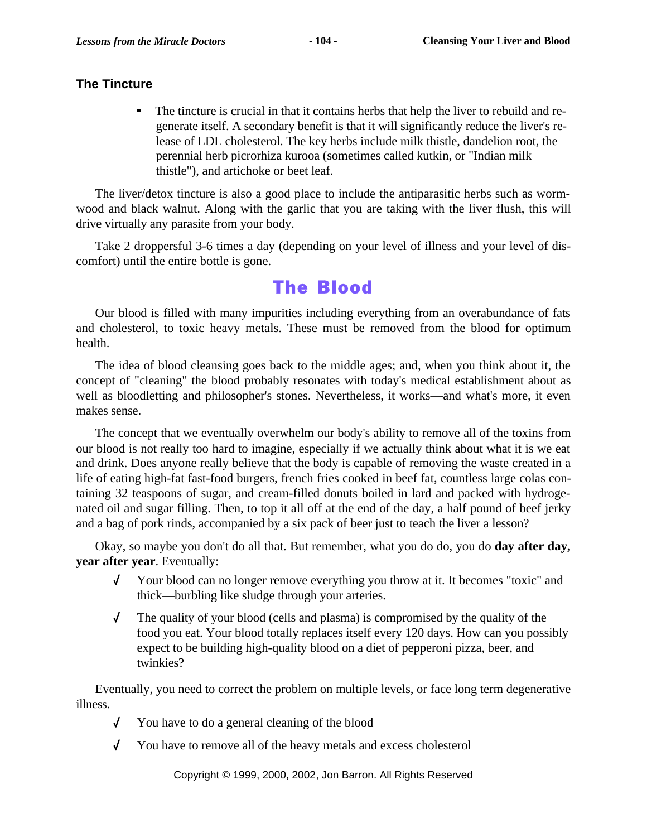#### **The Tincture**

The tincture is crucial in that it contains herbs that help the liver to rebuild and re- $\blacksquare$ generate itself. A secondary benefit is that it will significantly reduce the liver's release of LDL cholesterol. The key herbs include milk thistle, dandelion root, the perennial herb picrorhiza kurooa (sometimes called kutkin, or "Indian milk thistle"), and artichoke or beet leaf.

The liver/detox tincture is also a good place to include the antiparasitic herbs such as wormwood and black walnut. Along with the garlic that you are taking with the liver flush, this will drive virtually any parasite from your body.

Take 2 droppersful 3-6 times a day (depending on your level of illness and your level of discomfort) until the entire bottle is gone.

# The Blood

Our blood is filled with many impurities including everything from an overabundance of fats and cholesterol, to toxic heavy metals. These must be removed from the blood for optimum health.

The idea of blood cleansing goes back to the middle ages; and, when you think about it, the concept of "cleaning" the blood probably resonates with today's medical establishment about as well as bloodletting and philosopher's stones. Nevertheless, it works—and what's more, it even makes sense.

The concept that we eventually overwhelm our body's ability to remove all of the toxins from our blood is not really too hard to imagine, especially if we actually think about what it is we eat and drink. Does anyone really believe that the body is capable of removing the waste created in a life of eating high-fat fast-food burgers, french fries cooked in beef fat, countless large colas containing 32 teaspoons of sugar, and cream-filled donuts boiled in lard and packed with hydrogenated oil and sugar filling. Then, to top it all off at the end of the day, a half pound of beef jerky and a bag of pork rinds, accompanied by a six pack of beer just to teach the liver a lesson?

Okay, so maybe you don't do all that. But remember, what you do do, you do **day after day, year after year**. Eventually:

- $\sqrt{ }$ Your blood can no longer remove everything you throw at it. It becomes "toxic" and thick—burbling like sludge through your arteries.
- $\sqrt{ }$ The quality of your blood (cells and plasma) is compromised by the quality of the food you eat. Your blood totally replaces itself every 120 days. How can you possibly expect to be building high-quality blood on a diet of pepperoni pizza, beer, and twinkies?

Eventually, you need to correct the problem on multiple levels, or face long term degenerative illness.

- $\sqrt{ }$ You have to do a general cleaning of the blood
- $\sqrt{ }$ You have to remove all of the heavy metals and excess cholesterol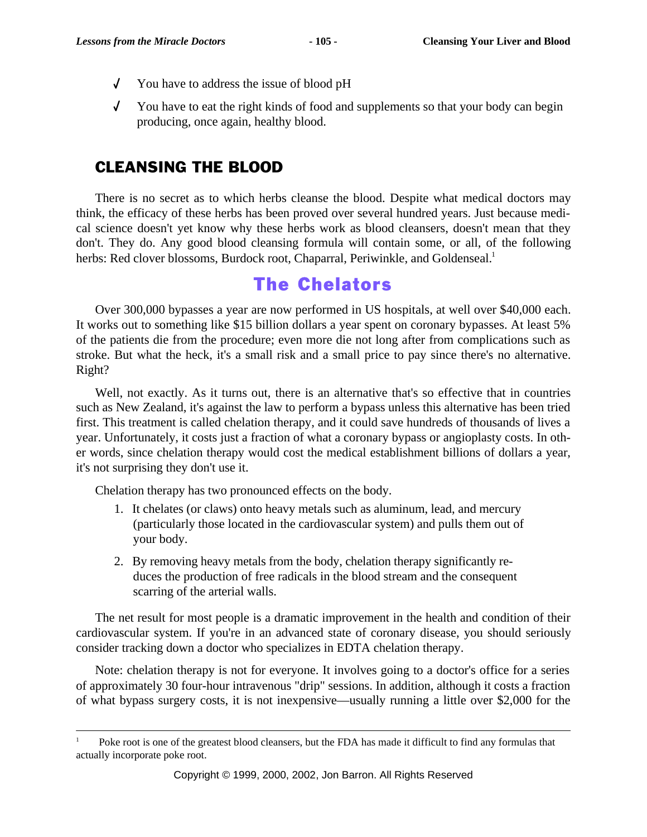- $\sqrt{ }$ You have to address the issue of blood pH
- $\sqrt{ }$ You have to eat the right kinds of food and supplements so that your body can begin producing, once again, healthy blood.

### CLEANSING THE BLOOD

There is no secret as to which herbs cleanse the blood. Despite what medical doctors may think, the efficacy of these herbs has been proved over several hundred years. Just because medical science doesn't yet know why these herbs work as blood cleansers, doesn't mean that they don't. They do. Any good blood cleansing formula will contain some, or all, of the following herbs: Red clover blossoms, Burdock root, Chaparral, Periwinkle, and Goldenseal.<sup>1</sup>

# The Chelators

Over 300,000 bypasses a year are now performed in US hospitals, at well over \$40,000 each. It works out to something like \$15 billion dollars a year spent on coronary bypasses. At least 5% of the patients die from the procedure; even more die not long after from complications such as stroke. But what the heck, it's a small risk and a small price to pay since there's no alternative. Right?

Well, not exactly. As it turns out, there is an alternative that's so effective that in countries such as New Zealand, it's against the law to perform a bypass unless this alternative has been tried first. This treatment is called chelation therapy, and it could save hundreds of thousands of lives a year. Unfortunately, it costs just a fraction of what a coronary bypass or angioplasty costs. In other words, since chelation therapy would cost the medical establishment billions of dollars a year, it's not surprising they don't use it.

Chelation therapy has two pronounced effects on the body.

- 1. It chelates (or claws) onto heavy metals such as aluminum, lead, and mercury (particularly those located in the cardiovascular system) and pulls them out of your body.
- 2. By removing heavy metals from the body, chelation therapy significantly reduces the production of free radicals in the blood stream and the consequent scarring of the arterial walls.

The net result for most people is a dramatic improvement in the health and condition of their cardiovascular system. If you're in an advanced state of coronary disease, you should seriously consider tracking down a doctor who specializes in EDTA chelation therapy.

Note: chelation therapy is not for everyone. It involves going to a doctor's office for a series of approximately 30 four-hour intravenous "drip" sessions. In addition, although it costs a fraction of what bypass surgery costs, it is not inexpensive—usually running a little over \$2,000 for the

<sup>1</sup> Poke root is one of the greatest blood cleansers, but the FDA has made it difficult to find any formulas that actually incorporate poke root.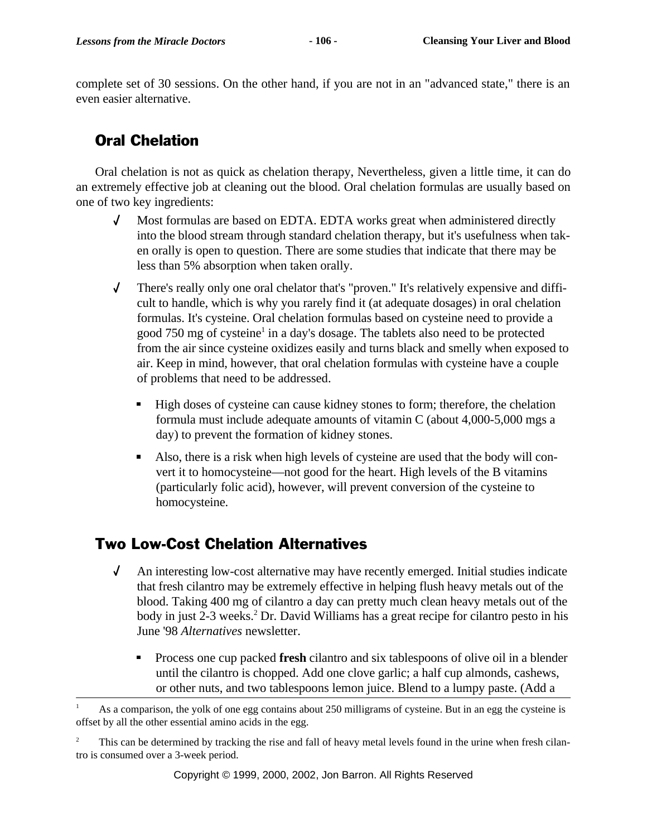complete set of 30 sessions. On the other hand, if you are not in an "advanced state," there is an even easier alternative.

### Oral Chelation

Oral chelation is not as quick as chelation therapy, Nevertheless, given a little time, it can do an extremely effective job at cleaning out the blood. Oral chelation formulas are usually based on one of two key ingredients:

- $\sqrt{ }$ Most formulas are based on EDTA. EDTA works great when administered directly into the blood stream through standard chelation therapy, but it's usefulness when taken orally is open to question. There are some studies that indicate that there may be less than 5% absorption when taken orally.
- $\sqrt{ }$ There's really only one oral chelator that's "proven." It's relatively expensive and difficult to handle, which is why you rarely find it (at adequate dosages) in oral chelation formulas. It's cysteine. Oral chelation formulas based on cysteine need to provide a good 750 mg of cysteine<sup>1</sup> in a day's dosage. The tablets also need to be protected from the air since cysteine oxidizes easily and turns black and smelly when exposed to air. Keep in mind, however, that oral chelation formulas with cysteine have a couple of problems that need to be addressed.
	- $\blacksquare$ High doses of cysteine can cause kidney stones to form; therefore, the chelation formula must include adequate amounts of vitamin C (about 4,000-5,000 mgs a day) to prevent the formation of kidney stones.
	- Also, there is a risk when high levels of cysteine are used that the body will con- $\mathbf{m}$  . vert it to homocysteine—not good for the heart. High levels of the B vitamins (particularly folic acid), however, will prevent conversion of the cysteine to homocysteine.

### Two Low-Cost Chelation Alternatives

- $\sqrt{ }$ An interesting low-cost alternative may have recently emerged. Initial studies indicate that fresh cilantro may be extremely effective in helping flush heavy metals out of the blood. Taking 400 mg of cilantro a day can pretty much clean heavy metals out of the body in just 2-3 weeks.<sup>2</sup> Dr. David Williams has a great recipe for cilantro pesto in his June '98 *Alternatives* newsletter.
	- $\blacksquare$  . Process one cup packed **fresh** cilantro and six tablespoons of olive oil in a blender until the cilantro is chopped. Add one clove garlic; a half cup almonds, cashews, or other nuts, and two tablespoons lemon juice. Blend to a lumpy paste. (Add a

<sup>1</sup> As a comparison, the yolk of one egg contains about 250 milligrams of cysteine. But in an egg the cysteine is offset by all the other essential amino acids in the egg.

<sup>&</sup>lt;sup>2</sup> This can be determined by tracking the rise and fall of heavy metal levels found in the urine when fresh cilantro is consumed over a 3-week period.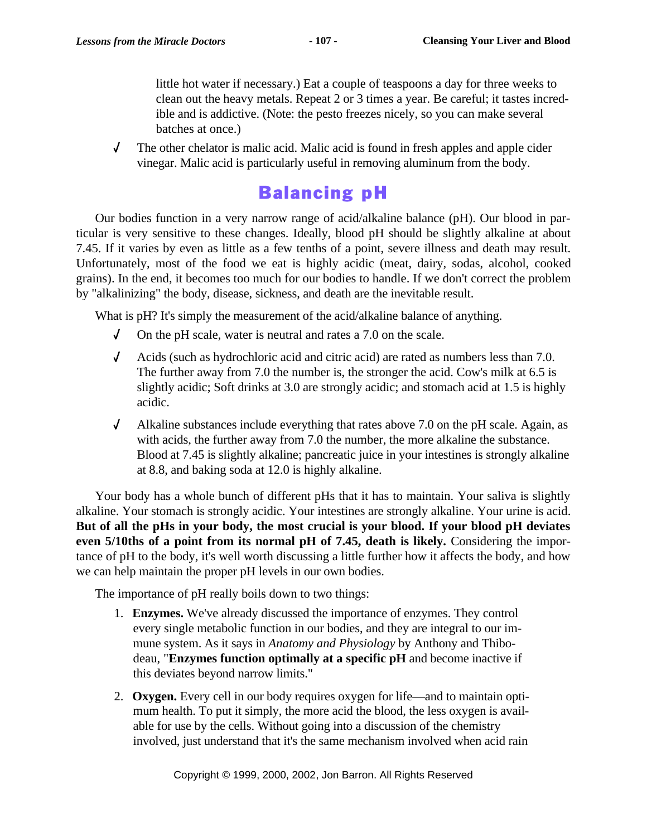little hot water if necessary.) Eat a couple of teaspoons a day for three weeks to clean out the heavy metals. Repeat 2 or 3 times a year. Be careful; it tastes incredible and is addictive. (Note: the pesto freezes nicely, so you can make several batches at once.)

 $\sqrt{\phantom{a}}$  The other chelator is malic acid. Malic acid is found in fresh apples and apple cider vinegar. Malic acid is particularly useful in removing aluminum from the body.

# Balancing pH

Our bodies function in a very narrow range of acid/alkaline balance (pH). Our blood in particular is very sensitive to these changes. Ideally, blood pH should be slightly alkaline at about 7.45. If it varies by even as little as a few tenths of a point, severe illness and death may result. Unfortunately, most of the food we eat is highly acidic (meat, dairy, sodas, alcohol, cooked grains). In the end, it becomes too much for our bodies to handle. If we don't correct the problem by "alkalinizing" the body, disease, sickness, and death are the inevitable result.

What is pH? It's simply the measurement of the acid/alkaline balance of anything.

- $\sqrt{\phantom{a}}$  On the pH scale, water is neutral and rates a 7.0 on the scale.
- $\sqrt{ }$ Acids (such as hydrochloric acid and citric acid) are rated as numbers less than 7.0. The further away from 7.0 the number is, the stronger the acid. Cow's milk at 6.5 is slightly acidic; Soft drinks at 3.0 are strongly acidic; and stomach acid at 1.5 is highly acidic.
- $\sqrt{ }$ Alkaline substances include everything that rates above 7.0 on the pH scale. Again, as with acids, the further away from 7.0 the number, the more alkaline the substance. Blood at 7.45 is slightly alkaline; pancreatic juice in your intestines is strongly alkaline at 8.8, and baking soda at 12.0 is highly alkaline.

Your body has a whole bunch of different pHs that it has to maintain. Your saliva is slightly alkaline. Your stomach is strongly acidic. Your intestines are strongly alkaline. Your urine is acid. **But of all the pHs in your body, the most crucial is your blood. If your blood pH deviates even 5/10ths of a point from its normal pH of 7.45, death is likely.** Considering the importance of pH to the body, it's well worth discussing a little further how it affects the body, and how we can help maintain the proper pH levels in our own bodies.

The importance of pH really boils down to two things:

- 1. **Enzymes.** We've already discussed the importance of enzymes. They control every single metabolic function in our bodies, and they are integral to our immune system. As it says in *Anatomy and Physiology* by Anthony and Thibodeau, "**Enzymes function optimally at a specific pH** and become inactive if this deviates beyond narrow limits."
- 2. **Oxygen.** Every cell in our body requires oxygen for life—and to maintain optimum health. To put it simply, the more acid the blood, the less oxygen is available for use by the cells. Without going into a discussion of the chemistry involved, just understand that it's the same mechanism involved when acid rain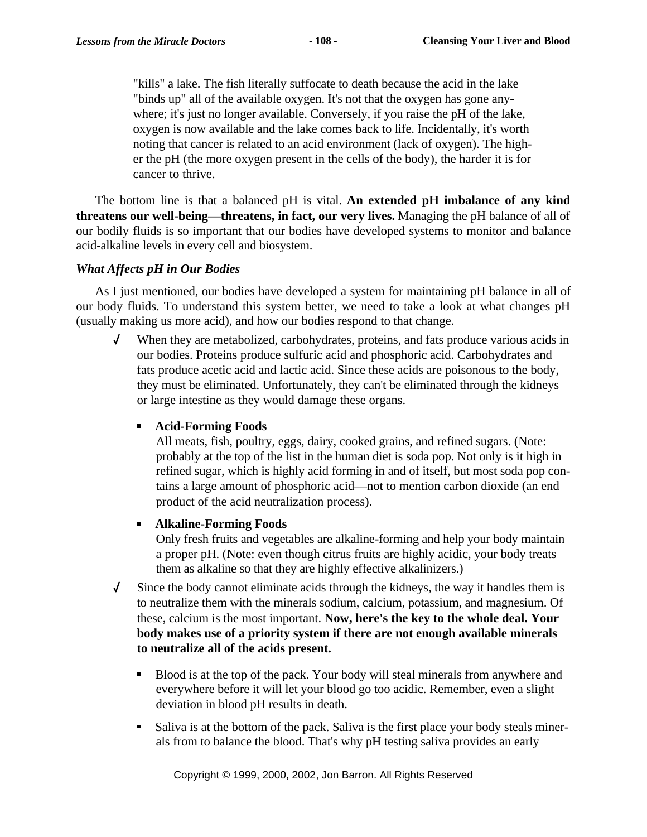"kills" a lake. The fish literally suffocate to death because the acid in the lake "binds up" all of the available oxygen. It's not that the oxygen has gone anywhere; it's just no longer available. Conversely, if you raise the pH of the lake, oxygen is now available and the lake comes back to life. Incidentally, it's worth noting that cancer is related to an acid environment (lack of oxygen). The higher the pH (the more oxygen present in the cells of the body), the harder it is for cancer to thrive.

The bottom line is that a balanced pH is vital. **An extended pH imbalance of any kind threatens our well-being—threatens, in fact, our very lives.** Managing the pH balance of all of our bodily fluids is so important that our bodies have developed systems to monitor and balance acid-alkaline levels in every cell and biosystem.

#### *What Affects pH in Our Bodies*

As I just mentioned, our bodies have developed a system for maintaining pH balance in all of our body fluids. To understand this system better, we need to take a look at what changes pH (usually making us more acid), and how our bodies respond to that change.

 $\overline{J}$ When they are metabolized, carbohydrates, proteins, and fats produce various acids in our bodies. Proteins produce sulfuric acid and phosphoric acid. Carbohydrates and fats produce acetic acid and lactic acid. Since these acids are poisonous to the body, they must be eliminated. Unfortunately, they can't be eliminated through the kidneys or large intestine as they would damage these organs.

#### **Acid-Forming Foods**  $\mathbf{u}$  .

All meats, fish, poultry, eggs, dairy, cooked grains, and refined sugars. (Note: probably at the top of the list in the human diet is soda pop. Not only is it high in refined sugar, which is highly acid forming in and of itself, but most soda pop contains a large amount of phosphoric acid—not to mention carbon dioxide (an end product of the acid neutralization process).

#### $\mathbf{u}$  . **Alkaline-Forming Foods**

Only fresh fruits and vegetables are alkaline-forming and help your body maintain a proper pH. (Note: even though citrus fruits are highly acidic, your body treats them as alkaline so that they are highly effective alkalinizers.)

- $\sqrt{ }$ Since the body cannot eliminate acids through the kidneys, the way it handles them is to neutralize them with the minerals sodium, calcium, potassium, and magnesium. Of these, calcium is the most important. **Now, here's the key to the whole deal. Your body makes use of a priority system if there are not enough available minerals to neutralize all of the acids present.**
	- Blood is at the top of the pack. Your body will steal minerals from anywhere and everywhere before it will let your blood go too acidic. Remember, even a slight deviation in blood pH results in death.
	- $\blacksquare$ Saliva is at the bottom of the pack. Saliva is the first place your body steals minerals from to balance the blood. That's why pH testing saliva provides an early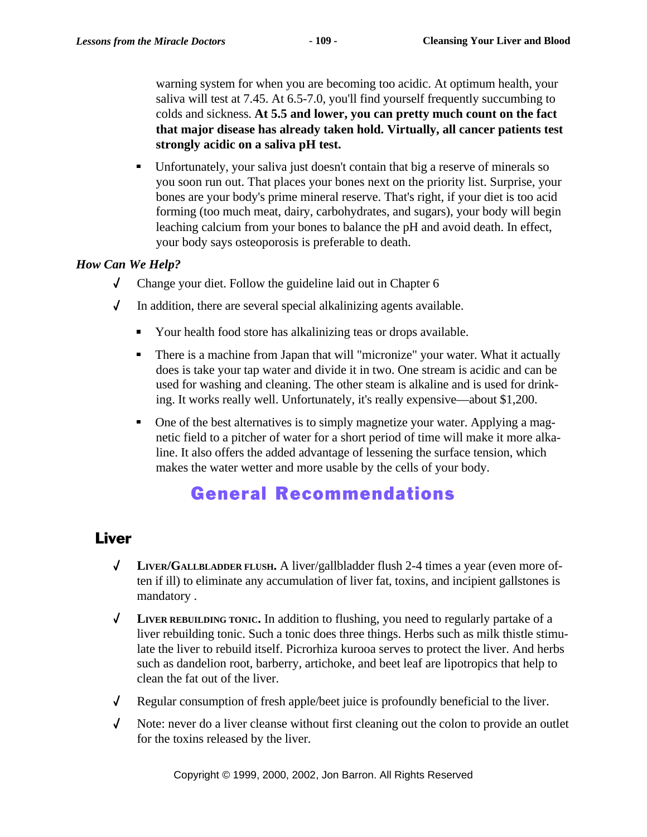warning system for when you are becoming too acidic. At optimum health, your saliva will test at 7.45. At 6.5-7.0, you'll find yourself frequently succumbing to colds and sickness. **At 5.5 and lower, you can pretty much count on the fact that major disease has already taken hold. Virtually, all cancer patients test strongly acidic on a saliva pH test.**

 $\mathbf{m}$  . Unfortunately, your saliva just doesn't contain that big a reserve of minerals so you soon run out. That places your bones next on the priority list. Surprise, your bones are your body's prime mineral reserve. That's right, if your diet is too acid forming (too much meat, dairy, carbohydrates, and sugars), your body will begin leaching calcium from your bones to balance the pH and avoid death. In effect, your body says osteoporosis is preferable to death.

#### *How Can We Help?*

- $\sqrt{ }$ Change your diet. Follow the guideline laid out in Chapter 6
- $\sqrt{2}$ In addition, there are several special alkalinizing agents available.
	- $\blacksquare$ Your health food store has alkalinizing teas or drops available.
	- $\blacksquare$ There is a machine from Japan that will "micronize" your water. What it actually does is take your tap water and divide it in two. One stream is acidic and can be used for washing and cleaning. The other steam is alkaline and is used for drinking. It works really well. Unfortunately, it's really expensive—about \$1,200.
	- One of the best alternatives is to simply magnetize your water. Applying a mag- $\mathbf{u}$ netic field to a pitcher of water for a short period of time will make it more alkaline. It also offers the added advantage of lessening the surface tension, which makes the water wetter and more usable by the cells of your body.

# General Recommendations

#### Liver

- $\sqrt{ }$ **LIVER/GALLBLADDER FLUSH.** A liver/gallbladder flush 2-4 times a year (even more often if ill) to eliminate any accumulation of liver fat, toxins, and incipient gallstones is mandatory .
- $\sqrt{ }$ **LIVER REBUILDING TONIC.** In addition to flushing, you need to regularly partake of a liver rebuilding tonic. Such a tonic does three things. Herbs such as milk thistle stimulate the liver to rebuild itself. Picrorhiza kurooa serves to protect the liver. And herbs such as dandelion root, barberry, artichoke, and beet leaf are lipotropics that help to clean the fat out of the liver.
- Regular consumption of fresh apple/beet juice is profoundly beneficial to the liver.  $\sqrt{ }$
- $\sqrt{ }$ Note: never do a liver cleanse without first cleaning out the colon to provide an outlet for the toxins released by the liver.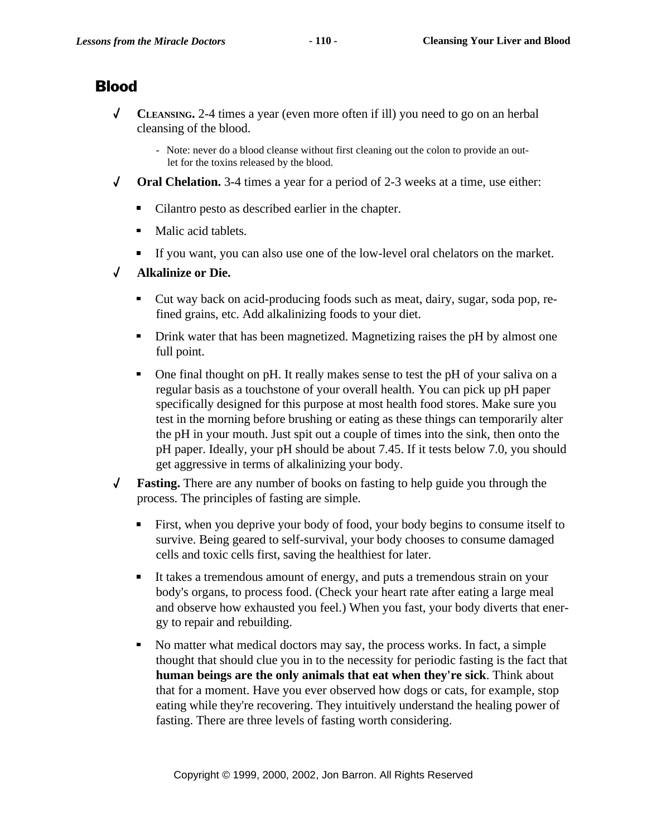### Blood

- **CLEANSING.** 2-4 times a year (even more often if ill) you need to go on an herbal cleansing of the blood.
	- Note: never do a blood cleanse without first cleaning out the colon to provide an outlet for the toxins released by the blood.
- $\sqrt{ }$ **Oral Chelation.** 3-4 times a year for a period of 2-3 weeks at a time, use either:
	- $\mathbf{u}$  . Cilantro pesto as described earlier in the chapter.
	- $\mathbf{u}$  . Malic acid tablets.
	- If you want, you can also use one of the low-level oral chelators on the market.

#### $\sqrt{2}$ **Alkalinize or Die.**

- Cut way back on acid-producing foods such as meat, dairy, sugar, soda pop, refined grains, etc. Add alkalinizing foods to your diet.
- $\blacksquare$ Drink water that has been magnetized. Magnetizing raises the pH by almost one full point.
- $\mathbf{u}$ One final thought on pH. It really makes sense to test the pH of your saliva on a regular basis as a touchstone of your overall health. You can pick up pH paper specifically designed for this purpose at most health food stores. Make sure you test in the morning before brushing or eating as these things can temporarily alter the pH in your mouth. Just spit out a couple of times into the sink, then onto the pH paper. Ideally, your pH should be about 7.45. If it tests below 7.0, you should get aggressive in terms of alkalinizing your body.
- $\sqrt{ }$ **Fasting.** There are any number of books on fasting to help guide you through the process. The principles of fasting are simple.
	- First, when you deprive your body of food, your body begins to consume itself to survive. Being geared to self-survival, your body chooses to consume damaged cells and toxic cells first, saving the healthiest for later.
	- $\blacksquare$ It takes a tremendous amount of energy, and puts a tremendous strain on your body's organs, to process food. (Check your heart rate after eating a large meal and observe how exhausted you feel.) When you fast, your body diverts that energy to repair and rebuilding.
	- $\blacksquare$ No matter what medical doctors may say, the process works. In fact, a simple thought that should clue you in to the necessity for periodic fasting is the fact that **human beings are the only animals that eat when they're sick**. Think about that for a moment. Have you ever observed how dogs or cats, for example, stop eating while they're recovering. They intuitively understand the healing power of fasting. There are three levels of fasting worth considering.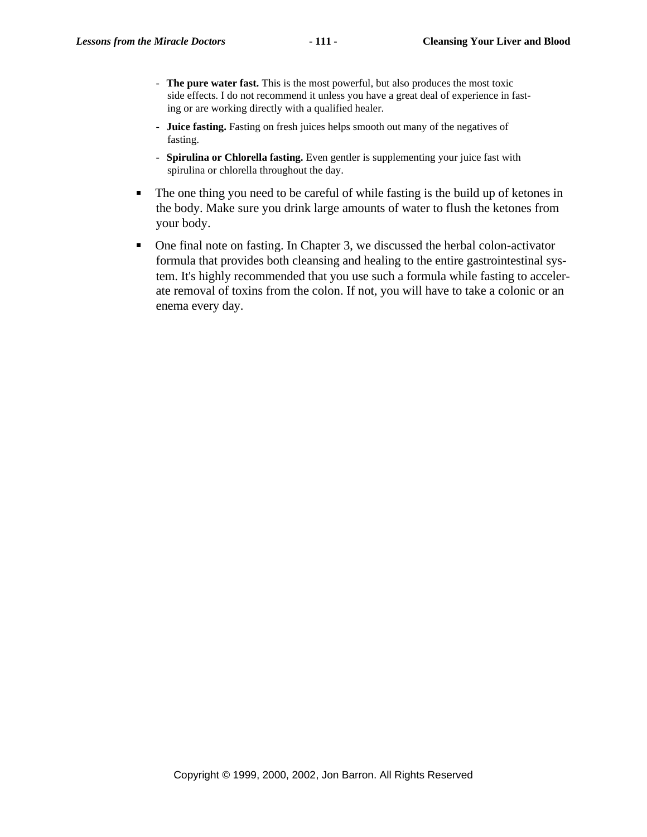- **The pure water fast.** This is the most powerful, but also produces the most toxic side effects. I do not recommend it unless you have a great deal of experience in fasting or are working directly with a qualified healer.
- **Juice fasting.** Fasting on fresh juices helps smooth out many of the negatives of fasting.
- **Spirulina or Chlorella fasting.** Even gentler is supplementing your juice fast with spirulina or chlorella throughout the day.
- $\blacksquare$ The one thing you need to be careful of while fasting is the build up of ketones in the body. Make sure you drink large amounts of water to flush the ketones from your body.
- One final note on fasting. In Chapter 3, we discussed the herbal colon-activator  $\mathbf{u}$ formula that provides both cleansing and healing to the entire gastrointestinal system. It's highly recommended that you use such a formula while fasting to accelerate removal of toxins from the colon. If not, you will have to take a colonic or an enema every day.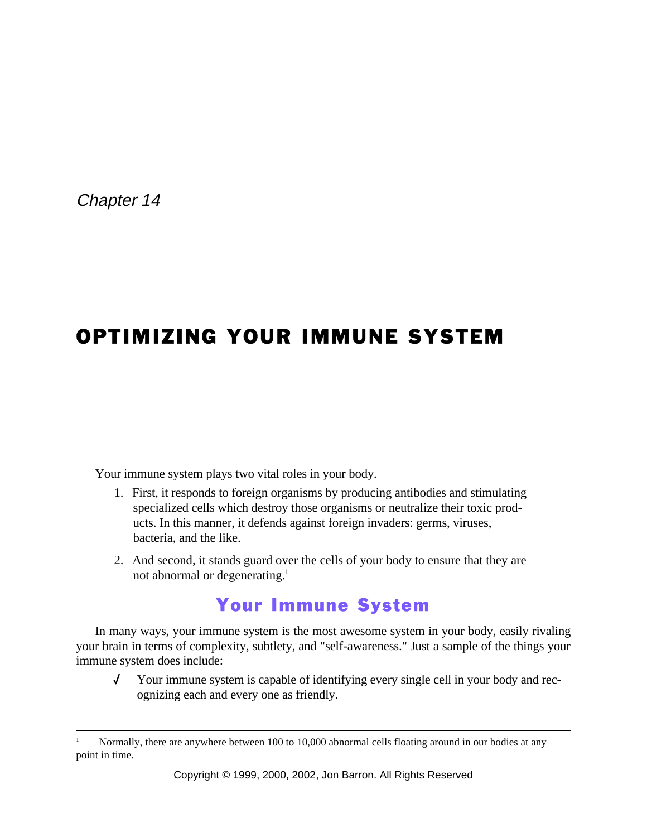Chapter 14

# OPTIMIZING YOUR IMMUNE SYSTEM

Your immune system plays two vital roles in your body.

- 1. First, it responds to foreign organisms by producing antibodies and stimulating specialized cells which destroy those organisms or neutralize their toxic products. In this manner, it defends against foreign invaders: germs, viruses, bacteria, and the like.
- 2. And second, it stands guard over the cells of your body to ensure that they are not abnormal or degenerating.<sup>1</sup>

# Your Immune System

In many ways, your immune system is the most awesome system in your body, easily rivaling your brain in terms of complexity, subtlety, and "self-awareness." Just a sample of the things your immune system does include:

 $\sqrt{2}$ Your immune system is capable of identifying every single cell in your body and recognizing each and every one as friendly.

<sup>1</sup> Normally, there are anywhere between 100 to 10,000 abnormal cells floating around in our bodies at any point in time.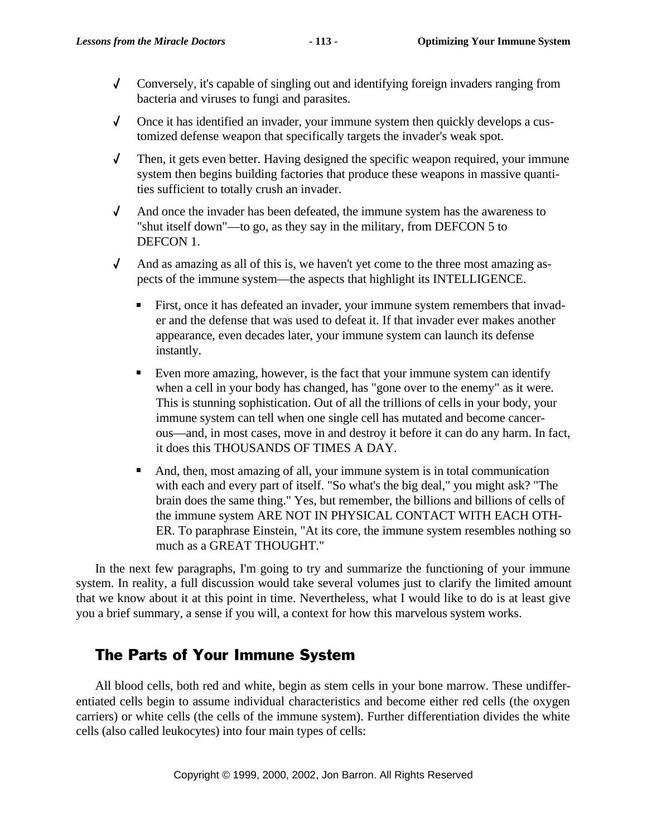- $\sqrt{ }$ Conversely, it's capable of singling out and identifying foreign invaders ranging from bacteria and viruses to fungi and parasites.
- $\sqrt{ }$ Once it has identified an invader, your immune system then quickly develops a customized defense weapon that specifically targets the invader's weak spot.
- $\sqrt{ }$ Then, it gets even better. Having designed the specific weapon required, your immune system then begins building factories that produce these weapons in massive quantities sufficient to totally crush an invader.
- $J$ And once the invader has been defeated, the immune system has the awareness to "shut itself down"—to go, as they say in the military, from DEFCON 5 to DEFCON 1.
- $\sqrt{ }$ And as amazing as all of this is, we haven't yet come to the three most amazing aspects of the immune system—the aspects that highlight its INTELLIGENCE.
	- First, once it has defeated an invader, your immune system remembers that invader and the defense that was used to defeat it. If that invader ever makes another appearance, even decades later, your immune system can launch its defense instantly.
	- $\mathbf{m}_{\mathrm{eff}}$ Even more amazing, however, is the fact that your immune system can identify when a cell in your body has changed, has "gone over to the enemy" as it were. This is stunning sophistication. Out of all the trillions of cells in your body, your immune system can tell when one single cell has mutated and become cancerous—and, in most cases, move in and destroy it before it can do any harm. In fact, it does this THOUSANDS OF TIMES A DAY.
	- And, then, most amazing of all, your immune system is in total communication with each and every part of itself. "So what's the big deal," you might ask? "The brain does the same thing." Yes, but remember, the billions and billions of cells of the immune system ARE NOT IN PHYSICAL CONTACT WITH EACH OTH-ER. To paraphrase Einstein, "At its core, the immune system resembles nothing so much as a GREAT THOUGHT."

In the next few paragraphs, I'm going to try and summarize the functioning of your immune system. In reality, a full discussion would take several volumes just to clarify the limited amount that we know about it at this point in time. Nevertheless, what I would like to do is at least give you a brief summary, a sense if you will, a context for how this marvelous system works.

### The Parts of Your Immune System

All blood cells, both red and white, begin as stem cells in your bone marrow. These undifferentiated cells begin to assume individual characteristics and become either red cells (the oxygen carriers) or white cells (the cells of the immune system). Further differentiation divides the white cells (also called leukocytes) into four main types of cells: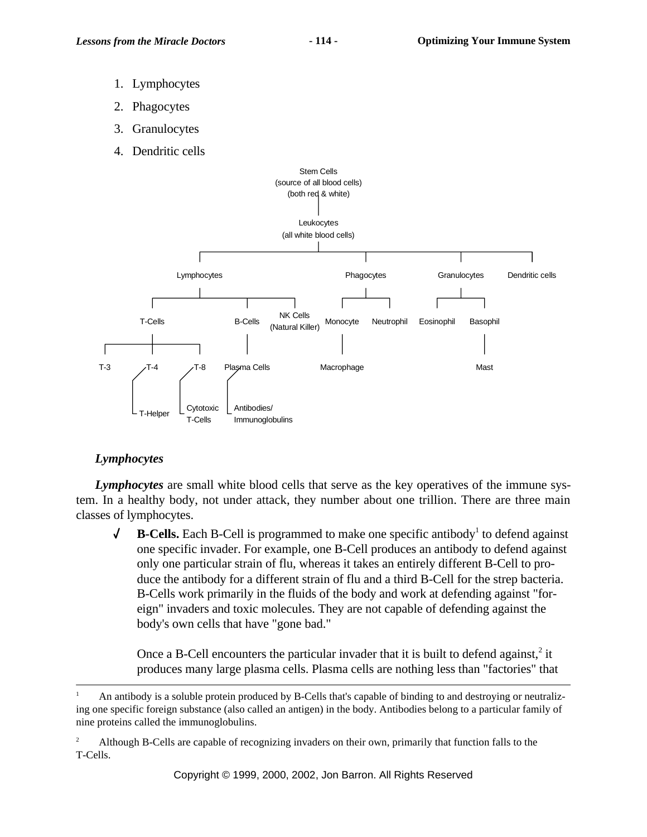- 1. Lymphocytes
- 2. Phagocytes
- 3. Granulocytes
- 4. Dendritic cells



#### *Lymphocytes*

*Lymphocytes* are small white blood cells that serve as the key operatives of the immune system. In a healthy body, not under attack, they number about one trillion. There are three main classes of lymphocytes.

**B-Cells.** Each B-Cell is programmed to make one specific antibody<sup>1</sup> to defend against  $\sqrt{ }$ one specific invader. For example, one B-Cell produces an antibody to defend against only one particular strain of flu, whereas it takes an entirely different B-Cell to produce the antibody for a different strain of flu and a third B-Cell for the strep bacteria. B-Cells work primarily in the fluids of the body and work at defending against "foreign" invaders and toxic molecules. They are not capable of defending against the body's own cells that have "gone bad."

Once a B-Cell encounters the particular invader that it is built to defend against, $2$  it produces many large plasma cells. Plasma cells are nothing less than "factories" that

<sup>1</sup> An antibody is a soluble protein produced by B-Cells that's capable of binding to and destroying or neutralizing one specific foreign substance (also called an antigen) in the body. Antibodies belong to a particular family of nine proteins called the immunoglobulins.

<sup>2</sup> Although B-Cells are capable of recognizing invaders on their own, primarily that function falls to the T-Cells.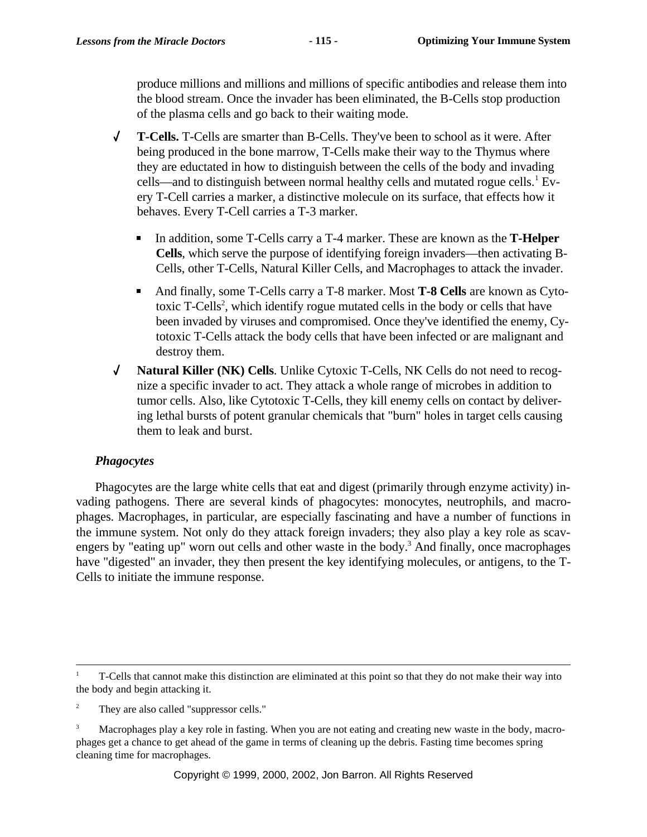produce millions and millions and millions of specific antibodies and release them into the blood stream. Once the invader has been eliminated, the B-Cells stop production of the plasma cells and go back to their waiting mode.

- $\sqrt{ }$ **T-Cells.** T-Cells are smarter than B-Cells. They've been to school as it were. After being produced in the bone marrow, T-Cells make their way to the Thymus where they are eductated in how to distinguish between the cells of the body and invading cells—and to distinguish between normal healthy cells and mutated rogue cells.<sup>1</sup> Every T-Cell carries a marker, a distinctive molecule on its surface, that effects how it behaves. Every T-Cell carries a T-3 marker.
	- In addition, some T-Cells carry a T-4 marker. These are known as the **T-Helper Cells**, which serve the purpose of identifying foreign invaders—then activating B-Cells, other T-Cells, Natural Killer Cells, and Macrophages to attack the invader.
	- And finally, some T-Cells carry a T-8 marker. Most **T-8 Cells** are known as Cytotoxic T-Cells<sup>2</sup>, which identify rogue mutated cells in the body or cells that have been invaded by viruses and compromised. Once they've identified the enemy, Cytotoxic T-Cells attack the body cells that have been infected or are malignant and destroy them.
- **Natural Killer (NK) Cells**. Unlike Cytoxic T-Cells, NK Cells do not need to recog- $\sqrt{ }$ nize a specific invader to act. They attack a whole range of microbes in addition to tumor cells. Also, like Cytotoxic T-Cells, they kill enemy cells on contact by delivering lethal bursts of potent granular chemicals that "burn" holes in target cells causing them to leak and burst.

#### *Phagocytes*

Phagocytes are the large white cells that eat and digest (primarily through enzyme activity) invading pathogens. There are several kinds of phagocytes: monocytes, neutrophils, and macrophages. Macrophages, in particular, are especially fascinating and have a number of functions in the immune system. Not only do they attack foreign invaders; they also play a key role as scavengers by "eating up" worn out cells and other waste in the body.<sup>3</sup> And finally, once macrophages have "digested" an invader, they then present the key identifying molecules, or antigens, to the T-Cells to initiate the immune response.

<sup>1</sup> T-Cells that cannot make this distinction are eliminated at this point so that they do not make their way into the body and begin attacking it.

<sup>&</sup>lt;sup>2</sup> They are also called "suppressor cells."

<sup>&</sup>lt;sup>3</sup> Macrophages play a key role in fasting. When you are not eating and creating new waste in the body, macrophages get a chance to get ahead of the game in terms of cleaning up the debris. Fasting time becomes spring cleaning time for macrophages.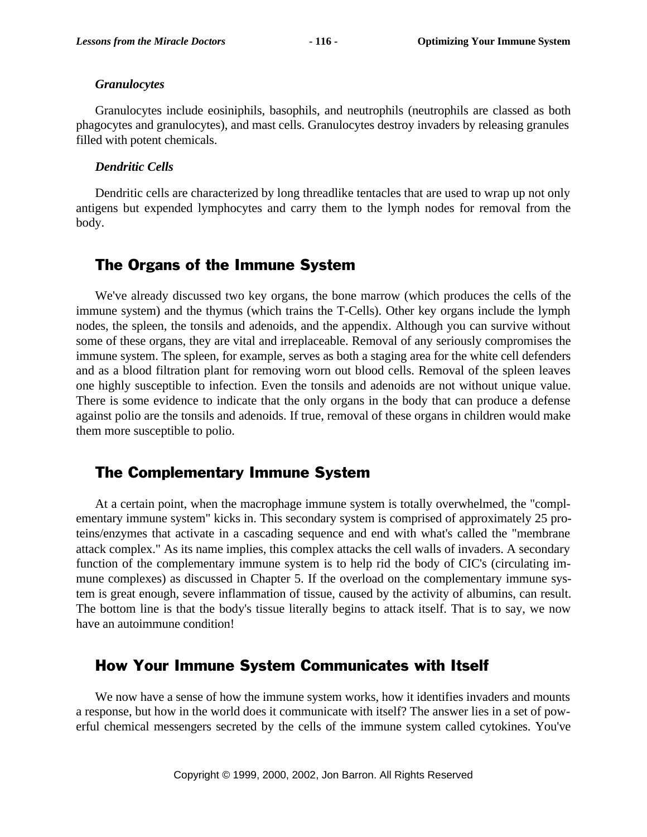#### *Granulocytes*

Granulocytes include eosiniphils, basophils, and neutrophils (neutrophils are classed as both phagocytes and granulocytes), and mast cells. Granulocytes destroy invaders by releasing granules filled with potent chemicals.

#### *Dendritic Cells*

Dendritic cells are characterized by long threadlike tentacles that are used to wrap up not only antigens but expended lymphocytes and carry them to the lymph nodes for removal from the body.

#### The Organs of the Immune System

We've already discussed two key organs, the bone marrow (which produces the cells of the immune system) and the thymus (which trains the T-Cells). Other key organs include the lymph nodes, the spleen, the tonsils and adenoids, and the appendix. Although you can survive without some of these organs, they are vital and irreplaceable. Removal of any seriously compromises the immune system. The spleen, for example, serves as both a staging area for the white cell defenders and as a blood filtration plant for removing worn out blood cells. Removal of the spleen leaves one highly susceptible to infection. Even the tonsils and adenoids are not without unique value. There is some evidence to indicate that the only organs in the body that can produce a defense against polio are the tonsils and adenoids. If true, removal of these organs in children would make them more susceptible to polio.

### The Complementary Immune System

At a certain point, when the macrophage immune system is totally overwhelmed, the "complementary immune system" kicks in. This secondary system is comprised of approximately 25 proteins/enzymes that activate in a cascading sequence and end with what's called the "membrane attack complex." As its name implies, this complex attacks the cell walls of invaders. A secondary function of the complementary immune system is to help rid the body of CIC's (circulating immune complexes) as discussed in Chapter 5. If the overload on the complementary immune system is great enough, severe inflammation of tissue, caused by the activity of albumins, can result. The bottom line is that the body's tissue literally begins to attack itself. That is to say, we now have an autoimmune condition!

#### How Your Immune System Communicates with Itself

We now have a sense of how the immune system works, how it identifies invaders and mounts a response, but how in the world does it communicate with itself? The answer lies in a set of powerful chemical messengers secreted by the cells of the immune system called cytokines. You've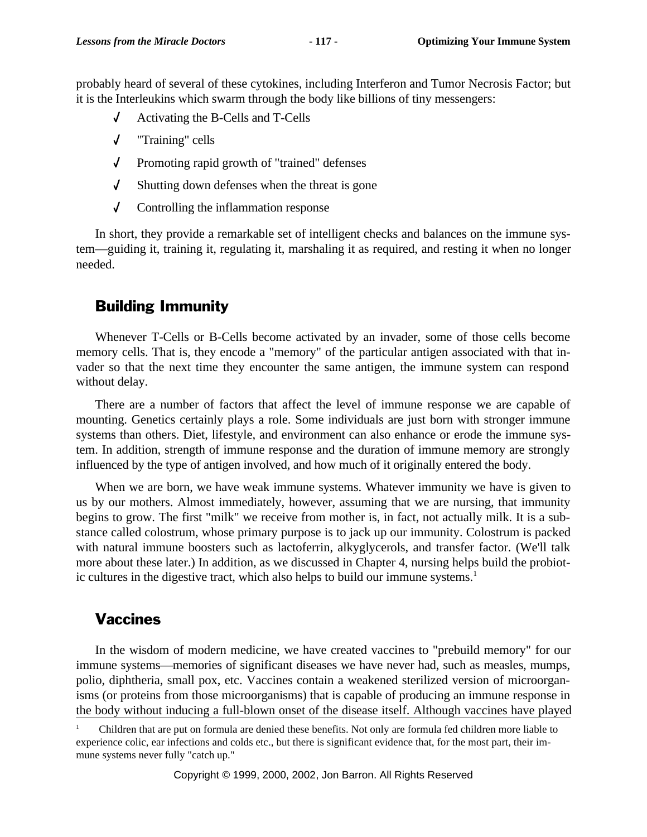probably heard of several of these cytokines, including Interferon and Tumor Necrosis Factor; but it is the Interleukins which swarm through the body like billions of tiny messengers:

- $\sqrt{2}$ Activating the B-Cells and T-Cells
- $\sqrt{ }$ "Training" cells
- $\sqrt{ }$ Promoting rapid growth of "trained" defenses
- $\sqrt{ }$ Shutting down defenses when the threat is gone
- $\sqrt{ }$ Controlling the inflammation response

In short, they provide a remarkable set of intelligent checks and balances on the immune system—guiding it, training it, regulating it, marshaling it as required, and resting it when no longer needed.

### Building Immunity

Whenever T-Cells or B-Cells become activated by an invader, some of those cells become memory cells. That is, they encode a "memory" of the particular antigen associated with that invader so that the next time they encounter the same antigen, the immune system can respond without delay.

There are a number of factors that affect the level of immune response we are capable of mounting. Genetics certainly plays a role. Some individuals are just born with stronger immune systems than others. Diet, lifestyle, and environment can also enhance or erode the immune system. In addition, strength of immune response and the duration of immune memory are strongly influenced by the type of antigen involved, and how much of it originally entered the body.

When we are born, we have weak immune systems. Whatever immunity we have is given to us by our mothers. Almost immediately, however, assuming that we are nursing, that immunity begins to grow. The first "milk" we receive from mother is, in fact, not actually milk. It is a substance called colostrum, whose primary purpose is to jack up our immunity. Colostrum is packed with natural immune boosters such as lactoferrin, alkyglycerols, and transfer factor. (We'll talk more about these later.) In addition, as we discussed in Chapter 4, nursing helps build the probiotic cultures in the digestive tract, which also helps to build our immune systems.<sup>1</sup>

#### Vaccines

In the wisdom of modern medicine, we have created vaccines to "prebuild memory" for our immune systems—memories of significant diseases we have never had, such as measles, mumps, polio, diphtheria, small pox, etc. Vaccines contain a weakened sterilized version of microorganisms (or proteins from those microorganisms) that is capable of producing an immune response in the body without inducing a full-blown onset of the disease itself. Although vaccines have played

<sup>1</sup> Children that are put on formula are denied these benefits. Not only are formula fed children more liable to experience colic, ear infections and colds etc., but there is significant evidence that, for the most part, their immune systems never fully "catch up."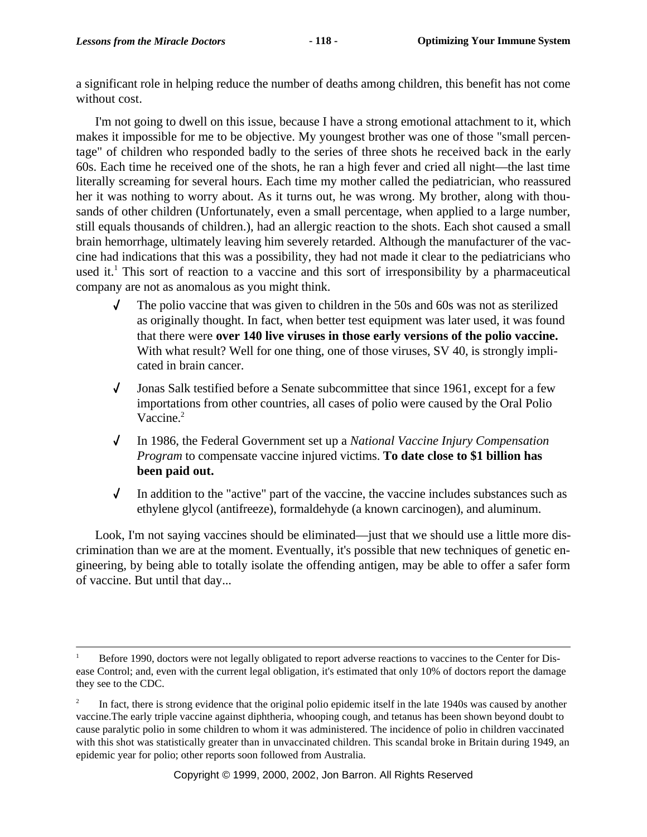a significant role in helping reduce the number of deaths among children, this benefit has not come without cost.

I'm not going to dwell on this issue, because I have a strong emotional attachment to it, which makes it impossible for me to be objective. My youngest brother was one of those "small percentage" of children who responded badly to the series of three shots he received back in the early 60s. Each time he received one of the shots, he ran a high fever and cried all night—the last time literally screaming for several hours. Each time my mother called the pediatrician, who reassured her it was nothing to worry about. As it turns out, he was wrong. My brother, along with thousands of other children (Unfortunately, even a small percentage, when applied to a large number, still equals thousands of children.), had an allergic reaction to the shots. Each shot caused a small brain hemorrhage, ultimately leaving him severely retarded. Although the manufacturer of the vaccine had indications that this was a possibility, they had not made it clear to the pediatricians who used it.<sup>1</sup> This sort of reaction to a vaccine and this sort of irresponsibility by a pharmaceutical company are not as anomalous as you might think.

- $\sqrt{ }$ The polio vaccine that was given to children in the 50s and 60s was not as sterilized as originally thought. In fact, when better test equipment was later used, it was found that there were **over 140 live viruses in those early versions of the polio vaccine.** With what result? Well for one thing, one of those viruses, SV 40, is strongly implicated in brain cancer.
- $\sqrt{ }$ Jonas Salk testified before a Senate subcommittee that since 1961, except for a few importations from other countries, all cases of polio were caused by the Oral Polio Vaccine.<sup>2</sup>
- $\sqrt{ }$ In 1986, the Federal Government set up a *National Vaccine Injury Compensation Program* to compensate vaccine injured victims. **To date close to \$1 billion has been paid out.**
- In addition to the "active" part of the vaccine, the vaccine includes substances such as  $\sqrt{ }$ ethylene glycol (antifreeze), formaldehyde (a known carcinogen), and aluminum.

Look, I'm not saying vaccines should be eliminated—just that we should use a little more discrimination than we are at the moment. Eventually, it's possible that new techniques of genetic engineering, by being able to totally isolate the offending antigen, may be able to offer a safer form of vaccine. But until that day...

<sup>1</sup> Before 1990, doctors were not legally obligated to report adverse reactions to vaccines to the Center for Disease Control; and, even with the current legal obligation, it's estimated that only 10% of doctors report the damage they see to the CDC.

<sup>&</sup>lt;sup>2</sup> In fact, there is strong evidence that the original polio epidemic itself in the late 1940s was caused by another vaccine.The early triple vaccine against diphtheria, whooping cough, and tetanus has been shown beyond doubt to cause paralytic polio in some children to whom it was administered. The incidence of polio in children vaccinated with this shot was statistically greater than in unvaccinated children. This scandal broke in Britain during 1949, an epidemic year for polio; other reports soon followed from Australia.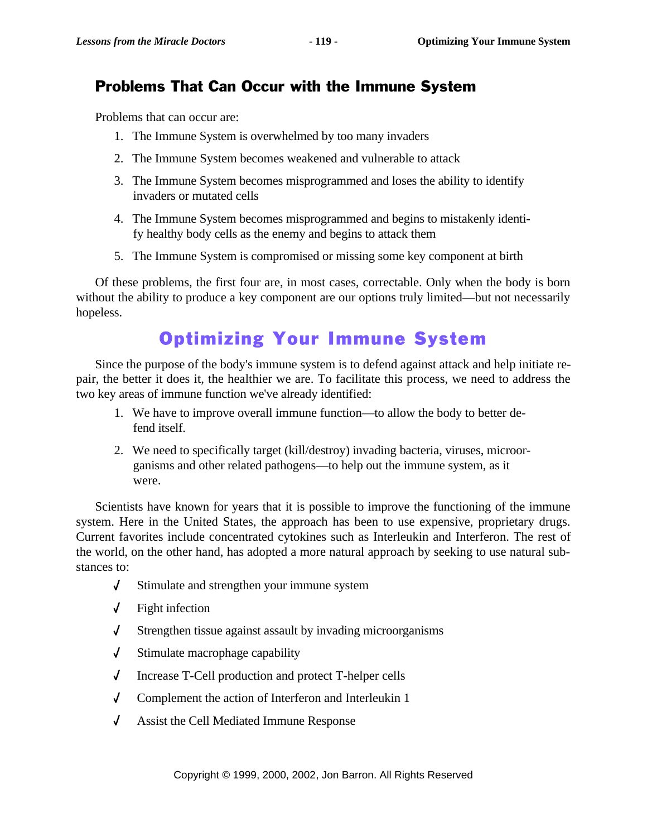### Problems That Can Occur with the Immune System

Problems that can occur are:

- 1. The Immune System is overwhelmed by too many invaders
- 2. The Immune System becomes weakened and vulnerable to attack
- 3. The Immune System becomes misprogrammed and loses the ability to identify invaders or mutated cells
- 4. The Immune System becomes misprogrammed and begins to mistakenly identify healthy body cells as the enemy and begins to attack them
- 5. The Immune System is compromised or missing some key component at birth

Of these problems, the first four are, in most cases, correctable. Only when the body is born without the ability to produce a key component are our options truly limited—but not necessarily hopeless.

# Optimizing Your Immune System

Since the purpose of the body's immune system is to defend against attack and help initiate repair, the better it does it, the healthier we are. To facilitate this process, we need to address the two key areas of immune function we've already identified:

- 1. We have to improve overall immune function—to allow the body to better defend itself.
- 2. We need to specifically target (kill/destroy) invading bacteria, viruses, microorganisms and other related pathogens—to help out the immune system, as it were.

Scientists have known for years that it is possible to improve the functioning of the immune system. Here in the United States, the approach has been to use expensive, proprietary drugs. Current favorites include concentrated cytokines such as Interleukin and Interferon. The rest of the world, on the other hand, has adopted a more natural approach by seeking to use natural substances to:

- $J_{-}$ Stimulate and strengthen your immune system
- $\sqrt{ }$ Fight infection
- $\sqrt{ }$ Strengthen tissue against assault by invading microorganisms
- $\sqrt{ }$ Stimulate macrophage capability
- $\sqrt{ }$ Increase T-Cell production and protect T-helper cells
- $\sqrt{ }$ Complement the action of Interferon and Interleukin 1
- $\sqrt{ }$ Assist the Cell Mediated Immune Response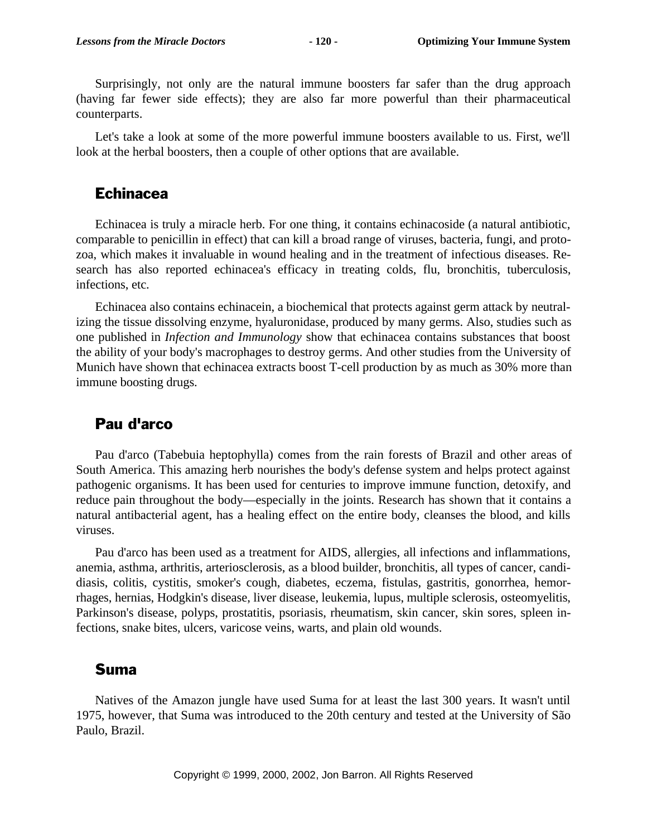Surprisingly, not only are the natural immune boosters far safer than the drug approach (having far fewer side effects); they are also far more powerful than their pharmaceutical counterparts.

Let's take a look at some of the more powerful immune boosters available to us. First, we'll look at the herbal boosters, then a couple of other options that are available.

#### **Echinacea**

Echinacea is truly a miracle herb. For one thing, it contains echinacoside (a natural antibiotic, comparable to penicillin in effect) that can kill a broad range of viruses, bacteria, fungi, and protozoa, which makes it invaluable in wound healing and in the treatment of infectious diseases. Research has also reported echinacea's efficacy in treating colds, flu, bronchitis, tuberculosis, infections, etc.

Echinacea also contains echinacein, a biochemical that protects against germ attack by neutralizing the tissue dissolving enzyme, hyaluronidase, produced by many germs. Also, studies such as one published in *Infection and Immunology* show that echinacea contains substances that boost the ability of your body's macrophages to destroy germs. And other studies from the University of Munich have shown that echinacea extracts boost T-cell production by as much as 30% more than immune boosting drugs.

#### Pau d'arco

Pau d'arco (Tabebuia heptophylla) comes from the rain forests of Brazil and other areas of South America. This amazing herb nourishes the body's defense system and helps protect against pathogenic organisms. It has been used for centuries to improve immune function, detoxify, and reduce pain throughout the body—especially in the joints. Research has shown that it contains a natural antibacterial agent, has a healing effect on the entire body, cleanses the blood, and kills viruses.

Pau d'arco has been used as a treatment for AIDS, allergies, all infections and inflammations, anemia, asthma, arthritis, arteriosclerosis, as a blood builder, bronchitis, all types of cancer, candidiasis, colitis, cystitis, smoker's cough, diabetes, eczema, fistulas, gastritis, gonorrhea, hemorrhages, hernias, Hodgkin's disease, liver disease, leukemia, lupus, multiple sclerosis, osteomyelitis, Parkinson's disease, polyps, prostatitis, psoriasis, rheumatism, skin cancer, skin sores, spleen infections, snake bites, ulcers, varicose veins, warts, and plain old wounds.

#### Suma

Natives of the Amazon jungle have used Suma for at least the last 300 years. It wasn't until 1975, however, that Suma was introduced to the 20th century and tested at the University of São Paulo, Brazil.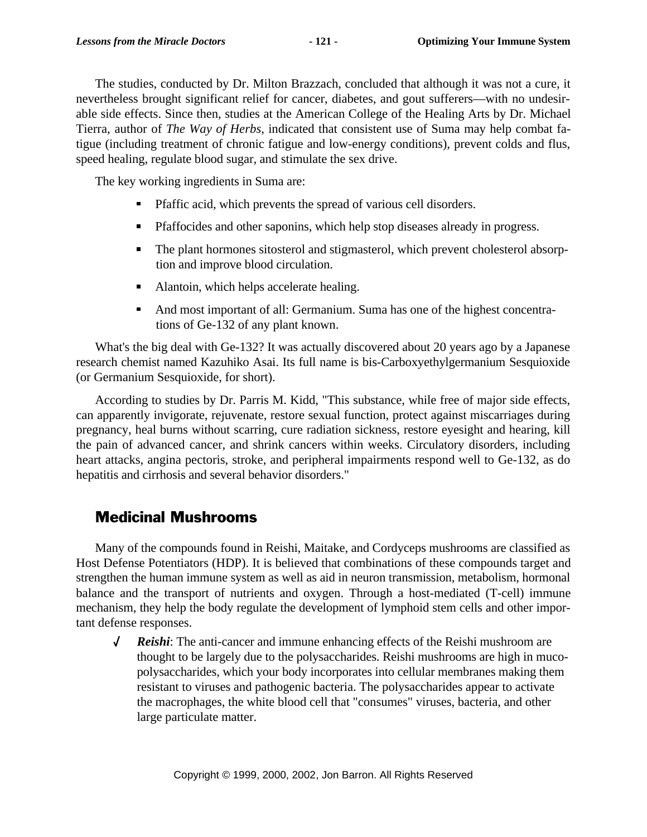The studies, conducted by Dr. Milton Brazzach, concluded that although it was not a cure, it nevertheless brought significant relief for cancer, diabetes, and gout sufferers—with no undesirable side effects. Since then, studies at the American College of the Healing Arts by Dr. Michael Tierra, author of *The Way of Herbs*, indicated that consistent use of Suma may help combat fatigue (including treatment of chronic fatigue and low-energy conditions), prevent colds and flus, speed healing, regulate blood sugar, and stimulate the sex drive.

The key working ingredients in Suma are:

- $\mathbf{u}$  . Pfaffic acid, which prevents the spread of various cell disorders.
- Pfaffocides and other saponins, which help stop diseases already in progress.
- $\mathbf{u}$  . The plant hormones sitosterol and stigmasterol, which prevent cholesterol absorption and improve blood circulation.
- Alantoin, which helps accelerate healing.
- $\blacksquare$ And most important of all: Germanium. Suma has one of the highest concentrations of Ge-132 of any plant known.

What's the big deal with Ge-132? It was actually discovered about 20 years ago by a Japanese research chemist named Kazuhiko Asai. Its full name is bis-Carboxyethylgermanium Sesquioxide (or Germanium Sesquioxide, for short).

According to studies by Dr. Parris M. Kidd, "This substance, while free of major side effects, can apparently invigorate, rejuvenate, restore sexual function, protect against miscarriages during pregnancy, heal burns without scarring, cure radiation sickness, restore eyesight and hearing, kill the pain of advanced cancer, and shrink cancers within weeks. Circulatory disorders, including heart attacks, angina pectoris, stroke, and peripheral impairments respond well to Ge-132, as do hepatitis and cirrhosis and several behavior disorders."

### Medicinal Mushrooms

Many of the compounds found in Reishi, Maitake, and Cordyceps mushrooms are classified as Host Defense Potentiators (HDP). It is believed that combinations of these compounds target and strengthen the human immune system as well as aid in neuron transmission, metabolism, hormonal balance and the transport of nutrients and oxygen. Through a host-mediated (T-cell) immune mechanism, they help the body regulate the development of lymphoid stem cells and other important defense responses.

 $\sqrt{ }$ *Reishi*: The anti-cancer and immune enhancing effects of the Reishi mushroom are thought to be largely due to the polysaccharides. Reishi mushrooms are high in mucopolysaccharides, which your body incorporates into cellular membranes making them resistant to viruses and pathogenic bacteria. The polysaccharides appear to activate the macrophages, the white blood cell that "consumes" viruses, bacteria, and other large particulate matter.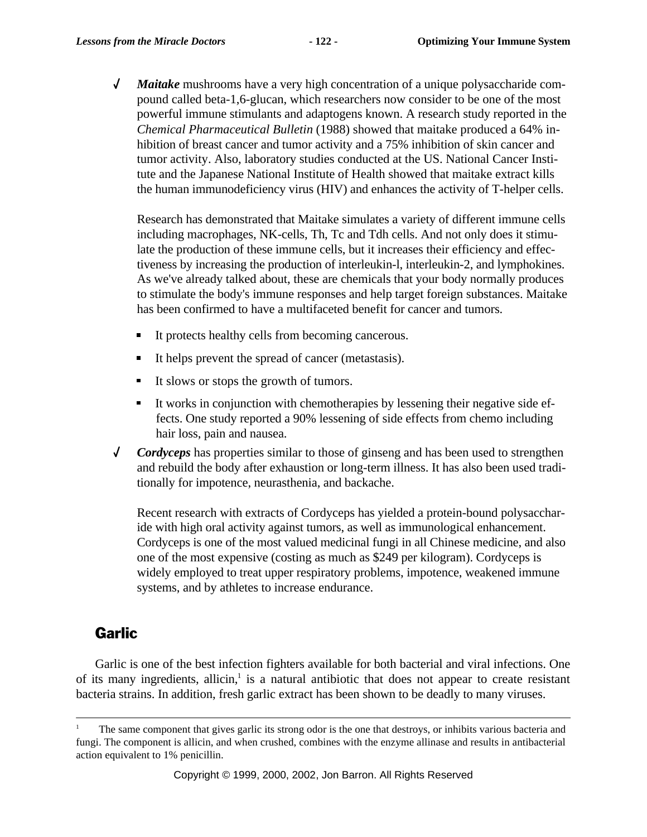$\sqrt{ }$ *Maitake* mushrooms have a very high concentration of a unique polysaccharide compound called beta-1,6-glucan, which researchers now consider to be one of the most powerful immune stimulants and adaptogens known. A research study reported in the *Chemical Pharmaceutical Bulletin* (1988) showed that maitake produced a 64% inhibition of breast cancer and tumor activity and a 75% inhibition of skin cancer and tumor activity. Also, laboratory studies conducted at the US. National Cancer Institute and the Japanese National Institute of Health showed that maitake extract kills the human immunodeficiency virus (HIV) and enhances the activity of T-helper cells.

Research has demonstrated that Maitake simulates a variety of different immune cells including macrophages, NK-cells, Th, Tc and Tdh cells. And not only does it stimulate the production of these immune cells, but it increases their efficiency and effectiveness by increasing the production of interleukin-l, interleukin-2, and lymphokines. As we've already talked about, these are chemicals that your body normally produces to stimulate the body's immune responses and help target foreign substances. Maitake has been confirmed to have a multifaceted benefit for cancer and tumors.

- It protects healthy cells from becoming cancerous.
- $\blacksquare$ It helps prevent the spread of cancer (metastasis).
- $\blacksquare$ It slows or stops the growth of tumors.
- It works in conjunction with chemotherapies by lessening their negative side effects. One study reported a 90% lessening of side effects from chemo including hair loss, pain and nausea.
- $\sqrt{ }$ *Cordyceps* has properties similar to those of ginseng and has been used to strengthen and rebuild the body after exhaustion or long-term illness. It has also been used traditionally for impotence, neurasthenia, and backache.

Recent research with extracts of Cordyceps has yielded a protein-bound polysaccharide with high oral activity against tumors, as well as immunological enhancement. Cordyceps is one of the most valued medicinal fungi in all Chinese medicine, and also one of the most expensive (costing as much as \$249 per kilogram). Cordyceps is widely employed to treat upper respiratory problems, impotence, weakened immune systems, and by athletes to increase endurance.

### Garlic

Garlic is one of the best infection fighters available for both bacterial and viral infections. One of its many ingredients, allicin,<sup>1</sup> is a natural antibiotic that does not appear to create resistant bacteria strains. In addition, fresh garlic extract has been shown to be deadly to many viruses.

<sup>1</sup> The same component that gives garlic its strong odor is the one that destroys, or inhibits various bacteria and fungi. The component is allicin, and when crushed, combines with the enzyme allinase and results in antibacterial action equivalent to 1% penicillin.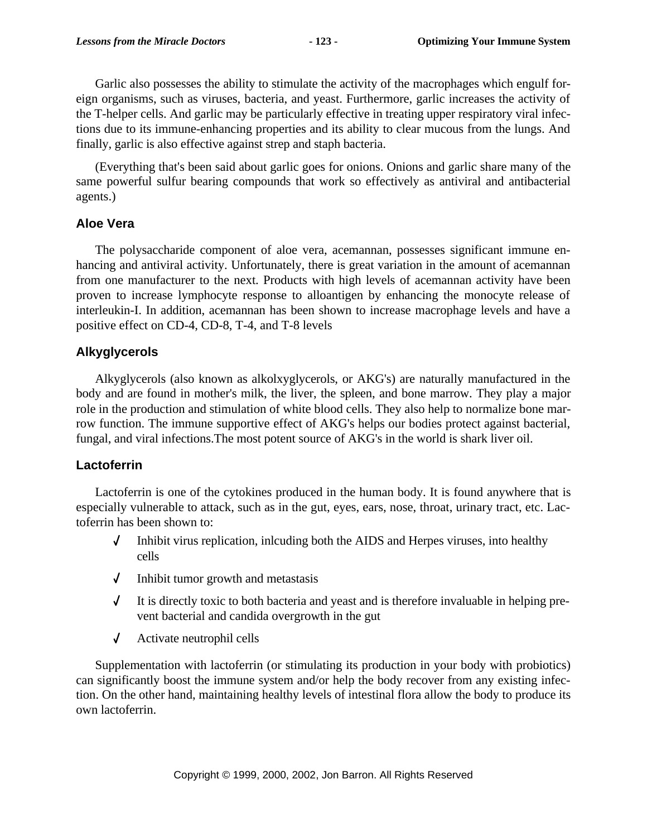Garlic also possesses the ability to stimulate the activity of the macrophages which engulf foreign organisms, such as viruses, bacteria, and yeast. Furthermore, garlic increases the activity of the T-helper cells. And garlic may be particularly effective in treating upper respiratory viral infections due to its immune-enhancing properties and its ability to clear mucous from the lungs. And finally, garlic is also effective against strep and staph bacteria.

(Everything that's been said about garlic goes for onions. Onions and garlic share many of the same powerful sulfur bearing compounds that work so effectively as antiviral and antibacterial agents.)

#### **Aloe Vera**

The polysaccharide component of aloe vera, acemannan, possesses significant immune enhancing and antiviral activity. Unfortunately, there is great variation in the amount of acemannan from one manufacturer to the next. Products with high levels of acemannan activity have been proven to increase lymphocyte response to alloantigen by enhancing the monocyte release of interleukin-I. In addition, acemannan has been shown to increase macrophage levels and have a positive effect on CD-4, CD-8, T-4, and T-8 levels

#### **Alkyglycerols**

Alkyglycerols (also known as alkolxyglycerols, or AKG's) are naturally manufactured in the body and are found in mother's milk, the liver, the spleen, and bone marrow. They play a major role in the production and stimulation of white blood cells. They also help to normalize bone marrow function. The immune supportive effect of AKG's helps our bodies protect against bacterial, fungal, and viral infections.The most potent source of AKG's in the world is shark liver oil.

#### **Lactoferrin**

Lactoferrin is one of the cytokines produced in the human body. It is found anywhere that is especially vulnerable to attack, such as in the gut, eyes, ears, nose, throat, urinary tract, etc. Lactoferrin has been shown to:

- Inhibit virus replication, inlcuding both the AIDS and Herpes viruses, into healthy cells
- $\sqrt{\phantom{a}}$  Inhibit tumor growth and metastasis
- $\sqrt{ }$ It is directly toxic to both bacteria and yeast and is therefore invaluable in helping prevent bacterial and candida overgrowth in the gut
- $\sqrt{ }$ Activate neutrophil cells

Supplementation with lactoferrin (or stimulating its production in your body with probiotics) can significantly boost the immune system and/or help the body recover from any existing infection. On the other hand, maintaining healthy levels of intestinal flora allow the body to produce its own lactoferrin.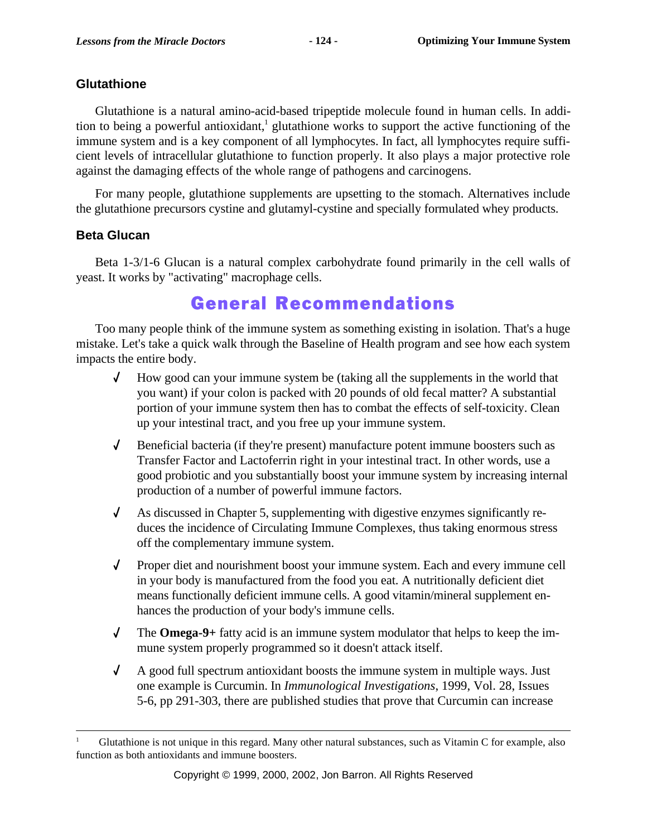#### **Glutathione**

Glutathione is a natural amino-acid-based tripeptide molecule found in human cells. In addition to being a powerful antioxidant,<sup>1</sup> glutathione works to support the active functioning of the immune system and is a key component of all lymphocytes. In fact, all lymphocytes require sufficient levels of intracellular glutathione to function properly. It also plays a major protective role against the damaging effects of the whole range of pathogens and carcinogens.

For many people, glutathione supplements are upsetting to the stomach. Alternatives include the glutathione precursors cystine and glutamyl-cystine and specially formulated whey products.

#### **Beta Glucan**

Beta 1-3/1-6 Glucan is a natural complex carbohydrate found primarily in the cell walls of yeast. It works by "activating" macrophage cells.

# General Recommendations

Too many people think of the immune system as something existing in isolation. That's a huge mistake. Let's take a quick walk through the Baseline of Health program and see how each system impacts the entire body.

- $\sqrt{ }$ How good can your immune system be (taking all the supplements in the world that you want) if your colon is packed with 20 pounds of old fecal matter? A substantial portion of your immune system then has to combat the effects of self-toxicity. Clean up your intestinal tract, and you free up your immune system.
- $\sqrt{ }$ Beneficial bacteria (if they're present) manufacture potent immune boosters such as Transfer Factor and Lactoferrin right in your intestinal tract. In other words, use a good probiotic and you substantially boost your immune system by increasing internal production of a number of powerful immune factors.
- $\sqrt{ }$ As discussed in Chapter 5, supplementing with digestive enzymes significantly reduces the incidence of Circulating Immune Complexes, thus taking enormous stress off the complementary immune system.
- $\sqrt{ }$ Proper diet and nourishment boost your immune system. Each and every immune cell in your body is manufactured from the food you eat. A nutritionally deficient diet means functionally deficient immune cells. A good vitamin/mineral supplement enhances the production of your body's immune cells.
- $\sqrt{ }$ The **Omega-9+** fatty acid is an immune system modulator that helps to keep the immune system properly programmed so it doesn't attack itself.
- $\sqrt{ }$ A good full spectrum antioxidant boosts the immune system in multiple ways. Just one example is Curcumin. In *Immunological Investigations*, 1999, Vol. 28, Issues 5-6, pp 291-303, there are published studies that prove that Curcumin can increase

<sup>1</sup> Glutathione is not unique in this regard. Many other natural substances, such as Vitamin C for example, also function as both antioxidants and immune boosters.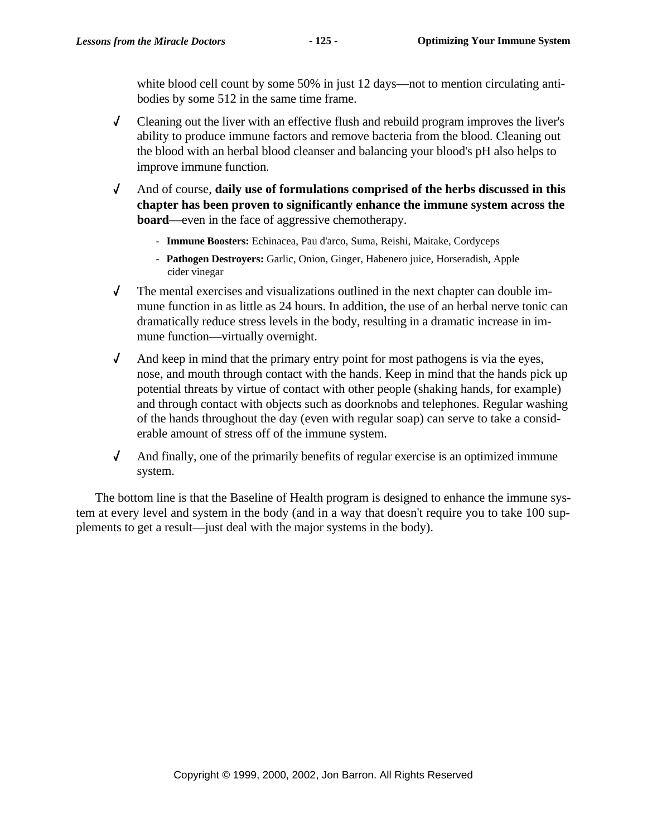white blood cell count by some 50% in just 12 days—not to mention circulating antibodies by some 512 in the same time frame.

- $\sqrt{ }$ Cleaning out the liver with an effective flush and rebuild program improves the liver's ability to produce immune factors and remove bacteria from the blood. Cleaning out the blood with an herbal blood cleanser and balancing your blood's pH also helps to improve immune function.
- $\sqrt{ }$ And of course, **daily use of formulations comprised of the herbs discussed in this chapter has been proven to significantly enhance the immune system across the board**—even in the face of aggressive chemotherapy.
	- **Immune Boosters:** Echinacea, Pau d'arco, Suma, Reishi, Maitake, Cordyceps
	- **Pathogen Destroyers:** Garlic, Onion, Ginger, Habenero juice, Horseradish, Apple cider vinegar
- $\sqrt{ }$ The mental exercises and visualizations outlined in the next chapter can double immune function in as little as 24 hours. In addition, the use of an herbal nerve tonic can dramatically reduce stress levels in the body, resulting in a dramatic increase in immune function—virtually overnight.
- $\sqrt{ }$ And keep in mind that the primary entry point for most pathogens is via the eyes, nose, and mouth through contact with the hands. Keep in mind that the hands pick up potential threats by virtue of contact with other people (shaking hands, for example) and through contact with objects such as doorknobs and telephones. Regular washing of the hands throughout the day (even with regular soap) can serve to take a considerable amount of stress off of the immune system.
- $\sqrt{ }$ And finally, one of the primarily benefits of regular exercise is an optimized immune system.

The bottom line is that the Baseline of Health program is designed to enhance the immune system at every level and system in the body (and in a way that doesn't require you to take 100 supplements to get a result—just deal with the major systems in the body).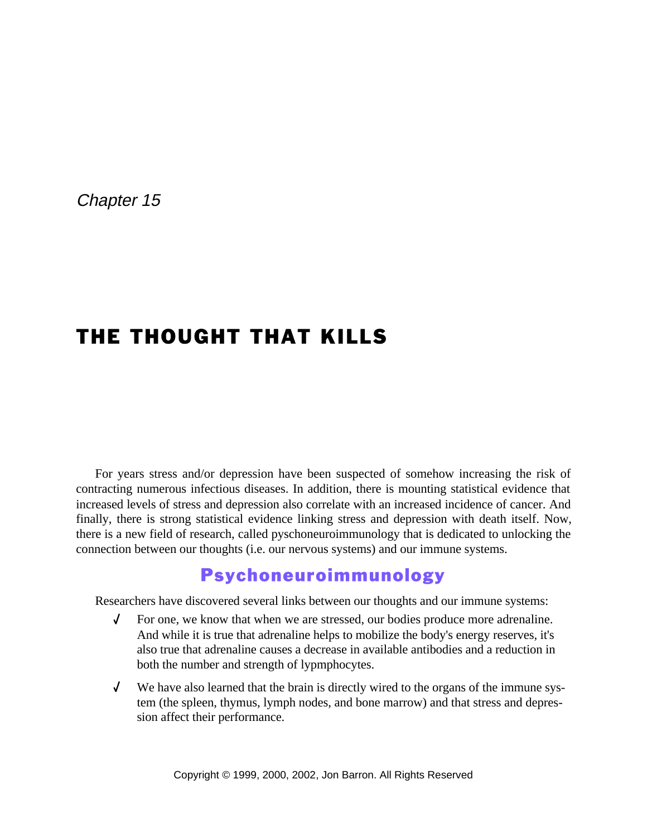Chapter 15

# THE THOUGHT THAT KILLS

For years stress and/or depression have been suspected of somehow increasing the risk of contracting numerous infectious diseases. In addition, there is mounting statistical evidence that increased levels of stress and depression also correlate with an increased incidence of cancer. And finally, there is strong statistical evidence linking stress and depression with death itself. Now, there is a new field of research, called pyschoneuroimmunology that is dedicated to unlocking the connection between our thoughts (i.e. our nervous systems) and our immune systems.

# Psychoneuroimmunology

Researchers have discovered several links between our thoughts and our immune systems:

- $\sqrt{ }$ For one, we know that when we are stressed, our bodies produce more adrenaline. And while it is true that adrenaline helps to mobilize the body's energy reserves, it's also true that adrenaline causes a decrease in available antibodies and a reduction in both the number and strength of lypmphocytes.
- $\sqrt{ }$ We have also learned that the brain is directly wired to the organs of the immune system (the spleen, thymus, lymph nodes, and bone marrow) and that stress and depression affect their performance.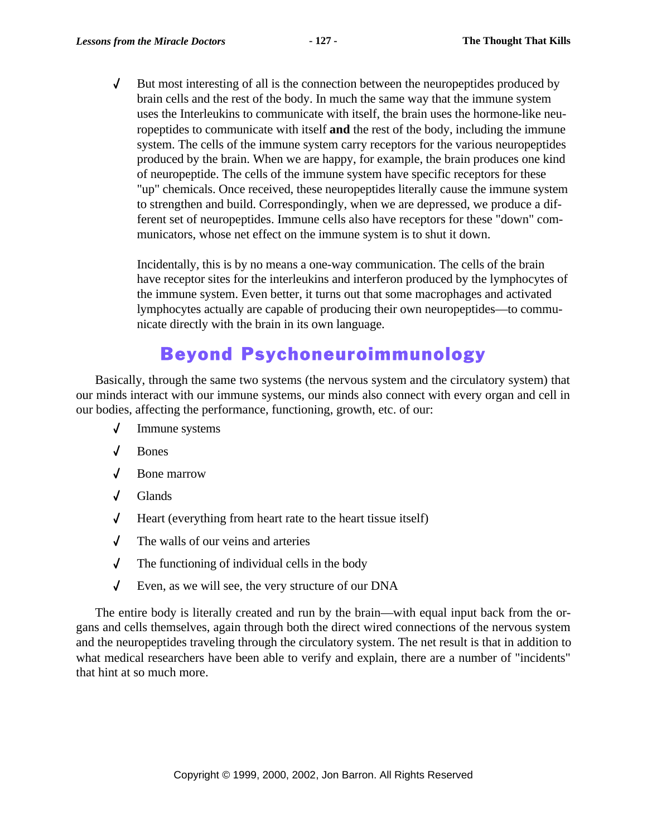$\sqrt{ }$ But most interesting of all is the connection between the neuropeptides produced by brain cells and the rest of the body. In much the same way that the immune system uses the Interleukins to communicate with itself, the brain uses the hormone-like neuropeptides to communicate with itself **and** the rest of the body, including the immune system. The cells of the immune system carry receptors for the various neuropeptides produced by the brain. When we are happy, for example, the brain produces one kind of neuropeptide. The cells of the immune system have specific receptors for these "up" chemicals. Once received, these neuropeptides literally cause the immune system to strengthen and build. Correspondingly, when we are depressed, we produce a different set of neuropeptides. Immune cells also have receptors for these "down" communicators, whose net effect on the immune system is to shut it down.

Incidentally, this is by no means a one-way communication. The cells of the brain have receptor sites for the interleukins and interferon produced by the lymphocytes of the immune system. Even better, it turns out that some macrophages and activated lymphocytes actually are capable of producing their own neuropeptides—to communicate directly with the brain in its own language.

# Beyond Psychoneuroimmunology

Basically, through the same two systems (the nervous system and the circulatory system) that our minds interact with our immune systems, our minds also connect with every organ and cell in our bodies, affecting the performance, functioning, growth, etc. of our:

- $\overline{J}$ Immune systems
- $\overline{J}$ Bones
- $\sqrt{ }$ Bone marrow
- $J$ **Glands**
- $\sqrt{ }$ Heart (everything from heart rate to the heart tissue itself)
- $\sqrt{ }$ The walls of our veins and arteries
- $\sqrt{ }$ The functioning of individual cells in the body
- $\sqrt{2}$ Even, as we will see, the very structure of our DNA

The entire body is literally created and run by the brain—with equal input back from the organs and cells themselves, again through both the direct wired connections of the nervous system and the neuropeptides traveling through the circulatory system. The net result is that in addition to what medical researchers have been able to verify and explain, there are a number of "incidents" that hint at so much more.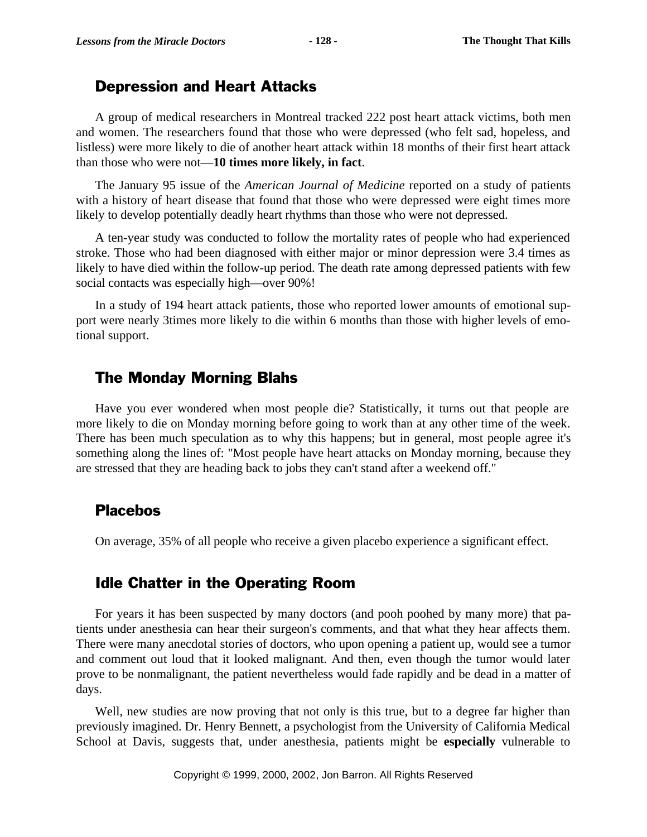#### Depression and Heart Attacks

A group of medical researchers in Montreal tracked 222 post heart attack victims, both men and women. The researchers found that those who were depressed (who felt sad, hopeless, and listless) were more likely to die of another heart attack within 18 months of their first heart attack than those who were not—**10 times more likely, in fact**.

The January 95 issue of the *American Journal of Medicine* reported on a study of patients with a history of heart disease that found that those who were depressed were eight times more likely to develop potentially deadly heart rhythms than those who were not depressed.

A ten-year study was conducted to follow the mortality rates of people who had experienced stroke. Those who had been diagnosed with either major or minor depression were 3.4 times as likely to have died within the follow-up period. The death rate among depressed patients with few social contacts was especially high—over 90%!

In a study of 194 heart attack patients, those who reported lower amounts of emotional support were nearly 3times more likely to die within 6 months than those with higher levels of emotional support.

### The Monday Morning Blahs

Have you ever wondered when most people die? Statistically, it turns out that people are more likely to die on Monday morning before going to work than at any other time of the week. There has been much speculation as to why this happens; but in general, most people agree it's something along the lines of: "Most people have heart attacks on Monday morning, because they are stressed that they are heading back to jobs they can't stand after a weekend off."

### Placebos

On average, 35% of all people who receive a given placebo experience a significant effect.

### Idle Chatter in the Operating Room

For years it has been suspected by many doctors (and pooh poohed by many more) that patients under anesthesia can hear their surgeon's comments, and that what they hear affects them. There were many anecdotal stories of doctors, who upon opening a patient up, would see a tumor and comment out loud that it looked malignant. And then, even though the tumor would later prove to be nonmalignant, the patient nevertheless would fade rapidly and be dead in a matter of days.

Well, new studies are now proving that not only is this true, but to a degree far higher than previously imagined. Dr. Henry Bennett, a psychologist from the University of California Medical School at Davis, suggests that, under anesthesia, patients might be **especially** vulnerable to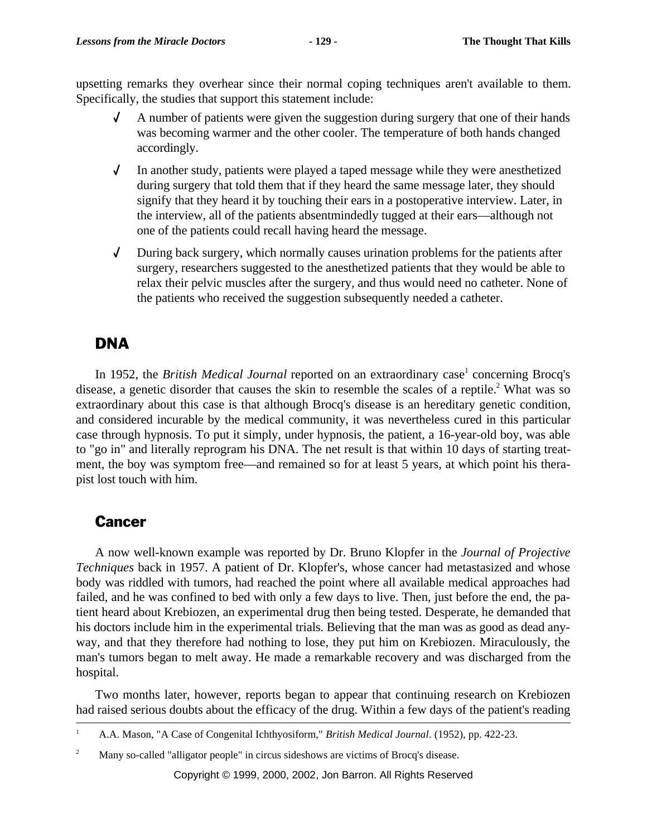upsetting remarks they overhear since their normal coping techniques aren't available to them. Specifically, the studies that support this statement include:

- A number of patients were given the suggestion during surgery that one of their hands  $\sqrt{ }$ was becoming warmer and the other cooler. The temperature of both hands changed accordingly.
- $\sqrt{ }$ In another study, patients were played a taped message while they were anesthetized during surgery that told them that if they heard the same message later, they should signify that they heard it by touching their ears in a postoperative interview. Later, in the interview, all of the patients absentmindedly tugged at their ears—although not one of the patients could recall having heard the message.
- $\sqrt{ }$ During back surgery, which normally causes urination problems for the patients after surgery, researchers suggested to the anesthetized patients that they would be able to relax their pelvic muscles after the surgery, and thus would need no catheter. None of the patients who received the suggestion subsequently needed a catheter.

## DNA

In 1952, the *British Medical Journal* reported on an extraordinary case<sup>1</sup> concerning Brocq's disease, a genetic disorder that causes the skin to resemble the scales of a reptile.<sup>2</sup> What was so extraordinary about this case is that although Brocq's disease is an hereditary genetic condition, and considered incurable by the medical community, it was nevertheless cured in this particular case through hypnosis. To put it simply, under hypnosis, the patient, a 16-year-old boy, was able to "go in" and literally reprogram his DNA. The net result is that within 10 days of starting treatment, the boy was symptom free—and remained so for at least 5 years, at which point his therapist lost touch with him.

### Cancer

A now well-known example was reported by Dr. Bruno Klopfer in the *Journal of Projective Techniques* back in 1957. A patient of Dr. Klopfer's, whose cancer had metastasized and whose body was riddled with tumors, had reached the point where all available medical approaches had failed, and he was confined to bed with only a few days to live. Then, just before the end, the patient heard about Krebiozen, an experimental drug then being tested. Desperate, he demanded that his doctors include him in the experimental trials. Believing that the man was as good as dead anyway, and that they therefore had nothing to lose, they put him on Krebiozen. Miraculously, the man's tumors began to melt away. He made a remarkable recovery and was discharged from the hospital.

Two months later, however, reports began to appear that continuing research on Krebiozen had raised serious doubts about the efficacy of the drug. Within a few days of the patient's reading

Copyright © 1999, 2000, 2002, Jon Barron. All Rights Reserved

<sup>1</sup> A.A. Mason, "A Case of Congenital Ichthyosiform," *British Medical Journal*. (1952), pp. 422-23.

<sup>&</sup>lt;sup>2</sup> Many so-called "alligator people" in circus sideshows are victims of Brocq's disease.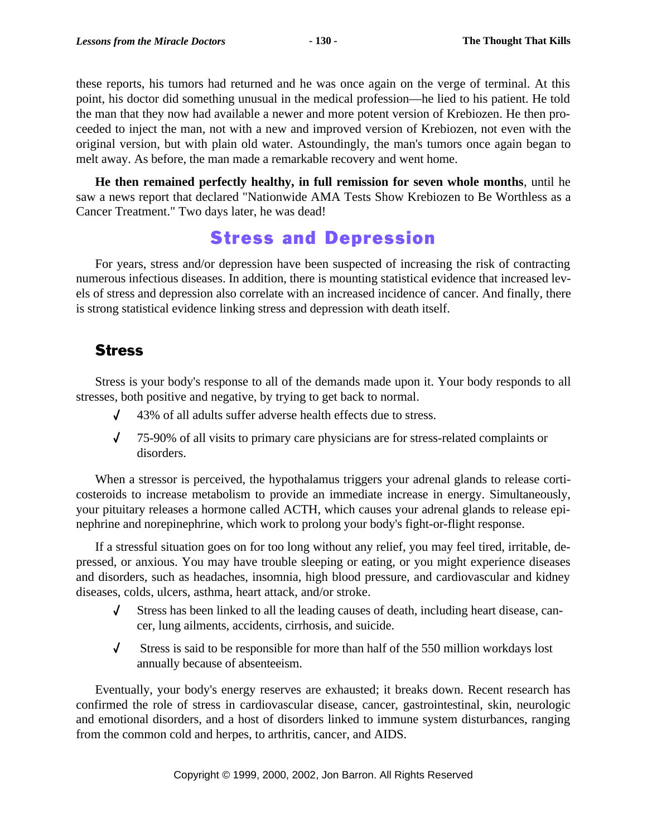these reports, his tumors had returned and he was once again on the verge of terminal. At this point, his doctor did something unusual in the medical profession—he lied to his patient. He told the man that they now had available a newer and more potent version of Krebiozen. He then proceeded to inject the man, not with a new and improved version of Krebiozen, not even with the original version, but with plain old water. Astoundingly, the man's tumors once again began to melt away. As before, the man made a remarkable recovery and went home.

**He then remained perfectly healthy, in full remission for seven whole months**, until he saw a news report that declared "Nationwide AMA Tests Show Krebiozen to Be Worthless as a Cancer Treatment." Two days later, he was dead!

## Stress and Depression

For years, stress and/or depression have been suspected of increasing the risk of contracting numerous infectious diseases. In addition, there is mounting statistical evidence that increased levels of stress and depression also correlate with an increased incidence of cancer. And finally, there is strong statistical evidence linking stress and depression with death itself.

### **Stress**

Stress is your body's response to all of the demands made upon it. Your body responds to all stresses, both positive and negative, by trying to get back to normal.

- 43% of all adults suffer adverse health effects due to stress.  $J$
- $\overline{J}$ 75-90% of all visits to primary care physicians are for stress-related complaints or disorders.

When a stressor is perceived, the hypothalamus triggers your adrenal glands to release corticosteroids to increase metabolism to provide an immediate increase in energy. Simultaneously, your pituitary releases a hormone called ACTH, which causes your adrenal glands to release epinephrine and norepinephrine, which work to prolong your body's fight-or-flight response.

If a stressful situation goes on for too long without any relief, you may feel tired, irritable, depressed, or anxious. You may have trouble sleeping or eating, or you might experience diseases and disorders, such as headaches, insomnia, high blood pressure, and cardiovascular and kidney diseases, colds, ulcers, asthma, heart attack, and/or stroke.

- $\sqrt{ }$ Stress has been linked to all the leading causes of death, including heart disease, cancer, lung ailments, accidents, cirrhosis, and suicide.
- $J$  Stress is said to be responsible for more than half of the 550 million workdays lost annually because of absenteeism.

Eventually, your body's energy reserves are exhausted; it breaks down. Recent research has confirmed the role of stress in cardiovascular disease, cancer, gastrointestinal, skin, neurologic and emotional disorders, and a host of disorders linked to immune system disturbances, ranging from the common cold and herpes, to arthritis, cancer, and AIDS.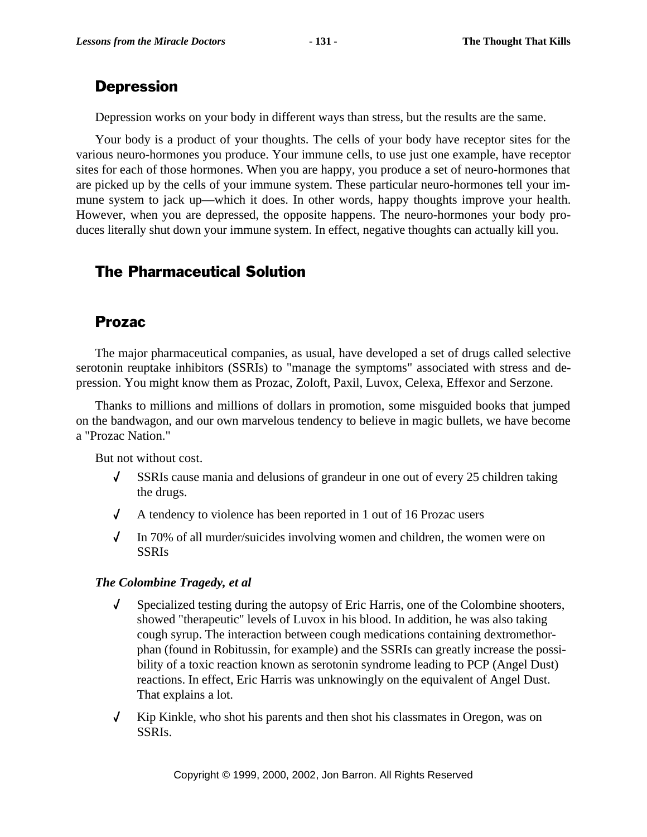### Depression

Depression works on your body in different ways than stress, but the results are the same.

Your body is a product of your thoughts. The cells of your body have receptor sites for the various neuro-hormones you produce. Your immune cells, to use just one example, have receptor sites for each of those hormones. When you are happy, you produce a set of neuro-hormones that are picked up by the cells of your immune system. These particular neuro-hormones tell your immune system to jack up—which it does. In other words, happy thoughts improve your health. However, when you are depressed, the opposite happens. The neuro-hormones your body produces literally shut down your immune system. In effect, negative thoughts can actually kill you.

### The Pharmaceutical Solution

### Prozac

The major pharmaceutical companies, as usual, have developed a set of drugs called selective serotonin reuptake inhibitors (SSRIs) to "manage the symptoms" associated with stress and depression. You might know them as Prozac, Zoloft, Paxil, Luvox, Celexa, Effexor and Serzone.

Thanks to millions and millions of dollars in promotion, some misguided books that jumped on the bandwagon, and our own marvelous tendency to believe in magic bullets, we have become a "Prozac Nation."

But not without cost.

- $\sqrt{ }$ SSRIs cause mania and delusions of grandeur in one out of every 25 children taking the drugs.
- $\sqrt{\phantom{a}}$  A tendency to violence has been reported in 1 out of 16 Prozac users
- $\sqrt{ }$ In 70% of all murder/suicides involving women and children, the women were on SSRIs

#### *The Colombine Tragedy, et al*

- $\sqrt{ }$ Specialized testing during the autopsy of Eric Harris, one of the Colombine shooters, showed "therapeutic" levels of Luvox in his blood. In addition, he was also taking cough syrup. The interaction between cough medications containing dextromethorphan (found in Robitussin, for example) and the SSRIs can greatly increase the possibility of a toxic reaction known as serotonin syndrome leading to PCP (Angel Dust) reactions. In effect, Eric Harris was unknowingly on the equivalent of Angel Dust. That explains a lot.
- $J$ Kip Kinkle, who shot his parents and then shot his classmates in Oregon, was on SSRIs.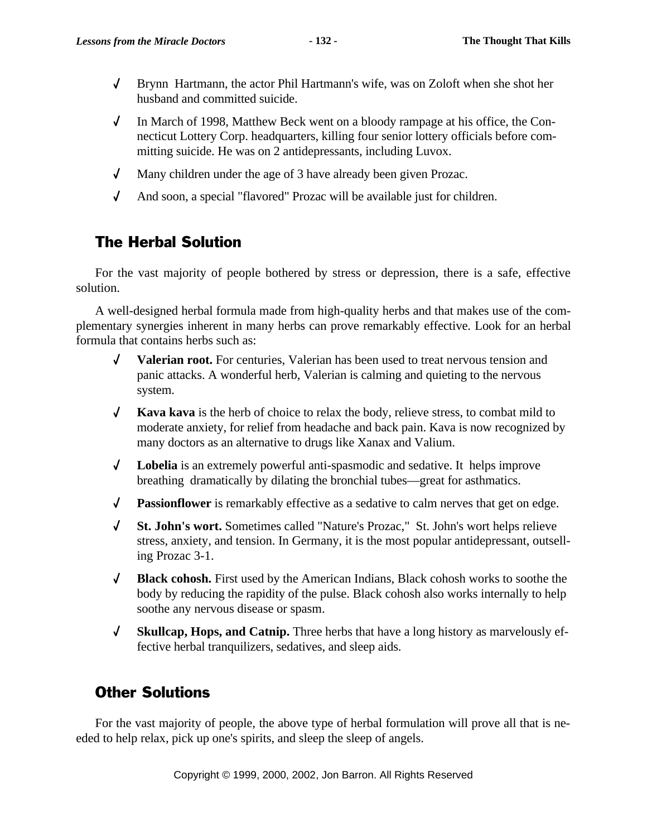- $J$ Brynn Hartmann, the actor Phil Hartmann's wife, was on Zoloft when she shot her husband and committed suicide.
- $\sqrt{ }$ In March of 1998, Matthew Beck went on a bloody rampage at his office, the Connecticut Lottery Corp. headquarters, killing four senior lottery officials before committing suicide. He was on 2 antidepressants, including Luvox.
- $\sqrt{ }$ Many children under the age of 3 have already been given Prozac.
- $\sqrt{\phantom{a}}$  And soon, a special "flavored" Prozac will be available just for children.

### The Herbal Solution

For the vast majority of people bothered by stress or depression, there is a safe, effective solution.

A well-designed herbal formula made from high-quality herbs and that makes use of the complementary synergies inherent in many herbs can prove remarkably effective. Look for an herbal formula that contains herbs such as:

- $\overline{J}$ **Valerian root.** For centuries, Valerian has been used to treat nervous tension and panic attacks. A wonderful herb, Valerian is calming and quieting to the nervous system.
- $\sqrt{ }$ **Kava kava** is the herb of choice to relax the body, relieve stress, to combat mild to moderate anxiety, for relief from headache and back pain. Kava is now recognized by many doctors as an alternative to drugs like Xanax and Valium.
- $\sqrt{ }$ **Lobelia** is an extremely powerful anti-spasmodic and sedative. It helps improve breathing dramatically by dilating the bronchial tubes—great for asthmatics.
- **Passionflower** is remarkably effective as a sedative to calm nerves that get on edge.
- $\sqrt{ }$ **St. John's wort.** Sometimes called "Nature's Prozac," St. John's wort helps relieve stress, anxiety, and tension. In Germany, it is the most popular antidepressant, outselling Prozac 3-1.
- $\sqrt{ }$ **Black cohosh.** First used by the American Indians, Black cohosh works to soothe the body by reducing the rapidity of the pulse. Black cohosh also works internally to help soothe any nervous disease or spasm.
- $\sqrt{ }$ **Skullcap, Hops, and Catnip.** Three herbs that have a long history as marvelously effective herbal tranquilizers, sedatives, and sleep aids.

### Other Solutions

For the vast majority of people, the above type of herbal formulation will prove all that is needed to help relax, pick up one's spirits, and sleep the sleep of angels.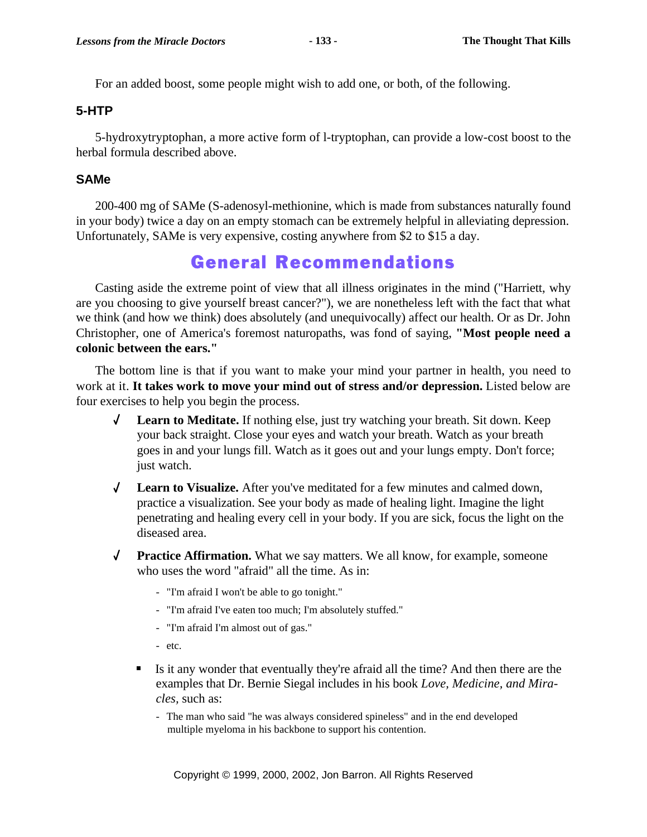For an added boost, some people might wish to add one, or both, of the following.

#### **5-HTP**

5-hydroxytryptophan, a more active form of l-tryptophan, can provide a low-cost boost to the herbal formula described above.

#### **SAMe**

200-400 mg of SAMe (S-adenosyl-methionine, which is made from substances naturally found in your body) twice a day on an empty stomach can be extremely helpful in alleviating depression. Unfortunately, SAMe is very expensive, costing anywhere from \$2 to \$15 a day.

## General Recommendations

Casting aside the extreme point of view that all illness originates in the mind ("Harriett, why are you choosing to give yourself breast cancer?"), we are nonetheless left with the fact that what we think (and how we think) does absolutely (and unequivocally) affect our health. Or as Dr. John Christopher, one of America's foremost naturopaths, was fond of saying, **"Most people need a colonic between the ears."**

The bottom line is that if you want to make your mind your partner in health, you need to work at it. **It takes work to move your mind out of stress and/or depression.** Listed below are four exercises to help you begin the process.

- $\sqrt{2}$ **Learn to Meditate.** If nothing else, just try watching your breath. Sit down. Keep your back straight. Close your eyes and watch your breath. Watch as your breath goes in and your lungs fill. Watch as it goes out and your lungs empty. Don't force; just watch.
- **Learn to Visualize.** After you've meditated for a few minutes and calmed down, practice a visualization. See your body as made of healing light. Imagine the light penetrating and healing every cell in your body. If you are sick, focus the light on the diseased area.
- $\sqrt{ }$ **Practice Affirmation.** What we say matters. We all know, for example, someone who uses the word "afraid" all the time. As in:
	- "I'm afraid I won't be able to go tonight."
	- "I'm afraid I've eaten too much; I'm absolutely stuffed."
	- "I'm afraid I'm almost out of gas."
	- etc.
	- $\blacksquare$ Is it any wonder that eventually they're afraid all the time? And then there are the examples that Dr. Bernie Siegal includes in his book *Love, Medicine, and Miracles,* such as:
		- The man who said "he was always considered spineless" and in the end developed multiple myeloma in his backbone to support his contention.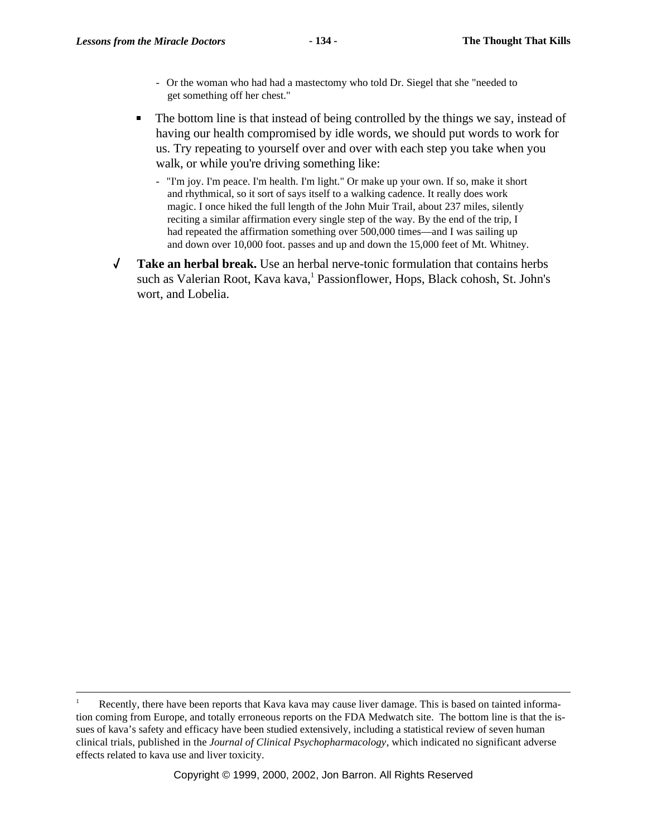- Or the woman who had had a mastectomy who told Dr. Siegel that she "needed to get something off her chest."
- $\mathbf{u}$  . The bottom line is that instead of being controlled by the things we say, instead of having our health compromised by idle words, we should put words to work for us. Try repeating to yourself over and over with each step you take when you walk, or while you're driving something like:
	- "I'm joy. I'm peace. I'm health. I'm light." Or make up your own. If so, make it short and rhythmical, so it sort of says itself to a walking cadence. It really does work magic. I once hiked the full length of the John Muir Trail, about 237 miles, silently reciting a similar affirmation every single step of the way. By the end of the trip, I had repeated the affirmation something over 500,000 times—and I was sailing up and down over 10,000 foot. passes and up and down the 15,000 feet of Mt. Whitney.
- $\sqrt{2}$ **Take an herbal break.** Use an herbal nerve-tonic formulation that contains herbs such as Valerian Root, Kava kava,<sup>1</sup> Passionflower, Hops, Black cohosh, St. John's wort, and Lobelia.

Recently, there have been reports that Kava kava may cause liver damage. This is based on tainted information coming from Europe, and totally erroneous reports on the FDA Medwatch site. The bottom line is that the issues of kava's safety and efficacy have been studied extensively, including a statistical review of seven human clinical trials, published in the *Journal of Clinical Psychopharmacology*, which indicated no significant adverse effects related to kava use and liver toxicity.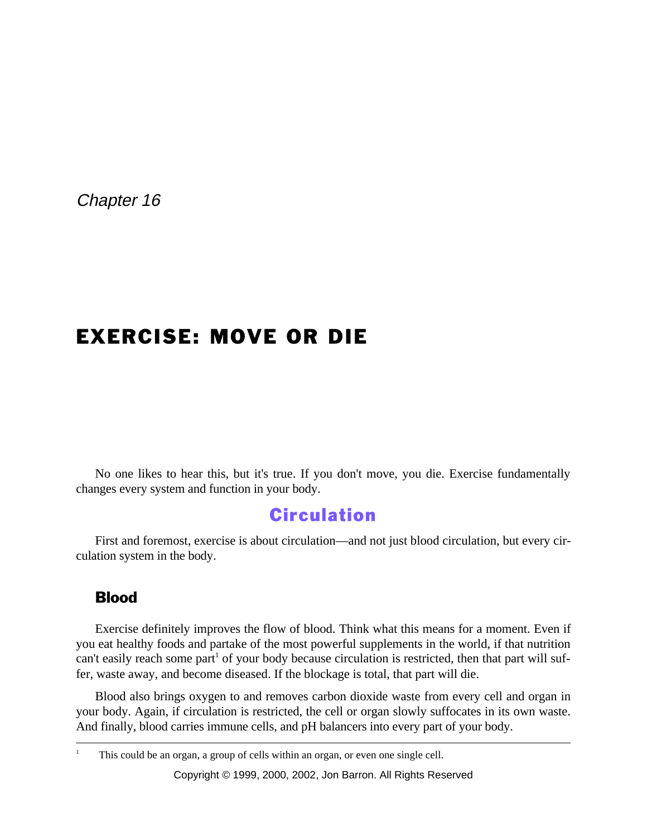Chapter 16

# EXERCISE: MOVE OR DIE

No one likes to hear this, but it's true. If you don't move, you die. Exercise fundamentally changes every system and function in your body.

# Circulation

First and foremost, exercise is about circulation—and not just blood circulation, but every circulation system in the body.

## Blood

Exercise definitely improves the flow of blood. Think what this means for a moment. Even if you eat healthy foods and partake of the most powerful supplements in the world, if that nutrition can't easily reach some part<sup>1</sup> of your body because circulation is restricted, then that part will suffer, waste away, and become diseased. If the blockage is total, that part will die.

Blood also brings oxygen to and removes carbon dioxide waste from every cell and organ in your body. Again, if circulation is restricted, the cell or organ slowly suffocates in its own waste. And finally, blood carries immune cells, and pH balancers into every part of your body.

This could be an organ, a group of cells within an organ, or even one single cell.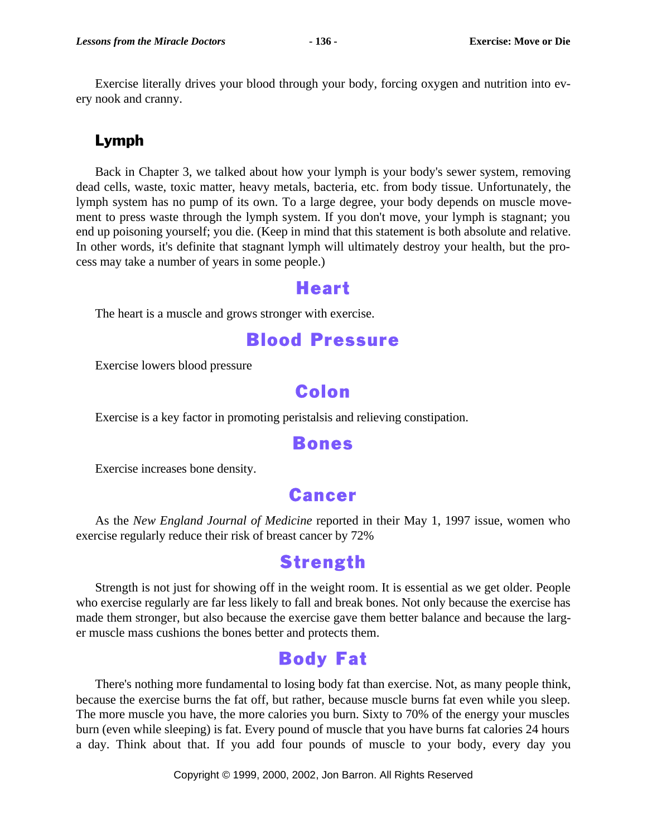Exercise literally drives your blood through your body, forcing oxygen and nutrition into every nook and cranny.

#### Lymph

Back in Chapter 3, we talked about how your lymph is your body's sewer system, removing dead cells, waste, toxic matter, heavy metals, bacteria, etc. from body tissue. Unfortunately, the lymph system has no pump of its own. To a large degree, your body depends on muscle movement to press waste through the lymph system. If you don't move, your lymph is stagnant; you end up poisoning yourself; you die. (Keep in mind that this statement is both absolute and relative. In other words, it's definite that stagnant lymph will ultimately destroy your health, but the process may take a number of years in some people.)

#### Heart

The heart is a muscle and grows stronger with exercise.

# Blood Pressure

Exercise lowers blood pressure

# Colon

Exercise is a key factor in promoting peristalsis and relieving constipation.

#### Bones

Exercise increases bone density.

## Cancer

As the *New England Journal of Medicine* reported in their May 1, 1997 issue, women who exercise regularly reduce their risk of breast cancer by 72%

## Strength

Strength is not just for showing off in the weight room. It is essential as we get older. People who exercise regularly are far less likely to fall and break bones. Not only because the exercise has made them stronger, but also because the exercise gave them better balance and because the larger muscle mass cushions the bones better and protects them.

# Body Fat

There's nothing more fundamental to losing body fat than exercise. Not, as many people think, because the exercise burns the fat off, but rather, because muscle burns fat even while you sleep. The more muscle you have, the more calories you burn. Sixty to 70% of the energy your muscles burn (even while sleeping) is fat. Every pound of muscle that you have burns fat calories 24 hours a day. Think about that. If you add four pounds of muscle to your body, every day you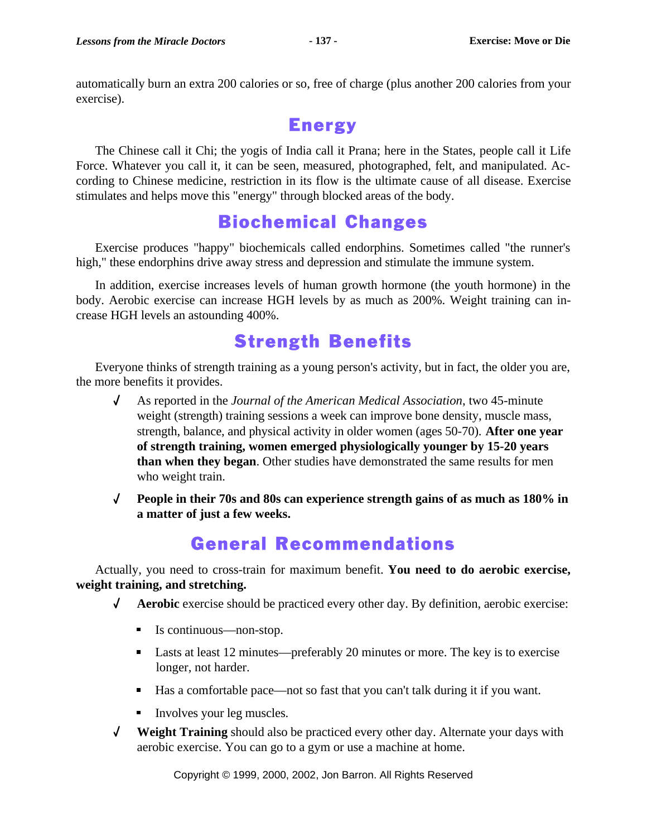automatically burn an extra 200 calories or so, free of charge (plus another 200 calories from your exercise).

# Energy

The Chinese call it Chi; the yogis of India call it Prana; here in the States, people call it Life Force. Whatever you call it, it can be seen, measured, photographed, felt, and manipulated. According to Chinese medicine, restriction in its flow is the ultimate cause of all disease. Exercise stimulates and helps move this "energy" through blocked areas of the body.

# Biochemical Changes

Exercise produces "happy" biochemicals called endorphins. Sometimes called "the runner's high," these endorphins drive away stress and depression and stimulate the immune system.

In addition, exercise increases levels of human growth hormone (the youth hormone) in the body. Aerobic exercise can increase HGH levels by as much as 200%. Weight training can increase HGH levels an astounding 400%.

# Strength Benefits

Everyone thinks of strength training as a young person's activity, but in fact, the older you are, the more benefits it provides.

- $\sqrt{ }$ As reported in the *Journal of the American Medical Association*, two 45-minute weight (strength) training sessions a week can improve bone density, muscle mass, strength, balance, and physical activity in older women (ages 50-70). **After one year of strength training, women emerged physiologically younger by 15-20 years than when they began**. Other studies have demonstrated the same results for men who weight train.
- **People in their 70s and 80s can experience strength gains of as much as 180% in a matter of just a few weeks.**

# General Recommendations

Actually, you need to cross-train for maximum benefit. **You need to do aerobic exercise, weight training, and stretching.**

- **Aerobic** exercise should be practiced every other day. By definition, aerobic exercise:
	- Is continuous—non-stop.
	- Lasts at least 12 minutes—preferably 20 minutes or more. The key is to exercise longer, not harder.
	- Has a comfortable pace—not so fast that you can't talk during it if you want.
	- Involves your leg muscles.
- **Weight Training** should also be practiced every other day. Alternate your days with aerobic exercise. You can go to a gym or use a machine at home.

Copyright © 1999, 2000, 2002, Jon Barron. All Rights Reserved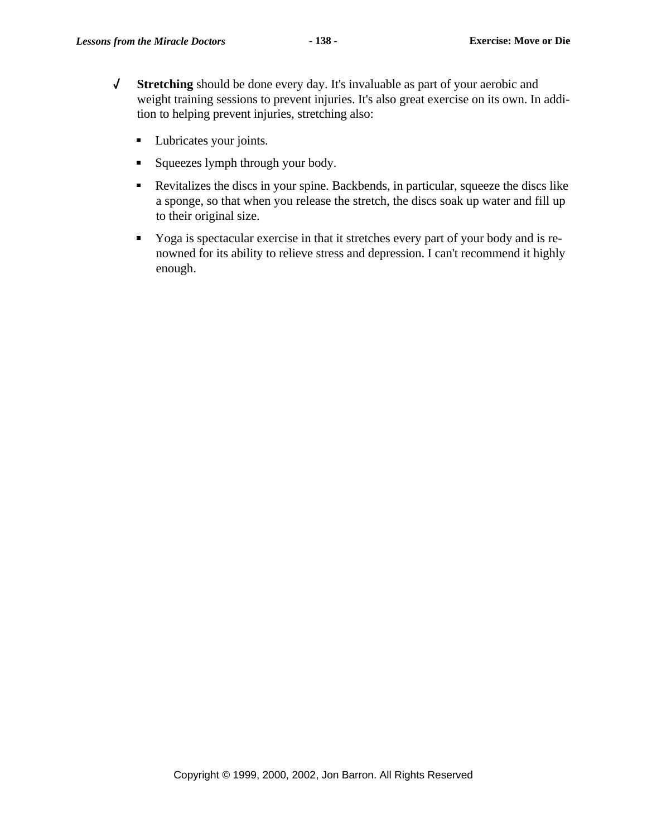- $\sqrt{ }$ **Stretching** should be done every day. It's invaluable as part of your aerobic and weight training sessions to prevent injuries. It's also great exercise on its own. In addition to helping prevent injuries, stretching also:
	- Lubricates your joints.  $\blacksquare$
	- $\blacksquare$ Squeezes lymph through your body.
	- $\mathbf{u}$  . Revitalizes the discs in your spine. Backbends, in particular, squeeze the discs like a sponge, so that when you release the stretch, the discs soak up water and fill up to their original size.
	- Yoga is spectacular exercise in that it stretches every part of your body and is re- $\mathbf{u}$  . nowned for its ability to relieve stress and depression. I can't recommend it highly enough.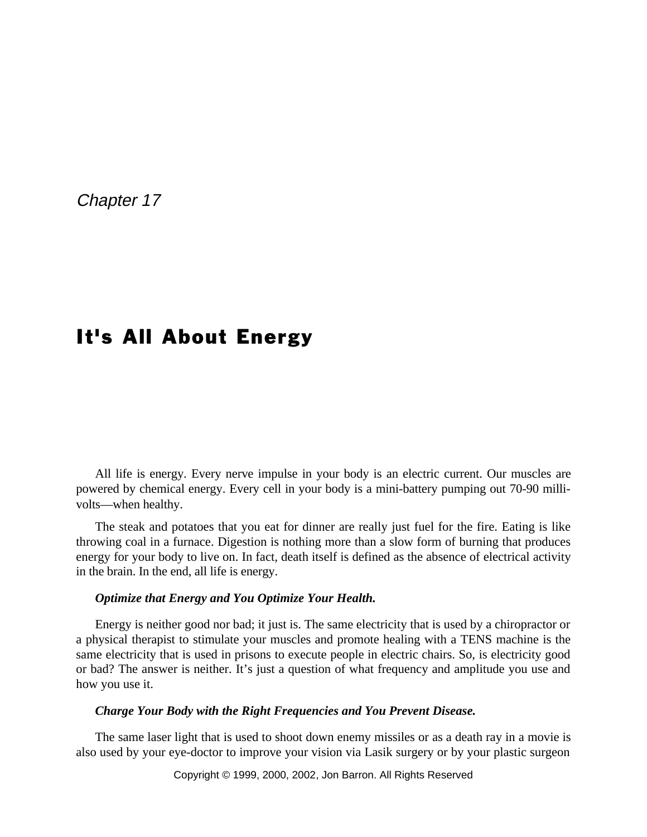Chapter 17

# It's All About Energy

All life is energy. Every nerve impulse in your body is an electric current. Our muscles are powered by chemical energy. Every cell in your body is a mini-battery pumping out 70-90 millivolts—when healthy.

The steak and potatoes that you eat for dinner are really just fuel for the fire. Eating is like throwing coal in a furnace. Digestion is nothing more than a slow form of burning that produces energy for your body to live on. In fact, death itself is defined as the absence of electrical activity in the brain. In the end, all life is energy.

#### *Optimize that Energy and You Optimize Your Health.*

Energy is neither good nor bad; it just is. The same electricity that is used by a chiropractor or a physical therapist to stimulate your muscles and promote healing with a TENS machine is the same electricity that is used in prisons to execute people in electric chairs. So, is electricity good or bad? The answer is neither. It's just a question of what frequency and amplitude you use and how you use it.

#### *Charge Your Body with the Right Frequencies and You Prevent Disease.*

The same laser light that is used to shoot down enemy missiles or as a death ray in a movie is also used by your eye-doctor to improve your vision via Lasik surgery or by your plastic surgeon

Copyright © 1999, 2000, 2002, Jon Barron. All Rights Reserved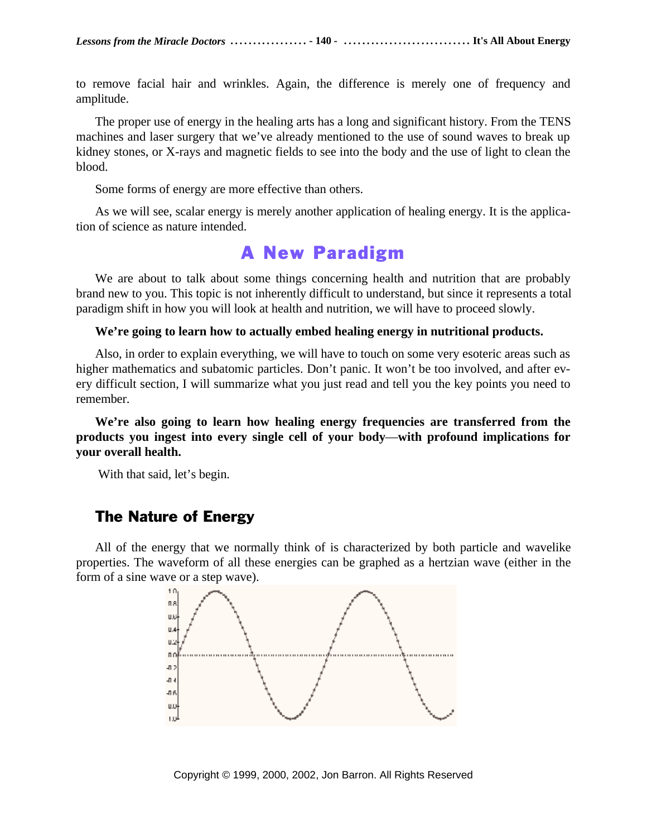to remove facial hair and wrinkles. Again, the difference is merely one of frequency and amplitude.

The proper use of energy in the healing arts has a long and significant history. From the TENS machines and laser surgery that we've already mentioned to the use of sound waves to break up kidney stones, or X-rays and magnetic fields to see into the body and the use of light to clean the blood.

Some forms of energy are more effective than others.

As we will see, scalar energy is merely another application of healing energy. It is the application of science as nature intended.

# A New Paradigm

We are about to talk about some things concerning health and nutrition that are probably brand new to you. This topic is not inherently difficult to understand, but since it represents a total paradigm shift in how you will look at health and nutrition, we will have to proceed slowly.

#### **We're going to learn how to actually embed healing energy in nutritional products.**

Also, in order to explain everything, we will have to touch on some very esoteric areas such as higher mathematics and subatomic particles. Don't panic. It won't be too involved, and after every difficult section, I will summarize what you just read and tell you the key points you need to remember.

**We're also going to learn how healing energy frequencies are transferred from the products you ingest into every single cell of your body**—**with profound implications for your overall health.**

With that said, let's begin*.*

#### The Nature of Energy

All of the energy that we normally think of is characterized by both particle and wavelike properties. The waveform of all these energies can be graphed as a hertzian wave (either in the form of a sine wave or a step wave).

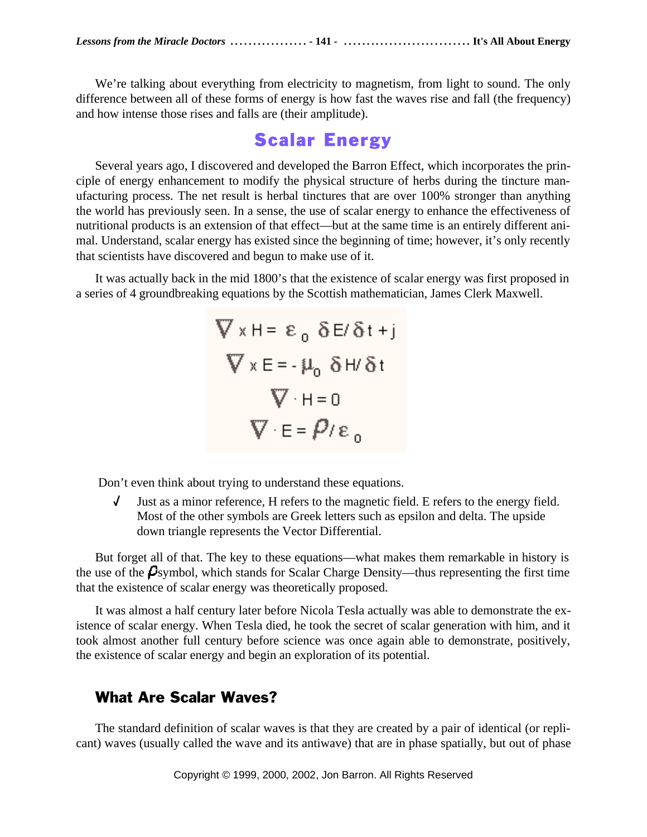We're talking about everything from electricity to magnetism, from light to sound. The only difference between all of these forms of energy is how fast the waves rise and fall (the frequency) and how intense those rises and falls are (their amplitude).

# Scalar Energy

Several years ago, I discovered and developed the Barron Effect, which incorporates the principle of energy enhancement to modify the physical structure of herbs during the tincture manufacturing process. The net result is herbal tinctures that are over 100% stronger than anything the world has previously seen. In a sense, the use of scalar energy to enhance the effectiveness of nutritional products is an extension of that effect—but at the same time is an entirely different animal. Understand, scalar energy has existed since the beginning of time; however, it's only recently that scientists have discovered and begun to make use of it.

It was actually back in the mid 1800's that the existence of scalar energy was first proposed in a series of 4 groundbreaking equations by the Scottish mathematician, James Clerk Maxwell.

$$
\nabla \times H = \varepsilon_0 \delta E / \delta t + j
$$
  
\n
$$
\nabla \times E = -\mu_0 \delta H / \delta t
$$
  
\n
$$
\nabla \cdot H = 0
$$
  
\n
$$
\nabla \cdot E = \rho / \varepsilon_0
$$

Don't even think about trying to understand these equations.

 $\sqrt{2}$ Just as a minor reference, H refers to the magnetic field. E refers to the energy field. Most of the other symbols are Greek letters such as epsilon and delta. The upside down triangle represents the Vector Differential.

But forget all of that. The key to these equations—what makes them remarkable in history is the use of the  $\boldsymbol{P}$ symbol, which stands for Scalar Charge Density—thus representing the first time that the existence of scalar energy was theoretically proposed.

It was almost a half century later before Nicola Tesla actually was able to demonstrate the existence of scalar energy. When Tesla died, he took the secret of scalar generation with him, and it took almost another full century before science was once again able to demonstrate, positively, the existence of scalar energy and begin an exploration of its potential.

#### What Are Scalar Waves?

The standard definition of scalar waves is that they are created by a pair of identical (or replicant) waves (usually called the wave and its antiwave) that are in phase spatially, but out of phase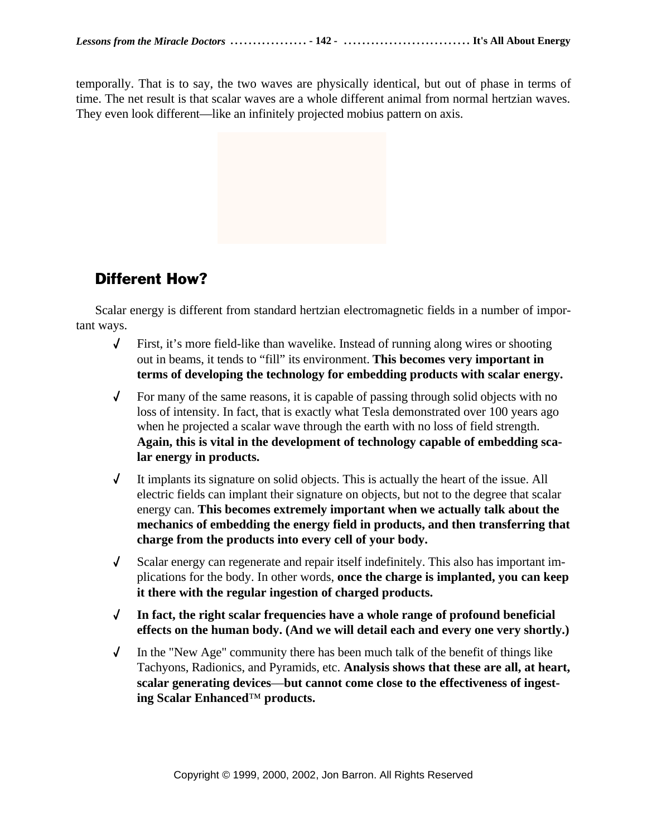temporally. That is to say, the two waves are physically identical, but out of phase in terms of time. The net result is that scalar waves are a whole different animal from normal hertzian waves. They even look different—like an infinitely projected mobius pattern on axis.

# Different How?

Scalar energy is different from standard hertzian electromagnetic fields in a number of important ways.

- $\sqrt{ }$ First, it's more field-like than wavelike. Instead of running along wires or shooting out in beams, it tends to "fill" its environment. **This becomes very important in terms of developing the technology for embedding products with scalar energy.**
- $\sqrt{ }$ For many of the same reasons, it is capable of passing through solid objects with no loss of intensity. In fact, that is exactly what Tesla demonstrated over 100 years ago when he projected a scalar wave through the earth with no loss of field strength. **Again, this is vital in the development of technology capable of embedding scalar energy in products.**
- $\sqrt{ }$ It implants its signature on solid objects. This is actually the heart of the issue. All electric fields can implant their signature on objects, but not to the degree that scalar energy can. **This becomes extremely important when we actually talk about the mechanics of embedding the energy field in products, and then transferring that charge from the products into every cell of your body.**
- $\sqrt{ }$ Scalar energy can regenerate and repair itself indefinitely. This also has important implications for the body. In other words, **once the charge is implanted, you can keep it there with the regular ingestion of charged products.**
- **In fact, the right scalar frequencies have a whole range of profound beneficial effects on the human body. (And we will detail each and every one very shortly.)**
- $\sqrt{ }$ In the "New Age" community there has been much talk of the benefit of things like Tachyons, Radionics, and Pyramids, etc. **Analysis shows that these are all, at heart, scalar generating devices**—**but cannot come close to the effectiveness of ingesting Scalar Enhanced**™ **products.**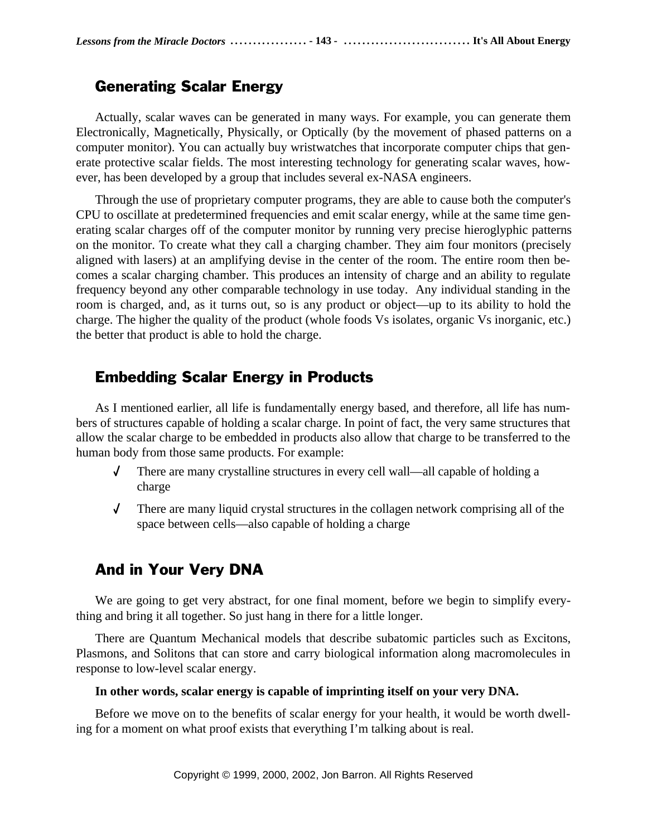#### Generating Scalar Energy

Actually, scalar waves can be generated in many ways. For example, you can generate them Electronically, Magnetically, Physically, or Optically (by the movement of phased patterns on a computer monitor). You can actually buy wristwatches that incorporate computer chips that generate protective scalar fields. The most interesting technology for generating scalar waves, however, has been developed by a group that includes several ex-NASA engineers.

Through the use of proprietary computer programs, they are able to cause both the computer's CPU to oscillate at predetermined frequencies and emit scalar energy, while at the same time generating scalar charges off of the computer monitor by running very precise hieroglyphic patterns on the monitor. To create what they call a charging chamber. They aim four monitors (precisely aligned with lasers) at an amplifying devise in the center of the room. The entire room then becomes a scalar charging chamber. This produces an intensity of charge and an ability to regulate frequency beyond any other comparable technology in use today. Any individual standing in the room is charged, and, as it turns out, so is any product or object—up to its ability to hold the charge. The higher the quality of the product (whole foods Vs isolates, organic Vs inorganic, etc.) the better that product is able to hold the charge.

#### Embedding Scalar Energy in Products

As I mentioned earlier, all life is fundamentally energy based, and therefore, all life has numbers of structures capable of holding a scalar charge. In point of fact, the very same structures that allow the scalar charge to be embedded in products also allow that charge to be transferred to the human body from those same products. For example:

- $J$ There are many crystalline structures in every cell wall—all capable of holding a charge
- $\sqrt{\phantom{a}}$  There are many liquid crystal structures in the collagen network comprising all of the space between cells—also capable of holding a charge

## And in Your Very DNA

We are going to get very abstract, for one final moment, before we begin to simplify everything and bring it all together. So just hang in there for a little longer.

There are Quantum Mechanical models that describe subatomic particles such as Excitons, Plasmons, and Solitons that can store and carry biological information along macromolecules in response to low-level scalar energy.

#### **In other words, scalar energy is capable of imprinting itself on your very DNA.**

Before we move on to the benefits of scalar energy for your health, it would be worth dwelling for a moment on what proof exists that everything I'm talking about is real.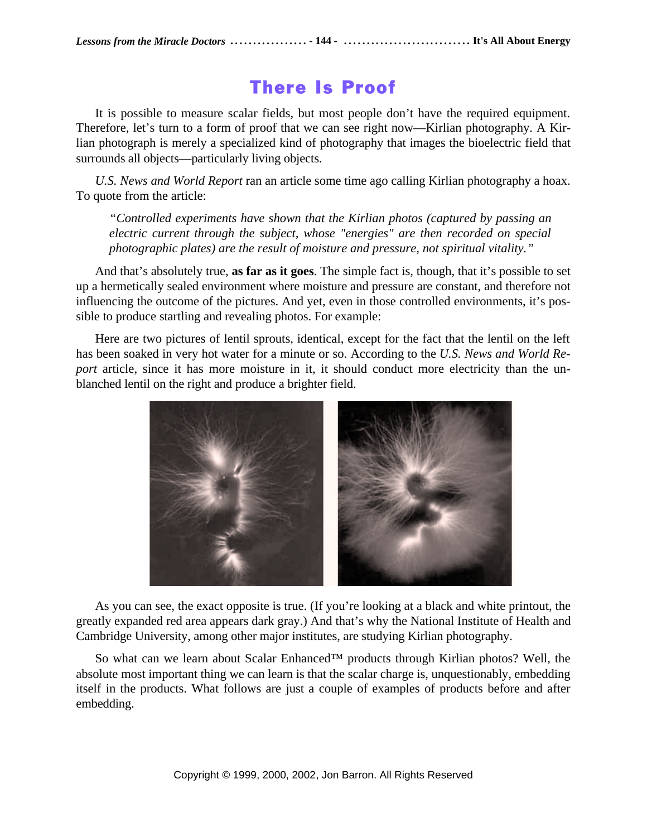# There Is Proof

It is possible to measure scalar fields, but most people don't have the required equipment. Therefore, let's turn to a form of proof that we can see right now—Kirlian photography. A Kirlian photograph is merely a specialized kind of photography that images the bioelectric field that surrounds all objects—particularly living objects.

*U.S. News and World Report* ran an article some time ago calling Kirlian photography a hoax. To quote from the article:

*"Controlled experiments have shown that the Kirlian photos (captured by passing an electric current through the subject, whose "energies" are then recorded on special photographic plates) are the result of moisture and pressure, not spiritual vitality."*

And that's absolutely true, **as far as it goes**. The simple fact is, though, that it's possible to set up a hermetically sealed environment where moisture and pressure are constant, and therefore not influencing the outcome of the pictures. And yet, even in those controlled environments, it's possible to produce startling and revealing photos. For example:

Here are two pictures of lentil sprouts, identical, except for the fact that the lentil on the left has been soaked in very hot water for a minute or so. According to the *U.S. News and World Report* article, since it has more moisture in it, it should conduct more electricity than the unblanched lentil on the right and produce a brighter field.



As you can see, the exact opposite is true. (If you're looking at a black and white printout, the greatly expanded red area appears dark gray.) And that's why the National Institute of Health and Cambridge University, among other major institutes, are studying Kirlian photography.

So what can we learn about Scalar Enhanced™ products through Kirlian photos? Well, the absolute most important thing we can learn is that the scalar charge is, unquestionably, embedding itself in the products. What follows are just a couple of examples of products before and after embedding.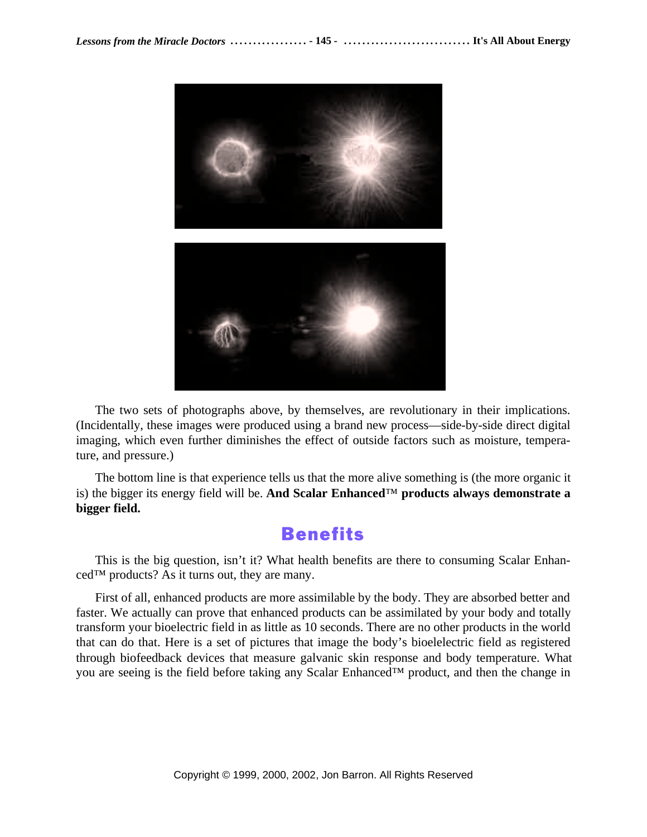

The two sets of photographs above, by themselves, are revolutionary in their implications. (Incidentally, these images were produced using a brand new process—side-by-side direct digital imaging, which even further diminishes the effect of outside factors such as moisture, temperature, and pressure.)

The bottom line is that experience tells us that the more alive something is (the more organic it is) the bigger its energy field will be. **And Scalar Enhanced**™ **products always demonstrate a bigger field.**

## Benefits

This is the big question, isn't it? What health benefits are there to consuming Scalar Enhanced™ products? As it turns out, they are many.

First of all, enhanced products are more assimilable by the body. They are absorbed better and faster. We actually can prove that enhanced products can be assimilated by your body and totally transform your bioelectric field in as little as 10 seconds. There are no other products in the world that can do that. Here is a set of pictures that image the body's bioelelectric field as registered through biofeedback devices that measure galvanic skin response and body temperature. What you are seeing is the field before taking any Scalar Enhanced™ product, and then the change in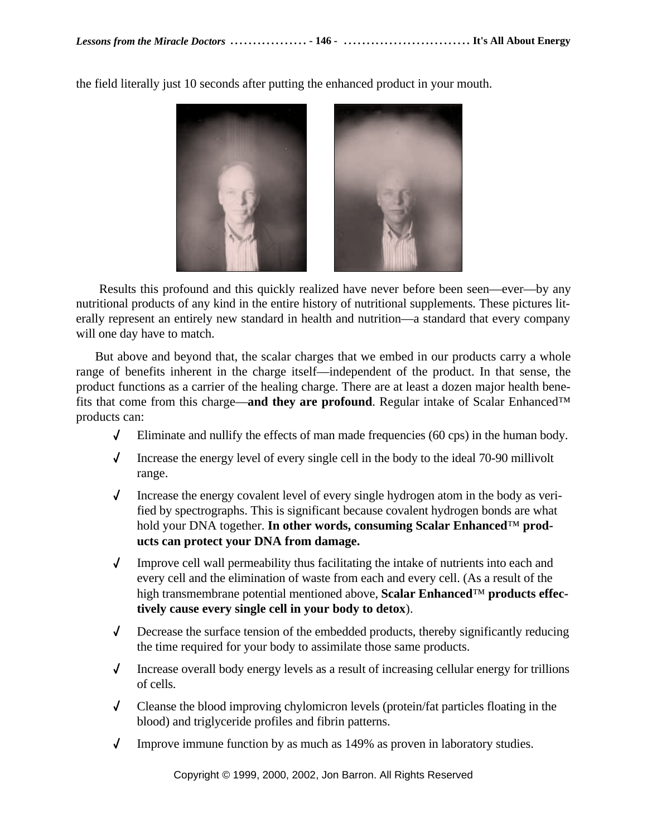

the field literally just 10 seconds after putting the enhanced product in your mouth.

 Results this profound and this quickly realized have never before been seen—ever—by any nutritional products of any kind in the entire history of nutritional supplements. These pictures literally represent an entirely new standard in health and nutrition—a standard that every company will one day have to match.

But above and beyond that, the scalar charges that we embed in our products carry a whole range of benefits inherent in the charge itself—independent of the product. In that sense, the product functions as a carrier of the healing charge. There are at least a dozen major health benefits that come from this charge—**and they are profound**. Regular intake of Scalar Enhanced™ products can:

- $\sqrt{\phantom{a}}$  Eliminate and nullify the effects of man made frequencies (60 cps) in the human body.
- $\sqrt{\phantom{a}}$  Increase the energy level of every single cell in the body to the ideal 70-90 millivolt range.
- $\sqrt{ }$ Increase the energy covalent level of every single hydrogen atom in the body as verified by spectrographs. This is significant because covalent hydrogen bonds are what hold your DNA together. **In other words, consuming Scalar Enhanced**™ **products can protect your DNA from damage.**
- $\sqrt{ }$ Improve cell wall permeability thus facilitating the intake of nutrients into each and every cell and the elimination of waste from each and every cell. (As a result of the high transmembrane potential mentioned above, **Scalar Enhanced**™ **products effectively cause every single cell in your body to detox**).
- $\sqrt{ }$ Decrease the surface tension of the embedded products, thereby significantly reducing the time required for your body to assimilate those same products.
- $\sqrt{ }$ Increase overall body energy levels as a result of increasing cellular energy for trillions of cells.
- $\sqrt{\phantom{a}}$  Cleanse the blood improving chylomicron levels (protein/fat particles floating in the blood) and triglyceride profiles and fibrin patterns.
- $\sqrt{ }$ Improve immune function by as much as 149% as proven in laboratory studies.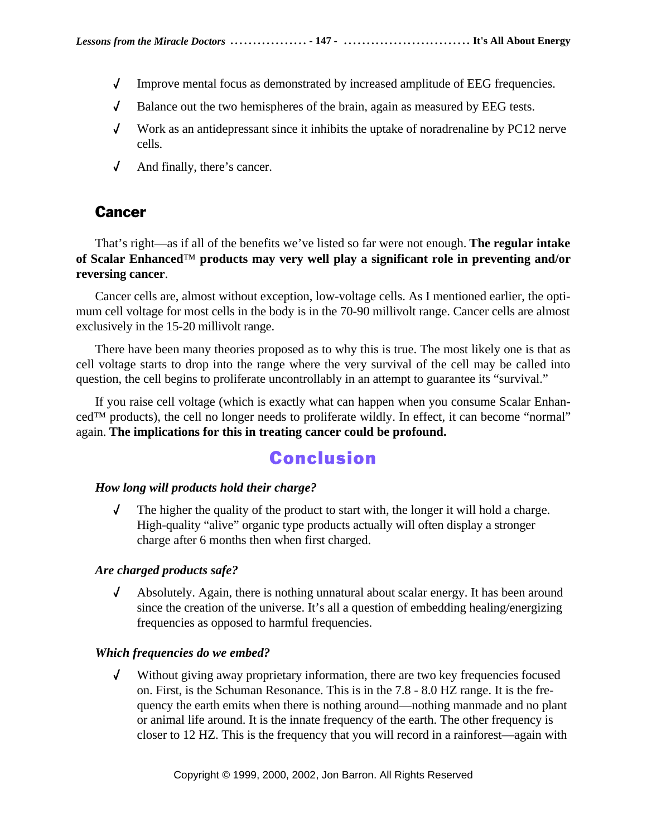- $\sqrt{2}$ Improve mental focus as demonstrated by increased amplitude of EEG frequencies.
- $\sqrt{ }$ Balance out the two hemispheres of the brain, again as measured by EEG tests.
- $\sqrt{ }$ Work as an antidepressant since it inhibits the uptake of noradrenaline by PC12 nerve cells.
- $\sqrt{\phantom{a}}$  And finally, there's cancer.

#### **Cancer**

That's right—as if all of the benefits we've listed so far were not enough. **The regular intake of Scalar Enhanced**™ **products may very well play a significant role in preventing and/or reversing cancer**.

Cancer cells are, almost without exception, low-voltage cells. As I mentioned earlier, the optimum cell voltage for most cells in the body is in the 70-90 millivolt range. Cancer cells are almost exclusively in the 15-20 millivolt range.

There have been many theories proposed as to why this is true. The most likely one is that as cell voltage starts to drop into the range where the very survival of the cell may be called into question, the cell begins to proliferate uncontrollably in an attempt to guarantee its "survival."

If you raise cell voltage (which is exactly what can happen when you consume Scalar Enhanced™ products), the cell no longer needs to proliferate wildly. In effect, it can become "normal" again. **The implications for this in treating cancer could be profound.**

# Conclusion

#### *How long will products hold their charge?*

 $\sqrt{ }$ The higher the quality of the product to start with, the longer it will hold a charge. High-quality "alive" organic type products actually will often display a stronger charge after 6 months then when first charged.

#### *Are charged products safe?*

 $\sqrt{ }$ Absolutely. Again, there is nothing unnatural about scalar energy. It has been around since the creation of the universe. It's all a question of embedding healing/energizing frequencies as opposed to harmful frequencies.

#### *Which frequencies do we embed?*

 $\sqrt{ }$ Without giving away proprietary information, there are two key frequencies focused on. First, is the Schuman Resonance. This is in the 7.8 - 8.0 HZ range. It is the frequency the earth emits when there is nothing around—nothing manmade and no plant or animal life around. It is the innate frequency of the earth. The other frequency is closer to 12 HZ. This is the frequency that you will record in a rainforest—again with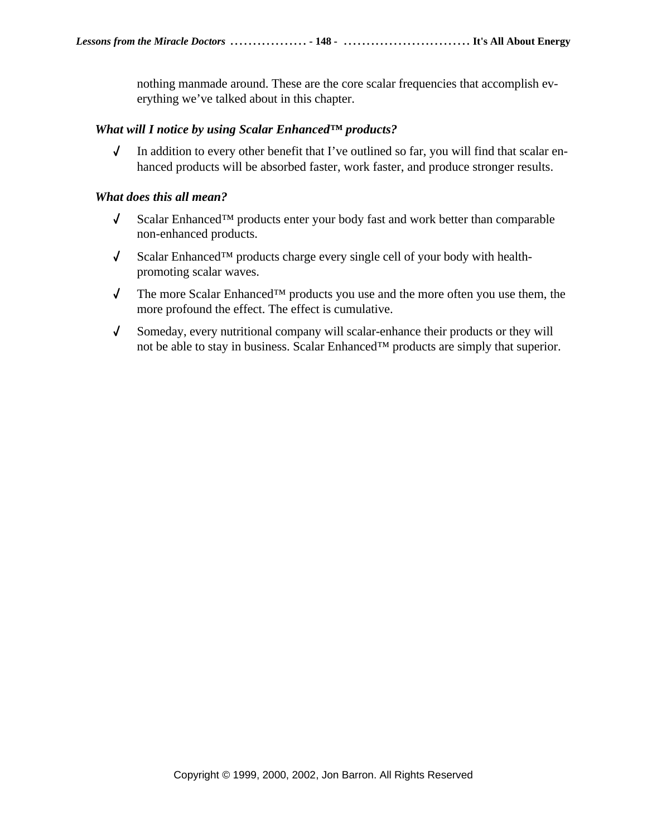nothing manmade around. These are the core scalar frequencies that accomplish everything we've talked about in this chapter.

#### *What will I notice by using Scalar Enhanced™ products?*

 $\sqrt{2}$ In addition to every other benefit that I've outlined so far, you will find that scalar enhanced products will be absorbed faster, work faster, and produce stronger results.

#### *What does this all mean?*

- Scalar Enhanced™ products enter your body fast and work better than comparable  $\sqrt{ }$ non-enhanced products.
- $\sqrt{ }$ Scalar Enhanced™ products charge every single cell of your body with healthpromoting scalar waves.
- The more Scalar Enhanced™ products you use and the more often you use them, the  $\sqrt{ }$ more profound the effect. The effect is cumulative.
- $\sqrt{ }$ Someday, every nutritional company will scalar-enhance their products or they will not be able to stay in business. Scalar Enhanced™ products are simply that superior.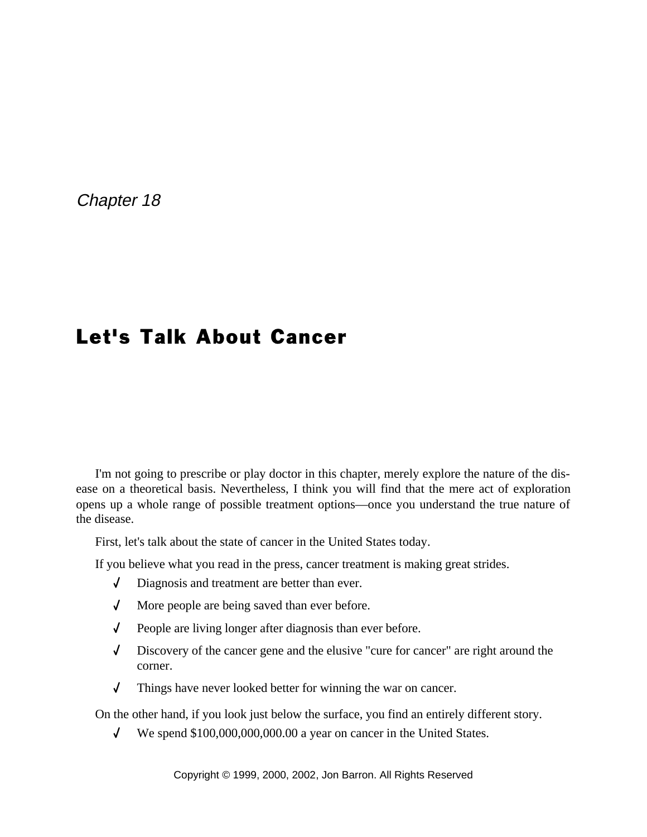Chapter 18

# Let's Talk About Cancer

I'm not going to prescribe or play doctor in this chapter, merely explore the nature of the disease on a theoretical basis. Nevertheless, I think you will find that the mere act of exploration opens up a whole range of possible treatment options—once you understand the true nature of the disease.

First, let's talk about the state of cancer in the United States today.

If you believe what you read in the press, cancer treatment is making great strides.

- $\sqrt{ }$ Diagnosis and treatment are better than ever.
- $\sqrt{\phantom{a}}$  More people are being saved than ever before.
- $\sqrt{ }$ People are living longer after diagnosis than ever before.
- $\sqrt{ }$ Discovery of the cancer gene and the elusive "cure for cancer" are right around the corner.
- $\sqrt{ }$ Things have never looked better for winning the war on cancer.

On the other hand, if you look just below the surface, you find an entirely different story.

We spend \$100,000,000,000.00 a year on cancer in the United States.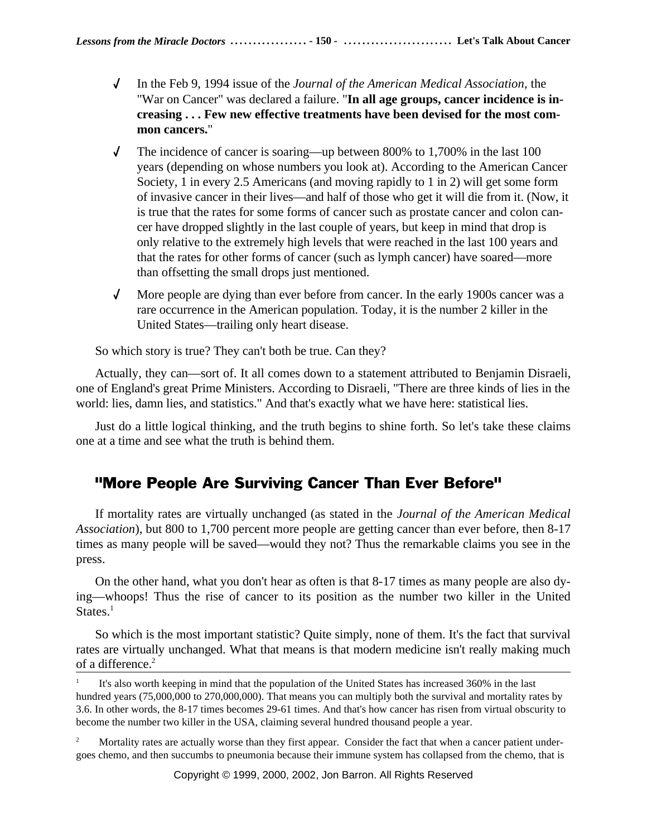- $\sqrt{ }$ In the Feb 9, 1994 issue of the *Journal of the American Medical Association*, the "War on Cancer" was declared a failure. "**In all age groups, cancer incidence is increasing . . . Few new effective treatments have been devised for the most common cancers.**"
- $\sqrt{ }$ The incidence of cancer is soaring—up between 800% to 1,700% in the last 100 years (depending on whose numbers you look at). According to the American Cancer Society, 1 in every 2.5 Americans (and moving rapidly to 1 in 2) will get some form of invasive cancer in their lives—and half of those who get it will die from it. (Now, it is true that the rates for some forms of cancer such as prostate cancer and colon cancer have dropped slightly in the last couple of years, but keep in mind that drop is only relative to the extremely high levels that were reached in the last 100 years and that the rates for other forms of cancer (such as lymph cancer) have soared—more than offsetting the small drops just mentioned.
- $\sqrt{ }$ More people are dying than ever before from cancer. In the early 1900s cancer was a rare occurrence in the American population. Today, it is the number 2 killer in the United States—trailing only heart disease.

So which story is true? They can't both be true. Can they?

Actually, they can—sort of. It all comes down to a statement attributed to Benjamin Disraeli, one of England's great Prime Ministers. According to Disraeli, "There are three kinds of lies in the world: lies, damn lies, and statistics." And that's exactly what we have here: statistical lies.

Just do a little logical thinking, and the truth begins to shine forth. So let's take these claims one at a time and see what the truth is behind them.

## "More People Are Surviving Cancer Than Ever Before"

If mortality rates are virtually unchanged (as stated in the *Journal of the American Medical Association*), but 800 to 1,700 percent more people are getting cancer than ever before, then 8-17 times as many people will be saved—would they not? Thus the remarkable claims you see in the press.

On the other hand, what you don't hear as often is that 8-17 times as many people are also dying—whoops! Thus the rise of cancer to its position as the number two killer in the United  $States.<sup>1</sup>$ 

So which is the most important statistic? Quite simply, none of them. It's the fact that survival rates are virtually unchanged. What that means is that modern medicine isn't really making much of a difference.<sup>2</sup>

<sup>1</sup> It's also worth keeping in mind that the population of the United States has increased 360% in the last hundred years (75,000,000 to 270,000,000). That means you can multiply both the survival and mortality rates by 3.6. In other words, the 8-17 times becomes 29-61 times. And that's how cancer has risen from virtual obscurity to become the number two killer in the USA, claiming several hundred thousand people a year.

<sup>2</sup> Mortality rates are actually worse than they first appear. Consider the fact that when a cancer patient undergoes chemo, and then succumbs to pneumonia because their immune system has collapsed from the chemo, that is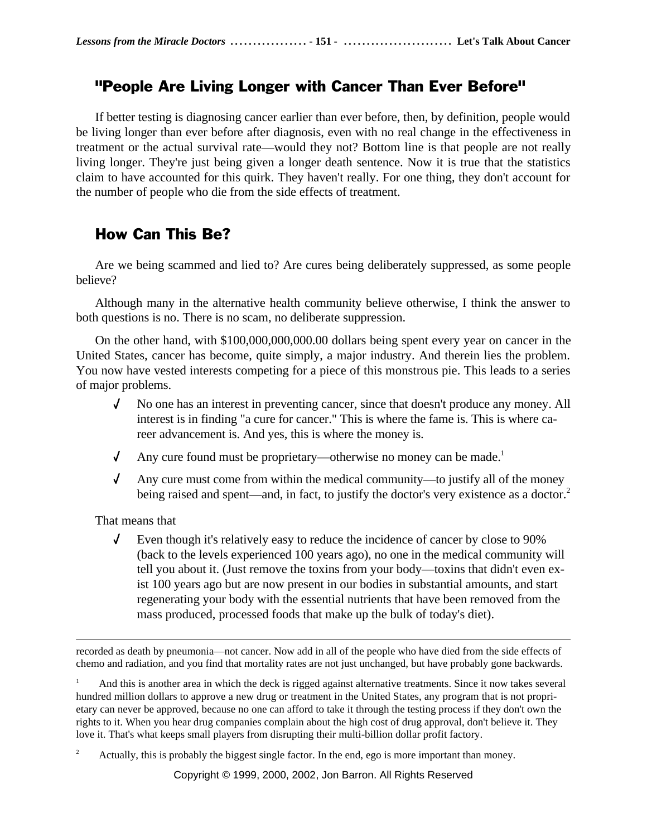## "People Are Living Longer with Cancer Than Ever Before"

If better testing is diagnosing cancer earlier than ever before, then, by definition, people would be living longer than ever before after diagnosis, even with no real change in the effectiveness in treatment or the actual survival rate—would they not? Bottom line is that people are not really living longer. They're just being given a longer death sentence. Now it is true that the statistics claim to have accounted for this quirk. They haven't really. For one thing, they don't account for the number of people who die from the side effects of treatment.

## How Can This Be?

Are we being scammed and lied to? Are cures being deliberately suppressed, as some people believe?

Although many in the alternative health community believe otherwise, I think the answer to both questions is no. There is no scam, no deliberate suppression.

On the other hand, with \$100,000,000,000.00 dollars being spent every year on cancer in the United States, cancer has become, quite simply, a major industry. And therein lies the problem. You now have vested interests competing for a piece of this monstrous pie. This leads to a series of major problems.

- $J$ No one has an interest in preventing cancer, since that doesn't produce any money. All interest is in finding "a cure for cancer." This is where the fame is. This is where career advancement is. And yes, this is where the money is.
- Any cure found must be proprietary—otherwise no money can be made.<sup>1</sup>  $\sqrt{ }$
- $\sqrt{\phantom{a}}$  Any cure must come from within the medical community—to justify all of the money being raised and spent—and, in fact, to justify the doctor's very existence as a doctor.<sup>2</sup>

That means that

 $\sqrt{2}$ Even though it's relatively easy to reduce the incidence of cancer by close to 90% (back to the levels experienced 100 years ago), no one in the medical community will tell you about it. (Just remove the toxins from your body—toxins that didn't even exist 100 years ago but are now present in our bodies in substantial amounts, and start regenerating your body with the essential nutrients that have been removed from the mass produced, processed foods that make up the bulk of today's diet).

recorded as death by pneumonia—not cancer. Now add in all of the people who have died from the side effects of chemo and radiation, and you find that mortality rates are not just unchanged, but have probably gone backwards.

<sup>1</sup> And this is another area in which the deck is rigged against alternative treatments. Since it now takes several hundred million dollars to approve a new drug or treatment in the United States, any program that is not proprietary can never be approved, because no one can afford to take it through the testing process if they don't own the rights to it. When you hear drug companies complain about the high cost of drug approval, don't believe it. They love it. That's what keeps small players from disrupting their multi-billion dollar profit factory.

<sup>2</sup> Actually, this is probably the biggest single factor. In the end, ego is more important than money.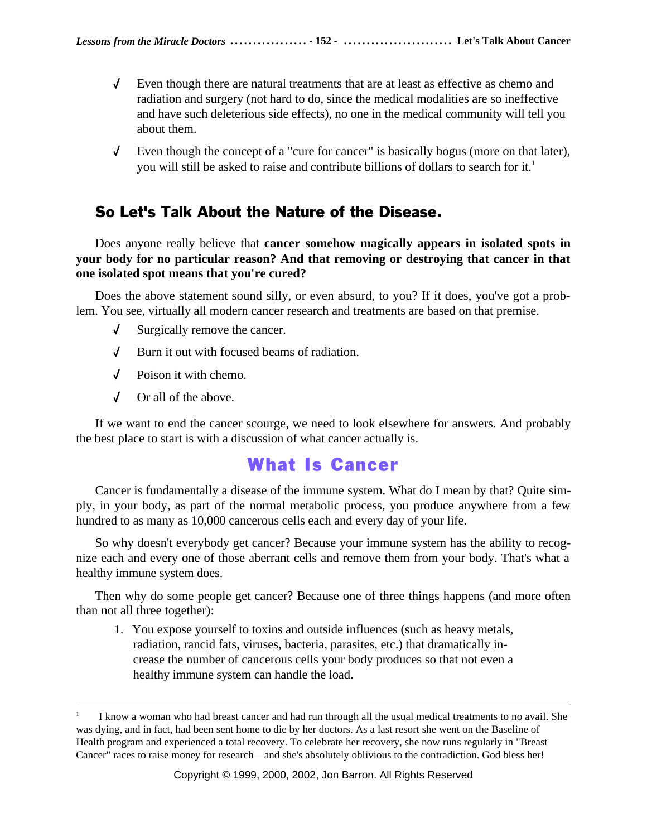- $\sqrt{ }$ Even though there are natural treatments that are at least as effective as chemo and radiation and surgery (not hard to do, since the medical modalities are so ineffective and have such deleterious side effects), no one in the medical community will tell you about them.
- $\sqrt{ }$ Even though the concept of a "cure for cancer" is basically bogus (more on that later), you will still be asked to raise and contribute billions of dollars to search for it.<sup>1</sup>

## So Let's Talk About the Nature of the Disease.

Does anyone really believe that **cancer somehow magically appears in isolated spots in your body for no particular reason? And that removing or destroying that cancer in that one isolated spot means that you're cured?**

Does the above statement sound silly, or even absurd, to you? If it does, you've got a problem. You see, virtually all modern cancer research and treatments are based on that premise.

- $\sqrt{2}$ Surgically remove the cancer.
- $\sqrt{ }$ Burn it out with focused beams of radiation.
- $J$  . Poison it with chemo.
- $\sqrt{ }$ Or all of the above.

If we want to end the cancer scourge, we need to look elsewhere for answers. And probably the best place to start is with a discussion of what cancer actually is.

# What Is Cancer

Cancer is fundamentally a disease of the immune system. What do I mean by that? Quite simply, in your body, as part of the normal metabolic process, you produce anywhere from a few hundred to as many as 10,000 cancerous cells each and every day of your life.

So why doesn't everybody get cancer? Because your immune system has the ability to recognize each and every one of those aberrant cells and remove them from your body. That's what a healthy immune system does.

Then why do some people get cancer? Because one of three things happens (and more often than not all three together):

1. You expose yourself to toxins and outside influences (such as heavy metals, radiation, rancid fats, viruses, bacteria, parasites, etc.) that dramatically increase the number of cancerous cells your body produces so that not even a healthy immune system can handle the load.

<sup>1</sup> I know a woman who had breast cancer and had run through all the usual medical treatments to no avail. She was dying, and in fact, had been sent home to die by her doctors. As a last resort she went on the Baseline of Health program and experienced a total recovery. To celebrate her recovery, she now runs regularly in "Breast Cancer" races to raise money for research—and she's absolutely oblivious to the contradiction. God bless her!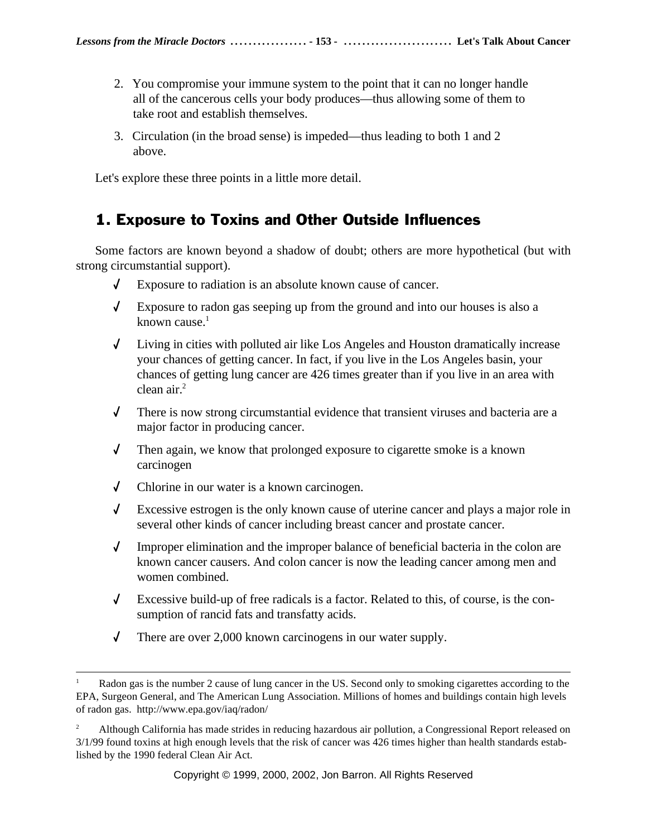- 2. You compromise your immune system to the point that it can no longer handle all of the cancerous cells your body produces—thus allowing some of them to take root and establish themselves.
- 3. Circulation (in the broad sense) is impeded—thus leading to both 1 and 2 above.

Let's explore these three points in a little more detail.

## 1. Exposure to Toxins and Other Outside Influences

Some factors are known beyond a shadow of doubt; others are more hypothetical (but with strong circumstantial support).

- Exposure to radiation is an absolute known cause of cancer.  $\sqrt{ }$
- $\sqrt{ }$ Exposure to radon gas seeping up from the ground and into our houses is also a known cause. $<sup>1</sup>$ </sup>
- $\sqrt{ }$ Living in cities with polluted air like Los Angeles and Houston dramatically increase your chances of getting cancer. In fact, if you live in the Los Angeles basin, your chances of getting lung cancer are 426 times greater than if you live in an area with clean air.<sup>2</sup>
- $\sqrt{ }$ There is now strong circumstantial evidence that transient viruses and bacteria are a major factor in producing cancer.
- $\sqrt{ }$ Then again, we know that prolonged exposure to cigarette smoke is a known carcinogen
- $\sqrt{ }$ Chlorine in our water is a known carcinogen.
- $\sqrt{ }$ Excessive estrogen is the only known cause of uterine cancer and plays a major role in several other kinds of cancer including breast cancer and prostate cancer.
- $\sqrt{ }$ Improper elimination and the improper balance of beneficial bacteria in the colon are known cancer causers. And colon cancer is now the leading cancer among men and women combined.
- $\sqrt{ }$ Excessive build-up of free radicals is a factor. Related to this, of course, is the consumption of rancid fats and transfatty acids.
- $\sqrt{ }$ There are over 2,000 known carcinogens in our water supply.

Radon gas is the number 2 cause of lung cancer in the US. Second only to smoking cigarettes according to the EPA, Surgeon General, and The American Lung Association. Millions of homes and buildings contain high levels of radon gas. http://www.epa.gov/iaq/radon/

<sup>2</sup> Although California has made strides in reducing hazardous air pollution, a Congressional Report released on 3/1/99 found toxins at high enough levels that the risk of cancer was 426 times higher than health standards established by the 1990 federal Clean Air Act.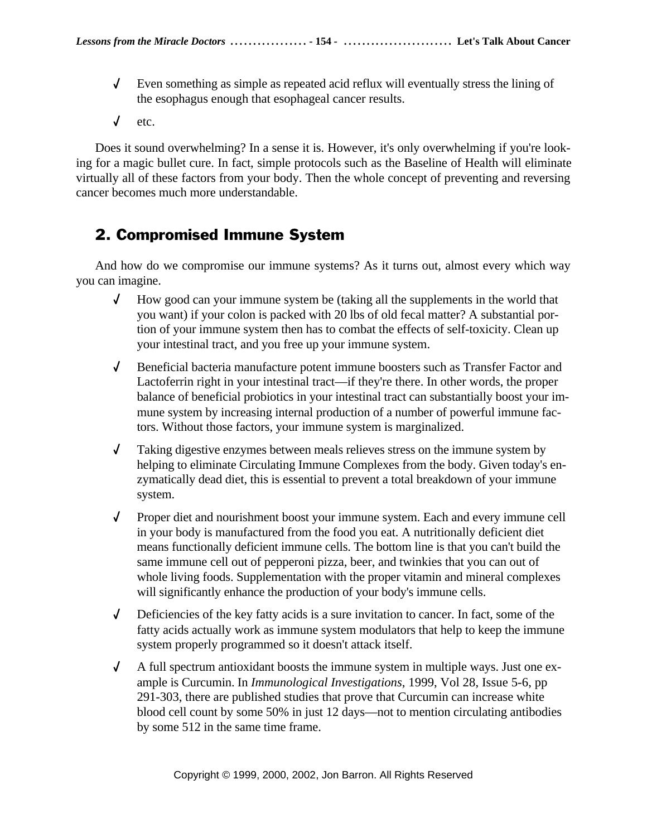- $\sqrt{ }$ Even something as simple as repeated acid reflux will eventually stress the lining of the esophagus enough that esophageal cancer results.
- $\sqrt{ }$ etc.

Does it sound overwhelming? In a sense it is. However, it's only overwhelming if you're looking for a magic bullet cure. In fact, simple protocols such as the Baseline of Health will eliminate virtually all of these factors from your body. Then the whole concept of preventing and reversing cancer becomes much more understandable.

# 2. Compromised Immune System

And how do we compromise our immune systems? As it turns out, almost every which way you can imagine.

- $\sqrt{ }$ How good can your immune system be (taking all the supplements in the world that you want) if your colon is packed with 20 lbs of old fecal matter? A substantial portion of your immune system then has to combat the effects of self-toxicity. Clean up your intestinal tract, and you free up your immune system.
- $\sqrt{\phantom{a}}$  Beneficial bacteria manufacture potent immune boosters such as Transfer Factor and Lactoferrin right in your intestinal tract—if they're there. In other words, the proper balance of beneficial probiotics in your intestinal tract can substantially boost your immune system by increasing internal production of a number of powerful immune factors. Without those factors, your immune system is marginalized.
- $\sqrt{ }$ Taking digestive enzymes between meals relieves stress on the immune system by helping to eliminate Circulating Immune Complexes from the body. Given today's enzymatically dead diet, this is essential to prevent a total breakdown of your immune system.
- $\sqrt{ }$ Proper diet and nourishment boost your immune system. Each and every immune cell in your body is manufactured from the food you eat. A nutritionally deficient diet means functionally deficient immune cells. The bottom line is that you can't build the same immune cell out of pepperoni pizza, beer, and twinkies that you can out of whole living foods. Supplementation with the proper vitamin and mineral complexes will significantly enhance the production of your body's immune cells.
- Deficiencies of the key fatty acids is a sure invitation to cancer. In fact, some of the  $\sqrt{ }$ fatty acids actually work as immune system modulators that help to keep the immune system properly programmed so it doesn't attack itself.
- $\sqrt{ }$ A full spectrum antioxidant boosts the immune system in multiple ways. Just one example is Curcumin. In *Immunological Investigations*, 1999, Vol 28, Issue 5-6, pp 291-303, there are published studies that prove that Curcumin can increase white blood cell count by some 50% in just 12 days—not to mention circulating antibodies by some 512 in the same time frame.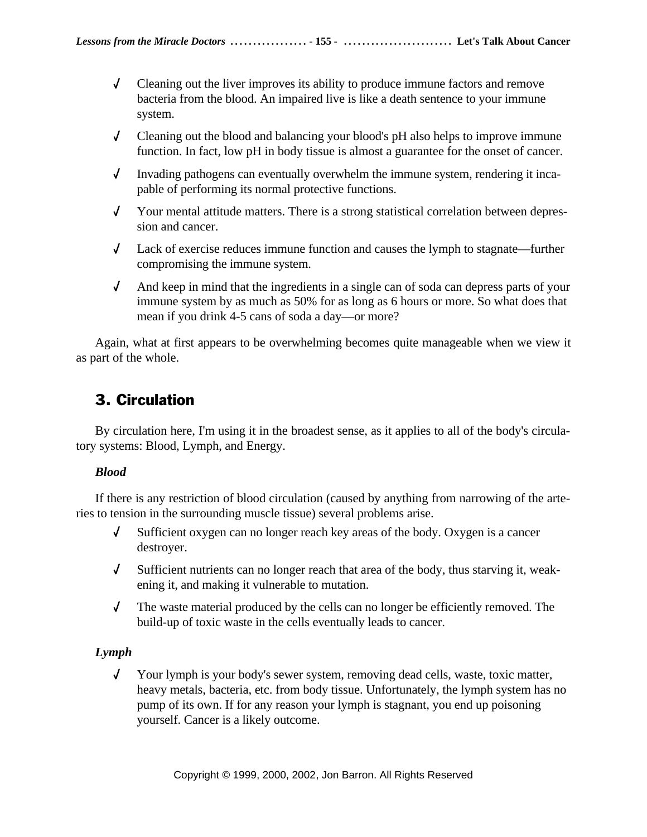- $\sqrt{ }$ Cleaning out the liver improves its ability to produce immune factors and remove bacteria from the blood. An impaired live is like a death sentence to your immune system.
- $\sqrt{ }$ Cleaning out the blood and balancing your blood's pH also helps to improve immune function. In fact, low pH in body tissue is almost a guarantee for the onset of cancer.
- $\sqrt{ }$ Invading pathogens can eventually overwhelm the immune system, rendering it incapable of performing its normal protective functions.
- $\sqrt{ }$ Your mental attitude matters. There is a strong statistical correlation between depression and cancer.
- $\sqrt{ }$ Lack of exercise reduces immune function and causes the lymph to stagnate—further compromising the immune system.
- $\sqrt{ }$ And keep in mind that the ingredients in a single can of soda can depress parts of your immune system by as much as 50% for as long as 6 hours or more. So what does that mean if you drink 4-5 cans of soda a day—or more?

Again, what at first appears to be overwhelming becomes quite manageable when we view it as part of the whole.

# 3. Circulation

By circulation here, I'm using it in the broadest sense, as it applies to all of the body's circulatory systems: Blood, Lymph, and Energy.

#### *Blood*

If there is any restriction of blood circulation (caused by anything from narrowing of the arteries to tension in the surrounding muscle tissue) several problems arise.

- $\sqrt{ }$ Sufficient oxygen can no longer reach key areas of the body. Oxygen is a cancer destroyer.
- $\sqrt{ }$ Sufficient nutrients can no longer reach that area of the body, thus starving it, weakening it, and making it vulnerable to mutation.
- $\sqrt{ }$ The waste material produced by the cells can no longer be efficiently removed. The build-up of toxic waste in the cells eventually leads to cancer.

#### *Lymph*

 $\sqrt{ }$ Your lymph is your body's sewer system, removing dead cells, waste, toxic matter, heavy metals, bacteria, etc. from body tissue. Unfortunately, the lymph system has no pump of its own. If for any reason your lymph is stagnant, you end up poisoning yourself. Cancer is a likely outcome.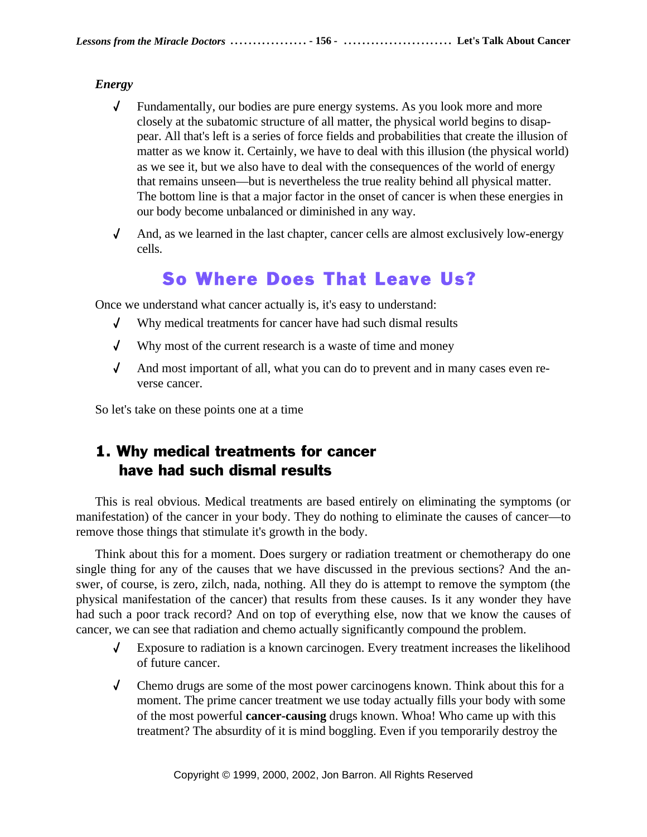#### *Energy*

- $\sqrt{ }$ Fundamentally, our bodies are pure energy systems. As you look more and more closely at the subatomic structure of all matter, the physical world begins to disappear. All that's left is a series of force fields and probabilities that create the illusion of matter as we know it. Certainly, we have to deal with this illusion (the physical world) as we see it, but we also have to deal with the consequences of the world of energy that remains unseen—but is nevertheless the true reality behind all physical matter. The bottom line is that a major factor in the onset of cancer is when these energies in our body become unbalanced or diminished in any way.
- $\sqrt{ }$ And, as we learned in the last chapter, cancer cells are almost exclusively low-energy cells.

# So Where Does That Leave Us?

Once we understand what cancer actually is, it's easy to understand:

- $\sqrt{ }$ Why medical treatments for cancer have had such dismal results
- $\sqrt{\phantom{a}}$  Why most of the current research is a waste of time and money
- $\sqrt{ }$ And most important of all, what you can do to prevent and in many cases even reverse cancer.

So let's take on these points one at a time

# 1. Why medical treatments for cancer have had such dismal results

This is real obvious. Medical treatments are based entirely on eliminating the symptoms (or manifestation) of the cancer in your body. They do nothing to eliminate the causes of cancer—to remove those things that stimulate it's growth in the body.

Think about this for a moment. Does surgery or radiation treatment or chemotherapy do one single thing for any of the causes that we have discussed in the previous sections? And the answer, of course, is zero, zilch, nada, nothing. All they do is attempt to remove the symptom (the physical manifestation of the cancer) that results from these causes. Is it any wonder they have had such a poor track record? And on top of everything else, now that we know the causes of cancer, we can see that radiation and chemo actually significantly compound the problem.

- $\sqrt{ }$ Exposure to radiation is a known carcinogen. Every treatment increases the likelihood of future cancer.
- $\sqrt{ }$ Chemo drugs are some of the most power carcinogens known. Think about this for a moment. The prime cancer treatment we use today actually fills your body with some of the most powerful **cancer-causing** drugs known. Whoa! Who came up with this treatment? The absurdity of it is mind boggling. Even if you temporarily destroy the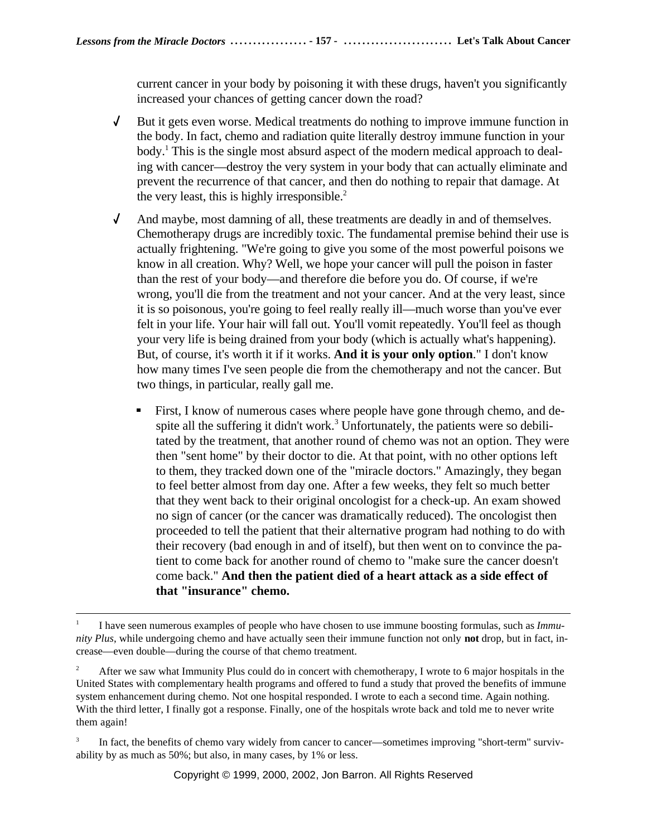current cancer in your body by poisoning it with these drugs, haven't you significantly increased your chances of getting cancer down the road?

- $\sqrt{ }$ But it gets even worse. Medical treatments do nothing to improve immune function in the body. In fact, chemo and radiation quite literally destroy immune function in your body.<sup>1</sup> This is the single most absurd aspect of the modern medical approach to dealing with cancer—destroy the very system in your body that can actually eliminate and prevent the recurrence of that cancer, and then do nothing to repair that damage. At the very least, this is highly irresponsible. $<sup>2</sup>$ </sup>
- $\sqrt{ }$ And maybe, most damning of all, these treatments are deadly in and of themselves. Chemotherapy drugs are incredibly toxic. The fundamental premise behind their use is actually frightening. "We're going to give you some of the most powerful poisons we know in all creation. Why? Well, we hope your cancer will pull the poison in faster than the rest of your body—and therefore die before you do. Of course, if we're wrong, you'll die from the treatment and not your cancer. And at the very least, since it is so poisonous, you're going to feel really really ill—much worse than you've ever felt in your life. Your hair will fall out. You'll vomit repeatedly. You'll feel as though your very life is being drained from your body (which is actually what's happening). But, of course, it's worth it if it works. **And it is your only option**." I don't know how many times I've seen people die from the chemotherapy and not the cancer. But two things, in particular, really gall me.
	- First, I know of numerous cases where people have gone through chemo, and despite all the suffering it didn't work.<sup>3</sup> Unfortunately, the patients were so debilitated by the treatment, that another round of chemo was not an option. They were then "sent home" by their doctor to die. At that point, with no other options left to them, they tracked down one of the "miracle doctors." Amazingly, they began to feel better almost from day one. After a few weeks, they felt so much better that they went back to their original oncologist for a check-up. An exam showed no sign of cancer (or the cancer was dramatically reduced). The oncologist then proceeded to tell the patient that their alternative program had nothing to do with their recovery (bad enough in and of itself), but then went on to convince the patient to come back for another round of chemo to "make sure the cancer doesn't come back." **And then the patient died of a heart attack as a side effect of that "insurance" chemo.**

<sup>1</sup> I have seen numerous examples of people who have chosen to use immune boosting formulas, such as *Immunity Plus*, while undergoing chemo and have actually seen their immune function not only **not** drop, but in fact, increase—even double—during the course of that chemo treatment.

<sup>2</sup> After we saw what Immunity Plus could do in concert with chemotherapy, I wrote to 6 major hospitals in the United States with complementary health programs and offered to fund a study that proved the benefits of immune system enhancement during chemo. Not one hospital responded. I wrote to each a second time. Again nothing. With the third letter, I finally got a response. Finally, one of the hospitals wrote back and told me to never write them again!

In fact, the benefits of chemo vary widely from cancer to cancer—sometimes improving "short-term" survivability by as much as 50%; but also, in many cases, by 1% or less.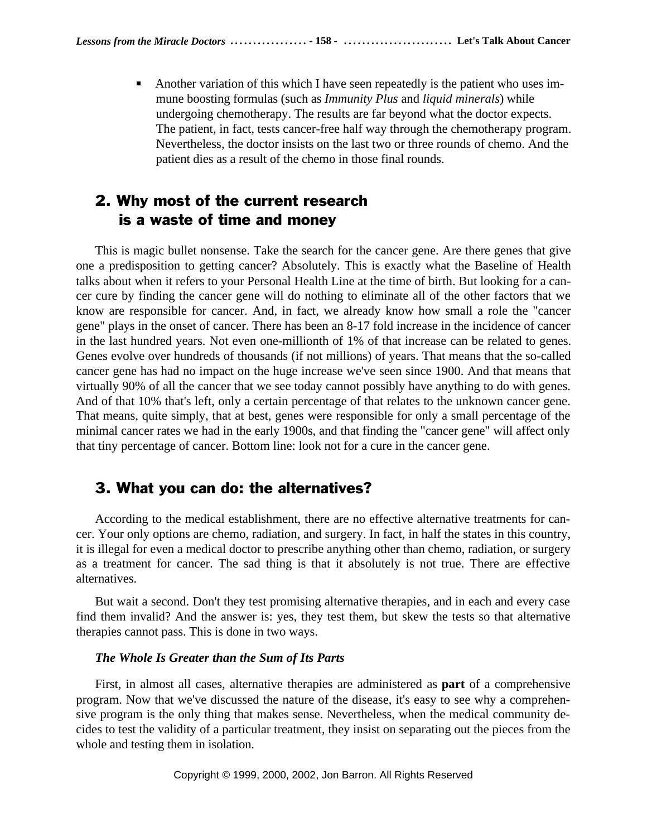$\mathbf{m}$  . Another variation of this which I have seen repeatedly is the patient who uses immune boosting formulas (such as *Immunity Plus* and *liquid minerals*) while undergoing chemotherapy. The results are far beyond what the doctor expects. The patient, in fact, tests cancer-free half way through the chemotherapy program. Nevertheless, the doctor insists on the last two or three rounds of chemo. And the patient dies as a result of the chemo in those final rounds.

#### 2. Why most of the current research is a waste of time and money

This is magic bullet nonsense. Take the search for the cancer gene. Are there genes that give one a predisposition to getting cancer? Absolutely. This is exactly what the Baseline of Health talks about when it refers to your Personal Health Line at the time of birth. But looking for a cancer cure by finding the cancer gene will do nothing to eliminate all of the other factors that we know are responsible for cancer. And, in fact, we already know how small a role the "cancer gene" plays in the onset of cancer. There has been an 8-17 fold increase in the incidence of cancer in the last hundred years. Not even one-millionth of 1% of that increase can be related to genes. Genes evolve over hundreds of thousands (if not millions) of years. That means that the so-called cancer gene has had no impact on the huge increase we've seen since 1900. And that means that virtually 90% of all the cancer that we see today cannot possibly have anything to do with genes. And of that 10% that's left, only a certain percentage of that relates to the unknown cancer gene. That means, quite simply, that at best, genes were responsible for only a small percentage of the minimal cancer rates we had in the early 1900s, and that finding the "cancer gene" will affect only that tiny percentage of cancer. Bottom line: look not for a cure in the cancer gene.

#### 3. What you can do: the alternatives?

According to the medical establishment, there are no effective alternative treatments for cancer. Your only options are chemo, radiation, and surgery. In fact, in half the states in this country, it is illegal for even a medical doctor to prescribe anything other than chemo, radiation, or surgery as a treatment for cancer. The sad thing is that it absolutely is not true. There are effective alternatives.

But wait a second. Don't they test promising alternative therapies, and in each and every case find them invalid? And the answer is: yes, they test them, but skew the tests so that alternative therapies cannot pass. This is done in two ways.

#### *The Whole Is Greater than the Sum of Its Parts*

First, in almost all cases, alternative therapies are administered as **part** of a comprehensive program. Now that we've discussed the nature of the disease, it's easy to see why a comprehensive program is the only thing that makes sense. Nevertheless, when the medical community decides to test the validity of a particular treatment, they insist on separating out the pieces from the whole and testing them in isolation.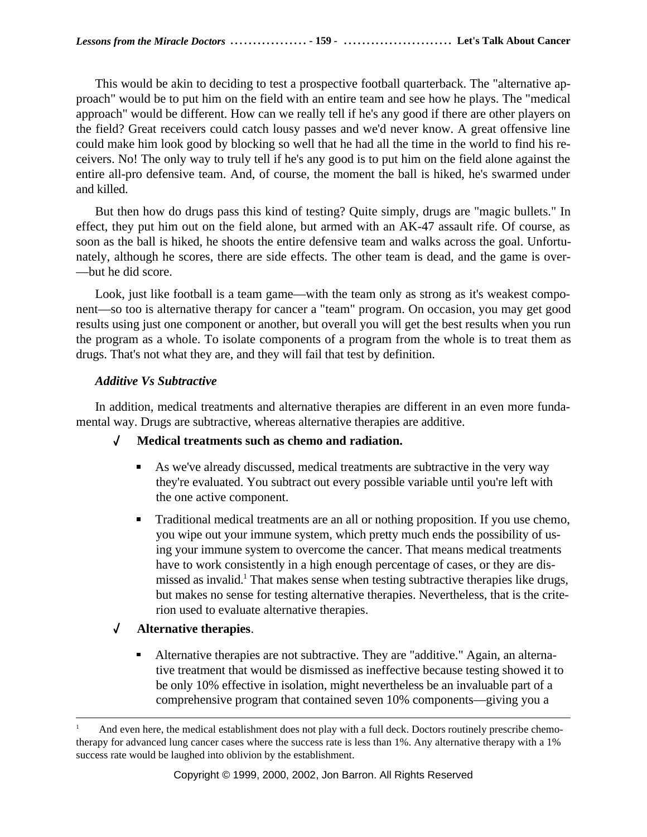This would be akin to deciding to test a prospective football quarterback. The "alternative approach" would be to put him on the field with an entire team and see how he plays. The "medical approach" would be different. How can we really tell if he's any good if there are other players on the field? Great receivers could catch lousy passes and we'd never know. A great offensive line could make him look good by blocking so well that he had all the time in the world to find his receivers. No! The only way to truly tell if he's any good is to put him on the field alone against the entire all-pro defensive team. And, of course, the moment the ball is hiked, he's swarmed under and killed.

But then how do drugs pass this kind of testing? Quite simply, drugs are "magic bullets." In effect, they put him out on the field alone, but armed with an AK-47 assault rife. Of course, as soon as the ball is hiked, he shoots the entire defensive team and walks across the goal. Unfortunately, although he scores, there are side effects. The other team is dead, and the game is over- —but he did score.

Look, just like football is a team game—with the team only as strong as it's weakest component—so too is alternative therapy for cancer a "team" program. On occasion, you may get good results using just one component or another, but overall you will get the best results when you run the program as a whole. To isolate components of a program from the whole is to treat them as drugs. That's not what they are, and they will fail that test by definition.

#### *Additive Vs Subtractive*

In addition, medical treatments and alternative therapies are different in an even more fundamental way. Drugs are subtractive, whereas alternative therapies are additive.

#### $\sqrt{ }$ **Medical treatments such as chemo and radiation.**

- As we've already discussed, medical treatments are subtractive in the very way  $\blacksquare$ they're evaluated. You subtract out every possible variable until you're left with the one active component.
- Traditional medical treatments are an all or nothing proposition. If you use chemo, you wipe out your immune system, which pretty much ends the possibility of using your immune system to overcome the cancer. That means medical treatments have to work consistently in a high enough percentage of cases, or they are dismissed as invalid.<sup>1</sup> That makes sense when testing subtractive therapies like drugs, but makes no sense for testing alternative therapies. Nevertheless, that is the criterion used to evaluate alternative therapies.

#### $\sqrt{ }$ **Alternative therapies**.

Alternative therapies are not subtractive. They are "additive." Again, an alternative treatment that would be dismissed as ineffective because testing showed it to be only 10% effective in isolation, might nevertheless be an invaluable part of a comprehensive program that contained seven 10% components—giving you a

And even here, the medical establishment does not play with a full deck. Doctors routinely prescribe chemotherapy for advanced lung cancer cases where the success rate is less than 1%. Any alternative therapy with a 1% success rate would be laughed into oblivion by the establishment.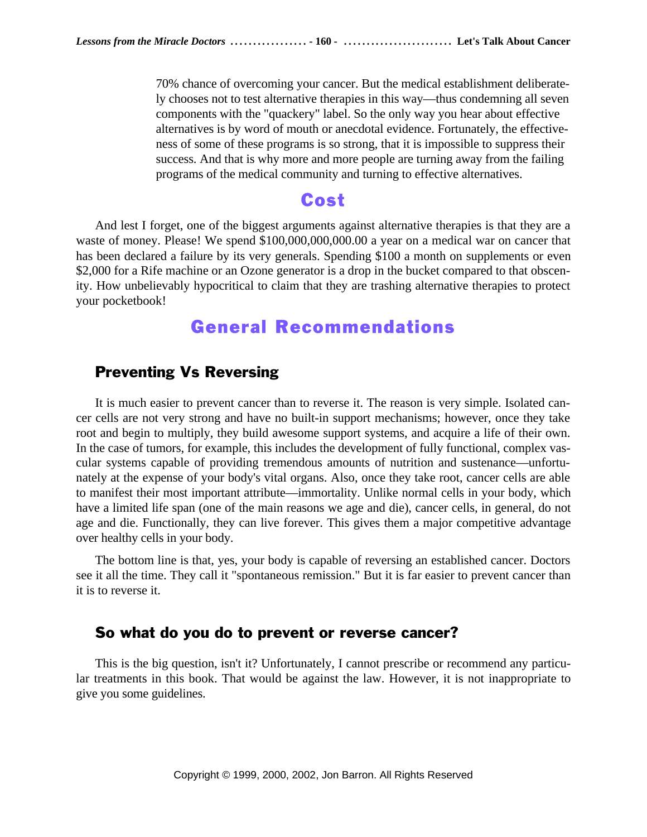70% chance of overcoming your cancer. But the medical establishment deliberately chooses not to test alternative therapies in this way—thus condemning all seven components with the "quackery" label. So the only way you hear about effective alternatives is by word of mouth or anecdotal evidence. Fortunately, the effectiveness of some of these programs is so strong, that it is impossible to suppress their success. And that is why more and more people are turning away from the failing programs of the medical community and turning to effective alternatives.

#### Cost

And lest I forget, one of the biggest arguments against alternative therapies is that they are a waste of money. Please! We spend \$100,000,000,000.00 a year on a medical war on cancer that has been declared a failure by its very generals. Spending \$100 a month on supplements or even \$2,000 for a Rife machine or an Ozone generator is a drop in the bucket compared to that obscenity. How unbelievably hypocritical to claim that they are trashing alternative therapies to protect your pocketbook!

## General Recommendations

#### Preventing Vs Reversing

It is much easier to prevent cancer than to reverse it. The reason is very simple. Isolated cancer cells are not very strong and have no built-in support mechanisms; however, once they take root and begin to multiply, they build awesome support systems, and acquire a life of their own. In the case of tumors, for example, this includes the development of fully functional, complex vascular systems capable of providing tremendous amounts of nutrition and sustenance—unfortunately at the expense of your body's vital organs. Also, once they take root, cancer cells are able to manifest their most important attribute—immortality. Unlike normal cells in your body, which have a limited life span (one of the main reasons we age and die), cancer cells, in general, do not age and die. Functionally, they can live forever. This gives them a major competitive advantage over healthy cells in your body.

The bottom line is that, yes, your body is capable of reversing an established cancer. Doctors see it all the time. They call it "spontaneous remission." But it is far easier to prevent cancer than it is to reverse it.

#### So what do you do to prevent or reverse cancer?

This is the big question, isn't it? Unfortunately, I cannot prescribe or recommend any particular treatments in this book. That would be against the law. However, it is not inappropriate to give you some guidelines.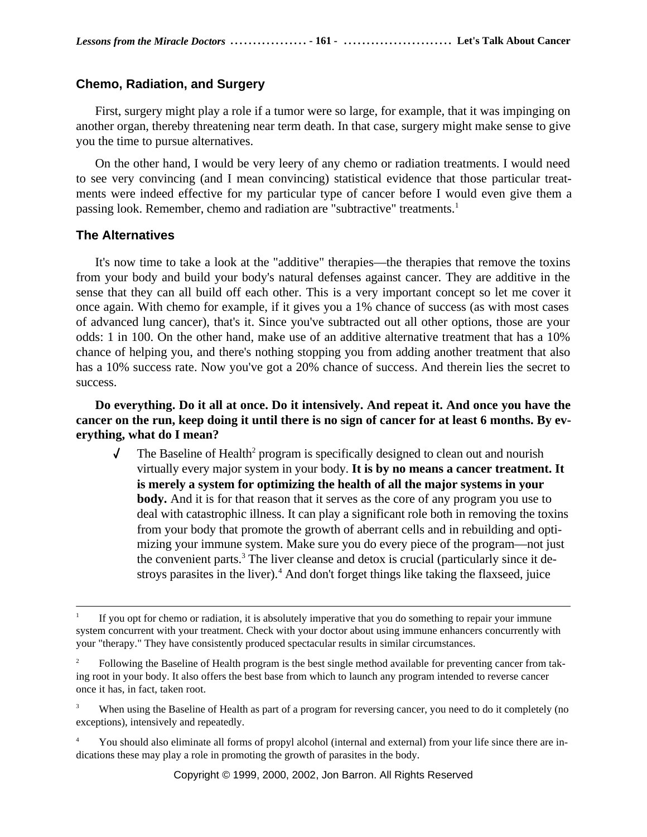#### **Chemo, Radiation, and Surgery**

First, surgery might play a role if a tumor were so large, for example, that it was impinging on another organ, thereby threatening near term death. In that case, surgery might make sense to give you the time to pursue alternatives.

On the other hand, I would be very leery of any chemo or radiation treatments. I would need to see very convincing (and I mean convincing) statistical evidence that those particular treatments were indeed effective for my particular type of cancer before I would even give them a passing look. Remember, chemo and radiation are "subtractive" treatments.<sup>1</sup>

#### **The Alternatives**

It's now time to take a look at the "additive" therapies—the therapies that remove the toxins from your body and build your body's natural defenses against cancer. They are additive in the sense that they can all build off each other. This is a very important concept so let me cover it once again. With chemo for example, if it gives you a 1% chance of success (as with most cases of advanced lung cancer), that's it. Since you've subtracted out all other options, those are your odds: 1 in 100. On the other hand, make use of an additive alternative treatment that has a 10% chance of helping you, and there's nothing stopping you from adding another treatment that also has a 10% success rate. Now you've got a 20% chance of success. And therein lies the secret to success.

**Do everything. Do it all at once. Do it intensively. And repeat it. And once you have the cancer on the run, keep doing it until there is no sign of cancer for at least 6 months. By everything, what do I mean?**

 $\sqrt{2}$ The Baseline of Health<sup>2</sup> program is specifically designed to clean out and nourish virtually every major system in your body. **It is by no means a cancer treatment. It is merely a system for optimizing the health of all the major systems in your body.** And it is for that reason that it serves as the core of any program you use to deal with catastrophic illness. It can play a significant role both in removing the toxins from your body that promote the growth of aberrant cells and in rebuilding and optimizing your immune system. Make sure you do every piece of the program—not just the convenient parts.<sup>3</sup> The liver cleanse and detox is crucial (particularly since it destroys parasites in the liver).<sup>4</sup> And don't forget things like taking the flaxseed, juice

<sup>4</sup> You should also eliminate all forms of propyl alcohol (internal and external) from your life since there are indications these may play a role in promoting the growth of parasites in the body.

Copyright © 1999, 2000, 2002, Jon Barron. All Rights Reserved

If you opt for chemo or radiation, it is absolutely imperative that you do something to repair your immune system concurrent with your treatment. Check with your doctor about using immune enhancers concurrently with your "therapy." They have consistently produced spectacular results in similar circumstances.

<sup>2</sup> Following the Baseline of Health program is the best single method available for preventing cancer from taking root in your body. It also offers the best base from which to launch any program intended to reverse cancer once it has, in fact, taken root.

When using the Baseline of Health as part of a program for reversing cancer, you need to do it completely (no exceptions), intensively and repeatedly.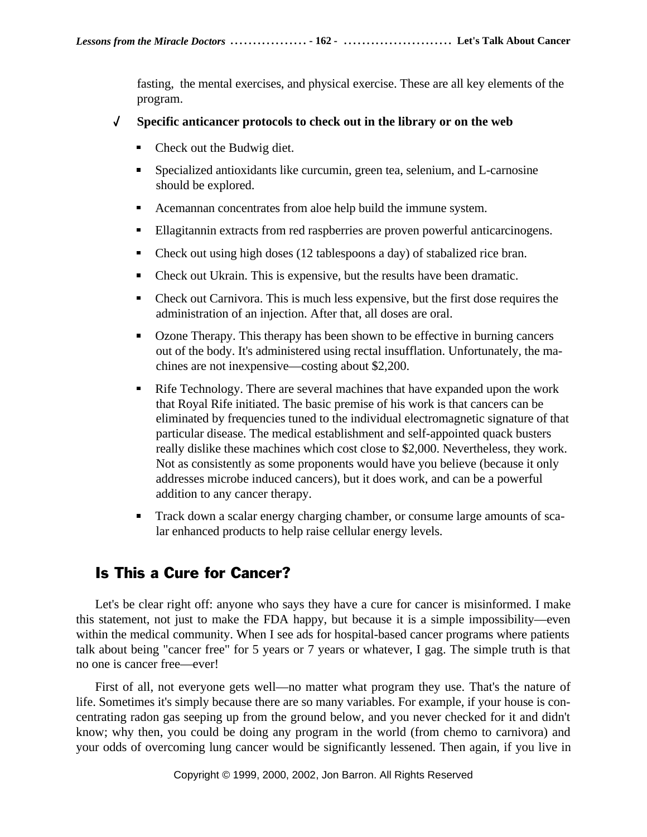fasting, the mental exercises, and physical exercise. These are all key elements of the program.

- $\sqrt{ }$ **Specific anticancer protocols to check out in the library or on the web**
	- Check out the Budwig diet.
	- Specialized antioxidants like curcumin, green tea, selenium, and L-carnosine  $\mathbf{u}$ should be explored.
	- $\mathbf{u}$ Acemannan concentrates from aloe help build the immune system.
	- $\blacksquare$ Ellagitannin extracts from red raspberries are proven powerful anticarcinogens.
	- Check out using high doses (12 tablespoons a day) of stabalized rice bran.  $\blacksquare$
	- Check out Ukrain. This is expensive, but the results have been dramatic.  $\blacksquare$  .
	- Check out Carnivora. This is much less expensive, but the first dose requires the  $\blacksquare$ administration of an injection. After that, all doses are oral.
	- $\mathbf{u}$ Ozone Therapy. This therapy has been shown to be effective in burning cancers out of the body. It's administered using rectal insufflation. Unfortunately, the machines are not inexpensive—costing about \$2,200.
	- Rife Technology. There are several machines that have expanded upon the work that Royal Rife initiated. The basic premise of his work is that cancers can be eliminated by frequencies tuned to the individual electromagnetic signature of that particular disease. The medical establishment and self-appointed quack busters really dislike these machines which cost close to \$2,000. Nevertheless, they work. Not as consistently as some proponents would have you believe (because it only addresses microbe induced cancers), but it does work, and can be a powerful addition to any cancer therapy.
	- $\blacksquare$ Track down a scalar energy charging chamber, or consume large amounts of scalar enhanced products to help raise cellular energy levels.

## Is This a Cure for Cancer?

Let's be clear right off: anyone who says they have a cure for cancer is misinformed. I make this statement, not just to make the FDA happy, but because it is a simple impossibility—even within the medical community. When I see ads for hospital-based cancer programs where patients talk about being "cancer free" for 5 years or 7 years or whatever, I gag. The simple truth is that no one is cancer free—ever!

First of all, not everyone gets well—no matter what program they use. That's the nature of life. Sometimes it's simply because there are so many variables. For example, if your house is concentrating radon gas seeping up from the ground below, and you never checked for it and didn't know; why then, you could be doing any program in the world (from chemo to carnivora) and your odds of overcoming lung cancer would be significantly lessened. Then again, if you live in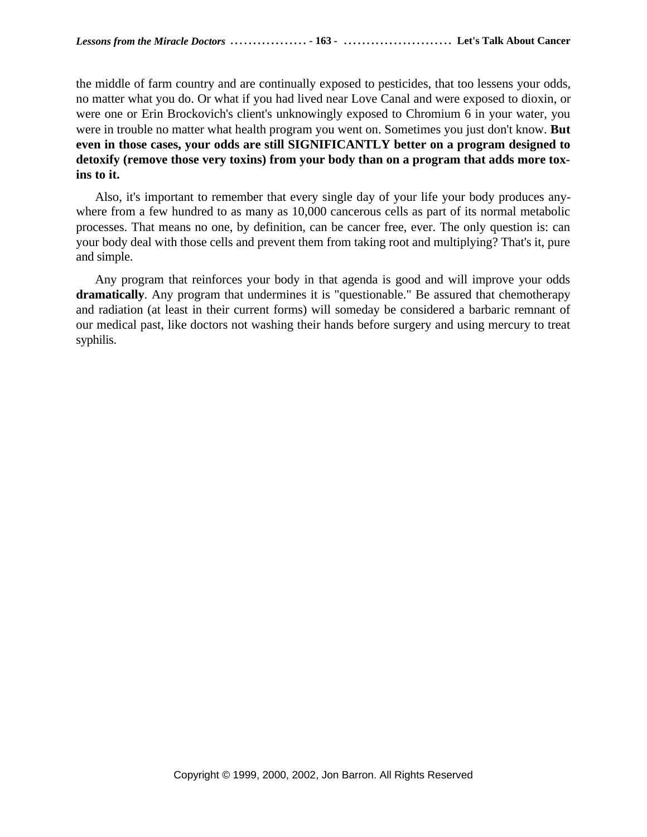the middle of farm country and are continually exposed to pesticides, that too lessens your odds, no matter what you do. Or what if you had lived near Love Canal and were exposed to dioxin, or were one or Erin Brockovich's client's unknowingly exposed to Chromium 6 in your water, you were in trouble no matter what health program you went on. Sometimes you just don't know. **But even in those cases, your odds are still SIGNIFICANTLY better on a program designed to detoxify (remove those very toxins) from your body than on a program that adds more toxins to it.**

Also, it's important to remember that every single day of your life your body produces anywhere from a few hundred to as many as 10,000 cancerous cells as part of its normal metabolic processes. That means no one, by definition, can be cancer free, ever. The only question is: can your body deal with those cells and prevent them from taking root and multiplying? That's it, pure and simple.

Any program that reinforces your body in that agenda is good and will improve your odds **dramatically**. Any program that undermines it is "questionable." Be assured that chemotherapy and radiation (at least in their current forms) will someday be considered a barbaric remnant of our medical past, like doctors not washing their hands before surgery and using mercury to treat syphilis.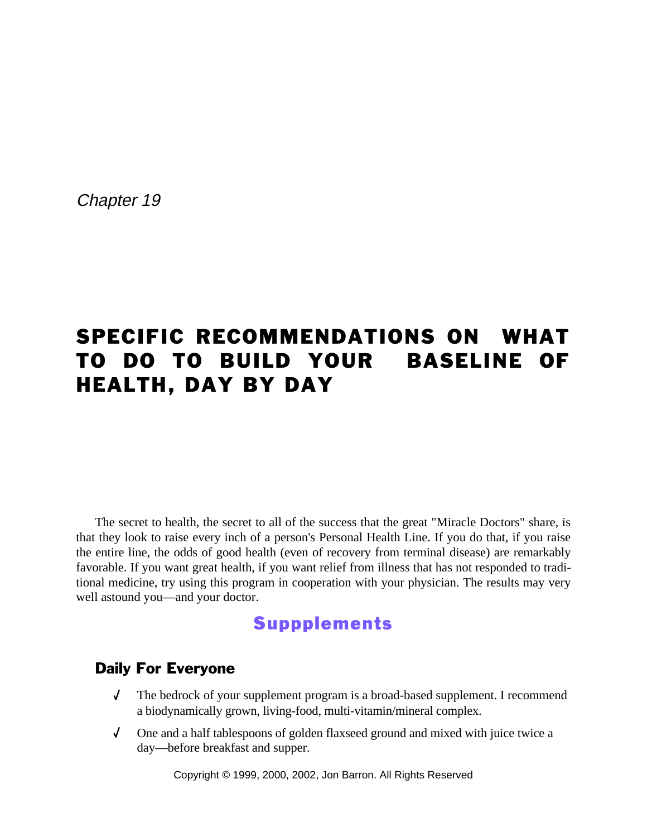Chapter 19

# SPECIFIC RECOMMENDATIONS ON WHAT TO DO TO BUILD YOUR BASELINE OF HEALTH, DAY BY DAY

The secret to health, the secret to all of the success that the great "Miracle Doctors" share, is that they look to raise every inch of a person's Personal Health Line. If you do that, if you raise the entire line, the odds of good health (even of recovery from terminal disease) are remarkably favorable. If you want great health, if you want relief from illness that has not responded to traditional medicine, try using this program in cooperation with your physician. The results may very well astound you—and your doctor.

# Suppplements

#### Daily For Everyone

- $\sqrt{ }$ The bedrock of your supplement program is a broad-based supplement. I recommend a biodynamically grown, living-food, multi-vitamin/mineral complex.
- $\sqrt{ }$ One and a half tablespoons of golden flaxseed ground and mixed with juice twice a day—before breakfast and supper.

Copyright © 1999, 2000, 2002, Jon Barron. All Rights Reserved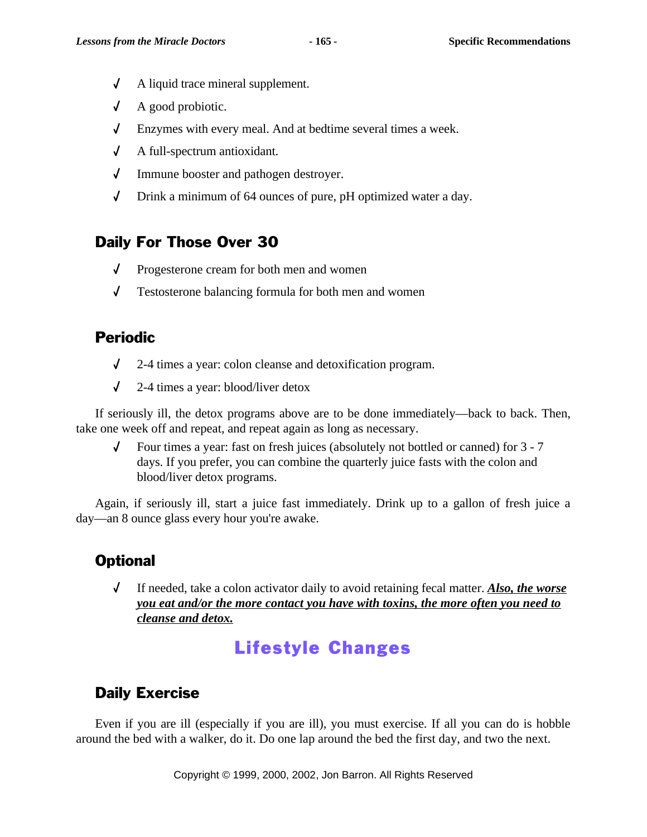- $J$ A liquid trace mineral supplement.
- $\sqrt{ }$ A good probiotic.
- $\sqrt{ }$ Enzymes with every meal. And at bedtime several times a week.
- $\sqrt{ }$ A full-spectrum antioxidant.
- $\sqrt{ }$ Immune booster and pathogen destroyer.
- $\sqrt{\phantom{a}}$  Drink a minimum of 64 ounces of pure, pH optimized water a day.

# Daily For Those Over 30

- $\sqrt{\phantom{a}}$  Progesterone cream for both men and women
- $\sqrt{\phantom{a}}$  Testosterone balancing formula for both men and women

## Periodic

- $\sqrt{ }$ 2-4 times a year: colon cleanse and detoxification program.
- $\sqrt{2}$ -4 times a year: blood/liver detox

If seriously ill, the detox programs above are to be done immediately—back to back. Then, take one week off and repeat, and repeat again as long as necessary.

 $J$ Four times a year: fast on fresh juices (absolutely not bottled or canned) for 3 - 7 days. If you prefer, you can combine the quarterly juice fasts with the colon and blood/liver detox programs.

Again, if seriously ill, start a juice fast immediately. Drink up to a gallon of fresh juice a day—an 8 ounce glass every hour you're awake.

## **Optional**

 $\sqrt{ }$ If needed, take a colon activator daily to avoid retaining fecal matter. *Also, the worse you eat and/or the more contact you have with toxins, the more often you need to cleanse and detox.*

# Lifestyle Changes

# Daily Exercise

Even if you are ill (especially if you are ill), you must exercise. If all you can do is hobble around the bed with a walker, do it. Do one lap around the bed the first day, and two the next.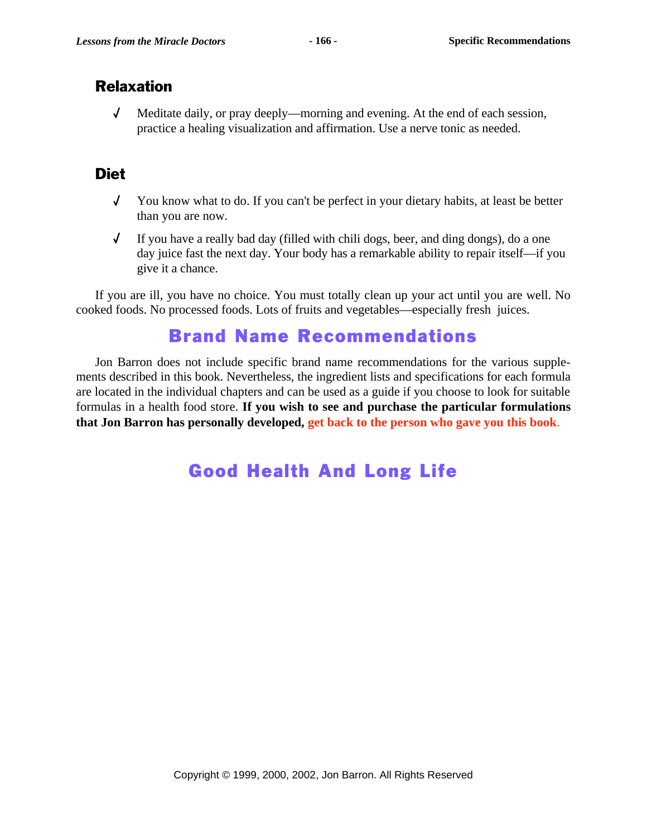## Relaxation

 $\sqrt{ }$ Meditate daily, or pray deeply—morning and evening. At the end of each session, practice a healing visualization and affirmation. Use a nerve tonic as needed.

## Diet

- $\sqrt{ }$ You know what to do. If you can't be perfect in your dietary habits, at least be better than you are now.
- $\sqrt{ }$ If you have a really bad day (filled with chili dogs, beer, and ding dongs), do a one day juice fast the next day. Your body has a remarkable ability to repair itself—if you give it a chance.

If you are ill, you have no choice. You must totally clean up your act until you are well. No cooked foods. No processed foods. Lots of fruits and vegetables—especially fresh juices.

# Brand Name Recommendations

Jon Barron does not include specific brand name recommendations for the various supplements described in this book. Nevertheless, the ingredient lists and specifications for each formula are located in the individual chapters and can be used as a guide if you choose to look for suitable formulas in a health food store. **If you wish to see and purchase the particular formulations that Jon Barron has personally developed, get back to the person who gave you this book**.

# Good Health And Long Life